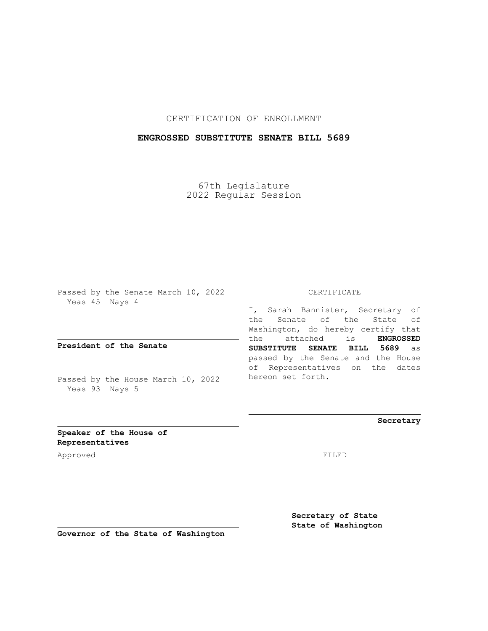## CERTIFICATION OF ENROLLMENT

## **ENGROSSED SUBSTITUTE SENATE BILL 5689**

67th Legislature 2022 Regular Session

Passed by the Senate March 10, 2022 Yeas 45 Nays 4

**President of the Senate**

Passed by the House March 10, 2022 Yeas 93 Nays 5

#### CERTIFICATE

I, Sarah Bannister, Secretary of the Senate of the State of Washington, do hereby certify that the attached is **ENGROSSED SUBSTITUTE SENATE BILL 5689** as passed by the Senate and the House of Representatives on the dates hereon set forth.

**Secretary**

**Speaker of the House of Representatives**

Approved FILED

**Secretary of State State of Washington**

**Governor of the State of Washington**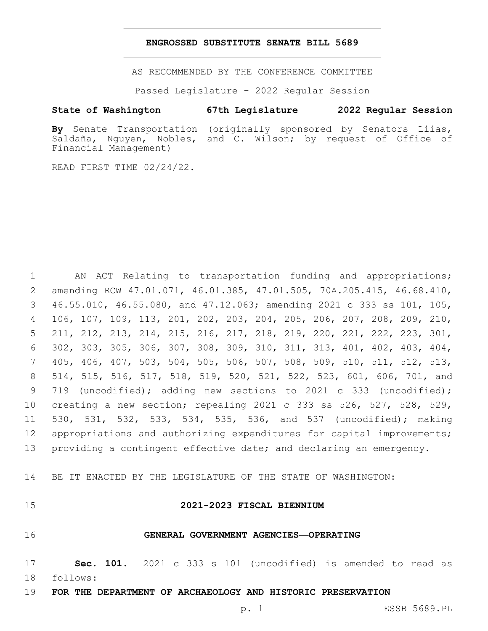#### **ENGROSSED SUBSTITUTE SENATE BILL 5689**

AS RECOMMENDED BY THE CONFERENCE COMMITTEE

Passed Legislature - 2022 Regular Session

#### **State of Washington 67th Legislature 2022 Regular Session**

**By** Senate Transportation (originally sponsored by Senators Liias, Saldaña, Nguyen, Nobles, and C. Wilson; by request of Office of Financial Management)

READ FIRST TIME 02/24/22.

 AN ACT Relating to transportation funding and appropriations; amending RCW 47.01.071, 46.01.385, 47.01.505, 70A.205.415, 46.68.410, 46.55.010, 46.55.080, and 47.12.063; amending 2021 c 333 ss 101, 105, 106, 107, 109, 113, 201, 202, 203, 204, 205, 206, 207, 208, 209, 210, 211, 212, 213, 214, 215, 216, 217, 218, 219, 220, 221, 222, 223, 301, 302, 303, 305, 306, 307, 308, 309, 310, 311, 313, 401, 402, 403, 404, 405, 406, 407, 503, 504, 505, 506, 507, 508, 509, 510, 511, 512, 513, 514, 515, 516, 517, 518, 519, 520, 521, 522, 523, 601, 606, 701, and 719 (uncodified); adding new sections to 2021 c 333 (uncodified); creating a new section; repealing 2021 c 333 ss 526, 527, 528, 529, 530, 531, 532, 533, 534, 535, 536, and 537 (uncodified); making 12 appropriations and authorizing expenditures for capital improvements; 13 providing a contingent effective date; and declaring an emergency.

14 BE IT ENACTED BY THE LEGISLATURE OF THE STATE OF WASHINGTON:

## 15 **2021-2023 FISCAL BIENNIUM**

#### 16 **GENERAL GOVERNMENT AGENCIES—OPERATING**

17 **Sec. 101.** 2021 c 333 s 101 (uncodified) is amended to read as follows: 18

19 **FOR THE DEPARTMENT OF ARCHAEOLOGY AND HISTORIC PRESERVATION**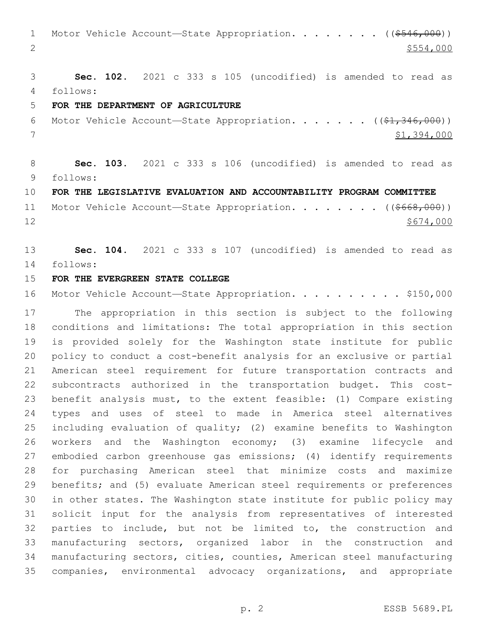1 Motor Vehicle Account—State Appropriation. . . . . . . ((\$546,000)) 2  $\frac{$554,000}{ }$ 

 **Sec. 102.** 2021 c 333 s 105 (uncodified) is amended to read as follows: 4

#### **FOR THE DEPARTMENT OF AGRICULTURE**

6 Motor Vehicle Account—State Appropriation. . . . . .  $($  $($ \$1,346,000)) \$1,394,000

 **Sec. 103.** 2021 c 333 s 106 (uncodified) is amended to read as follows: 9

**FOR THE LEGISLATIVE EVALUATION AND ACCOUNTABILITY PROGRAM COMMITTEE**

11 Motor Vehicle Account-State Appropriation. . . . . . . ((\$668,000))  $12 \frac{\$674,000}{}$ 

 **Sec. 104.** 2021 c 333 s 107 (uncodified) is amended to read as follows: 14

#### **FOR THE EVERGREEN STATE COLLEGE**

16 Motor Vehicle Account—State Appropriation. . . . . . . . . \$150,000

 The appropriation in this section is subject to the following conditions and limitations: The total appropriation in this section is provided solely for the Washington state institute for public policy to conduct a cost-benefit analysis for an exclusive or partial American steel requirement for future transportation contracts and subcontracts authorized in the transportation budget. This cost- benefit analysis must, to the extent feasible: (1) Compare existing types and uses of steel to made in America steel alternatives including evaluation of quality; (2) examine benefits to Washington workers and the Washington economy; (3) examine lifecycle and embodied carbon greenhouse gas emissions; (4) identify requirements for purchasing American steel that minimize costs and maximize benefits; and (5) evaluate American steel requirements or preferences in other states. The Washington state institute for public policy may solicit input for the analysis from representatives of interested parties to include, but not be limited to, the construction and manufacturing sectors, organized labor in the construction and manufacturing sectors, cities, counties, American steel manufacturing companies, environmental advocacy organizations, and appropriate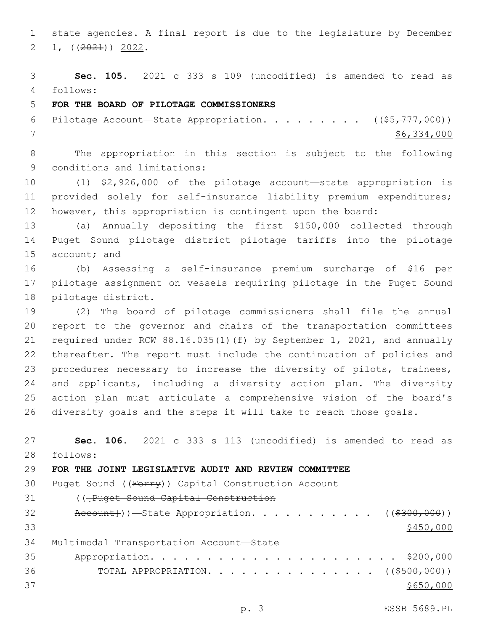state agencies. A final report is due to the legislature by December 2 1,  $((2021))$  2022.

 **Sec. 105.** 2021 c 333 s 109 (uncodified) is amended to read as follows: 4

# **FOR THE BOARD OF PILOTAGE COMMISSIONERS**

6 Pilotage Account—State Appropriation. . . . . . . . ((\$5,777,000)) \$6,334,000

 The appropriation in this section is subject to the following 9 conditions and limitations:

 (1) \$2,926,000 of the pilotage account—state appropriation is provided solely for self-insurance liability premium expenditures; however, this appropriation is contingent upon the board:

 (a) Annually depositing the first \$150,000 collected through Puget Sound pilotage district pilotage tariffs into the pilotage 15 account; and

 (b) Assessing a self-insurance premium surcharge of \$16 per pilotage assignment on vessels requiring pilotage in the Puget Sound 18 pilotage district.

 (2) The board of pilotage commissioners shall file the annual report to the governor and chairs of the transportation committees required under RCW 88.16.035(1)(f) by September 1, 2021, and annually thereafter. The report must include the continuation of policies and 23 procedures necessary to increase the diversity of pilots, trainees, and applicants, including a diversity action plan. The diversity action plan must articulate a comprehensive vision of the board's diversity goals and the steps it will take to reach those goals.

 **Sec. 106.** 2021 c 333 s 113 (uncodified) is amended to read as follows: 28

## **FOR THE JOINT LEGISLATIVE AUDIT AND REVIEW COMMITTEE**

30 Puget Sound ((Ferry)) Capital Construction Account (([Puget Sound Capital Construction Account}))—State Appropriation. . . . . . . . . . ( $(\frac{2300,000}{2})$   $\frac{$450,000}{9}$ 34 Multimodal Transportation Account-State Appropriation. . . . . . . . . . . . . . . . . . . . . . \$200,000 36 TOTAL APPROPRIATION. . . . . . . . . . . . . . ((<del>\$500,000</del>)) \$650,000

p. 3 ESSB 5689.PL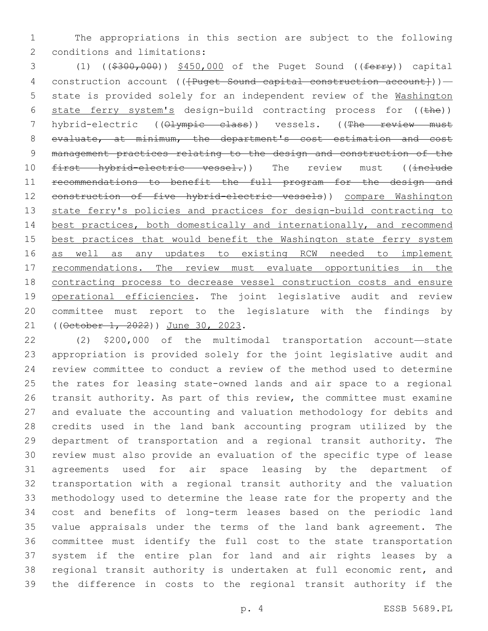The appropriations in this section are subject to the following 2 conditions and limitations:

3 (1) ((\$300,000)) \$450,000 of the Puget Sound ((ferry)) capital 4 construction account (( ${Puqet}$  Sound capital construction account})) - state is provided solely for an independent review of the Washington 6 state ferry system's design-build contracting process for ((the)) 7 hybrid-electric ((Olympic class)) vessels. ((The review must evaluate, at minimum, the department's cost estimation and cost management practices relating to the design and construction of the 10 first hybrid-electric vessel.)) The review must ((include recommendations to benefit the full program for the design and 12 construction of five hybrid-electric vessels)) compare Washington state ferry's policies and practices for design-build contracting to best practices, both domestically and internationally, and recommend 15 best practices that would benefit the Washington state ferry system as well as any updates to existing RCW needed to implement recommendations. The review must evaluate opportunities in the contracting process to decrease vessel construction costs and ensure operational efficiencies. The joint legislative audit and review committee must report to the legislature with the findings by 21 ((October 1, 2022)) June 30, 2023.

 (2) \$200,000 of the multimodal transportation account—state appropriation is provided solely for the joint legislative audit and review committee to conduct a review of the method used to determine the rates for leasing state-owned lands and air space to a regional transit authority. As part of this review, the committee must examine and evaluate the accounting and valuation methodology for debits and credits used in the land bank accounting program utilized by the department of transportation and a regional transit authority. The review must also provide an evaluation of the specific type of lease agreements used for air space leasing by the department of transportation with a regional transit authority and the valuation methodology used to determine the lease rate for the property and the cost and benefits of long-term leases based on the periodic land value appraisals under the terms of the land bank agreement. The committee must identify the full cost to the state transportation system if the entire plan for land and air rights leases by a regional transit authority is undertaken at full economic rent, and the difference in costs to the regional transit authority if the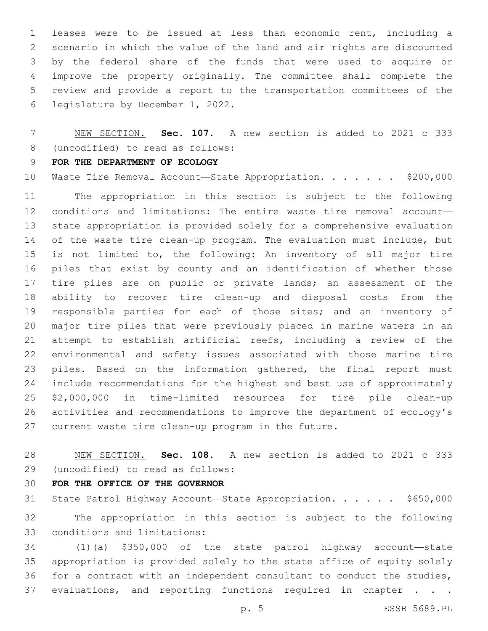leases were to be issued at less than economic rent, including a scenario in which the value of the land and air rights are discounted by the federal share of the funds that were used to acquire or improve the property originally. The committee shall complete the review and provide a report to the transportation committees of the 6 legislature by December 1, 2022.

 NEW SECTION. **Sec. 107.** A new section is added to 2021 c 333 8 (uncodified) to read as follows:

## **FOR THE DEPARTMENT OF ECOLOGY**

10 Waste Tire Removal Account-State Appropriation. . . . . . \$200,000

 The appropriation in this section is subject to the following conditions and limitations: The entire waste tire removal account— state appropriation is provided solely for a comprehensive evaluation of the waste tire clean-up program. The evaluation must include, but is not limited to, the following: An inventory of all major tire piles that exist by county and an identification of whether those tire piles are on public or private lands; an assessment of the ability to recover tire clean-up and disposal costs from the 19 responsible parties for each of those sites; and an inventory of major tire piles that were previously placed in marine waters in an attempt to establish artificial reefs, including a review of the environmental and safety issues associated with those marine tire 23 piles. Based on the information gathered, the final report must include recommendations for the highest and best use of approximately \$2,000,000 in time-limited resources for tire pile clean-up activities and recommendations to improve the department of ecology's current waste tire clean-up program in the future.

 NEW SECTION. **Sec. 108.** A new section is added to 2021 c 333 (uncodified) to read as follows:29

**FOR THE OFFICE OF THE GOVERNOR**

31 State Patrol Highway Account-State Appropriation. . . . . . \$650,000 The appropriation in this section is subject to the following 33 conditions and limitations:

 (1)(a) \$350,000 of the state patrol highway account—state appropriation is provided solely to the state office of equity solely for a contract with an independent consultant to conduct the studies, 37 evaluations, and reporting functions required in chapter . . .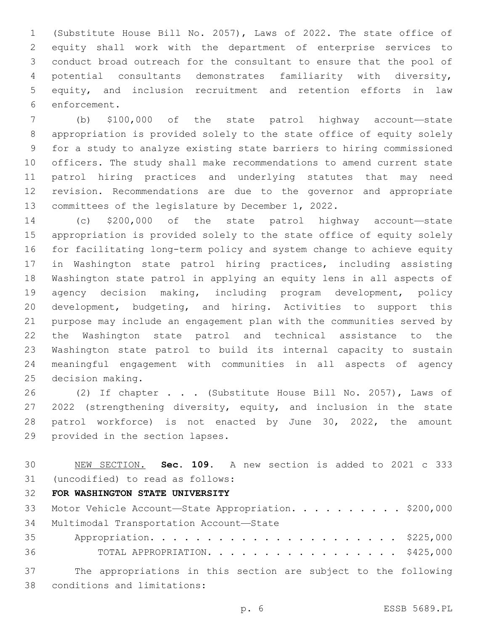(Substitute House Bill No. 2057), Laws of 2022. The state office of equity shall work with the department of enterprise services to conduct broad outreach for the consultant to ensure that the pool of potential consultants demonstrates familiarity with diversity, equity, and inclusion recruitment and retention efforts in law 6 enforcement.

 (b) \$100,000 of the state patrol highway account—state appropriation is provided solely to the state office of equity solely for a study to analyze existing state barriers to hiring commissioned officers. The study shall make recommendations to amend current state patrol hiring practices and underlying statutes that may need revision. Recommendations are due to the governor and appropriate committees of the legislature by December 1, 2022.

 (c) \$200,000 of the state patrol highway account—state appropriation is provided solely to the state office of equity solely for facilitating long-term policy and system change to achieve equity in Washington state patrol hiring practices, including assisting Washington state patrol in applying an equity lens in all aspects of agency decision making, including program development, policy development, budgeting, and hiring. Activities to support this purpose may include an engagement plan with the communities served by the Washington state patrol and technical assistance to the Washington state patrol to build its internal capacity to sustain meaningful engagement with communities in all aspects of agency 25 decision making.

26 (2) If chapter . . . (Substitute House Bill No. 2057), Laws of 2022 (strengthening diversity, equity, and inclusion in the state patrol workforce) is not enacted by June 30, 2022, the amount 29 provided in the section lapses.

 NEW SECTION. **Sec. 109.** A new section is added to 2021 c 333 (uncodified) to read as follows: 31

## **FOR WASHINGTON STATE UNIVERSITY**

|    | 33 Motor Vehicle Account-State Appropriation. \$200,000         |
|----|-----------------------------------------------------------------|
|    | 34 Multimodal Transportation Account-State                      |
| 35 |                                                                 |
| 36 | TOTAL APPROPRIATION. \$425,000                                  |
| 37 | The appropriations in this section are subject to the following |

 The appropriations in this section are subject to the following 38 conditions and limitations:

p. 6 ESSB 5689.PL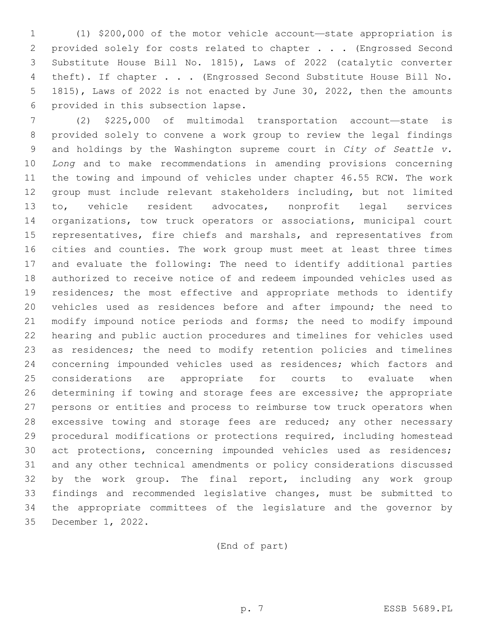(1) \$200,000 of the motor vehicle account—state appropriation is provided solely for costs related to chapter . . . (Engrossed Second Substitute House Bill No. 1815), Laws of 2022 (catalytic converter theft). If chapter . . . (Engrossed Second Substitute House Bill No. 1815), Laws of 2022 is not enacted by June 30, 2022, then the amounts 6 provided in this subsection lapse.

 (2) \$225,000 of multimodal transportation account—state is provided solely to convene a work group to review the legal findings and holdings by the Washington supreme court in *City of Seattle v. Long* and to make recommendations in amending provisions concerning the towing and impound of vehicles under chapter 46.55 RCW. The work group must include relevant stakeholders including, but not limited to, vehicle resident advocates, nonprofit legal services organizations, tow truck operators or associations, municipal court representatives, fire chiefs and marshals, and representatives from cities and counties. The work group must meet at least three times and evaluate the following: The need to identify additional parties authorized to receive notice of and redeem impounded vehicles used as 19 residences; the most effective and appropriate methods to identify vehicles used as residences before and after impound; the need to modify impound notice periods and forms; the need to modify impound hearing and public auction procedures and timelines for vehicles used as residences; the need to modify retention policies and timelines concerning impounded vehicles used as residences; which factors and considerations are appropriate for courts to evaluate when determining if towing and storage fees are excessive; the appropriate persons or entities and process to reimburse tow truck operators when 28 excessive towing and storage fees are reduced; any other necessary procedural modifications or protections required, including homestead act protections, concerning impounded vehicles used as residences; and any other technical amendments or policy considerations discussed by the work group. The final report, including any work group findings and recommended legislative changes, must be submitted to the appropriate committees of the legislature and the governor by 35 December 1, 2022.

(End of part)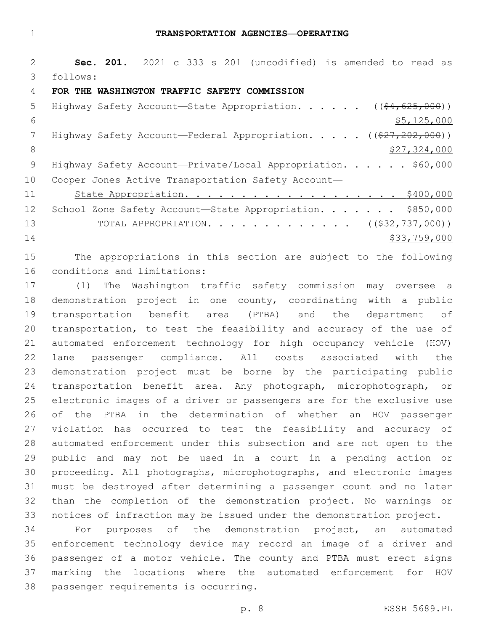**Sec. 201.** 2021 c 333 s 201 (uncodified) is amended to read as follows: 3 **FOR THE WASHINGTON TRAFFIC SAFETY COMMISSION** 5 Highway Safety Account—State Appropriation. . . . . ((\$4,625,000))  $$5,125,000$ 7 Highway Safety Account—Federal Appropriation. . . . . ((\$27,202,000)) 8 \$27,324,000 9 Highway Safety Account-Private/Local Appropriation. . . . . \$60,000 10 Cooper Jones Active Transportation Safety Account-11 State Appropriation. . . . . . . . . . . . . . . . . . \$400,000 12 School Zone Safety Account—State Appropriation. . . . . . \$850,000 13 TOTAL APPROPRIATION. . . . . . . . . . . . . ((\$32,737,000)) \$33,759,000

 The appropriations in this section are subject to the following 16 conditions and limitations:

 (1) The Washington traffic safety commission may oversee a demonstration project in one county, coordinating with a public transportation benefit area (PTBA) and the department of transportation, to test the feasibility and accuracy of the use of automated enforcement technology for high occupancy vehicle (HOV) lane passenger compliance. All costs associated with the demonstration project must be borne by the participating public transportation benefit area. Any photograph, microphotograph, or electronic images of a driver or passengers are for the exclusive use of the PTBA in the determination of whether an HOV passenger violation has occurred to test the feasibility and accuracy of automated enforcement under this subsection and are not open to the public and may not be used in a court in a pending action or proceeding. All photographs, microphotographs, and electronic images must be destroyed after determining a passenger count and no later than the completion of the demonstration project. No warnings or notices of infraction may be issued under the demonstration project.

 For purposes of the demonstration project, an automated enforcement technology device may record an image of a driver and passenger of a motor vehicle. The county and PTBA must erect signs marking the locations where the automated enforcement for HOV 38 passenger requirements is occurring.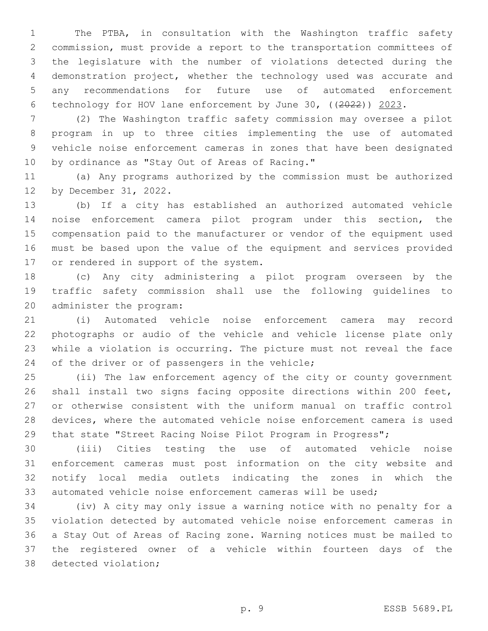The PTBA, in consultation with the Washington traffic safety commission, must provide a report to the transportation committees of the legislature with the number of violations detected during the demonstration project, whether the technology used was accurate and any recommendations for future use of automated enforcement technology for HOV lane enforcement by June 30, ((2022)) 2023.

 (2) The Washington traffic safety commission may oversee a pilot program in up to three cities implementing the use of automated vehicle noise enforcement cameras in zones that have been designated 10 by ordinance as "Stay Out of Areas of Racing."

 (a) Any programs authorized by the commission must be authorized 12 by December 31, 2022.

 (b) If a city has established an authorized automated vehicle noise enforcement camera pilot program under this section, the compensation paid to the manufacturer or vendor of the equipment used must be based upon the value of the equipment and services provided 17 or rendered in support of the system.

 (c) Any city administering a pilot program overseen by the traffic safety commission shall use the following guidelines to 20 administer the program:

 (i) Automated vehicle noise enforcement camera may record photographs or audio of the vehicle and vehicle license plate only while a violation is occurring. The picture must not reveal the face 24 of the driver or of passengers in the vehicle;

 (ii) The law enforcement agency of the city or county government shall install two signs facing opposite directions within 200 feet, or otherwise consistent with the uniform manual on traffic control devices, where the automated vehicle noise enforcement camera is used that state "Street Racing Noise Pilot Program in Progress";

 (iii) Cities testing the use of automated vehicle noise enforcement cameras must post information on the city website and notify local media outlets indicating the zones in which the automated vehicle noise enforcement cameras will be used;

 (iv) A city may only issue a warning notice with no penalty for a violation detected by automated vehicle noise enforcement cameras in a Stay Out of Areas of Racing zone. Warning notices must be mailed to the registered owner of a vehicle within fourteen days of the 38 detected violation;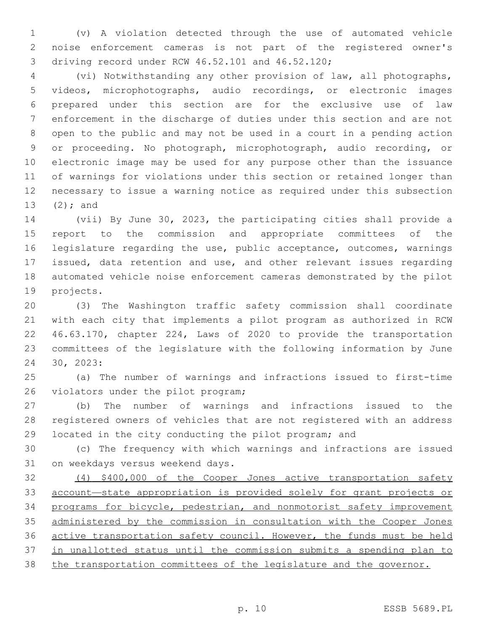(v) A violation detected through the use of automated vehicle noise enforcement cameras is not part of the registered owner's driving record under RCW 46.52.101 and 46.52.120;3

 (vi) Notwithstanding any other provision of law, all photographs, videos, microphotographs, audio recordings, or electronic images prepared under this section are for the exclusive use of law enforcement in the discharge of duties under this section and are not open to the public and may not be used in a court in a pending action or proceeding. No photograph, microphotograph, audio recording, or electronic image may be used for any purpose other than the issuance of warnings for violations under this section or retained longer than necessary to issue a warning notice as required under this subsection 13  $(2)$ ; and

 (vii) By June 30, 2023, the participating cities shall provide a report to the commission and appropriate committees of the legislature regarding the use, public acceptance, outcomes, warnings issued, data retention and use, and other relevant issues regarding automated vehicle noise enforcement cameras demonstrated by the pilot 19 projects.

 (3) The Washington traffic safety commission shall coordinate with each city that implements a pilot program as authorized in RCW 46.63.170, chapter 224, Laws of 2020 to provide the transportation committees of the legislature with the following information by June 30, 2023:24

 (a) The number of warnings and infractions issued to first-time 26 violators under the pilot program;

 (b) The number of warnings and infractions issued to the registered owners of vehicles that are not registered with an address located in the city conducting the pilot program; and

 (c) The frequency with which warnings and infractions are issued 31 on weekdays versus weekend days.

 (4) \$400,000 of the Cooper Jones active transportation safety account—state appropriation is provided solely for grant projects or 34 programs for bicycle, pedestrian, and nonmotorist safety improvement administered by the commission in consultation with the Cooper Jones active transportation safety council. However, the funds must be held in unallotted status until the commission submits a spending plan to the transportation committees of the legislature and the governor.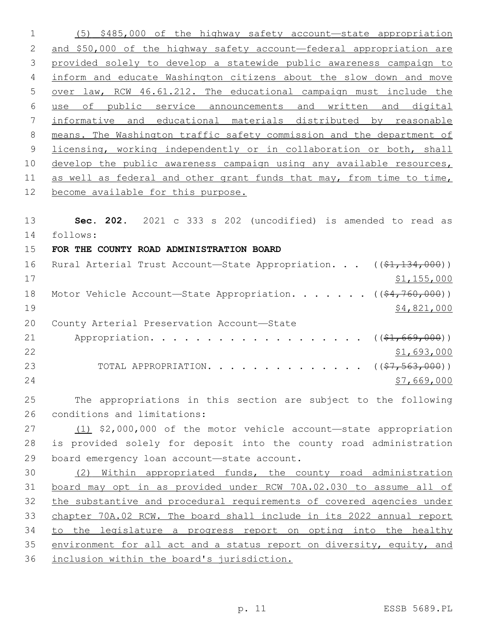(5) \$485,000 of the highway safety account—state appropriation and \$50,000 of the highway safety account—federal appropriation are provided solely to develop a statewide public awareness campaign to inform and educate Washington citizens about the slow down and move over law, RCW 46.61.212. The educational campaign must include the use of public service announcements and written and digital informative and educational materials distributed by reasonable means. The Washington traffic safety commission and the department of licensing, working independently or in collaboration or both, shall develop the public awareness campaign using any available resources, 11 as well as federal and other grant funds that may, from time to time, become available for this purpose. **Sec. 202.** 2021 c 333 s 202 (uncodified) is amended to read as

follows: 14

**FOR THE COUNTY ROAD ADMINISTRATION BOARD**

| 16 | Rural Arterial Trust Account—State Appropriation. ((\$1,134,000))                  |             |
|----|------------------------------------------------------------------------------------|-------------|
| 17 |                                                                                    | \$1,155,000 |
| 18 | Motor Vehicle Account—State Appropriation. ( $(\frac{24}{760}, \frac{760}{100})$ ) |             |
| 19 |                                                                                    | \$4,821,000 |
| 20 | County Arterial Preservation Account-State                                         |             |
| 21 | Appropriation. ( $(\frac{1}{21}, 669, 000)$ )                                      |             |
| 22 |                                                                                    | \$1,693,000 |
| 23 | TOTAL APPROPRIATION. $($ $($ $\frac{27}{7}, \frac{563}{100})$                      |             |
| 24 |                                                                                    | \$7,669,000 |
|    |                                                                                    |             |

 The appropriations in this section are subject to the following 26 conditions and limitations:

27 (1) \$2,000,000 of the motor vehicle account—state appropriation is provided solely for deposit into the county road administration 29 board emergency loan account-state account.

 (2) Within appropriated funds, the county road administration board may opt in as provided under RCW 70A.02.030 to assume all of the substantive and procedural requirements of covered agencies under chapter 70A.02 RCW. The board shall include in its 2022 annual report 34 to the legislature a progress report on opting into the healthy environment for all act and a status report on diversity, equity, and inclusion within the board's jurisdiction.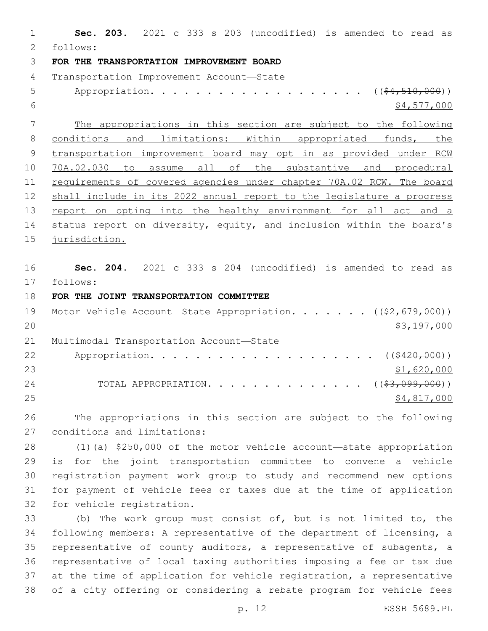**Sec. 203.** 2021 c 333 s 203 (uncodified) is amended to read as follows: 2 **FOR THE TRANSPORTATION IMPROVEMENT BOARD** 4 Transportation Improvement Account-State 5 Appropriation. . . . . . . . . . . . . . . . . (  $(\frac{64,510,000}{5})$  \$4,577,000 The appropriations in this section are subject to the following 8 conditions and limitations: Within appropriated funds, the transportation improvement board may opt in as provided under RCW 70A.02.030 to assume all of the substantive and procedural requirements of covered agencies under chapter 70A.02 RCW. The board shall include in its 2022 annual report to the legislature a progress 13 report on opting into the healthy environment for all act and a status report on diversity, equity, and inclusion within the board's jurisdiction. **Sec. 204.** 2021 c 333 s 204 (uncodified) is amended to read as follows: 17 **FOR THE JOINT TRANSPORTATION COMMITTEE** 19 Motor Vehicle Account—State Appropriation. . . . . . ((\$2,679,000)) \$3,197,000 21 Multimodal Transportation Account-State 22 Appropriation. . . . . . . . . . . . . . . . . . (  $(*420,000)$  ) \$1,620,000 24 TOTAL APPROPRIATION. . . . . . . . . . . . . ((<del>\$3,099,000</del>)) \$4,817,000 The appropriations in this section are subject to the following 27 conditions and limitations: (1)(a) \$250,000 of the motor vehicle account—state appropriation is for the joint transportation committee to convene a vehicle registration payment work group to study and recommend new options for payment of vehicle fees or taxes due at the time of application 32 for vehicle registration. (b) The work group must consist of, but is not limited to, the following members: A representative of the department of licensing, a representative of county auditors, a representative of subagents, a

 representative of local taxing authorities imposing a fee or tax due at the time of application for vehicle registration, a representative of a city offering or considering a rebate program for vehicle fees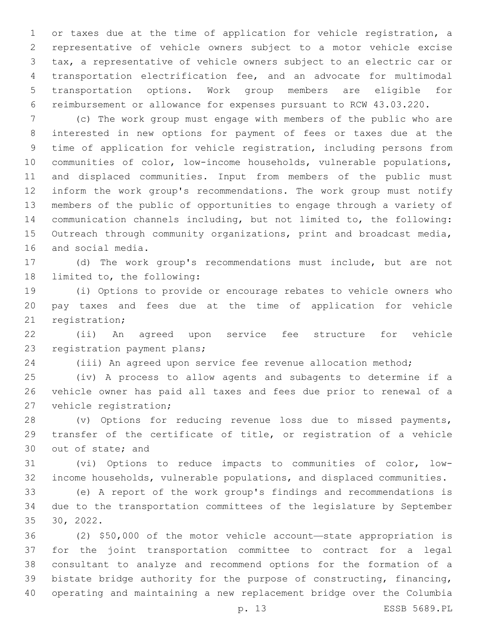or taxes due at the time of application for vehicle registration, a representative of vehicle owners subject to a motor vehicle excise tax, a representative of vehicle owners subject to an electric car or transportation electrification fee, and an advocate for multimodal transportation options. Work group members are eligible for reimbursement or allowance for expenses pursuant to RCW 43.03.220.

 (c) The work group must engage with members of the public who are interested in new options for payment of fees or taxes due at the time of application for vehicle registration, including persons from communities of color, low-income households, vulnerable populations, and displaced communities. Input from members of the public must inform the work group's recommendations. The work group must notify members of the public of opportunities to engage through a variety of communication channels including, but not limited to, the following: Outreach through community organizations, print and broadcast media, 16 and social media.

 (d) The work group's recommendations must include, but are not 18 limited to, the following:

 (i) Options to provide or encourage rebates to vehicle owners who pay taxes and fees due at the time of application for vehicle 21 registration;

 (ii) An agreed upon service fee structure for vehicle 23 registration payment plans;

(iii) An agreed upon service fee revenue allocation method;

 (iv) A process to allow agents and subagents to determine if a vehicle owner has paid all taxes and fees due prior to renewal of a 27 vehicle registration;

 (v) Options for reducing revenue loss due to missed payments, transfer of the certificate of title, or registration of a vehicle 30 out of state; and

 (vi) Options to reduce impacts to communities of color, low-income households, vulnerable populations, and displaced communities.

 (e) A report of the work group's findings and recommendations is due to the transportation committees of the legislature by September 30, 2022.

 (2) \$50,000 of the motor vehicle account—state appropriation is for the joint transportation committee to contract for a legal consultant to analyze and recommend options for the formation of a bistate bridge authority for the purpose of constructing, financing, operating and maintaining a new replacement bridge over the Columbia

p. 13 ESSB 5689.PL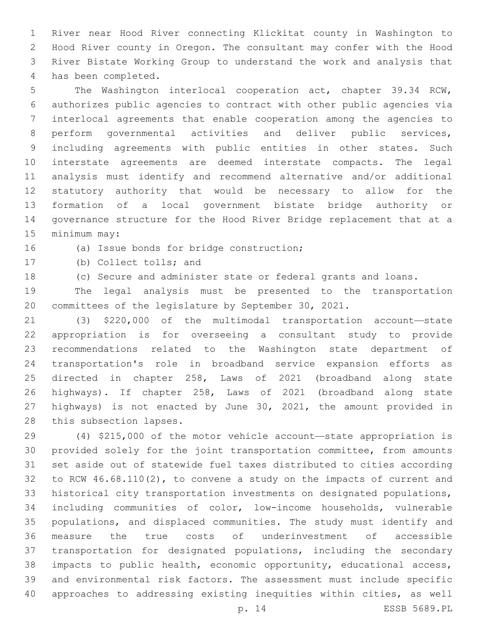River near Hood River connecting Klickitat county in Washington to Hood River county in Oregon. The consultant may confer with the Hood River Bistate Working Group to understand the work and analysis that 4 has been completed.

 The Washington interlocal cooperation act, chapter 39.34 RCW, authorizes public agencies to contract with other public agencies via interlocal agreements that enable cooperation among the agencies to perform governmental activities and deliver public services, including agreements with public entities in other states. Such interstate agreements are deemed interstate compacts. The legal analysis must identify and recommend alternative and/or additional statutory authority that would be necessary to allow for the formation of a local government bistate bridge authority or governance structure for the Hood River Bridge replacement that at a 15 minimum may:

16 (a) Issue bonds for bridge construction;

17 (b) Collect tolls; and

(c) Secure and administer state or federal grants and loans.

 The legal analysis must be presented to the transportation committees of the legislature by September 30, 2021.

 (3) \$220,000 of the multimodal transportation account—state appropriation is for overseeing a consultant study to provide recommendations related to the Washington state department of transportation's role in broadband service expansion efforts as directed in chapter 258, Laws of 2021 (broadband along state highways). If chapter 258, Laws of 2021 (broadband along state highways) is not enacted by June 30, 2021, the amount provided in 28 this subsection lapses.

 (4) \$215,000 of the motor vehicle account—state appropriation is provided solely for the joint transportation committee, from amounts set aside out of statewide fuel taxes distributed to cities according to RCW 46.68.110(2), to convene a study on the impacts of current and historical city transportation investments on designated populations, including communities of color, low-income households, vulnerable populations, and displaced communities. The study must identify and measure the true costs of underinvestment of accessible transportation for designated populations, including the secondary impacts to public health, economic opportunity, educational access, and environmental risk factors. The assessment must include specific approaches to addressing existing inequities within cities, as well

p. 14 ESSB 5689.PL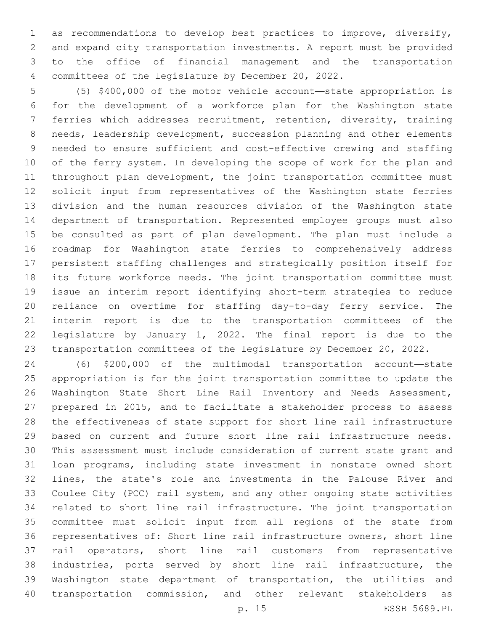as recommendations to develop best practices to improve, diversify, and expand city transportation investments. A report must be provided to the office of financial management and the transportation committees of the legislature by December 20, 2022.

 (5) \$400,000 of the motor vehicle account—state appropriation is for the development of a workforce plan for the Washington state ferries which addresses recruitment, retention, diversity, training needs, leadership development, succession planning and other elements needed to ensure sufficient and cost-effective crewing and staffing of the ferry system. In developing the scope of work for the plan and throughout plan development, the joint transportation committee must solicit input from representatives of the Washington state ferries division and the human resources division of the Washington state department of transportation. Represented employee groups must also be consulted as part of plan development. The plan must include a roadmap for Washington state ferries to comprehensively address persistent staffing challenges and strategically position itself for its future workforce needs. The joint transportation committee must issue an interim report identifying short-term strategies to reduce reliance on overtime for staffing day-to-day ferry service. The interim report is due to the transportation committees of the legislature by January 1, 2022. The final report is due to the transportation committees of the legislature by December 20, 2022.

 (6) \$200,000 of the multimodal transportation account—state appropriation is for the joint transportation committee to update the Washington State Short Line Rail Inventory and Needs Assessment, prepared in 2015, and to facilitate a stakeholder process to assess the effectiveness of state support for short line rail infrastructure based on current and future short line rail infrastructure needs. This assessment must include consideration of current state grant and loan programs, including state investment in nonstate owned short lines, the state's role and investments in the Palouse River and Coulee City (PCC) rail system, and any other ongoing state activities related to short line rail infrastructure. The joint transportation committee must solicit input from all regions of the state from representatives of: Short line rail infrastructure owners, short line rail operators, short line rail customers from representative industries, ports served by short line rail infrastructure, the Washington state department of transportation, the utilities and transportation commission, and other relevant stakeholders as

p. 15 ESSB 5689.PL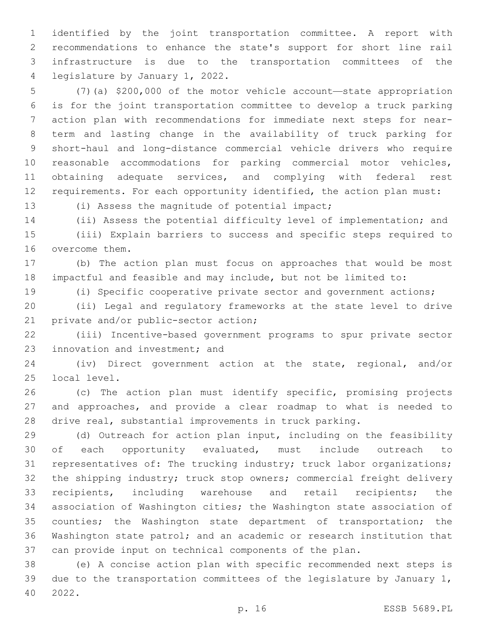identified by the joint transportation committee. A report with recommendations to enhance the state's support for short line rail infrastructure is due to the transportation committees of the 4 legislature by January 1, 2022.

 (7)(a) \$200,000 of the motor vehicle account—state appropriation is for the joint transportation committee to develop a truck parking action plan with recommendations for immediate next steps for near- term and lasting change in the availability of truck parking for short-haul and long-distance commercial vehicle drivers who require reasonable accommodations for parking commercial motor vehicles, obtaining adequate services, and complying with federal rest requirements. For each opportunity identified, the action plan must:

13 (i) Assess the magnitude of potential impact;

 (ii) Assess the potential difficulty level of implementation; and (iii) Explain barriers to success and specific steps required to

16 overcome them.

 (b) The action plan must focus on approaches that would be most impactful and feasible and may include, but not be limited to:

(i) Specific cooperative private sector and government actions;

 (ii) Legal and regulatory frameworks at the state level to drive 21 private and/or public-sector action;

 (iii) Incentive-based government programs to spur private sector 23 innovation and investment; and

 (iv) Direct government action at the state, regional, and/or 25 local level.

 (c) The action plan must identify specific, promising projects and approaches, and provide a clear roadmap to what is needed to drive real, substantial improvements in truck parking.

 (d) Outreach for action plan input, including on the feasibility of each opportunity evaluated, must include outreach to representatives of: The trucking industry; truck labor organizations; the shipping industry; truck stop owners; commercial freight delivery recipients, including warehouse and retail recipients; the association of Washington cities; the Washington state association of 35 counties; the Washington state department of transportation; the Washington state patrol; and an academic or research institution that can provide input on technical components of the plan.

 (e) A concise action plan with specific recommended next steps is due to the transportation committees of the legislature by January 1, 2022.40

p. 16 ESSB 5689.PL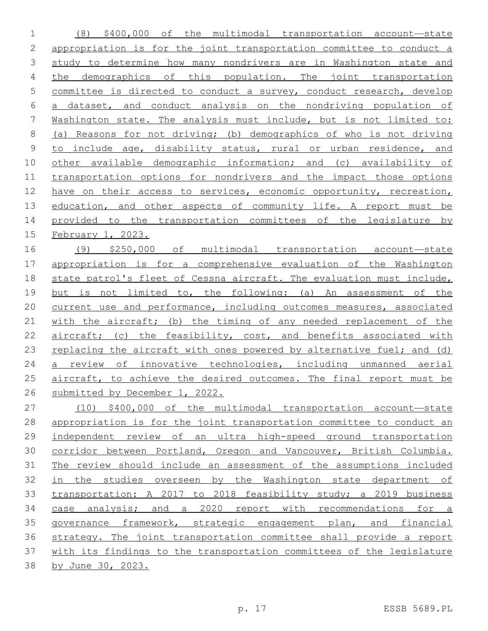(8) \$400,000 of the multimodal transportation account—state appropriation is for the joint transportation committee to conduct a study to determine how many nondrivers are in Washington state and the demographics of this population. The joint transportation committee is directed to conduct a survey, conduct research, develop a dataset, and conduct analysis on the nondriving population of Washington state. The analysis must include, but is not limited to: (a) Reasons for not driving; (b) demographics of who is not driving to include age, disability status, rural or urban residence, and other available demographic information; and (c) availability of transportation options for nondrivers and the impact those options 12 have on their access to services, economic opportunity, recreation, 13 education, and other aspects of community life. A report must be provided to the transportation committees of the legislature by February 1, 2023.

 (9) \$250,000 of multimodal transportation account—state appropriation is for a comprehensive evaluation of the Washington state patrol's fleet of Cessna aircraft. The evaluation must include, but is not limited to, the following: (a) An assessment of the current use and performance, including outcomes measures, associated with the aircraft; (b) the timing of any needed replacement of the 22 aircraft; (c) the feasibility, cost, and benefits associated with 23 replacing the aircraft with ones powered by alternative fuel; and (d) a review of innovative technologies, including unmanned aerial 25 aircraft, to achieve the desired outcomes. The final report must be submitted by December 1, 2022.

 (10) \$400,000 of the multimodal transportation account—state appropriation is for the joint transportation committee to conduct an independent review of an ultra high-speed ground transportation corridor between Portland, Oregon and Vancouver, British Columbia. The review should include an assessment of the assumptions included in the studies overseen by the Washington state department of transportation: A 2017 to 2018 feasibility study; a 2019 business 34 case analysis; and a 2020 report with recommendations for a governance framework, strategic engagement plan, and financial strategy. The joint transportation committee shall provide a report with its findings to the transportation committees of the legislature by June 30, 2023.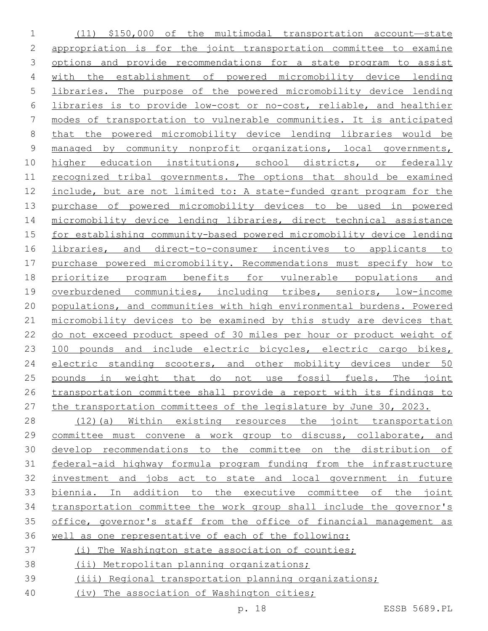(11) \$150,000 of the multimodal transportation account—state appropriation is for the joint transportation committee to examine options and provide recommendations for a state program to assist with the establishment of powered micromobility device lending libraries. The purpose of the powered micromobility device lending libraries is to provide low-cost or no-cost, reliable, and healthier modes of transportation to vulnerable communities. It is anticipated that the powered micromobility device lending libraries would be managed by community nonprofit organizations, local governments, 10 higher education institutions, school districts, or federally recognized tribal governments. The options that should be examined include, but are not limited to: A state-funded grant program for the purchase of powered micromobility devices to be used in powered micromobility device lending libraries, direct technical assistance for establishing community-based powered micromobility device lending libraries, and direct-to-consumer incentives to applicants to purchase powered micromobility. Recommendations must specify how to prioritize program benefits for vulnerable populations and overburdened communities, including tribes, seniors, low-income populations, and communities with high environmental burdens. Powered micromobility devices to be examined by this study are devices that do not exceed product speed of 30 miles per hour or product weight of 23 100 pounds and include electric bicycles, electric cargo bikes, electric standing scooters, and other mobility devices under 50 pounds in weight that do not use fossil fuels. The joint transportation committee shall provide a report with its findings to the transportation committees of the legislature by June 30, 2023. (12)(a) Within existing resources the joint transportation committee must convene a work group to discuss, collaborate, and develop recommendations to the committee on the distribution of federal-aid highway formula program funding from the infrastructure investment and jobs act to state and local government in future biennia. In addition to the executive committee of the joint

 transportation committee the work group shall include the governor's office, governor's staff from the office of financial management as well as one representative of each of the following:

- (i) The Washington state association of counties;
- (ii) Metropolitan planning organizations;
- (iii) Regional transportation planning organizations;
- (iv) The association of Washington cities;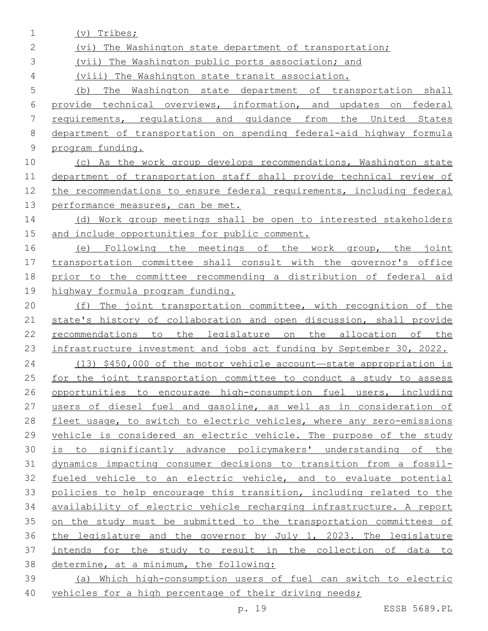(v) Tribes; (vi) The Washington state department of transportation; (vii) The Washington public ports association; and (viii) The Washington state transit association. (b) The Washington state department of transportation shall provide technical overviews, information, and updates on federal requirements, regulations and guidance from the United States department of transportation on spending federal-aid highway formula program funding. (c) As the work group develops recommendations, Washington state department of transportation staff shall provide technical review of the recommendations to ensure federal requirements, including federal 13 performance measures, can be met. 14 (d) Work group meetings shall be open to interested stakeholders and include opportunities for public comment. (e) Following the meetings of the work group, the joint transportation committee shall consult with the governor's office prior to the committee recommending a distribution of federal aid highway formula program funding. (f) The joint transportation committee, with recognition of the 21 state's history of collaboration and open discussion, shall provide recommendations to the legislature on the allocation of the infrastructure investment and jobs act funding by September 30, 2022. (13) \$450,000 of the motor vehicle account—state appropriation is for the joint transportation committee to conduct a study to assess opportunities to encourage high-consumption fuel users, including 27 users of diesel fuel and gasoline, as well as in consideration of fleet usage, to switch to electric vehicles, where any zero-emissions vehicle is considered an electric vehicle. The purpose of the study is to significantly advance policymakers' understanding of the dynamics impacting consumer decisions to transition from a fossil- fueled vehicle to an electric vehicle, and to evaluate potential policies to help encourage this transition, including related to the availability of electric vehicle recharging infrastructure. A report on the study must be submitted to the transportation committees of the legislature and the governor by July 1, 2023. The legislature intends for the study to result in the collection of data to determine, at a minimum, the following: (a) Which high-consumption users of fuel can switch to electric vehicles for a high percentage of their driving needs;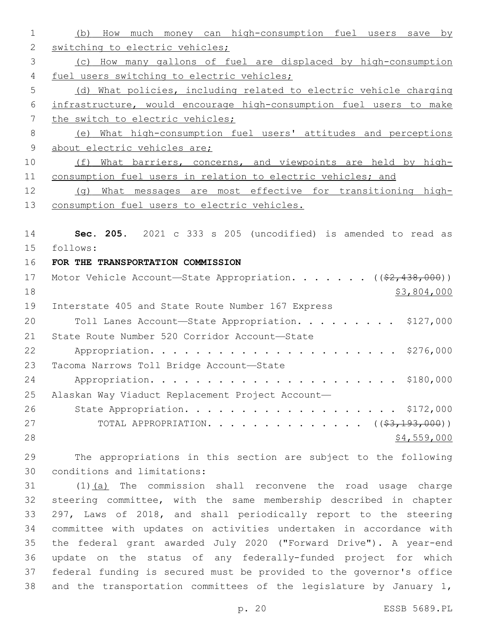(b) How much money can high-consumption fuel users save by 2 switching to electric vehicles; (c) How many gallons of fuel are displaced by high-consumption 4 fuel users switching to electric vehicles; (d) What policies, including related to electric vehicle charging infrastructure, would encourage high-consumption fuel users to make 7 the switch to electric vehicles; (e) What high-consumption fuel users' attitudes and perceptions 9 about electric vehicles are; (f) What barriers, concerns, and viewpoints are held by high- consumption fuel users in relation to electric vehicles; and 12 (g) What messages are most effective for transitioning high- consumption fuel users to electric vehicles. **Sec. 205.** 2021 c 333 s 205 (uncodified) is amended to read as follows: 15 **FOR THE TRANSPORTATION COMMISSION** 17 Motor Vehicle Account—State Appropriation. . . . . . ((\$2,438,000)) \$3,804,000 19 Interstate 405 and State Route Number 167 Express 20 Toll Lanes Account-State Appropriation. . . . . . . . \$127,000 21 State Route Number 520 Corridor Account-State Appropriation. . . . . . . . . . . . . . . . . . . . . . \$276,000 23 Tacoma Narrows Toll Bridge Account-State Appropriation. . . . . . . . . . . . . . . . . . . . . . \$180,000 Alaskan Way Viaduct Replacement Project Account— 26 State Appropriation. . . . . . . . . . . . . . . . . \$172,000 27 TOTAL APPROPRIATION. . . . . . . . . . . . . ((<del>\$3,193,000</del>))  $\frac{$4,559,000}{ }$  The appropriations in this section are subject to the following conditions and limitations:30 31 (1)(a) The commission shall reconvene the road usage charge steering committee, with the same membership described in chapter 297, Laws of 2018, and shall periodically report to the steering committee with updates on activities undertaken in accordance with the federal grant awarded July 2020 ("Forward Drive"). A year-end update on the status of any federally-funded project for which federal funding is secured must be provided to the governor's office and the transportation committees of the legislature by January 1,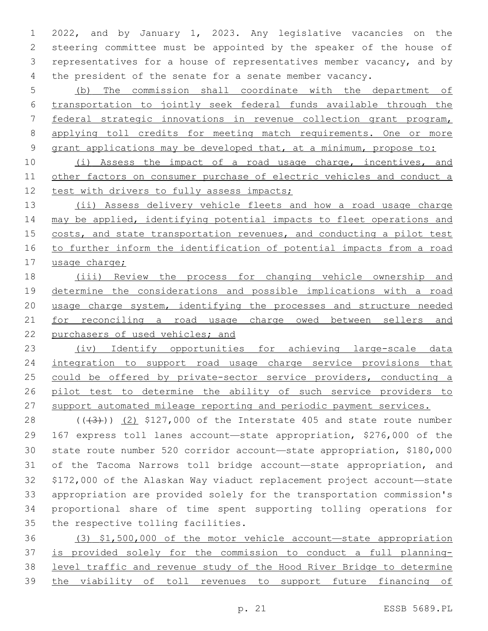2022, and by January 1, 2023. Any legislative vacancies on the steering committee must be appointed by the speaker of the house of representatives for a house of representatives member vacancy, and by the president of the senate for a senate member vacancy.

 (b) The commission shall coordinate with the department of transportation to jointly seek federal funds available through the federal strategic innovations in revenue collection grant program, 8 applying toll credits for meeting match requirements. One or more grant applications may be developed that, at a minimum, propose to:

 (i) Assess the impact of a road usage charge, incentives, and other factors on consumer purchase of electric vehicles and conduct a 12 test with drivers to fully assess impacts;

 (ii) Assess delivery vehicle fleets and how a road usage charge 14 may be applied, identifying potential impacts to fleet operations and 15 costs, and state transportation revenues, and conducting a pilot test to further inform the identification of potential impacts from a road usage charge;

 (iii) Review the process for changing vehicle ownership and 19 determine the considerations and possible implications with a road usage charge system, identifying the processes and structure needed 21 for reconciling a road usage charge owed between sellers and purchasers of used vehicles; and

 (iv) Identify opportunities for achieving large-scale data 24 integration to support road usage charge service provisions that 25 could be offered by private-sector service providers, conducting a pilot test to determine the ability of such service providers to 27 support automated mileage reporting and periodic payment services.

 $((+3+))$   $(2)$  \$127,000 of the Interstate 405 and state route number 167 express toll lanes account—state appropriation, \$276,000 of the state route number 520 corridor account—state appropriation, \$180,000 of the Tacoma Narrows toll bridge account—state appropriation, and \$172,000 of the Alaskan Way viaduct replacement project account—state appropriation are provided solely for the transportation commission's proportional share of time spent supporting tolling operations for 35 the respective tolling facilities.

 (3) \$1,500,000 of the motor vehicle account—state appropriation is provided solely for the commission to conduct a full planning- level traffic and revenue study of the Hood River Bridge to determine 39 the viability of toll revenues to support future financing of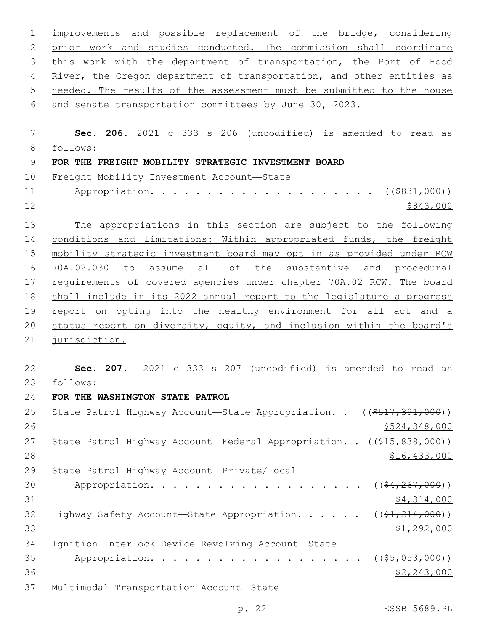| $\mathbf 1$    | improvements and possible replacement of the bridge, considering                    |
|----------------|-------------------------------------------------------------------------------------|
| $\mathbf{2}$   | prior work and studies conducted. The commission shall coordinate                   |
| 3              | this work with the department of transportation, the Port of Hood                   |
| 4              | River, the Oregon department of transportation, and other entities as               |
| 5              | needed. The results of the assessment must be submitted to the house                |
| 6              | and senate transportation committees by June 30, 2023.                              |
| 7              | Sec. 206. 2021 c 333 s 206 (uncodified) is amended to read as                       |
| 8              | follows:                                                                            |
| $\overline{9}$ | FOR THE FREIGHT MOBILITY STRATEGIC INVESTMENT BOARD                                 |
| 10             | Freight Mobility Investment Account-State                                           |
| 11             | ( ( \$831,000) )                                                                    |
| 12             | \$843,000                                                                           |
| 13             | The appropriations in this section are subject to the following                     |
| 14             | conditions and limitations: Within appropriated funds, the freight                  |
| 15             | mobility strategic investment board may opt in as provided under RCM                |
| 16             | 70A.02.030<br>to assume all of the substantive and procedural                       |
| 17             | requirements of covered agencies under chapter 70A.02 RCW. The board                |
| 18             | shall include in its 2022 annual report to the legislature a progress               |
| 19             | report on opting into the healthy environment for all act and a                     |
| 20             | status report on diversity, equity, and inclusion within the board's                |
| 21             | jurisdiction.                                                                       |
|                |                                                                                     |
| 22             | Sec. 207. 2021 c 333 s 207 (uncodified) is amended to read as                       |
| 23             | follows:                                                                            |
| 24             | FOR THE WASHINGTON STATE PATROL                                                     |
| 25             | State Patrol Highway Account-State Appropriation. . ((\$517,391,000))               |
| 26             | \$524,348,000                                                                       |
| 27             | State Patrol Highway Account-Federal Appropriation. . ((\$15,838,000))              |
| 28             | <u>\$16,433,000</u>                                                                 |
| 29             | State Patrol Highway Account-Private/Local                                          |
| 30             | Appropriation.<br><u>na manang manang manang sa</u><br>$((\$4, 267, 000))$          |
| 31             | \$4,314,000                                                                         |
| 32             | Highway Safety Account-State Appropriation. ( $(\frac{21}{214}, \frac{214}{000})$ ) |
| 33             | \$1,292,000                                                                         |
| 34             | Ignition Interlock Device Revolving Account-State                                   |
| 35<br>36       | Appropriation.<br>$($ (\$5,053,000))                                                |
|                | \$2,243,000                                                                         |
| 37             | Multimodal Transportation Account-State                                             |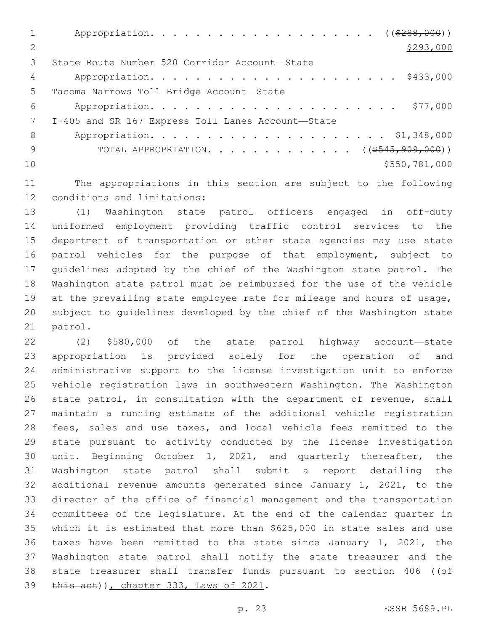1 Appropriation. . . . . . . . . . . . . . . . . . (  $(*288,000)$  ) 2  $\frac{$293,000}{ }$ 3 State Route Number 520 Corridor Account-State Appropriation. . . . . . . . . . . . . . . . . . . . . . \$433,000 5 Tacoma Narrows Toll Bridge Account-State Appropriation. . . . . . . . . . . . . . . . . . . . . . \$77,000 I-405 and SR 167 Express Toll Lanes Account—State7 Appropriation. . . . . . . . . . . . . . . . . . . . . \$1,348,000 9 TOTAL APPROPRIATION. . . . . . . . . . . . . ((\$545,909,000)) \$550,781,000

 The appropriations in this section are subject to the following 12 conditions and limitations:

 (1) Washington state patrol officers engaged in off-duty uniformed employment providing traffic control services to the department of transportation or other state agencies may use state patrol vehicles for the purpose of that employment, subject to guidelines adopted by the chief of the Washington state patrol. The Washington state patrol must be reimbursed for the use of the vehicle at the prevailing state employee rate for mileage and hours of usage, subject to guidelines developed by the chief of the Washington state 21 patrol.

 (2) \$580,000 of the state patrol highway account—state appropriation is provided solely for the operation of and administrative support to the license investigation unit to enforce vehicle registration laws in southwestern Washington. The Washington state patrol, in consultation with the department of revenue, shall maintain a running estimate of the additional vehicle registration fees, sales and use taxes, and local vehicle fees remitted to the state pursuant to activity conducted by the license investigation unit. Beginning October 1, 2021, and quarterly thereafter, the Washington state patrol shall submit a report detailing the additional revenue amounts generated since January 1, 2021, to the director of the office of financial management and the transportation committees of the legislature. At the end of the calendar quarter in which it is estimated that more than \$625,000 in state sales and use taxes have been remitted to the state since January 1, 2021, the Washington state patrol shall notify the state treasurer and the 38 state treasurer shall transfer funds pursuant to section 406 ((of 39 this act)), chapter 333, Laws of 2021.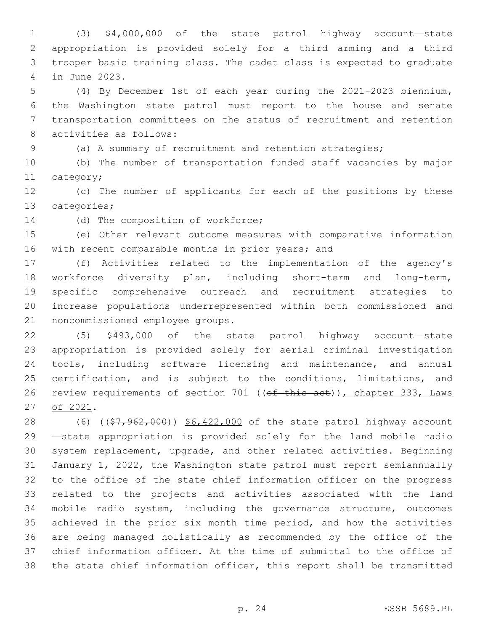(3) \$4,000,000 of the state patrol highway account—state appropriation is provided solely for a third arming and a third trooper basic training class. The cadet class is expected to graduate in June 2023.4

 (4) By December 1st of each year during the 2021-2023 biennium**,**  the Washington state patrol must report to the house and senate transportation committees on the status of recruitment and retention 8 activities as follows:

(a) A summary of recruitment and retention strategies;

 (b) The number of transportation funded staff vacancies by major 11 category;

 (c) The number of applicants for each of the positions by these 13 categories;

14 (d) The composition of workforce;

 (e) Other relevant outcome measures with comparative information 16 with recent comparable months in prior years; and

 (f) Activities related to the implementation of the agency's workforce diversity plan, including short-term and long-term, specific comprehensive outreach and recruitment strategies to increase populations underrepresented within both commissioned and 21 noncommissioned employee groups.

 (5) \$493,000 of the state patrol highway account—state appropriation is provided solely for aerial criminal investigation tools, including software licensing and maintenance, and annual 25 certification, and is subject to the conditions, limitations, and 26 review requirements of section 701 ((of this act)), chapter 333, Laws 27 of 2021.

28 (6) ((\$7,962,000)) \$6,422,000 of the state patrol highway account —state appropriation is provided solely for the land mobile radio system replacement, upgrade, and other related activities. Beginning January 1, 2022, the Washington state patrol must report semiannually to the office of the state chief information officer on the progress related to the projects and activities associated with the land mobile radio system, including the governance structure, outcomes achieved in the prior six month time period, and how the activities are being managed holistically as recommended by the office of the chief information officer. At the time of submittal to the office of the state chief information officer, this report shall be transmitted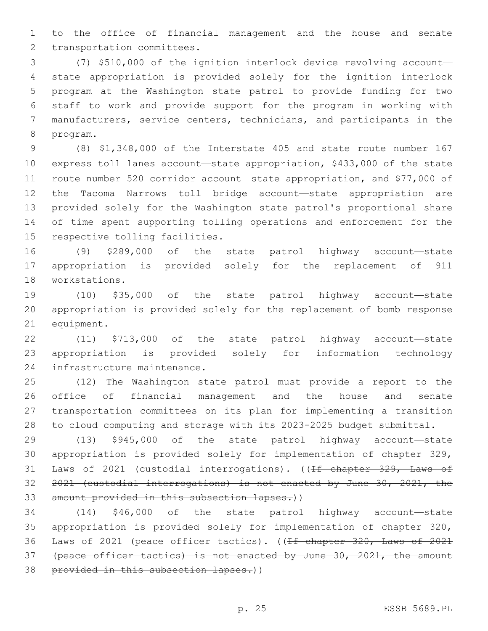to the office of financial management and the house and senate 2 transportation committees.

 (7) \$510,000 of the ignition interlock device revolving account— state appropriation is provided solely for the ignition interlock program at the Washington state patrol to provide funding for two staff to work and provide support for the program in working with manufacturers, service centers, technicians, and participants in the 8 program.

 (8) \$1,348,000 of the Interstate 405 and state route number 167 express toll lanes account—state appropriation, \$433,000 of the state route number 520 corridor account—state appropriation, and \$77,000 of the Tacoma Narrows toll bridge account—state appropriation are provided solely for the Washington state patrol's proportional share of time spent supporting tolling operations and enforcement for the 15 respective tolling facilities.

 (9) \$289,000 of the state patrol highway account—state appropriation is provided solely for the replacement of 911 18 workstations.

 (10) \$35,000 of the state patrol highway account—state appropriation is provided solely for the replacement of bomb response 21 equipment.

 (11) \$713,000 of the state patrol highway account—state appropriation is provided solely for information technology 24 infrastructure maintenance.

 (12) The Washington state patrol must provide a report to the office of financial management and the house and senate transportation committees on its plan for implementing a transition to cloud computing and storage with its 2023-2025 budget submittal.

 (13) \$945,000 of the state patrol highway account—state appropriation is provided solely for implementation of chapter 329, 31 Laws of 2021 (custodial interrogations). ((If chapter 329, Laws of 2021 (custodial interrogations) is not enacted by June 30, 2021, the 33 amount provided in this subsection lapses.))

 (14) \$46,000 of the state patrol highway account—state appropriation is provided solely for implementation of chapter 320, Laws of 2021 (peace officer tactics). ((If chapter 320, Laws of 2021 (peace officer tactics) is not enacted by June 30, 2021, the amount 38 provided in this subsection lapses.))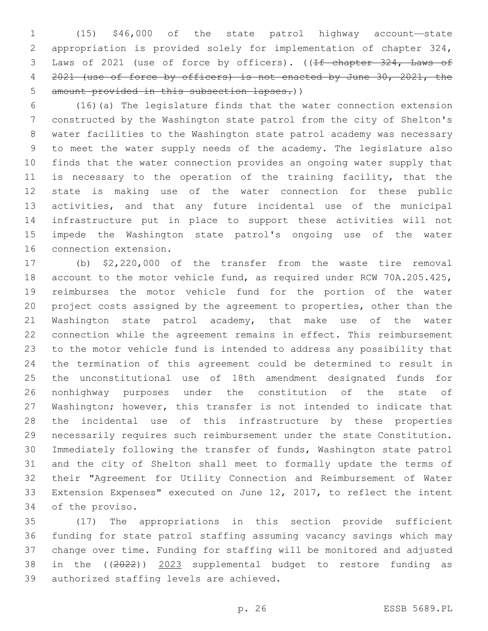(15) \$46,000 of the state patrol highway account—state appropriation is provided solely for implementation of chapter 324, 3 Laws of 2021 (use of force by officers). ((If chapter 324, Laws of 2021 (use of force by officers) is not enacted by June 30, 2021, the 5 amount provided in this subsection lapses.))

 (16)(a) The legislature finds that the water connection extension constructed by the Washington state patrol from the city of Shelton's water facilities to the Washington state patrol academy was necessary to meet the water supply needs of the academy. The legislature also finds that the water connection provides an ongoing water supply that is necessary to the operation of the training facility, that the state is making use of the water connection for these public activities, and that any future incidental use of the municipal infrastructure put in place to support these activities will not impede the Washington state patrol's ongoing use of the water 16 connection extension.

 (b) \$2,220,000 of the transfer from the waste tire removal account to the motor vehicle fund, as required under RCW 70A.205.425, reimburses the motor vehicle fund for the portion of the water project costs assigned by the agreement to properties, other than the Washington state patrol academy, that make use of the water connection while the agreement remains in effect. This reimbursement to the motor vehicle fund is intended to address any possibility that the termination of this agreement could be determined to result in the unconstitutional use of 18th amendment designated funds for nonhighway purposes under the constitution of the state of Washington; however, this transfer is not intended to indicate that the incidental use of this infrastructure by these properties necessarily requires such reimbursement under the state Constitution. Immediately following the transfer of funds, Washington state patrol and the city of Shelton shall meet to formally update the terms of their "Agreement for Utility Connection and Reimbursement of Water Extension Expenses" executed on June 12, 2017, to reflect the intent 34 of the proviso.

 (17) The appropriations in this section provide sufficient funding for state patrol staffing assuming vacancy savings which may change over time. Funding for staffing will be monitored and adjusted in the ((2022)) 2023 supplemental budget to restore funding as 39 authorized staffing levels are achieved.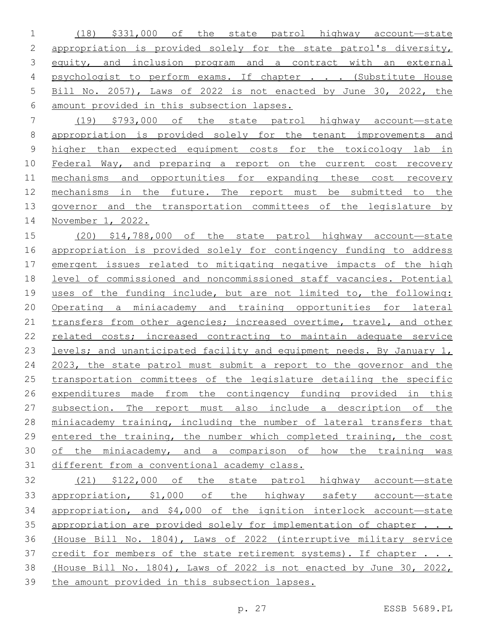(18) \$331,000 of the state patrol highway account—state appropriation is provided solely for the state patrol's diversity, equity, and inclusion program and a contract with an external 4 psychologist to perform exams. If chapter . . . (Substitute House Bill No. 2057), Laws of 2022 is not enacted by June 30, 2022, the amount provided in this subsection lapses.

 (19) \$793,000 of the state patrol highway account—state 8 appropriation is provided solely for the tenant improvements and higher than expected equipment costs for the toxicology lab in Federal Way, and preparing a report on the current cost recovery 11 mechanisms and opportunities for expanding these cost recovery mechanisms in the future. The report must be submitted to the governor and the transportation committees of the legislature by November 1, 2022.

 (20) \$14,788,000 of the state patrol highway account—state appropriation is provided solely for contingency funding to address emergent issues related to mitigating negative impacts of the high level of commissioned and noncommissioned staff vacancies. Potential uses of the funding include, but are not limited to, the following: Operating a miniacademy and training opportunities for lateral transfers from other agencies; increased overtime, travel, and other 22 related costs; increased contracting to maintain adequate service 23 levels; and unanticipated facility and equipment needs. By January 1, 2023, the state patrol must submit a report to the governor and the 25 transportation committees of the legislature detailing the specific expenditures made from the contingency funding provided in this subsection. The report must also include a description of the miniacademy training, including the number of lateral transfers that entered the training, the number which completed training, the cost of the miniacademy, and a comparison of how the training was different from a conventional academy class.

 (21) \$122,000 of the state patrol highway account—state 33 appropriation, \$1,000 of the highway safety account-state appropriation, and \$4,000 of the ignition interlock account—state 35 appropriation are provided solely for implementation of chapter . . . (House Bill No. 1804), Laws of 2022 (interruptive military service 37 credit for members of the state retirement systems). If chapter . . . (House Bill No. 1804), Laws of 2022 is not enacted by June 30, 2022, the amount provided in this subsection lapses.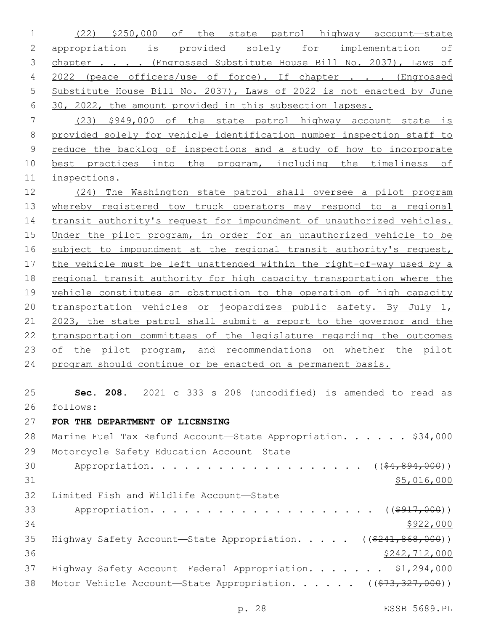(22) \$250,000 of the state patrol highway account—state appropriation is provided solely for implementation of 3 chapter . . . . (Engrossed Substitute House Bill No. 2037), Laws of 2022 (peace officers/use of force). If chapter . . . (Engrossed Substitute House Bill No. 2037), Laws of 2022 is not enacted by June 30, 2022, the amount provided in this subsection lapses. (23) \$949,000 of the state patrol highway account—state is

 provided solely for vehicle identification number inspection staff to reduce the backlog of inspections and a study of how to incorporate 10 best practices into the program, including the timeliness of inspections.

 (24) The Washington state patrol shall oversee a pilot program whereby registered tow truck operators may respond to a regional transit authority's request for impoundment of unauthorized vehicles. Under the pilot program, in order for an unauthorized vehicle to be subject to impoundment at the regional transit authority's request, the vehicle must be left unattended within the right-of-way used by a regional transit authority for high capacity transportation where the vehicle constitutes an obstruction to the operation of high capacity transportation vehicles or jeopardizes public safety. By July 1, 2023, the state patrol shall submit a report to the governor and the transportation committees of the legislature regarding the outcomes 23 of the pilot program, and recommendations on whether the pilot program should continue or be enacted on a permanent basis.

 **Sec. 208.** 2021 c 333 s 208 (uncodified) is amended to read as follows: 26

**FOR THE DEPARTMENT OF LICENSING**

| 28 | Marine Fuel Tax Refund Account-State Appropriation. \$34,000                            |
|----|-----------------------------------------------------------------------------------------|
| 29 | Motorcycle Safety Education Account-State                                               |
| 30 | Appropriation. ( $(\frac{64}{691}, \frac{894}{600})$ )                                  |
| 31 | \$5,016,000                                                                             |
| 32 | Limited Fish and Wildlife Account-State                                                 |
| 33 |                                                                                         |
| 34 | \$922,000                                                                               |
| 35 | Highway Safety Account—State Appropriation. $($ $($ $\frac{241,868,000}{8241,868,000})$ |
| 36 | \$242,712,000                                                                           |
| 37 | Highway Safety Account-Federal Appropriation. \$1,294,000                               |
| 38 | Motor Vehicle Account—State Appropriation. ( $(\frac{273}{73}, \frac{327}{900})$ )      |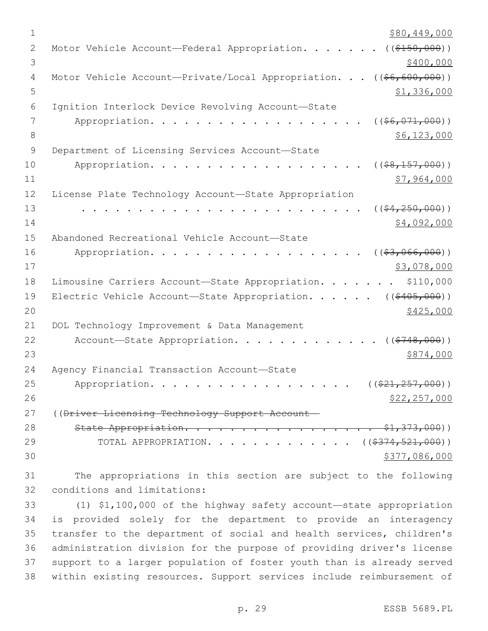| $\mathbf 1$ | \$80,449,000                                                            |
|-------------|-------------------------------------------------------------------------|
| 2           | ( ( \$150,000) )<br>Motor Vehicle Account-Federal Appropriation.        |
| 3           | \$400,000                                                               |
| 4           | Motor Vehicle Account-Private/Local Appropriation.<br>$((\$6,600,000))$ |
| 5           | \$1,336,000                                                             |
| 6           | Ignition Interlock Device Revolving Account-State                       |
| 7           | $($ (\$6,071,000))<br>Appropriation.                                    |
| 8           | \$6,123,000                                                             |
| $\mathsf 9$ | Department of Licensing Services Account-State                          |
| 10          | $($ (\$8,157,000))<br>Appropriation.                                    |
| 11          | \$7,964,000                                                             |
| 12          | License Plate Technology Account-State Appropriation                    |
| 13          | $($ $(*4, 250, 000)$ )                                                  |
| 14          | \$4,092,000                                                             |
| 15          | Abandoned Recreational Vehicle Account-State                            |
| 16          | ( ( \$3,066,000) )<br>Appropriation.                                    |
| 17          | \$3,078,000                                                             |
| 18          | Limousine Carriers Account-State Appropriation.<br>\$110,000            |
| 19          | Electric Vehicle Account-State Appropriation. ( $(\frac{2405}{100})$ )  |
| 20          | \$425,000                                                               |
| 21          | DOL Technology Improvement & Data Management                            |
| 22          | Account-State Appropriation.<br>( ( \$748,000) )                        |
| 23          | \$874,000                                                               |
| 24          | Agency Financial Transaction Account-State                              |
| 25          | $((\$21, 257, 000))$<br>Appropriation.                                  |
| 26          | \$22, 257, 000                                                          |
| 27          | ((Driver Licensing Technology Support Account-                          |
| 28          | State Appropriation.<br>$- $1,373,000)$                                 |
| 29          | TOTAL APPROPRIATION. ( $(\frac{2374,521,000}{s})$ )                     |
| 30          | \$377,086,000                                                           |
|             |                                                                         |

 The appropriations in this section are subject to the following 32 conditions and limitations:

 (1) \$1,100,000 of the highway safety account—state appropriation is provided solely for the department to provide an interagency transfer to the department of social and health services, children's administration division for the purpose of providing driver's license support to a larger population of foster youth than is already served within existing resources. Support services include reimbursement of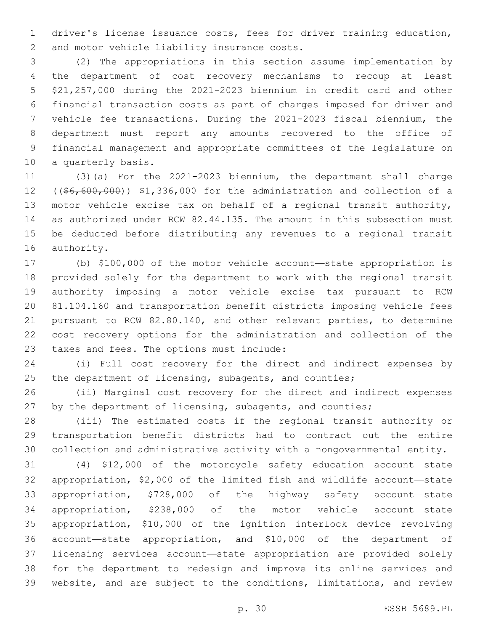driver's license issuance costs, fees for driver training education, 2 and motor vehicle liability insurance costs.

 (2) The appropriations in this section assume implementation by the department of cost recovery mechanisms to recoup at least \$21,257,000 during the 2021-2023 biennium in credit card and other financial transaction costs as part of charges imposed for driver and vehicle fee transactions. During the 2021-2023 fiscal biennium, the department must report any amounts recovered to the office of financial management and appropriate committees of the legislature on 10 a quarterly basis.

 (3)(a) For the 2021-2023 biennium, the department shall charge 12 ((\$6,600,000)) \$1,336,000 for the administration and collection of a motor vehicle excise tax on behalf of a regional transit authority, as authorized under RCW 82.44.135. The amount in this subsection must be deducted before distributing any revenues to a regional transit 16 authority.

 (b) \$100,000 of the motor vehicle account—state appropriation is provided solely for the department to work with the regional transit authority imposing a motor vehicle excise tax pursuant to RCW 81.104.160 and transportation benefit districts imposing vehicle fees pursuant to RCW 82.80.140, and other relevant parties, to determine cost recovery options for the administration and collection of the 23 taxes and fees. The options must include:

 (i) Full cost recovery for the direct and indirect expenses by 25 the department of licensing, subagents, and counties;

 (ii) Marginal cost recovery for the direct and indirect expenses by the department of licensing, subagents, and counties;

 (iii) The estimated costs if the regional transit authority or transportation benefit districts had to contract out the entire collection and administrative activity with a nongovernmental entity.

 (4) \$12,000 of the motorcycle safety education account—state appropriation, \$2,000 of the limited fish and wildlife account—state appropriation, \$728,000 of the highway safety account—state appropriation, \$238,000 of the motor vehicle account—state appropriation, \$10,000 of the ignition interlock device revolving account—state appropriation, and \$10,000 of the department of licensing services account—state appropriation are provided solely for the department to redesign and improve its online services and website, and are subject to the conditions, limitations, and review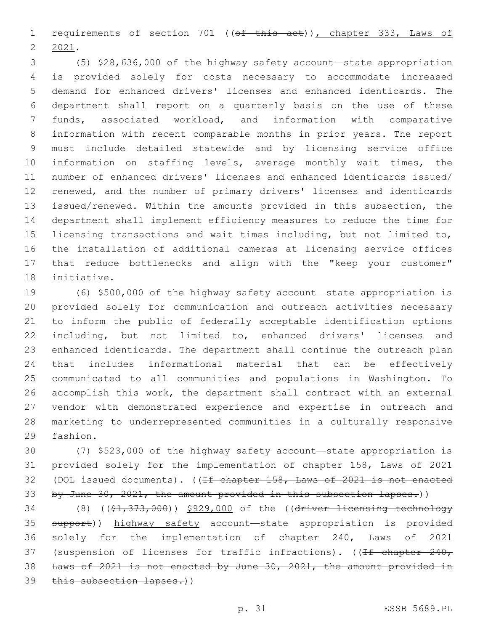1 requirements of section 701 ((of this act)), chapter 333, Laws of 2021.

 (5) \$28,636,000 of the highway safety account—state appropriation is provided solely for costs necessary to accommodate increased demand for enhanced drivers' licenses and enhanced identicards. The department shall report on a quarterly basis on the use of these funds, associated workload, and information with comparative information with recent comparable months in prior years. The report must include detailed statewide and by licensing service office information on staffing levels, average monthly wait times, the number of enhanced drivers' licenses and enhanced identicards issued/ renewed, and the number of primary drivers' licenses and identicards issued/renewed. Within the amounts provided in this subsection, the department shall implement efficiency measures to reduce the time for licensing transactions and wait times including, but not limited to, the installation of additional cameras at licensing service offices that reduce bottlenecks and align with the "keep your customer" 18 initiative.

 (6) \$500,000 of the highway safety account—state appropriation is provided solely for communication and outreach activities necessary to inform the public of federally acceptable identification options including, but not limited to, enhanced drivers' licenses and enhanced identicards. The department shall continue the outreach plan that includes informational material that can be effectively communicated to all communities and populations in Washington. To accomplish this work, the department shall contract with an external vendor with demonstrated experience and expertise in outreach and marketing to underrepresented communities in a culturally responsive 29 fashion.

 (7) \$523,000 of the highway safety account—state appropriation is provided solely for the implementation of chapter 158, Laws of 2021 (DOL issued documents). ((If chapter 158, Laws of 2021 is not enacted 33 by June 30, 2021, the amount provided in this subsection lapses.))

34 (8) ((\$1,373,000)) \$929,000 of the ((driver licensing technology 35 support)) highway safety account—state appropriation is provided solely for the implementation of chapter 240, Laws of 2021 37 (suspension of licenses for traffic infractions). ((If chapter 240, Laws of 2021 is not enacted by June 30, 2021, the amount provided in 39 this subsection lapses.))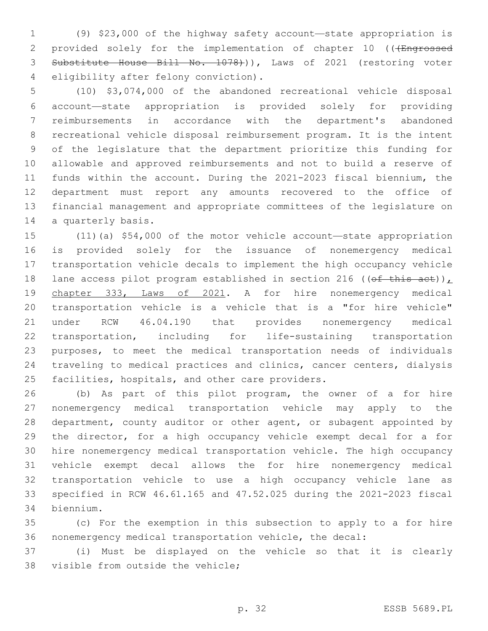(9) \$23,000 of the highway safety account—state appropriation is 2 provided solely for the implementation of chapter 10 (((Engrossed Substitute House Bill No. 1078))), Laws of 2021 (restoring voter 4 eligibility after felony conviction).

 (10) \$3,074,000 of the abandoned recreational vehicle disposal account—state appropriation is provided solely for providing reimbursements in accordance with the department's abandoned recreational vehicle disposal reimbursement program. It is the intent of the legislature that the department prioritize this funding for allowable and approved reimbursements and not to build a reserve of funds within the account. During the 2021-2023 fiscal biennium, the department must report any amounts recovered to the office of financial management and appropriate committees of the legislature on 14 a quarterly basis.

 (11)(a) \$54,000 of the motor vehicle account—state appropriation is provided solely for the issuance of nonemergency medical transportation vehicle decals to implement the high occupancy vehicle 18 lane access pilot program established in section 216 ((of this act)), 19 chapter 333, Laws of 2021. A for hire nonemergency medical transportation vehicle is a vehicle that is a "for hire vehicle" under RCW 46.04.190 that provides nonemergency medical transportation, including for life-sustaining transportation purposes, to meet the medical transportation needs of individuals traveling to medical practices and clinics, cancer centers, dialysis 25 facilities, hospitals, and other care providers.

 (b) As part of this pilot program, the owner of a for hire nonemergency medical transportation vehicle may apply to the department, county auditor or other agent, or subagent appointed by the director, for a high occupancy vehicle exempt decal for a for hire nonemergency medical transportation vehicle. The high occupancy vehicle exempt decal allows the for hire nonemergency medical transportation vehicle to use a high occupancy vehicle lane as specified in RCW 46.61.165 and 47.52.025 during the 2021-2023 fiscal biennium.34

 (c) For the exemption in this subsection to apply to a for hire nonemergency medical transportation vehicle, the decal:

 (i) Must be displayed on the vehicle so that it is clearly 38 visible from outside the vehicle;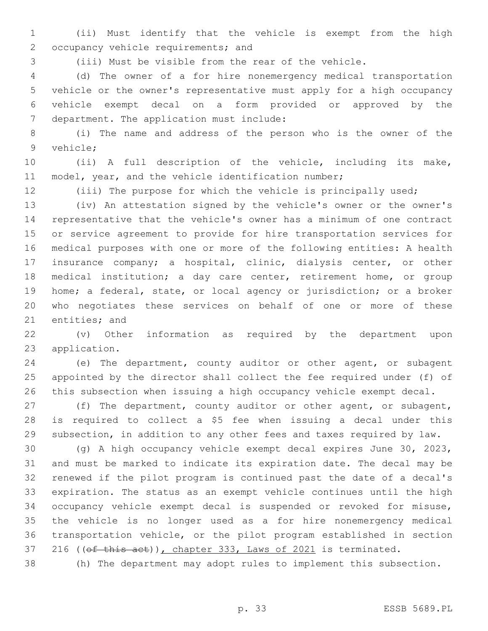(ii) Must identify that the vehicle is exempt from the high 2 occupancy vehicle requirements; and

(iii) Must be visible from the rear of the vehicle.

 (d) The owner of a for hire nonemergency medical transportation vehicle or the owner's representative must apply for a high occupancy vehicle exempt decal on a form provided or approved by the 7 department. The application must include:

 (i) The name and address of the person who is the owner of the 9 vehicle;

 (ii) A full description of the vehicle, including its make, 11 model, year, and the vehicle identification number;

(iii) The purpose for which the vehicle is principally used;

 (iv) An attestation signed by the vehicle's owner or the owner's representative that the vehicle's owner has a minimum of one contract or service agreement to provide for hire transportation services for medical purposes with one or more of the following entities: A health insurance company; a hospital, clinic, dialysis center, or other medical institution; a day care center, retirement home, or group home; a federal, state, or local agency or jurisdiction; or a broker who negotiates these services on behalf of one or more of these 21 entities; and

 (v) Other information as required by the department upon 23 application.

 (e) The department, county auditor or other agent, or subagent appointed by the director shall collect the fee required under (f) of this subsection when issuing a high occupancy vehicle exempt decal.

 (f) The department, county auditor or other agent, or subagent, is required to collect a \$5 fee when issuing a decal under this subsection, in addition to any other fees and taxes required by law.

 (g) A high occupancy vehicle exempt decal expires June 30, 2023, and must be marked to indicate its expiration date. The decal may be renewed if the pilot program is continued past the date of a decal's expiration. The status as an exempt vehicle continues until the high occupancy vehicle exempt decal is suspended or revoked for misuse, the vehicle is no longer used as a for hire nonemergency medical transportation vehicle, or the pilot program established in section 37 216 ((of this act)), chapter 333, Laws of 2021 is terminated.

(h) The department may adopt rules to implement this subsection.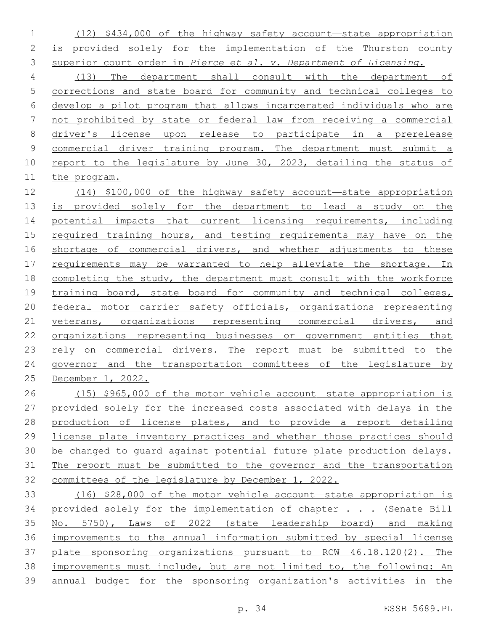(12) \$434,000 of the highway safety account—state appropriation is provided solely for the implementation of the Thurston county superior court order in *Pierce et al. v. Department of Licensing*.

 (13) The department shall consult with the department of corrections and state board for community and technical colleges to develop a pilot program that allows incarcerated individuals who are not prohibited by state or federal law from receiving a commercial driver's license upon release to participate in a prerelease commercial driver training program. The department must submit a report to the legislature by June 30, 2023, detailing the status of the program.

 (14) \$100,000 of the highway safety account—state appropriation is provided solely for the department to lead a study on the 14 potential impacts that current licensing requirements, including 15 required training hours, and testing requirements may have on the shortage of commercial drivers, and whether adjustments to these requirements may be warranted to help alleviate the shortage. In completing the study, the department must consult with the workforce 19 training board, state board for community and technical colleges, 20 federal motor carrier safety officials, organizations representing veterans, organizations representing commercial drivers, and organizations representing businesses or government entities that rely on commercial drivers. The report must be submitted to the governor and the transportation committees of the legislature by December 1, 2022.

 (15) \$965,000 of the motor vehicle account—state appropriation is provided solely for the increased costs associated with delays in the production of license plates, and to provide a report detailing license plate inventory practices and whether those practices should be changed to guard against potential future plate production delays. The report must be submitted to the governor and the transportation committees of the legislature by December 1, 2022.

 (16) \$28,000 of the motor vehicle account—state appropriation is 34 provided solely for the implementation of chapter . . . (Senate Bill No. 5750), Laws of 2022 (state leadership board) and making improvements to the annual information submitted by special license plate sponsoring organizations pursuant to RCW 46.18.120(2). The improvements must include, but are not limited to, the following: An annual budget for the sponsoring organization's activities in the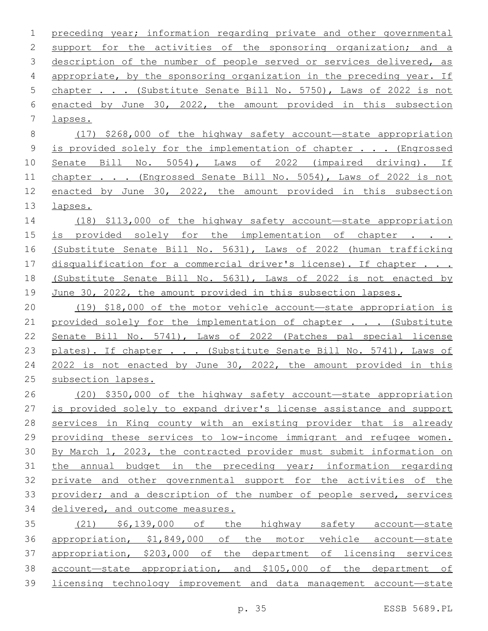preceding year; information regarding private and other governmental support for the activities of the sponsoring organization; and a 3 description of the number of people served or services delivered, as appropriate, by the sponsoring organization in the preceding year. If chapter . . . (Substitute Senate Bill No. 5750), Laws of 2022 is not enacted by June 30, 2022, the amount provided in this subsection 7 lapses. (17) \$268,000 of the highway safety account—state appropriation is provided solely for the implementation of chapter . . . (Engrossed Senate Bill No. 5054), Laws of 2022 (impaired driving). If 11 chapter . . . (Engrossed Senate Bill No. 5054), Laws of 2022 is not enacted by June 30, 2022, the amount provided in this subsection lapses. (18) \$113,000 of the highway safety account—state appropriation 15 is provided solely for the implementation of chapter . . . (Substitute Senate Bill No. 5631), Laws of 2022 (human trafficking 17 disqualification for a commercial driver's license). If chapter . . . (Substitute Senate Bill No. 5631), Laws of 2022 is not enacted by June 30, 2022, the amount provided in this subsection lapses. (19) \$18,000 of the motor vehicle account—state appropriation is 21 provided solely for the implementation of chapter . . . (Substitute Senate Bill No. 5741), Laws of 2022 (Patches pal special license 23 plates). If chapter . . . (Substitute Senate Bill No. 5741), Laws of 2022 is not enacted by June 30, 2022, the amount provided in this subsection lapses. (20) \$350,000 of the highway safety account—state appropriation is provided solely to expand driver's license assistance and support services in King county with an existing provider that is already 29 providing these services to low-income immigrant and refugee women. By March 1, 2023, the contracted provider must submit information on the annual budget in the preceding year; information regarding private and other governmental support for the activities of the provider; and a description of the number of people served, services delivered, and outcome measures. (21) \$6,139,000 of the highway safety account—state appropriation, \$1,849,000 of the motor vehicle account—state appropriation, \$203,000 of the department of licensing services account—state appropriation, and \$105,000 of the department of licensing technology improvement and data management account—state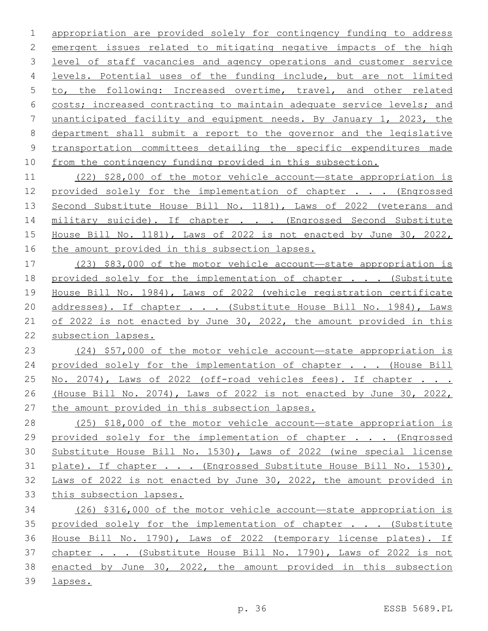appropriation are provided solely for contingency funding to address emergent issues related to mitigating negative impacts of the high level of staff vacancies and agency operations and customer service levels. Potential uses of the funding include, but are not limited to, the following: Increased overtime, travel, and other related costs; increased contracting to maintain adequate service levels; and unanticipated facility and equipment needs. By January 1, 2023, the department shall submit a report to the governor and the legislative 9 transportation committees detailing the specific expenditures made from the contingency funding provided in this subsection.

 (22) \$28,000 of the motor vehicle account—state appropriation is 12 provided solely for the implementation of chapter . . . (Engrossed 13 Second Substitute House Bill No. 1181), Laws of 2022 (veterans and 14 military suicide). If chapter . . . (Engrossed Second Substitute House Bill No. 1181), Laws of 2022 is not enacted by June 30, 2022, 16 the amount provided in this subsection lapses.

 (23) \$83,000 of the motor vehicle account—state appropriation is 18 provided solely for the implementation of chapter . . . (Substitute House Bill No. 1984), Laws of 2022 (vehicle registration certificate 20 addresses). If chapter . . . (Substitute House Bill No. 1984), Laws of 2022 is not enacted by June 30, 2022, the amount provided in this subsection lapses.

 (24) \$57,000 of the motor vehicle account—state appropriation is 24 provided solely for the implementation of chapter . . . (House Bill 25 No. 2074), Laws of 2022 (off-road vehicles fees). If chapter . . . (House Bill No. 2074), Laws of 2022 is not enacted by June 30, 2022, the amount provided in this subsection lapses.

 (25) \$18,000 of the motor vehicle account—state appropriation is 29 provided solely for the implementation of chapter . . . (Engrossed Substitute House Bill No. 1530), Laws of 2022 (wine special license 31 plate). If chapter . . . (Engrossed Substitute House Bill No. 1530), Laws of 2022 is not enacted by June 30, 2022, the amount provided in this subsection lapses.

 (26) \$316,000 of the motor vehicle account—state appropriation is 35 provided solely for the implementation of chapter . . . (Substitute House Bill No. 1790), Laws of 2022 (temporary license plates). If 37 chapter . . . (Substitute House Bill No. 1790), Laws of 2022 is not enacted by June 30, 2022, the amount provided in this subsection lapses.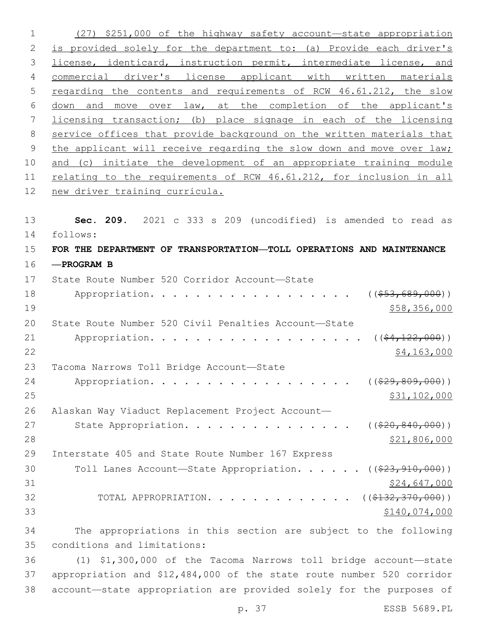1 (27) \$251,000 of the highway safety account—state appropriation 2 is provided solely for the department to: (a) Provide each driver's 3 license, identicard, instruction permit, intermediate license, and 4 commercial driver's license applicant with written materials 5 regarding the contents and requirements of RCW 46.61.212, the slow 6 down and move over law, at the completion of the applicant's 7 licensing transaction; (b) place signage in each of the licensing 8 service offices that provide background on the written materials that 9 the applicant will receive regarding the slow down and move over law; 10 and (c) initiate the development of an appropriate training module 11 relating to the requirements of RCW 46.61.212, for inclusion in all 12 new driver training curricula. 13 **Sec. 209.** 2021 c 333 s 209 (uncodified) is amended to read as 14 follows: 15 **FOR THE DEPARTMENT OF TRANSPORTATION—TOLL OPERATIONS AND MAINTENANCE** 16 **—PROGRAM B** 17 State Route Number 520 Corridor Account-State 18 Appropriation. . . . . . . . . . . . . . . . ((\$53,689,000))  $19$  \$58,356,000 20 State Route Number 520 Civil Penalties Account—State 21 Appropriation. . . . . . . . . . . . . . . . . (  $(\frac{24,122,000}{5})$  $22$  \$4,163,000 23 Tacoma Narrows Toll Bridge Account-State 24 Appropriation. . . . . . . . . . . . . . . . . (  $(\frac{29}{629}, 809, 000)$  ) 25 \$31,102,000 26 Alaskan Way Viaduct Replacement Project Account— 27 State Appropriation. . . . . . . . . . . . . . . ((\$20,840,000)) 28 \$21,806,000 29 Interstate 405 and State Route Number 167 Express 30 Toll Lanes Account—State Appropriation. . . . . ((\$23,910,000))  $31$  \$24,647,000 32 TOTAL APPROPRIATION. . . . . . . . . . . . . ((\$132,370,000))  $33$   $$140,074,000$ 34 The appropriations in this section are subject to the following

conditions and limitations:35

36 (1) \$1,300,000 of the Tacoma Narrows toll bridge account—state 37 appropriation and \$12,484,000 of the state route number 520 corridor 38 account—state appropriation are provided solely for the purposes of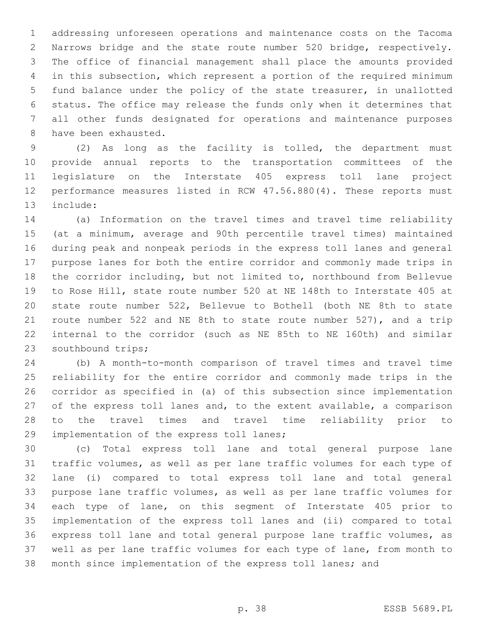addressing unforeseen operations and maintenance costs on the Tacoma Narrows bridge and the state route number 520 bridge, respectively. The office of financial management shall place the amounts provided in this subsection, which represent a portion of the required minimum fund balance under the policy of the state treasurer, in unallotted status. The office may release the funds only when it determines that all other funds designated for operations and maintenance purposes 8 have been exhausted.

 (2) As long as the facility is tolled, the department must provide annual reports to the transportation committees of the legislature on the Interstate 405 express toll lane project performance measures listed in RCW 47.56.880(4). These reports must 13 include:

 (a) Information on the travel times and travel time reliability (at a minimum, average and 90th percentile travel times) maintained during peak and nonpeak periods in the express toll lanes and general purpose lanes for both the entire corridor and commonly made trips in the corridor including, but not limited to, northbound from Bellevue to Rose Hill, state route number 520 at NE 148th to Interstate 405 at state route number 522, Bellevue to Bothell (both NE 8th to state route number 522 and NE 8th to state route number 527), and a trip internal to the corridor (such as NE 85th to NE 160th) and similar 23 southbound trips;

 (b) A month-to-month comparison of travel times and travel time reliability for the entire corridor and commonly made trips in the corridor as specified in (a) of this subsection since implementation of the express toll lanes and, to the extent available, a comparison to the travel times and travel time reliability prior to 29 implementation of the express toll lanes;

 (c) Total express toll lane and total general purpose lane traffic volumes, as well as per lane traffic volumes for each type of lane (i) compared to total express toll lane and total general purpose lane traffic volumes, as well as per lane traffic volumes for each type of lane, on this segment of Interstate 405 prior to implementation of the express toll lanes and (ii) compared to total express toll lane and total general purpose lane traffic volumes, as well as per lane traffic volumes for each type of lane, from month to month since implementation of the express toll lanes; and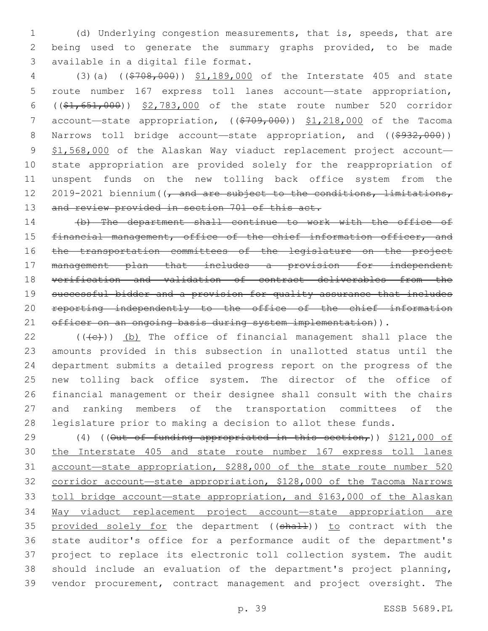(d) Underlying congestion measurements, that is, speeds, that are being used to generate the summary graphs provided, to be made 3 available in a digital file format.

 (3)(a) ((\$708,000)) \$1,189,000 of the Interstate 405 and state route number 167 express toll lanes account—state appropriation, ((\$1,651,000)) \$2,783,000 of the state route number 520 corridor 7 account—state appropriation,  $((\frac{2709}{100})$ ,  $(1, 218,000)$  of the Tacoma 8 Narrows toll bridge account—state appropriation, and ((\$932,000)) 9 \$1,568,000 of the Alaskan Way viaduct replacement project account- state appropriation are provided solely for the reappropriation of unspent funds on the new tolling back office system from the 12 2019-2021 biennium ((, and are subject to the conditions, limitations, 13 and review provided in section 701 of this act.

 (b) The department shall continue to work with the office of financial management, office of the chief information officer, and the transportation committees of the legislature on the project management plan that includes a provision for independent verification and validation of contract deliverables from the successful bidder and a provision for quality assurance that includes reporting independently to the office of the chief information 21 officer on an ongoing basis during system implementation)).

 (( $\left(\frac{1}{2}\right)$ ) (b) The office of financial management shall place the amounts provided in this subsection in unallotted status until the department submits a detailed progress report on the progress of the new tolling back office system. The director of the office of financial management or their designee shall consult with the chairs and ranking members of the transportation committees of the legislature prior to making a decision to allot these funds.

29 (4) ((<del>Out of funding appropriated in this section,</del>)) \$121,000 of the Interstate 405 and state route number 167 express toll lanes account—state appropriation, \$288,000 of the state route number 520 corridor account—state appropriation, \$128,000 of the Tacoma Narrows toll bridge account—state appropriation, and \$163,000 of the Alaskan Way viaduct replacement project account—state appropriation are 35 provided solely for the department ((shall)) to contract with the state auditor's office for a performance audit of the department's project to replace its electronic toll collection system. The audit should include an evaluation of the department's project planning, vendor procurement, contract management and project oversight. The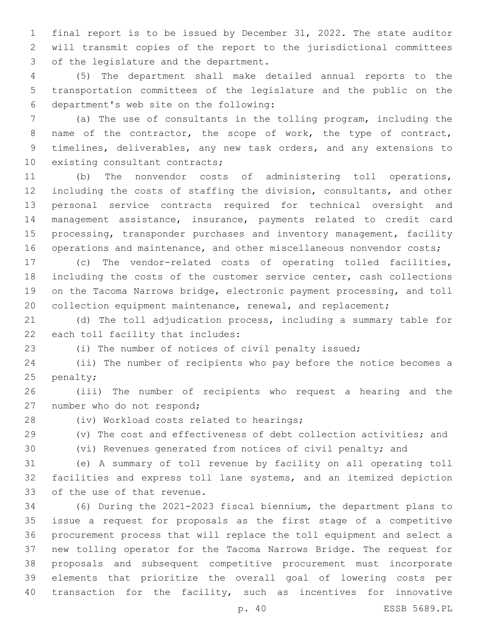final report is to be issued by December 31, 2022. The state auditor will transmit copies of the report to the jurisdictional committees 3 of the legislature and the department.

 (5) The department shall make detailed annual reports to the transportation committees of the legislature and the public on the department's web site on the following:6

 (a) The use of consultants in the tolling program, including the name of the contractor, the scope of work, the type of contract, timelines, deliverables, any new task orders, and any extensions to 10 existing consultant contracts;

 (b) The nonvendor costs of administering toll operations, including the costs of staffing the division, consultants, and other personal service contracts required for technical oversight and management assistance, insurance, payments related to credit card 15 processing, transponder purchases and inventory management, facility 16 operations and maintenance, and other miscellaneous nonvendor costs;

 (c) The vendor-related costs of operating tolled facilities, including the costs of the customer service center, cash collections on the Tacoma Narrows bridge, electronic payment processing, and toll 20 collection equipment maintenance, renewal, and replacement;

 (d) The toll adjudication process, including a summary table for 22 each toll facility that includes:

(i) The number of notices of civil penalty issued;

 (ii) The number of recipients who pay before the notice becomes a 25 penalty;

 (iii) The number of recipients who request a hearing and the 27 number who do not respond;

28 (iv) Workload costs related to hearings;

(v) The cost and effectiveness of debt collection activities; and

(vi) Revenues generated from notices of civil penalty; and

 (e) A summary of toll revenue by facility on all operating toll facilities and express toll lane systems, and an itemized depiction 33 of the use of that revenue.

 (6) During the 2021-2023 fiscal biennium, the department plans to issue a request for proposals as the first stage of a competitive procurement process that will replace the toll equipment and select a new tolling operator for the Tacoma Narrows Bridge. The request for proposals and subsequent competitive procurement must incorporate elements that prioritize the overall goal of lowering costs per transaction for the facility, such as incentives for innovative

p. 40 ESSB 5689.PL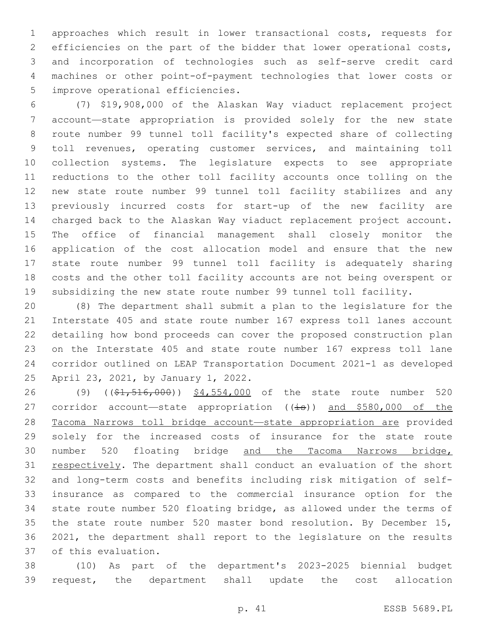approaches which result in lower transactional costs, requests for efficiencies on the part of the bidder that lower operational costs, and incorporation of technologies such as self-serve credit card machines or other point-of-payment technologies that lower costs or 5 improve operational efficiencies.

 (7) \$19,908,000 of the Alaskan Way viaduct replacement project account—state appropriation is provided solely for the new state route number 99 tunnel toll facility's expected share of collecting toll revenues, operating customer services, and maintaining toll collection systems. The legislature expects to see appropriate reductions to the other toll facility accounts once tolling on the new state route number 99 tunnel toll facility stabilizes and any previously incurred costs for start-up of the new facility are charged back to the Alaskan Way viaduct replacement project account. The office of financial management shall closely monitor the application of the cost allocation model and ensure that the new state route number 99 tunnel toll facility is adequately sharing costs and the other toll facility accounts are not being overspent or subsidizing the new state route number 99 tunnel toll facility.

 (8) The department shall submit a plan to the legislature for the Interstate 405 and state route number 167 express toll lanes account detailing how bond proceeds can cover the proposed construction plan on the Interstate 405 and state route number 167 express toll lane corridor outlined on LEAP Transportation Document 2021-1 as developed 25 April 23, 2021, by January 1, 2022.

26 (9) ((\$1,516,000)) \$4,554,000 of the state route number 520 27 corridor account—state appropriation  $((\frac{1}{18}))$  and \$580,000 of the Tacoma Narrows toll bridge account—state appropriation are provided solely for the increased costs of insurance for the state route number 520 floating bridge and the Tacoma Narrows bridge, respectively. The department shall conduct an evaluation of the short and long-term costs and benefits including risk mitigation of self- insurance as compared to the commercial insurance option for the state route number 520 floating bridge, as allowed under the terms of the state route number 520 master bond resolution. By December 15, 2021, the department shall report to the legislature on the results 37 of this evaluation.

 (10) As part of the department's 2023-2025 biennial budget request, the department shall update the cost allocation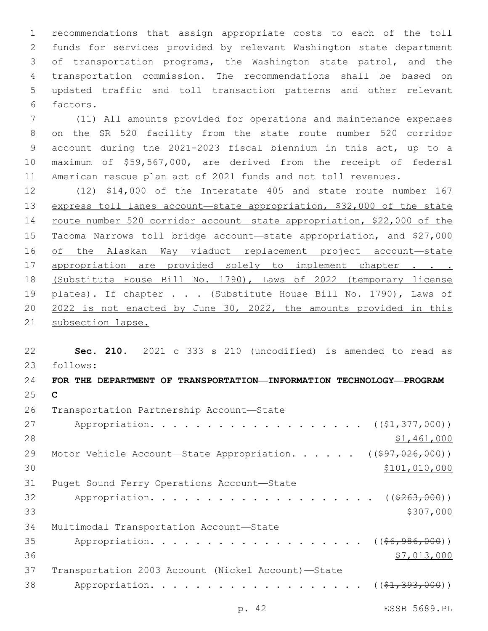recommendations that assign appropriate costs to each of the toll funds for services provided by relevant Washington state department of transportation programs, the Washington state patrol, and the transportation commission. The recommendations shall be based on updated traffic and toll transaction patterns and other relevant 6 factors.

 (11) All amounts provided for operations and maintenance expenses on the SR 520 facility from the state route number 520 corridor account during the 2021-2023 fiscal biennium in this act, up to a maximum of \$59,567,000, are derived from the receipt of federal American rescue plan act of 2021 funds and not toll revenues.

 (12) \$14,000 of the Interstate 405 and state route number 167 express toll lanes account—state appropriation, \$32,000 of the state route number 520 corridor account—state appropriation, \$22,000 of the Tacoma Narrows toll bridge account—state appropriation, and \$27,000 of the Alaskan Way viaduct replacement project account—state 17 appropriation are provided solely to implement chapter . . . (Substitute House Bill No. 1790), Laws of 2022 (temporary license 19 plates). If chapter . . . (Substitute House Bill No. 1790), Laws of 2022 is not enacted by June 30, 2022, the amounts provided in this 21 subsection lapse.

 **Sec. 210.** 2021 c 333 s 210 (uncodified) is amended to read as follows: 23 **FOR THE DEPARTMENT OF TRANSPORTATION—INFORMATION TECHNOLOGY—PROGRAM** 

 **C** 26 Transportation Partnership Account-State 27 Appropriation. . . . . . . . . . . . . . . . . (  $(\frac{1}{21}, \frac{377}{1000})$  ) \$1,461,000 29 Motor Vehicle Account-State Appropriation. . . . . ((\$97,026,000))  $$101,010,000$ 31 Puget Sound Ferry Operations Account-State 32 Appropriation. . . . . . . . . . . . . . . . . . (  $(\frac{263,000}{1})$   $\frac{$307,000}{1}$ 34 Multimodal Transportation Account-State 35 Appropriation. . . . . . . . . . . . . . . . .  $($  $($  $$\frac{6}{6}$ ,  $986$ ,  $000)$ )$   $$7,013,000$  Transportation 2003 Account (Nickel Account)—State 38 Appropriation. . . . . . . . . . . . . . . . . ((<del>\$1,393,000</del>))

p. 42 ESSB 5689.PL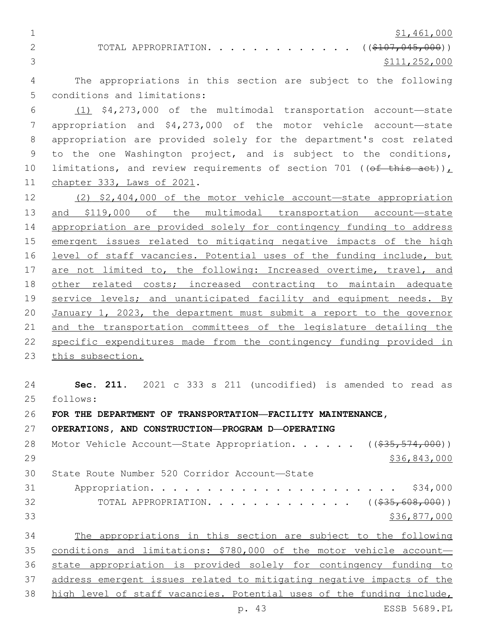$\frac{1}{21,461,000}$ 

2 TOTAL APPROPRIATION. . . . . . . . . . . . . ((\$107,045,000)) \$111,252,000

 The appropriations in this section are subject to the following 5 conditions and limitations:

 (1) \$4,273,000 of the multimodal transportation account—state appropriation and \$4,273,000 of the motor vehicle account—state appropriation are provided solely for the department's cost related to the one Washington project, and is subject to the conditions, 10 limitations, and review requirements of section 701 ((of this act)), 11 chapter 333, Laws of 2021.

 (2) \$2,404,000 of the motor vehicle account—state appropriation and \$119,000 of the multimodal transportation account—state appropriation are provided solely for contingency funding to address emergent issues related to mitigating negative impacts of the high 16 level of staff vacancies. Potential uses of the funding include, but are not limited to, the following: Increased overtime, travel, and 18 other related costs; increased contracting to maintain adequate 19 service levels; and unanticipated facility and equipment needs. By January 1, 2023, the department must submit a report to the governor and the transportation committees of the legislature detailing the 22 specific expenditures made from the contingency funding provided in this subsection.

 **Sec. 211.** 2021 c 333 s 211 (uncodified) is amended to read as follows: 25 **FOR THE DEPARTMENT OF TRANSPORTATION—FACILITY MAINTENANCE, OPERATIONS, AND CONSTRUCTION—PROGRAM D—OPERATING** 28 Motor Vehicle Account—State Appropriation. . . . . ((\$35,574,000)) \$36,843,000 State Route Number 520 Corridor Account—State30

 Appropriation. . . . . . . . . . . . . . . . . . . . . . \$34,000 32 TOTAL APPROPRIATION. . . . . . . . . . . . ((\$35,608,000)) \$36,877,000

 The appropriations in this section are subject to the following 35 conditions and limitations: \$780,000 of the motor vehicle account- state appropriation is provided solely for contingency funding to address emergent issues related to mitigating negative impacts of the high level of staff vacancies. Potential uses of the funding include,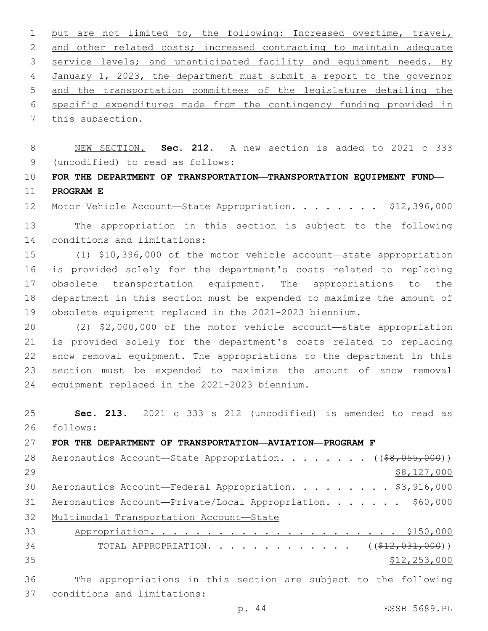1 but are not limited to, the following: Increased overtime, travel, 2 and other related costs; increased contracting to maintain adequate 3 service levels; and unanticipated facility and equipment needs. By 4 January 1, 2023, the department must submit a report to the governor 5 and the transportation committees of the legislature detailing the 6 specific expenditures made from the contingency funding provided in 7 this subsection.

8 NEW SECTION. **Sec. 212.** A new section is added to 2021 c 333 (uncodified) to read as follows: 9

10 **FOR THE DEPARTMENT OF TRANSPORTATION—TRANSPORTATION EQUIPMENT FUND—** 11 **PROGRAM E**

12 Motor Vehicle Account-State Appropriation. . . . . . . \$12,396,000

13 The appropriation in this section is subject to the following 14 conditions and limitations:

 (1) \$10,396,000 of the motor vehicle account—state appropriation is provided solely for the department's costs related to replacing obsolete transportation equipment. The appropriations to the department in this section must be expended to maximize the amount of obsolete equipment replaced in the 2021-2023 biennium.

 (2) \$2,000,000 of the motor vehicle account—state appropriation is provided solely for the department's costs related to replacing snow removal equipment. The appropriations to the department in this section must be expended to maximize the amount of snow removal 24 equipment replaced in the 2021-2023 biennium.

25 **Sec. 213.** 2021 c 333 s 212 (uncodified) is amended to read as follows: 26

27 **FOR THE DEPARTMENT OF TRANSPORTATION—AVIATION—PROGRAM F**

| 28 | Aeronautics Account-State Appropriation. ((\$8,055,000))        |
|----|-----------------------------------------------------------------|
| 29 | \$8,127,000                                                     |
| 30 | Aeronautics Account-Federal Appropriation. \$3,916,000          |
| 31 | Aeronautics Account-Private/Local Appropriation. \$60,000       |
| 32 | Multimodal Transportation Account-State                         |
| 33 |                                                                 |
| 34 | TOTAL APPROPRIATION. ( $(\frac{212}{1220311000})$ )             |
| 35 | \$12, 253, 000                                                  |
| 36 | The appropriations in this section are subject to the following |
| 37 | conditions and limitations:                                     |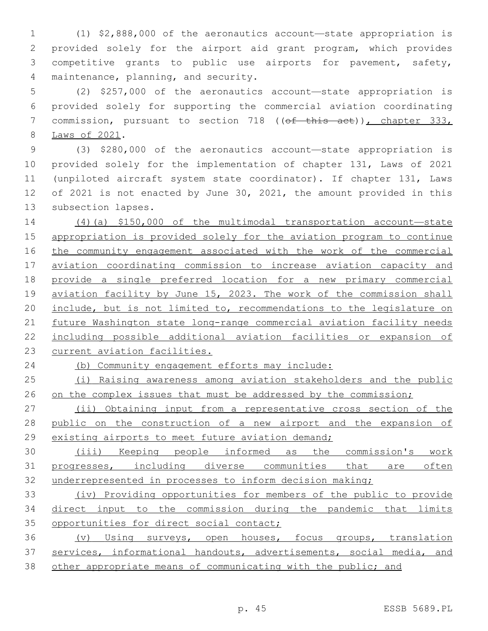(1) \$2,888,000 of the aeronautics account—state appropriation is provided solely for the airport aid grant program, which provides competitive grants to public use airports for pavement, safety, 4 maintenance, planning, and security.

 (2) \$257,000 of the aeronautics account—state appropriation is provided solely for supporting the commercial aviation coordinating 7 commission, pursuant to section 718 ((of this act)), chapter 333, 8 Laws of 2021.

 (3) \$280,000 of the aeronautics account—state appropriation is provided solely for the implementation of chapter 131, Laws of 2021 (unpiloted aircraft system state coordinator). If chapter 131, Laws of 2021 is not enacted by June 30, 2021, the amount provided in this 13 subsection lapses.

 (4)(a) \$150,000 of the multimodal transportation account—state appropriation is provided solely for the aviation program to continue 16 the community engagement associated with the work of the commercial 17 aviation coordinating commission to increase aviation capacity and provide a single preferred location for a new primary commercial aviation facility by June 15, 2023. The work of the commission shall include, but is not limited to, recommendations to the legislature on 21 future Washington state long-range commercial aviation facility needs including possible additional aviation facilities or expansion of current aviation facilities.

(b) Community engagement efforts may include:

 (i) Raising awareness among aviation stakeholders and the public 26 on the complex issues that must be addressed by the commission;

 (ii) Obtaining input from a representative cross section of the public on the construction of a new airport and the expansion of 29 existing airports to meet future aviation demand;

 (iii) Keeping people informed as the commission's work progresses, including diverse communities that are often underrepresented in processes to inform decision making;

 (iv) Providing opportunities for members of the public to provide direct input to the commission during the pandemic that limits opportunities for direct social contact;

 (v) Using surveys, open houses, focus groups, translation 37 services, informational handouts, advertisements, social media, and other appropriate means of communicating with the public; and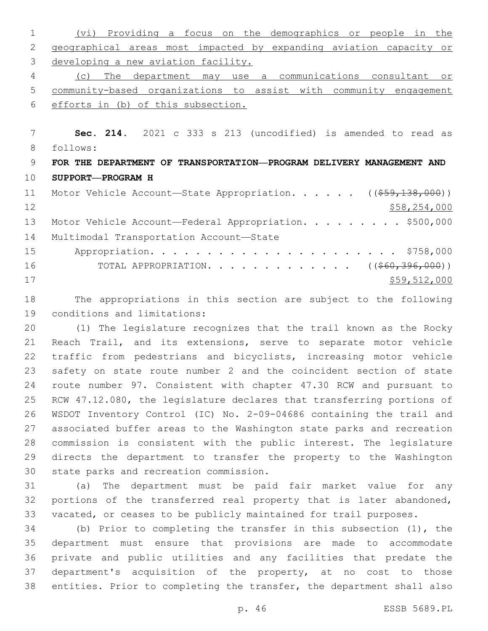| 1            | Providing a focus on the demographics or people in the<br>(vi)       |
|--------------|----------------------------------------------------------------------|
| $\mathbf{2}$ | geographical areas most impacted by expanding aviation capacity or   |
| 3            | developing a new aviation facility.                                  |
| 4            | The<br>department may use a communications consultant<br>(C)<br>or   |
| 5            | community-based organizations to assist with community engagement    |
| 6            | efforts in (b) of this subsection.                                   |
|              |                                                                      |
| 7            | Sec. 214. 2021 c 333 s 213 (uncodified) is amended to read as        |
| 8            | follows:                                                             |
| 9            | FOR THE DEPARTMENT OF TRANSPORTATION—PROGRAM DELIVERY MANAGEMENT AND |
| 10           | SUPPORT-PROGRAM H                                                    |
| 11           | Motor Vehicle Account-State Appropriation. ((\$59,138,000))          |
| 12           | \$58, 254, 000                                                       |
| 13           |                                                                      |
|              | Motor Vehicle Account-Federal Appropriation. \$500,000               |
|              | Multimodal Transportation Account-State                              |
| 14<br>15     |                                                                      |
| 16           | TOTAL APPROPRIATION. ( $(\frac{260}{396}, \frac{396}{900})$ )        |
| 17           | \$59,512,000                                                         |

 The appropriations in this section are subject to the following 19 conditions and limitations:

 (1) The legislature recognizes that the trail known as the Rocky Reach Trail, and its extensions, serve to separate motor vehicle traffic from pedestrians and bicyclists, increasing motor vehicle safety on state route number 2 and the coincident section of state route number 97. Consistent with chapter 47.30 RCW and pursuant to RCW 47.12.080, the legislature declares that transferring portions of WSDOT Inventory Control (IC) No. 2-09-04686 containing the trail and associated buffer areas to the Washington state parks and recreation commission is consistent with the public interest. The legislature directs the department to transfer the property to the Washington 30 state parks and recreation commission.

 (a) The department must be paid fair market value for any portions of the transferred real property that is later abandoned, vacated, or ceases to be publicly maintained for trail purposes.

 (b) Prior to completing the transfer in this subsection (1), the department must ensure that provisions are made to accommodate private and public utilities and any facilities that predate the department's acquisition of the property, at no cost to those entities. Prior to completing the transfer, the department shall also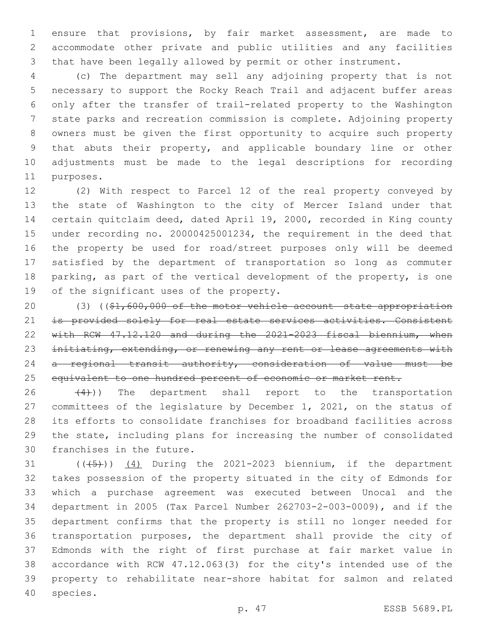ensure that provisions, by fair market assessment, are made to accommodate other private and public utilities and any facilities that have been legally allowed by permit or other instrument.

 (c) The department may sell any adjoining property that is not necessary to support the Rocky Reach Trail and adjacent buffer areas only after the transfer of trail-related property to the Washington state parks and recreation commission is complete. Adjoining property owners must be given the first opportunity to acquire such property that abuts their property, and applicable boundary line or other adjustments must be made to the legal descriptions for recording 11 purposes.

 (2) With respect to Parcel 12 of the real property conveyed by the state of Washington to the city of Mercer Island under that certain quitclaim deed, dated April 19, 2000, recorded in King county under recording no. 20000425001234, the requirement in the deed that the property be used for road/street purposes only will be deemed satisfied by the department of transportation so long as commuter parking, as part of the vertical development of the property, is one 19 of the significant uses of the property.

 (3) ((\$1,600,000 of the motor vehicle account—state appropriation 21 is provided solely for real estate services activities. Consistent with RCW 47.12.120 and during the 2021-2023 fiscal biennium, when 23 initiating, extending, or renewing any rent or lease agreements with a regional transit authority, consideration of value must be 25 equivalent to one hundred percent of economic or market rent.

  $(4)$ )) The department shall report to the transportation committees of the legislature by December 1, 2021, on the status of its efforts to consolidate franchises for broadband facilities across the state, including plans for increasing the number of consolidated 30 franchises in the future.

 $((+5+))$   $(4)$  During the 2021-2023 biennium, if the department takes possession of the property situated in the city of Edmonds for which a purchase agreement was executed between Unocal and the department in 2005 (Tax Parcel Number 262703-2-003-0009), and if the department confirms that the property is still no longer needed for transportation purposes, the department shall provide the city of Edmonds with the right of first purchase at fair market value in accordance with RCW 47.12.063(3) for the city's intended use of the property to rehabilitate near-shore habitat for salmon and related 40 species.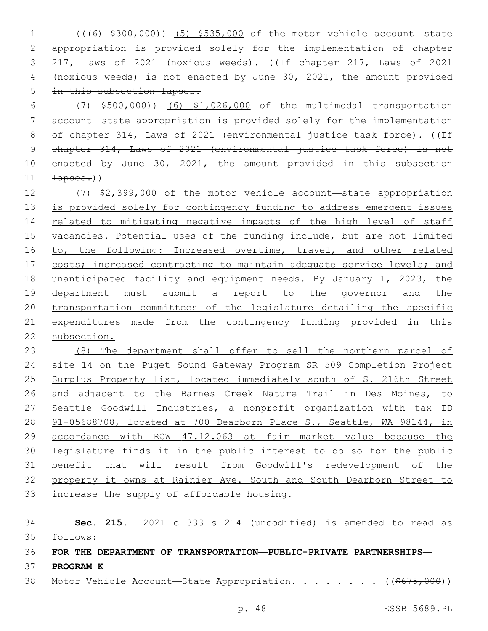(((6) \$300,000)) (5) \$535,000 of the motor vehicle account—state appropriation is provided solely for the implementation of chapter 3 217, Laws of 2021 (noxious weeds). ((<del>If chapter 217, Laws of 2021</del> (noxious weeds) is not enacted by June 30, 2021, the amount provided 5 in this subsection lapses.

 (7) \$500,000)) (6) \$1,026,000 of the multimodal transportation account—state appropriation is provided solely for the implementation 8 of chapter 314, Laws of 2021 (environmental justice task force). ( $\sqrt{1+f}$  chapter 314, Laws of 2021 (environmental justice task force) is not 10 enacted by June 30, 2021, the amount provided in this subsection  $\frac{1}{2}$   $\frac{1}{2}$   $\frac{1}{2}$   $\frac{1}{2}$   $\frac{1}{2}$   $\frac{1}{2}$   $\frac{1}{2}$   $\frac{1}{2}$   $\frac{1}{2}$   $\frac{1}{2}$   $\frac{1}{2}$   $\frac{1}{2}$   $\frac{1}{2}$   $\frac{1}{2}$   $\frac{1}{2}$   $\frac{1}{2}$   $\frac{1}{2}$   $\frac{1}{2}$   $\frac{1}{2}$   $\frac{1}{2}$   $\frac{1}{2}$   $\frac{1}{$ 

 (7) \$2,399,000 of the motor vehicle account—state appropriation is provided solely for contingency funding to address emergent issues 14 related to mitigating negative impacts of the high level of staff 15 vacancies. Potential uses of the funding include, but are not limited to, the following: Increased overtime, travel, and other related 17 costs; increased contracting to maintain adequate service levels; and unanticipated facility and equipment needs. By January 1, 2023, the department must submit a report to the governor and the transportation committees of the legislature detailing the specific expenditures made from the contingency funding provided in this subsection.

 (8) The department shall offer to sell the northern parcel of site 14 on the Puget Sound Gateway Program SR 509 Completion Project Surplus Property list, located immediately south of S. 216th Street and adjacent to the Barnes Creek Nature Trail in Des Moines, to Seattle Goodwill Industries, a nonprofit organization with tax ID 91-05688708, located at 700 Dearborn Place S., Seattle, WA 98144, in accordance with RCW 47.12.063 at fair market value because the legislature finds it in the public interest to do so for the public benefit that will result from Goodwill's redevelopment of the property it owns at Rainier Ave. South and South Dearborn Street to increase the supply of affordable housing.

 **Sec. 215.** 2021 c 333 s 214 (uncodified) is amended to read as follows: 35

## **FOR THE DEPARTMENT OF TRANSPORTATION—PUBLIC-PRIVATE PARTNERSHIPS—**

- **PROGRAM K**
- 38 Motor Vehicle Account—State Appropriation. . . . . . . ((\$675,000))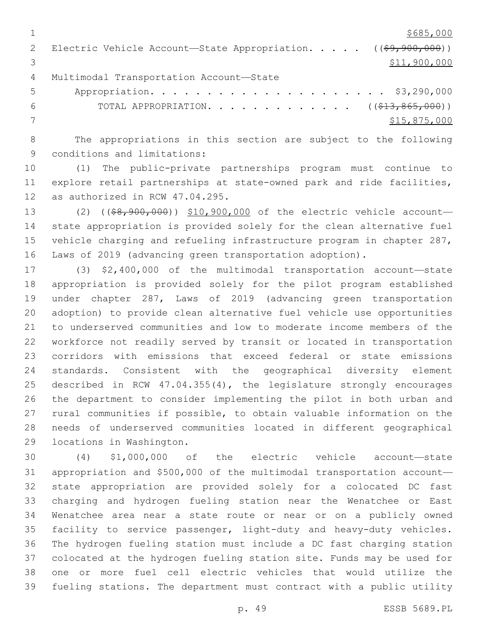$1 \over $685,000$ 2 Electric Vehicle Account—State Appropriation. . . . . ((\$9,900,000))  $3 \hspace{2.5cm} \text{S11,} \text{900,} \text{000}$ 4 Multimodal Transportation Account-State Appropriation. . . . . . . . . . . . . . . . . . . . . \$3,290,000

6 TOTAL APPROPRIATION. . . . . . . . . . . . . ((\$13,865,000)) \$15,875,000

 The appropriations in this section are subject to the following 9 conditions and limitations:

 (1) The public-private partnerships program must continue to explore retail partnerships at state-owned park and ride facilities, 12 as authorized in RCW 47.04.295.

 (2) ((\$8,900,000)) \$10,900,000 of the electric vehicle account— state appropriation is provided solely for the clean alternative fuel vehicle charging and refueling infrastructure program in chapter 287, Laws of 2019 (advancing green transportation adoption).

 (3) \$2,400,000 of the multimodal transportation account—state appropriation is provided solely for the pilot program established under chapter 287, Laws of 2019 (advancing green transportation adoption) to provide clean alternative fuel vehicle use opportunities to underserved communities and low to moderate income members of the workforce not readily served by transit or located in transportation corridors with emissions that exceed federal or state emissions standards. Consistent with the geographical diversity element described in RCW 47.04.355(4), the legislature strongly encourages the department to consider implementing the pilot in both urban and rural communities if possible, to obtain valuable information on the needs of underserved communities located in different geographical 29 locations in Washington.

 (4) \$1,000,000 of the electric vehicle account—state appropriation and \$500,000 of the multimodal transportation account— state appropriation are provided solely for a colocated DC fast charging and hydrogen fueling station near the Wenatchee or East Wenatchee area near a state route or near or on a publicly owned facility to service passenger, light-duty and heavy-duty vehicles. The hydrogen fueling station must include a DC fast charging station colocated at the hydrogen fueling station site. Funds may be used for one or more fuel cell electric vehicles that would utilize the fueling stations. The department must contract with a public utility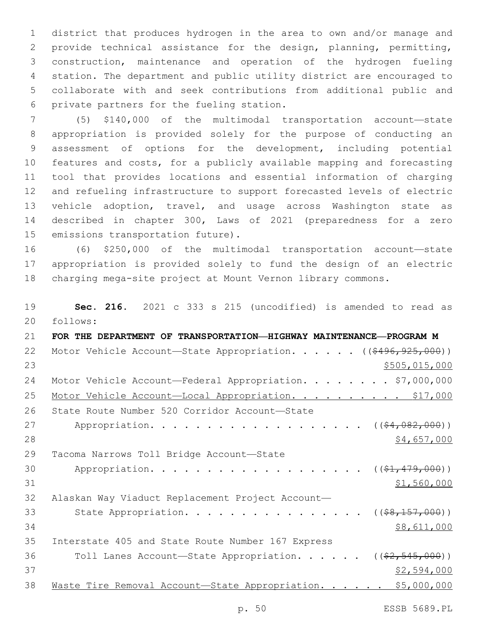district that produces hydrogen in the area to own and/or manage and provide technical assistance for the design, planning, permitting, construction, maintenance and operation of the hydrogen fueling station. The department and public utility district are encouraged to collaborate with and seek contributions from additional public and 6 private partners for the fueling station.

 (5) \$140,000 of the multimodal transportation account—state appropriation is provided solely for the purpose of conducting an assessment of options for the development, including potential features and costs, for a publicly available mapping and forecasting tool that provides locations and essential information of charging and refueling infrastructure to support forecasted levels of electric vehicle adoption, travel, and usage across Washington state as described in chapter 300, Laws of 2021 (preparedness for a zero 15 emissions transportation future).

16 (6) \$250,000 of the multimodal transportation account—state 17 appropriation is provided solely to fund the design of an electric 18 charging mega-site project at Mount Vernon library commons.

19 **Sec. 216.** 2021 c 333 s 215 (uncodified) is amended to read as follows: 20

21 **FOR THE DEPARTMENT OF TRANSPORTATION—HIGHWAY MAINTENANCE—PROGRAM M** 22 Motor Vehicle Account-State Appropriation. . . . . ((\$496,925,000)) 23 \$505,015,000 24 Motor Vehicle Account—Federal Appropriation. . . . . . . \$7,000,000 25 Motor Vehicle Account-Local Appropriation. . . . . . . . . \$17,000 26 State Route Number 520 Corridor Account-State 27 Appropriation. . . . . . . . . . . . . . . . . (  $(\frac{64,082,000)}{}$ 28 \$4,657,000 \$4,657,000 29 Tacoma Narrows Toll Bridge Account-State 30 Appropriation. . . . . . . . . . . . . . . . . (  $(\frac{21}{7}\cdot479,000)$  )  $31$  \$1,560,000 32 Alaskan Way Viaduct Replacement Project Account— 33 State Appropriation. . . . . . . . . . . . . . . ( $(\frac{28}{157,000})$ )  $34$  \$8,611,000 35 Interstate 405 and State Route Number 167 Express 36 Toll Lanes Account—State Appropriation. . . . . ((\$2,545,000))  $37$  \$2,594,000 38 Waste Tire Removal Account-State Appropriation. . . . . \$5,000,000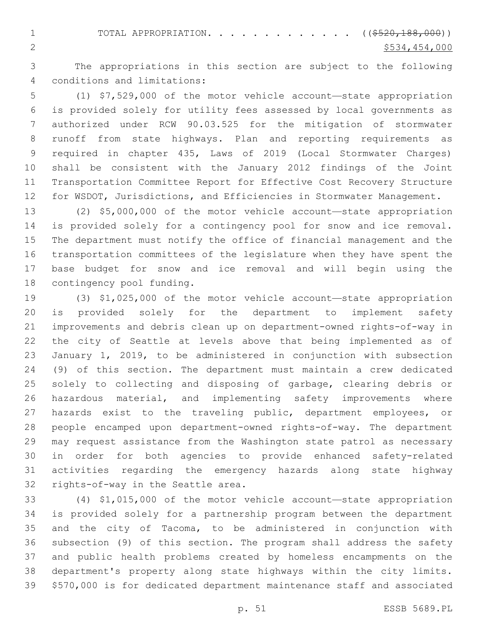1 TOTAL APPROPRIATION. . . . . . . . . . . . ((\$520,188,000))  $2^{5534}$ , 454,000

 The appropriations in this section are subject to the following conditions and limitations:4

 (1) \$7,529,000 of the motor vehicle account—state appropriation is provided solely for utility fees assessed by local governments as authorized under RCW 90.03.525 for the mitigation of stormwater runoff from state highways. Plan and reporting requirements as required in chapter 435, Laws of 2019 (Local Stormwater Charges) shall be consistent with the January 2012 findings of the Joint Transportation Committee Report for Effective Cost Recovery Structure for WSDOT, Jurisdictions, and Efficiencies in Stormwater Management.

 (2) \$5,000,000 of the motor vehicle account—state appropriation is provided solely for a contingency pool for snow and ice removal. The department must notify the office of financial management and the transportation committees of the legislature when they have spent the base budget for snow and ice removal and will begin using the 18 contingency pool funding.

 (3) \$1,025,000 of the motor vehicle account—state appropriation is provided solely for the department to implement safety improvements and debris clean up on department-owned rights-of-way in the city of Seattle at levels above that being implemented as of January 1, 2019, to be administered in conjunction with subsection (9) of this section. The department must maintain a crew dedicated solely to collecting and disposing of garbage, clearing debris or hazardous material, and implementing safety improvements where hazards exist to the traveling public, department employees, or people encamped upon department-owned rights-of-way. The department may request assistance from the Washington state patrol as necessary in order for both agencies to provide enhanced safety-related activities regarding the emergency hazards along state highway 32 rights-of-way in the Seattle area.

 (4) \$1,015,000 of the motor vehicle account—state appropriation is provided solely for a partnership program between the department and the city of Tacoma, to be administered in conjunction with subsection (9) of this section. The program shall address the safety and public health problems created by homeless encampments on the department's property along state highways within the city limits. \$570,000 is for dedicated department maintenance staff and associated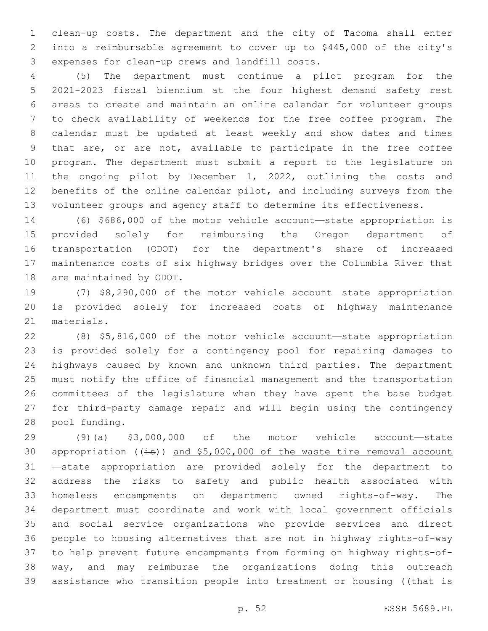clean-up costs. The department and the city of Tacoma shall enter into a reimbursable agreement to cover up to \$445,000 of the city's 3 expenses for clean-up crews and landfill costs.

 (5) The department must continue a pilot program for the 2021-2023 fiscal biennium at the four highest demand safety rest areas to create and maintain an online calendar for volunteer groups to check availability of weekends for the free coffee program. The calendar must be updated at least weekly and show dates and times that are, or are not, available to participate in the free coffee program. The department must submit a report to the legislature on the ongoing pilot by December 1, 2022, outlining the costs and benefits of the online calendar pilot, and including surveys from the volunteer groups and agency staff to determine its effectiveness.

 (6) \$686,000 of the motor vehicle account—state appropriation is provided solely for reimbursing the Oregon department of transportation (ODOT) for the department's share of increased maintenance costs of six highway bridges over the Columbia River that 18 are maintained by ODOT.

 (7) \$8,290,000 of the motor vehicle account—state appropriation is provided solely for increased costs of highway maintenance 21 materials.

 (8) \$5,816,000 of the motor vehicle account—state appropriation is provided solely for a contingency pool for repairing damages to highways caused by known and unknown third parties. The department must notify the office of financial management and the transportation committees of the legislature when they have spent the base budget for third-party damage repair and will begin using the contingency 28 pool funding.

 (9)(a) \$3,000,000 of the motor vehicle account—state 30 appropriation ((is)) and \$5,000,000 of the waste tire removal account 31 -state appropriation are provided solely for the department to address the risks to safety and public health associated with homeless encampments on department owned rights-of-way. The department must coordinate and work with local government officials and social service organizations who provide services and direct people to housing alternatives that are not in highway rights-of-way to help prevent future encampments from forming on highway rights-of- way, and may reimburse the organizations doing this outreach 39 assistance who transition people into treatment or housing ((that is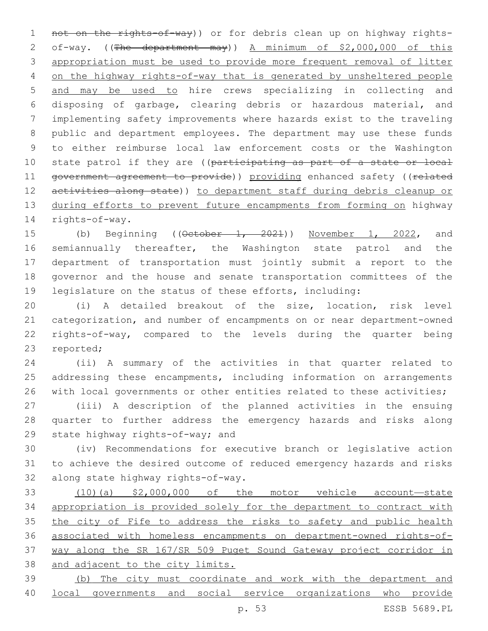not on the rights-of-way)) or for debris clean up on highway rights- of-way. ((The department may)) A minimum of \$2,000,000 of this appropriation must be used to provide more frequent removal of litter on the highway rights-of-way that is generated by unsheltered people and may be used to hire crews specializing in collecting and disposing of garbage, clearing debris or hazardous material, and implementing safety improvements where hazards exist to the traveling public and department employees. The department may use these funds to either reimburse local law enforcement costs or the Washington 10 state patrol if they are ((participating as part of a state or local 11 government agreement to provide)) providing enhanced safety ((related 12 activities along state)) to department staff during debris cleanup or 13 during efforts to prevent future encampments from forming on highway 14 rights-of-way.

15 (b) Beginning ((October 1, 2021)) November 1, 2022, and semiannually thereafter, the Washington state patrol and the department of transportation must jointly submit a report to the governor and the house and senate transportation committees of the legislature on the status of these efforts, including:

 (i) A detailed breakout of the size, location, risk level categorization, and number of encampments on or near department-owned rights-of-way, compared to the levels during the quarter being 23 reported;

 (ii) A summary of the activities in that quarter related to addressing these encampments, including information on arrangements 26 with local governments or other entities related to these activities;

 (iii) A description of the planned activities in the ensuing quarter to further address the emergency hazards and risks along 29 state highway rights-of-way; and

 (iv) Recommendations for executive branch or legislative action to achieve the desired outcome of reduced emergency hazards and risks 32 along state highway rights-of-way.

 (10)(a) \$2,000,000 of the motor vehicle account—state appropriation is provided solely for the department to contract with 35 the city of Fife to address the risks to safety and public health associated with homeless encampments on department-owned rights-of- way along the SR 167/SR 509 Puget Sound Gateway project corridor in and adjacent to the city limits.

 (b) The city must coordinate and work with the department and local governments and social service organizations who provide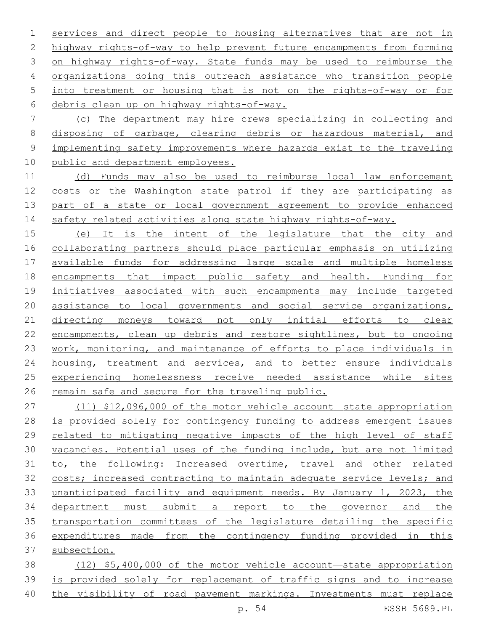services and direct people to housing alternatives that are not in highway rights-of-way to help prevent future encampments from forming on highway rights-of-way. State funds may be used to reimburse the organizations doing this outreach assistance who transition people into treatment or housing that is not on the rights-of-way or for debris clean up on highway rights-of-way.6

 (c) The department may hire crews specializing in collecting and disposing of garbage, clearing debris or hazardous material, and implementing safety improvements where hazards exist to the traveling public and department employees.

 (d) Funds may also be used to reimburse local law enforcement costs or the Washington state patrol if they are participating as part of a state or local government agreement to provide enhanced 14 safety related activities along state highway rights-of-way.

 (e) It is the intent of the legislature that the city and collaborating partners should place particular emphasis on utilizing available funds for addressing large scale and multiple homeless encampments that impact public safety and health. Funding for initiatives associated with such encampments may include targeted assistance to local governments and social service organizations, directing moneys toward not only initial efforts to clear encampments, clean up debris and restore sightlines, but to ongoing work, monitoring, and maintenance of efforts to place individuals in 24 housing, treatment and services, and to better ensure individuals experiencing homelessness receive needed assistance while sites remain safe and secure for the traveling public.

 (11) \$12,096,000 of the motor vehicle account—state appropriation is provided solely for contingency funding to address emergent issues related to mitigating negative impacts of the high level of staff vacancies. Potential uses of the funding include, but are not limited to, the following: Increased overtime, travel and other related costs; increased contracting to maintain adequate service levels; and unanticipated facility and equipment needs. By January 1, 2023, the department must submit a report to the governor and the transportation committees of the legislature detailing the specific expenditures made from the contingency funding provided in this subsection.

 (12) \$5,400,000 of the motor vehicle account—state appropriation is provided solely for replacement of traffic signs and to increase the visibility of road pavement markings. Investments must replace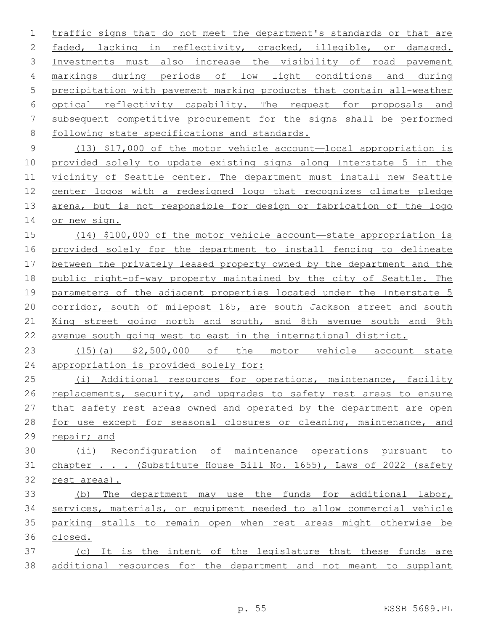traffic signs that do not meet the department's standards or that are faded, lacking in reflectivity, cracked, illegible, or damaged. Investments must also increase the visibility of road pavement markings during periods of low light conditions and during precipitation with pavement marking products that contain all-weather optical reflectivity capability. The request for proposals and subsequent competitive procurement for the signs shall be performed 8 following state specifications and standards.

 (13) \$17,000 of the motor vehicle account—local appropriation is provided solely to update existing signs along Interstate 5 in the vicinity of Seattle center. The department must install new Seattle center logos with a redesigned logo that recognizes climate pledge arena, but is not responsible for design or fabrication of the logo or new sign.

 (14) \$100,000 of the motor vehicle account—state appropriation is provided solely for the department to install fencing to delineate between the privately leased property owned by the department and the 18 public right-of-way property maintained by the city of Seattle. The 19 parameters of the adjacent properties located under the Interstate 5 corridor, south of milepost 165, are south Jackson street and south King street going north and south, and 8th avenue south and 9th avenue south going west to east in the international district.

 (15)(a) \$2,500,000 of the motor vehicle account—state appropriation is provided solely for:

 (i) Additional resources for operations, maintenance, facility replacements, security, and upgrades to safety rest areas to ensure that safety rest areas owned and operated by the department are open for use except for seasonal closures or cleaning, maintenance, and repair; and

 (ii) Reconfiguration of maintenance operations pursuant to 31 chapter . . . (Substitute House Bill No. 1655), Laws of 2022 (safety rest areas).

 (b) The department may use the funds for additional labor, services, materials, or equipment needed to allow commercial vehicle parking stalls to remain open when rest areas might otherwise be closed.

 (c) It is the intent of the legislature that these funds are additional resources for the department and not meant to supplant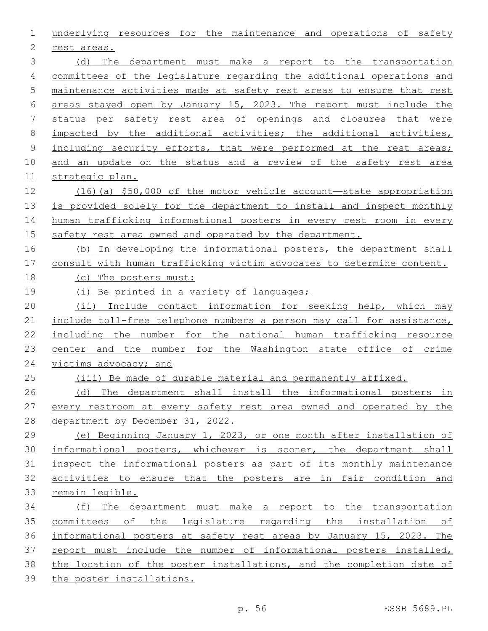| 1  | underlying resources for the maintenance and operations of safety     |
|----|-----------------------------------------------------------------------|
| 2  | rest areas.                                                           |
| 3  | (d) The department must make a report to the transportation           |
| 4  | committees of the legislature regarding the additional operations and |
| 5  | maintenance activities made at safety rest areas to ensure that rest  |
| 6  | areas stayed open by January 15, 2023. The report must include the    |
| 7  | status per safety rest area of openings and closures that were        |
| 8  | impacted by the additional activities; the additional activities,     |
| 9  | including security efforts, that were performed at the rest areas;    |
| 10 | and an update on the status and a review of the safety rest area      |
| 11 | strategic plan.                                                       |
| 12 | $(16)$ (a) \$50,000 of the motor vehicle account—state appropriation  |
| 13 | is provided solely for the department to install and inspect monthly  |
| 14 | human trafficking informational posters in every rest room in every   |
| 15 | safety rest area owned and operated by the department.                |
| 16 | (b) In developing the informational posters, the department shall     |
| 17 | consult with human trafficking victim advocates to determine content. |
| 18 | (c) The posters must:                                                 |
| 19 | (i) Be printed in a variety of languages;                             |
| 20 | (ii) Include contact information for seeking help, which may          |
| 21 | include toll-free telephone numbers a person may call for assistance, |
| 22 | including the number for the national human trafficking resource      |
| 23 | center and the number for the Washington state office of crime        |
| 24 | victims advocacy; and                                                 |
| 25 | (iii) Be made of durable material and permanently affixed.            |
| 26 | (d) The department shall install the informational posters in         |
| 27 | every restroom at every safety rest area owned and operated by the    |
| 28 | department by December 31, 2022.                                      |
| 29 | (e) Beginning January 1, 2023, or one month after installation of     |
| 30 | informational posters, whichever is sooner, the department shall      |
| 31 | inspect the informational posters as part of its monthly maintenance  |
| 32 | activities to ensure that the posters are in fair condition and       |
| 33 | remain legible.                                                       |
| 34 | (f) The department must make a report to the transportation           |
| 35 | committees of the legislature regarding the installation of           |
| 36 | informational posters at safety rest areas by January 15, 2023. The   |
| 37 | report must include the number of informational posters installed,    |
| 38 | the location of the poster installations, and the completion date of  |
| 39 | the poster installations.                                             |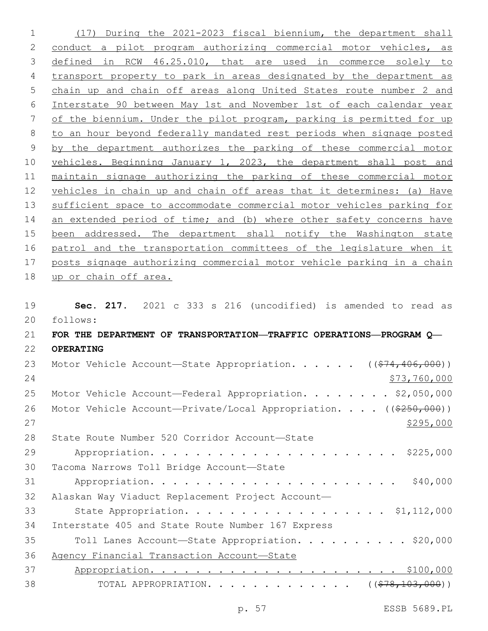(17) During the 2021-2023 fiscal biennium, the department shall conduct a pilot program authorizing commercial motor vehicles, as defined in RCW 46.25.010, that are used in commerce solely to transport property to park in areas designated by the department as chain up and chain off areas along United States route number 2 and Interstate 90 between May 1st and November 1st of each calendar year of the biennium. Under the pilot program, parking is permitted for up to an hour beyond federally mandated rest periods when signage posted by the department authorizes the parking of these commercial motor vehicles. Beginning January 1, 2023, the department shall post and maintain signage authorizing the parking of these commercial motor vehicles in chain up and chain off areas that it determines: (a) Have sufficient space to accommodate commercial motor vehicles parking for 14 an extended period of time; and (b) where other safety concerns have been addressed. The department shall notify the Washington state patrol and the transportation committees of the legislature when it posts signage authorizing commercial motor vehicle parking in a chain up or chain off area. **Sec. 217.** 2021 c 333 s 216 (uncodified) is amended to read as follows: 20 **FOR THE DEPARTMENT OF TRANSPORTATION—TRAFFIC OPERATIONS—PROGRAM Q— OPERATING** 23 Motor Vehicle Account—State Appropriation. . . . . ((\$74,406,000)) \$73,760,000 25 Motor Vehicle Account—Federal Appropriation. . . . . . . \$2,050,000 26 Motor Vehicle Account—Private/Local Appropriation. . . . ((\$250,000))  $\frac{$295,000}{2}$ 28 State Route Number 520 Corridor Account-State Appropriation. . . . . . . . . . . . . . . . . . . . . . \$225,000 30 Tacoma Narrows Toll Bridge Account-State Appropriation. . . . . . . . . . . . . . . . . . . . . . \$40,000 Alaskan Way Viaduct Replacement Project Account— State Appropriation. . . . . . . . . . . . . . . . . . \$1,112,000 34 Interstate 405 and State Route Number 167 Express Toll Lanes Account—State Appropriation. . . . . . . . . . \$20,000

Agency Financial Transaction Account—State

 Appropriation. . . . . . . . . . . . . . . . . . . . . . \$100,000 38 TOTAL APPROPRIATION. . . . . . . . . . . . . ((\$78,103,000))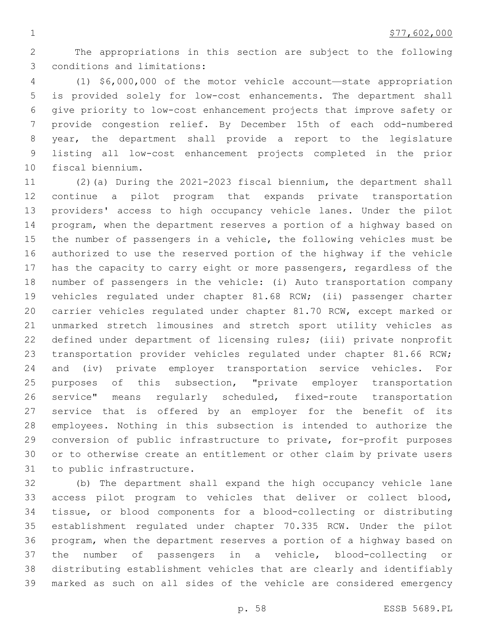The appropriations in this section are subject to the following 3 conditions and limitations:

 (1) \$6,000,000 of the motor vehicle account—state appropriation is provided solely for low-cost enhancements. The department shall give priority to low-cost enhancement projects that improve safety or provide congestion relief. By December 15th of each odd-numbered year, the department shall provide a report to the legislature listing all low-cost enhancement projects completed in the prior 10 fiscal biennium.

 (2)(a) During the 2021-2023 fiscal biennium, the department shall continue a pilot program that expands private transportation providers' access to high occupancy vehicle lanes. Under the pilot program, when the department reserves a portion of a highway based on the number of passengers in a vehicle, the following vehicles must be authorized to use the reserved portion of the highway if the vehicle has the capacity to carry eight or more passengers, regardless of the number of passengers in the vehicle: (i) Auto transportation company vehicles regulated under chapter 81.68 RCW; (ii) passenger charter carrier vehicles regulated under chapter 81.70 RCW, except marked or unmarked stretch limousines and stretch sport utility vehicles as defined under department of licensing rules; (iii) private nonprofit 23 transportation provider vehicles regulated under chapter 81.66 RCW; and (iv) private employer transportation service vehicles. For purposes of this subsection, "private employer transportation service" means regularly scheduled, fixed-route transportation service that is offered by an employer for the benefit of its employees. Nothing in this subsection is intended to authorize the conversion of public infrastructure to private, for-profit purposes or to otherwise create an entitlement or other claim by private users 31 to public infrastructure.

 (b) The department shall expand the high occupancy vehicle lane access pilot program to vehicles that deliver or collect blood, tissue, or blood components for a blood-collecting or distributing establishment regulated under chapter 70.335 RCW. Under the pilot program, when the department reserves a portion of a highway based on the number of passengers in a vehicle, blood-collecting or distributing establishment vehicles that are clearly and identifiably marked as such on all sides of the vehicle are considered emergency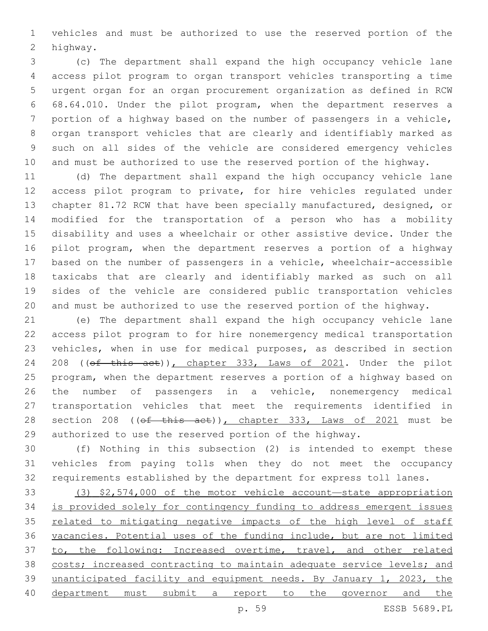vehicles and must be authorized to use the reserved portion of the 2 highway.

 (c) The department shall expand the high occupancy vehicle lane access pilot program to organ transport vehicles transporting a time urgent organ for an organ procurement organization as defined in RCW 68.64.010. Under the pilot program, when the department reserves a portion of a highway based on the number of passengers in a vehicle, organ transport vehicles that are clearly and identifiably marked as such on all sides of the vehicle are considered emergency vehicles and must be authorized to use the reserved portion of the highway.

 (d) The department shall expand the high occupancy vehicle lane access pilot program to private, for hire vehicles regulated under chapter 81.72 RCW that have been specially manufactured, designed, or modified for the transportation of a person who has a mobility disability and uses a wheelchair or other assistive device. Under the pilot program, when the department reserves a portion of a highway based on the number of passengers in a vehicle, wheelchair-accessible taxicabs that are clearly and identifiably marked as such on all sides of the vehicle are considered public transportation vehicles and must be authorized to use the reserved portion of the highway.

 (e) The department shall expand the high occupancy vehicle lane access pilot program to for hire nonemergency medical transportation vehicles, when in use for medical purposes, as described in section 24 208 ((of this act)), chapter 333, Laws of 2021. Under the pilot program, when the department reserves a portion of a highway based on the number of passengers in a vehicle, nonemergency medical transportation vehicles that meet the requirements identified in 28 section 208 ((of this act)), chapter 333, Laws of 2021 must be authorized to use the reserved portion of the highway.

 (f) Nothing in this subsection (2) is intended to exempt these vehicles from paying tolls when they do not meet the occupancy requirements established by the department for express toll lanes.

 (3) \$2,574,000 of the motor vehicle account—state appropriation is provided solely for contingency funding to address emergent issues 35 related to mitigating negative impacts of the high level of staff vacancies. Potential uses of the funding include, but are not limited 37 to, the following: Increased overtime, travel, and other related costs; increased contracting to maintain adequate service levels; and unanticipated facility and equipment needs. By January 1, 2023, the department must submit a report to the governor and the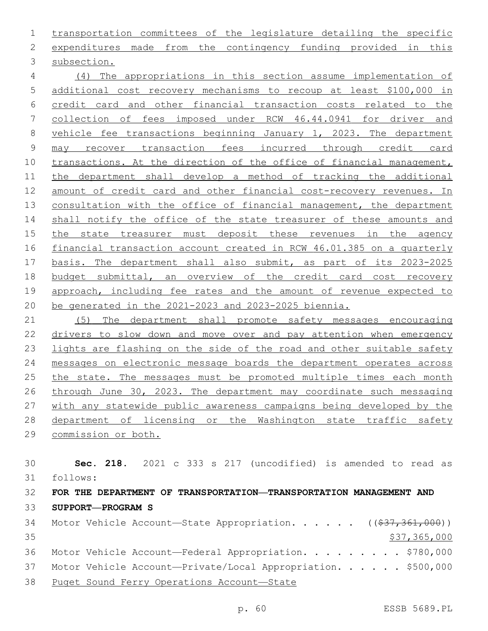transportation committees of the legislature detailing the specific expenditures made from the contingency funding provided in this 3 subsection.

 (4) The appropriations in this section assume implementation of additional cost recovery mechanisms to recoup at least \$100,000 in credit card and other financial transaction costs related to the collection of fees imposed under RCW 46.44.0941 for driver and vehicle fee transactions beginning January 1, 2023. The department may recover transaction fees incurred through credit card 10 transactions. At the direction of the office of financial management, the department shall develop a method of tracking the additional amount of credit card and other financial cost-recovery revenues. In 13 consultation with the office of financial management, the department 14 shall notify the office of the state treasurer of these amounts and the state treasurer must deposit these revenues in the agency financial transaction account created in RCW 46.01.385 on a quarterly basis. The department shall also submit, as part of its 2023-2025 budget submittal, an overview of the credit card cost recovery approach, including fee rates and the amount of revenue expected to be generated in the 2021-2023 and 2023-2025 biennia.

 (5) The department shall promote safety messages encouraging drivers to slow down and move over and pay attention when emergency lights are flashing on the side of the road and other suitable safety messages on electronic message boards the department operates across 25 the state. The messages must be promoted multiple times each month through June 30, 2023. The department may coordinate such messaging with any statewide public awareness campaigns being developed by the 28 department of licensing or the Washington state traffic safety commission or both.

 **Sec. 218.** 2021 c 333 s 217 (uncodified) is amended to read as follows: 31 **FOR THE DEPARTMENT OF TRANSPORTATION—TRANSPORTATION MANAGEMENT AND SUPPORT—PROGRAM S** 34 Motor Vehicle Account-State Appropriation. . . . . ((\$37,361,000)) \$37,365,000 36 Motor Vehicle Account—Federal Appropriation. . . . . . . . \$780,000

37 Motor Vehicle Account-Private/Local Appropriation. . . . . \$500,000

Puget Sound Ferry Operations Account—State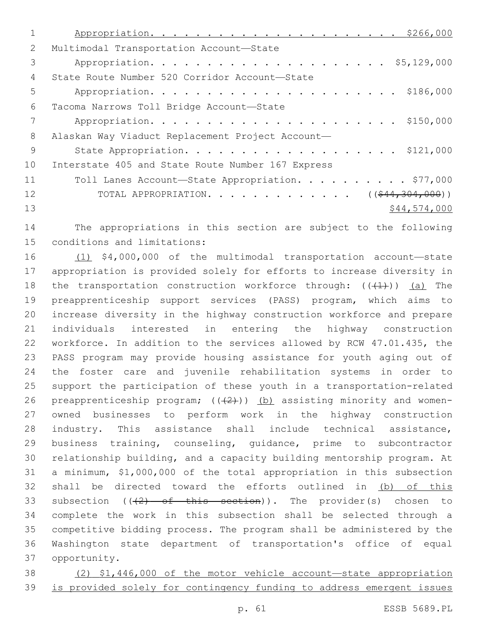| $\mathcal{L}$ | Multimodal Transportation Account-State                       |
|---------------|---------------------------------------------------------------|
| 3             |                                                               |
| 4             | State Route Number 520 Corridor Account-State                 |
| 5             |                                                               |
| 6             | Tacoma Narrows Toll Bridge Account-State                      |
|               |                                                               |
| 8             | Alaskan Way Viaduct Replacement Project Account-              |
| 9             | State Appropriation. \$121,000                                |
| 10            | Interstate 405 and State Route Number 167 Express             |
| 11            | Toll Lanes Account-State Appropriation. \$77,000              |
| 12            | TOTAL APPROPRIATION. ( $(\frac{244}{304}, \frac{304}{900})$ ) |
| 13            | \$44,574,000                                                  |

 The appropriations in this section are subject to the following 15 conditions and limitations:

 (1) \$4,000,000 of the multimodal transportation account—state appropriation is provided solely for efforts to increase diversity in 18 the transportation construction workforce through:  $((+1))$  (a) The preapprenticeship support services (PASS) program, which aims to increase diversity in the highway construction workforce and prepare individuals interested in entering the highway construction workforce. In addition to the services allowed by RCW 47.01.435, the PASS program may provide housing assistance for youth aging out of the foster care and juvenile rehabilitation systems in order to support the participation of these youth in a transportation-related 26 preapprenticeship program;  $((+2)^2)$  (b) assisting minority and women- owned businesses to perform work in the highway construction industry. This assistance shall include technical assistance, business training, counseling, guidance, prime to subcontractor relationship building, and a capacity building mentorship program. At a minimum, \$1,000,000 of the total appropriation in this subsection shall be directed toward the efforts outlined in (b) of this 33 subsection  $((2)$  of this section)). The provider(s) chosen to complete the work in this subsection shall be selected through a competitive bidding process. The program shall be administered by the Washington state department of transportation's office of equal opportunity.37

 (2) \$1,446,000 of the motor vehicle account—state appropriation is provided solely for contingency funding to address emergent issues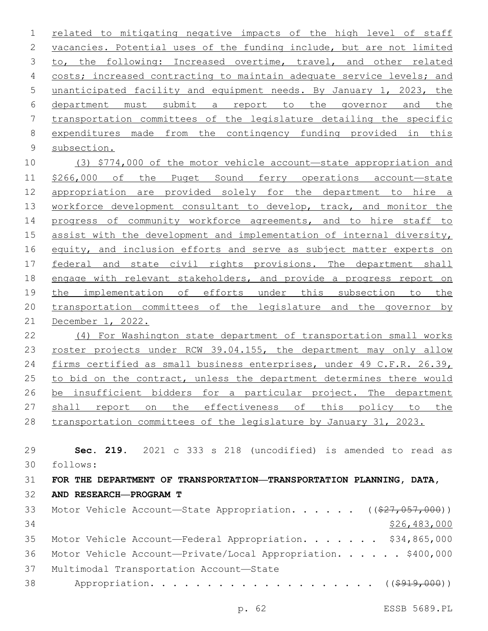related to mitigating negative impacts of the high level of staff vacancies. Potential uses of the funding include, but are not limited 3 to, the following: Increased overtime, travel, and other related 4 costs; increased contracting to maintain adequate service levels; and unanticipated facility and equipment needs. By January 1, 2023, the department must submit a report to the governor and the transportation committees of the legislature detailing the specific 8 expenditures made from the contingency funding provided in this 9 subsection. (3) \$774,000 of the motor vehicle account—state appropriation and \$266,000 of the Puget Sound ferry operations account—state appropriation are provided solely for the department to hire a 13 workforce development consultant to develop, track, and monitor the progress of community workforce agreements, and to hire staff to assist with the development and implementation of internal diversity, equity, and inclusion efforts and serve as subject matter experts on federal and state civil rights provisions. The department shall 18 engage with relevant stakeholders, and provide a progress report on the implementation of efforts under this subsection to the transportation committees of the legislature and the governor by December 1, 2022. (4) For Washington state department of transportation small works roster projects under RCW 39.04.155, the department may only allow firms certified as small business enterprises, under 49 C.F.R. 26.39,

26 be insufficient bidders for a particular project. The department shall report on the effectiveness of this policy to the

to bid on the contract, unless the department determines there would

transportation committees of the legislature by January 31, 2023.

 **Sec. 219.** 2021 c 333 s 218 (uncodified) is amended to read as follows: 30 **FOR THE DEPARTMENT OF TRANSPORTATION—TRANSPORTATION PLANNING, DATA, AND RESEARCH—PROGRAM T** 33 Motor Vehicle Account—State Appropriation. . . . . ((\$27,057,000)) \$26,483,000

35 Motor Vehicle Account—Federal Appropriation. . . . . . \$34,865,000 Motor Vehicle Account—Private/Local Appropriation. . . . . . \$400,000 37 Multimodal Transportation Account-State

38 Appropriation. . . . . . . . . . . . . . . . . . ( (\$919,000))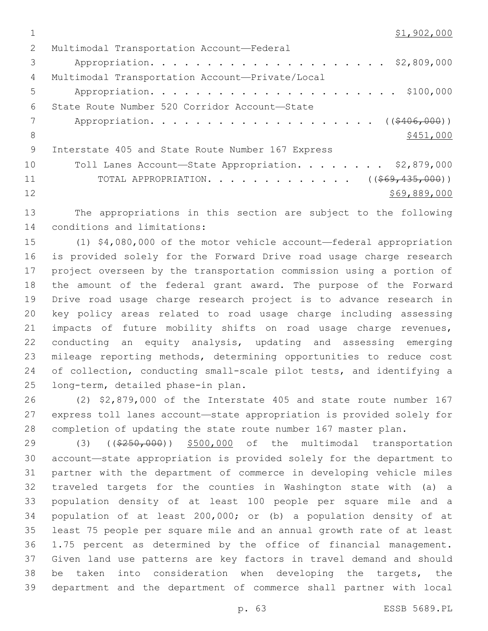\$1,902,000

| 2   | Multimodal Transportation Account-Federal           |
|-----|-----------------------------------------------------|
| 3   |                                                     |
| 4   | Multimodal Transportation Account-Private/Local     |
| 5   |                                                     |
| 6   | State Route Number 520 Corridor Account-State       |
|     | Appropriation. ( $(\frac{2406,000}{1})$             |
| 8   | \$451,000                                           |
| - 9 | Interstate 405 and State Route Number 167 Express   |
| 10  | Toll Lanes Account-State Appropriation. \$2,879,000 |
| 11  | TOTAL APPROPRIATION. ( $(\frac{269}{135}, 000)$ )   |
| 12  | \$69,889,000                                        |

 The appropriations in this section are subject to the following 14 conditions and limitations:

 (1) \$4,080,000 of the motor vehicle account—federal appropriation is provided solely for the Forward Drive road usage charge research project overseen by the transportation commission using a portion of the amount of the federal grant award. The purpose of the Forward Drive road usage charge research project is to advance research in key policy areas related to road usage charge including assessing impacts of future mobility shifts on road usage charge revenues, conducting an equity analysis, updating and assessing emerging mileage reporting methods, determining opportunities to reduce cost of collection, conducting small-scale pilot tests, and identifying a 25 long-term, detailed phase-in plan.

 (2) \$2,879,000 of the Interstate 405 and state route number 167 express toll lanes account—state appropriation is provided solely for completion of updating the state route number 167 master plan.

29 (3) ((\$250,000)) \$500,000 of the multimodal transportation account—state appropriation is provided solely for the department to partner with the department of commerce in developing vehicle miles traveled targets for the counties in Washington state with (a) a population density of at least 100 people per square mile and a population of at least 200,000; or (b) a population density of at least 75 people per square mile and an annual growth rate of at least 1.75 percent as determined by the office of financial management. Given land use patterns are key factors in travel demand and should be taken into consideration when developing the targets, the department and the department of commerce shall partner with local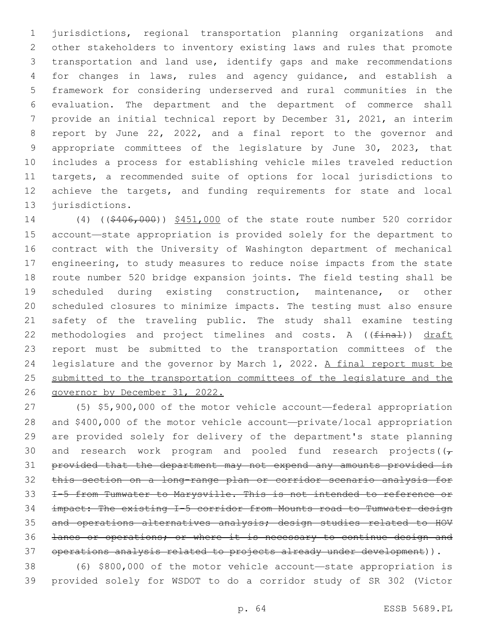jurisdictions, regional transportation planning organizations and other stakeholders to inventory existing laws and rules that promote transportation and land use, identify gaps and make recommendations for changes in laws, rules and agency guidance, and establish a framework for considering underserved and rural communities in the evaluation. The department and the department of commerce shall provide an initial technical report by December 31, 2021, an interim report by June 22, 2022, and a final report to the governor and appropriate committees of the legislature by June 30, 2023, that includes a process for establishing vehicle miles traveled reduction targets, a recommended suite of options for local jurisdictions to achieve the targets, and funding requirements for state and local 13 jurisdictions.

 (4) ((\$406,000)) \$451,000 of the state route number 520 corridor account—state appropriation is provided solely for the department to contract with the University of Washington department of mechanical engineering, to study measures to reduce noise impacts from the state route number 520 bridge expansion joints. The field testing shall be scheduled during existing construction, maintenance, or other scheduled closures to minimize impacts. The testing must also ensure safety of the traveling public. The study shall examine testing 22 methodologies and project timelines and costs. A ((final)) draft report must be submitted to the transportation committees of the legislature and the governor by March 1, 2022. A final report must be 25 submitted to the transportation committees of the legislature and the governor by December 31, 2022.

 (5) \$5,900,000 of the motor vehicle account—federal appropriation and \$400,000 of the motor vehicle account—private/local appropriation are provided solely for delivery of the department's state planning 30 and research work program and pooled fund research projects( $(\tau)$  provided that the department may not expend any amounts provided in this section on a long-range plan or corridor scenario analysis for I-5 from Tumwater to Marysville. This is not intended to reference or impact: The existing I-5 corridor from Mounts road to Tumwater design and operations alternatives analysis; design studies related to HOV lanes or operations; or where it is necessary to continue design and operations analysis related to projects already under development)).

 (6) \$800,000 of the motor vehicle account—state appropriation is provided solely for WSDOT to do a corridor study of SR 302 (Victor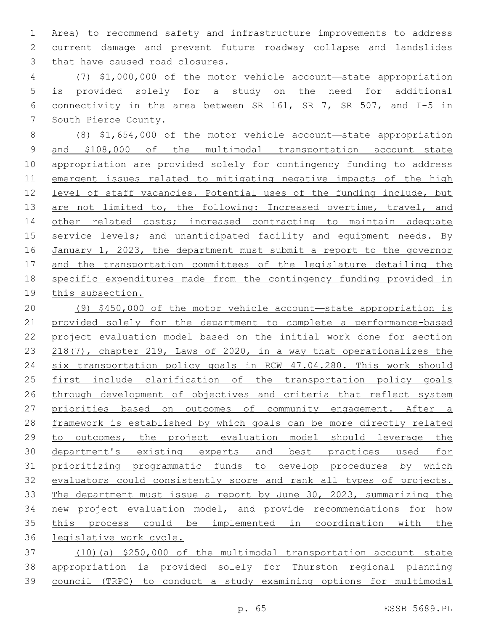Area) to recommend safety and infrastructure improvements to address current damage and prevent future roadway collapse and landslides 3 that have caused road closures.

 (7) \$1,000,000 of the motor vehicle account—state appropriation is provided solely for a study on the need for additional connectivity in the area between SR 161, SR 7, SR 507, and I-5 in 7 South Pierce County.

 (8) \$1,654,000 of the motor vehicle account—state appropriation and \$108,000 of the multimodal transportation account—state appropriation are provided solely for contingency funding to address emergent issues related to mitigating negative impacts of the high level of staff vacancies. Potential uses of the funding include, but 13 are not limited to, the following: Increased overtime, travel, and 14 other related costs; increased contracting to maintain adequate 15 service levels; and unanticipated facility and equipment needs. By January 1, 2023, the department must submit a report to the governor and the transportation committees of the legislature detailing the specific expenditures made from the contingency funding provided in this subsection.

 (9) \$450,000 of the motor vehicle account—state appropriation is 21 provided solely for the department to complete a performance-based 22 project evaluation model based on the initial work done for section 218(7), chapter 219, Laws of 2020, in a way that operationalizes the 24 six transportation policy goals in RCW 47.04.280. This work should first include clarification of the transportation policy goals 26 through development of objectives and criteria that reflect system priorities based on outcomes of community engagement. After a framework is established by which goals can be more directly related 29 to outcomes, the project evaluation model should leverage the department's existing experts and best practices used for prioritizing programmatic funds to develop procedures by which 32 evaluators could consistently score and rank all types of projects. The department must issue a report by June 30, 2023, summarizing the 34 new project evaluation model, and provide recommendations for how 35 this process could be implemented in coordination with the legislative work cycle.

 (10)(a) \$250,000 of the multimodal transportation account—state appropriation is provided solely for Thurston regional planning council (TRPC) to conduct a study examining options for multimodal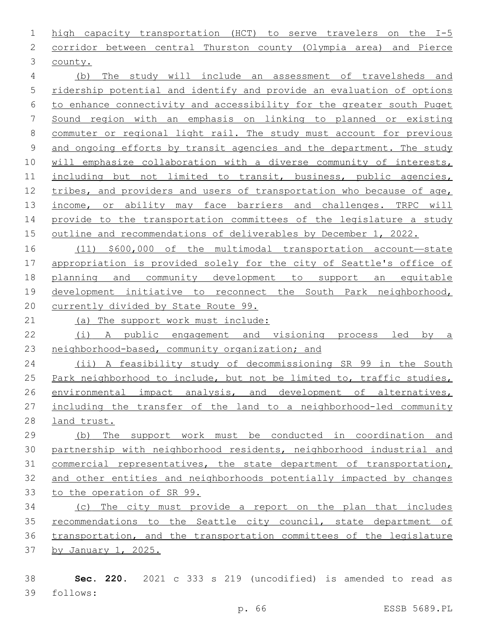high capacity transportation (HCT) to serve travelers on the I-5 corridor between central Thurston county (Olympia area) and Pierce 3 county. (b) The study will include an assessment of travelsheds and ridership potential and identify and provide an evaluation of options to enhance connectivity and accessibility for the greater south Puget Sound region with an emphasis on linking to planned or existing commuter or regional light rail. The study must account for previous and ongoing efforts by transit agencies and the department. The study will emphasize collaboration with a diverse community of interests, 11 including but not limited to transit, business, public agencies,

 tribes, and providers and users of transportation who because of age, 13 income, or ability may face barriers and challenges. TRPC will 14 provide to the transportation committees of the legislature a study outline and recommendations of deliverables by December 1, 2022.

 (11) \$600,000 of the multimodal transportation account—state appropriation is provided solely for the city of Seattle's office of planning and community development to support an equitable development initiative to reconnect the South Park neighborhood, currently divided by State Route 99.

(a) The support work must include:

 (i) A public engagement and visioning process led by a neighborhood-based, community organization; and

 (ii) A feasibility study of decommissioning SR 99 in the South Park neighborhood to include, but not be limited to, traffic studies, environmental impact analysis, and development of alternatives, including the transfer of the land to a neighborhood-led community land trust.

 (b) The support work must be conducted in coordination and partnership with neighborhood residents, neighborhood industrial and commercial representatives, the state department of transportation, and other entities and neighborhoods potentially impacted by changes to the operation of SR 99.

 (c) The city must provide a report on the plan that includes recommendations to the Seattle city council, state department of transportation, and the transportation committees of the legislature by January 1, 2025.

 **Sec. 220.** 2021 c 333 s 219 (uncodified) is amended to read as follows: 39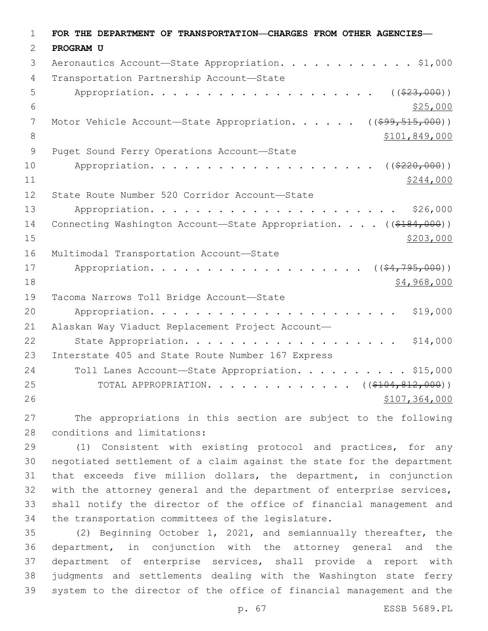| $\mathbf 1$   | FOR THE DEPARTMENT OF TRANSPORTATION-CHARGES FROM OTHER AGENCIES-                                               |
|---------------|-----------------------------------------------------------------------------------------------------------------|
| 2             | PROGRAM U                                                                                                       |
| 3             | Aeronautics Account-State Appropriation. \$1,000                                                                |
| 4             | Transportation Partnership Account-State                                                                        |
| 5             | ( ( \$23,000) )                                                                                                 |
| 6             | \$25,000                                                                                                        |
| 7             | Motor Vehicle Account-State Appropriation.<br>( ( \$99, 515, 000) )                                             |
| 8             | \$101,849,000                                                                                                   |
| $\mathsf 9$   | Puget Sound Ferry Operations Account-State                                                                      |
| 10            | Appropriation.<br>( ( \$220,000) )                                                                              |
| 11            | \$244,000                                                                                                       |
| 12            | State Route Number 520 Corridor Account-State                                                                   |
| 13            | \$26,000                                                                                                        |
| 14            | Connecting Washington Account-State Appropriation. ((\$184,000))                                                |
| 15            | \$203,000                                                                                                       |
| 16            | Multimodal Transportation Account-State                                                                         |
| 17            | ( ( \$4, 795, 000) )<br>Appropriation.                                                                          |
| 18            | \$4,968,000                                                                                                     |
| 19            | Tacoma Narrows Toll Bridge Account-State                                                                        |
| 20            | \$19,000                                                                                                        |
| 21            | Alaskan Way Viaduct Replacement Project Account-                                                                |
| 22            | \$14,000<br>State Appropriation.                                                                                |
| 23            | Interstate 405 and State Route Number 167 Express                                                               |
| 24            | Toll Lanes Account-State Appropriation. \$15,000                                                                |
| 25            | TOTAL APPROPRIATION. ( $(\frac{104}{104}, \frac{812}{100})$ )                                                   |
| 26            | \$107,364,000                                                                                                   |
| $\sim$ $\sim$ | the contract of the contract of the contract of the contract of the contract of the contract of the contract of |

 The appropriations in this section are subject to the following 28 conditions and limitations:

 (1) Consistent with existing protocol and practices, for any negotiated settlement of a claim against the state for the department that exceeds five million dollars, the department, in conjunction with the attorney general and the department of enterprise services, shall notify the director of the office of financial management and 34 the transportation committees of the legislature.

 (2) Beginning October 1, 2021, and semiannually thereafter, the department, in conjunction with the attorney general and the department of enterprise services, shall provide a report with judgments and settlements dealing with the Washington state ferry system to the director of the office of financial management and the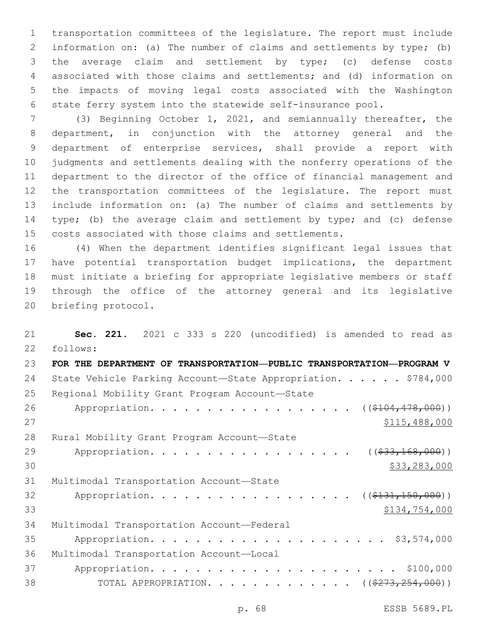transportation committees of the legislature. The report must include information on: (a) The number of claims and settlements by type; (b) the average claim and settlement by type; (c) defense costs associated with those claims and settlements; and (d) information on the impacts of moving legal costs associated with the Washington state ferry system into the statewide self-insurance pool.

 (3) Beginning October 1, 2021, and semiannually thereafter, the department, in conjunction with the attorney general and the department of enterprise services, shall provide a report with judgments and settlements dealing with the nonferry operations of the department to the director of the office of financial management and the transportation committees of the legislature. The report must include information on: (a) The number of claims and settlements by type; (b) the average claim and settlement by type; and (c) defense costs associated with those claims and settlements.

 (4) When the department identifies significant legal issues that have potential transportation budget implications, the department must initiate a briefing for appropriate legislative members or staff through the office of the attorney general and its legislative 20 briefing protocol.

 **Sec. 221.** 2021 c 333 s 220 (uncodified) is amended to read as follows: 22 **FOR THE DEPARTMENT OF TRANSPORTATION—PUBLIC TRANSPORTATION—PROGRAM V** 24 State Vehicle Parking Account-State Appropriation. . . . . \$784,000 25 Regional Mobility Grant Program Account-State 26 Appropriation. . . . . . . . . . . . . . . . ((\$104,478,000)) \$115,488,000 28 Rural Mobility Grant Program Account-State 29 Appropriation. . . . . . . . . . . . . . . . (  $(\frac{233,168,000}{1})$  $30 \hspace{2.5cm}$  \$33,283,000 31 Multimodal Transportation Account-State 32 Appropriation. . . . . . . . . . . . . . . . ((\$131,150,000)) \$134,754,000 34 Multimodal Transportation Account-Federal Appropriation. . . . . . . . . . . . . . . . . . . . . \$3,574,000 36 Multimodal Transportation Account-Local Appropriation. . . . . . . . . . . . . . . . . . . . . . \$100,000 38 TOTAL APPROPRIATION. . . . . . . . . . . . ((<del>\$273,254,000</del>))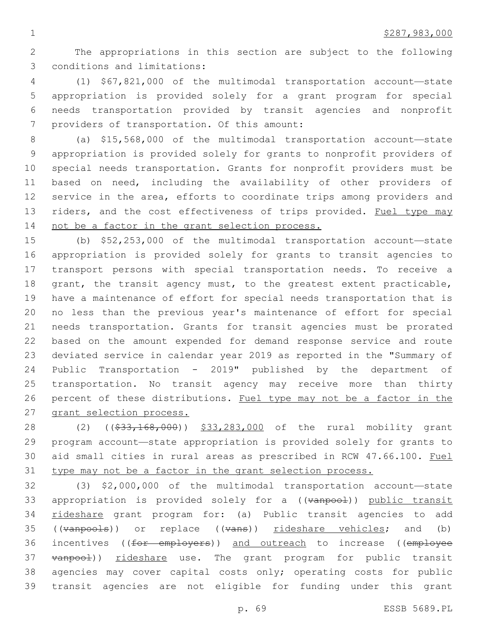The appropriations in this section are subject to the following 3 conditions and limitations:

 (1) \$67,821,000 of the multimodal transportation account—state appropriation is provided solely for a grant program for special needs transportation provided by transit agencies and nonprofit 7 providers of transportation. Of this amount:

 (a) \$15,568,000 of the multimodal transportation account—state appropriation is provided solely for grants to nonprofit providers of special needs transportation. Grants for nonprofit providers must be based on need, including the availability of other providers of 12 service in the area, efforts to coordinate trips among providers and 13 riders, and the cost effectiveness of trips provided. Fuel type may not be a factor in the grant selection process.

 (b) \$52,253,000 of the multimodal transportation account—state appropriation is provided solely for grants to transit agencies to transport persons with special transportation needs. To receive a 18 grant, the transit agency must, to the greatest extent practicable, have a maintenance of effort for special needs transportation that is no less than the previous year's maintenance of effort for special needs transportation. Grants for transit agencies must be prorated based on the amount expended for demand response service and route deviated service in calendar year 2019 as reported in the "Summary of Public Transportation - 2019" published by the department of transportation. No transit agency may receive more than thirty percent of these distributions. Fuel type may not be a factor in the grant selection process.

28 (2) ((\$33,168,000)) \$33,283,000 of the rural mobility grant program account—state appropriation is provided solely for grants to aid small cities in rural areas as prescribed in RCW 47.66.100. Fuel type may not be a factor in the grant selection process.

 (3) \$2,000,000 of the multimodal transportation account—state 33 appropriation is provided solely for a ((vanpool)) public transit 34 rideshare grant program for: (a) Public transit agencies to add 35 ((vanpools)) or replace ((vans)) rideshare vehicles; and (b) 36 incentives ((for employers)) and outreach to increase ((employee 37 vanpool)) rideshare use. The grant program for public transit agencies may cover capital costs only; operating costs for public transit agencies are not eligible for funding under this grant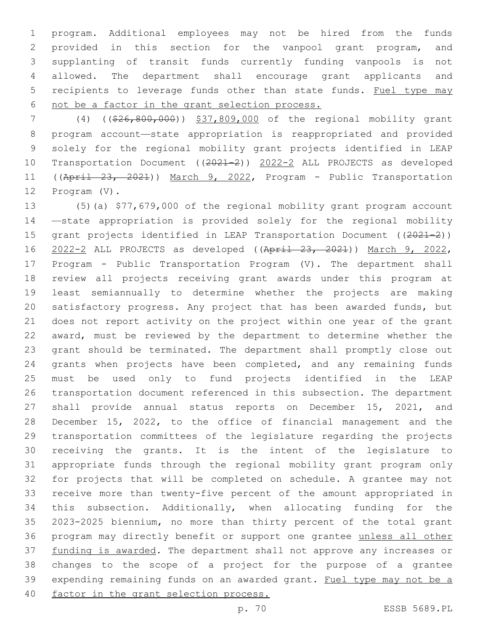program. Additional employees may not be hired from the funds provided in this section for the vanpool grant program, and supplanting of transit funds currently funding vanpools is not allowed. The department shall encourage grant applicants and 5 recipients to leverage funds other than state funds. Fuel type may not be a factor in the grant selection process.

 (4) ((\$26,800,000)) \$37,809,000 of the regional mobility grant program account—state appropriation is reappropriated and provided solely for the regional mobility grant projects identified in LEAP Transportation Document ((2021-2)) 2022-2 ALL PROJECTS as developed ((April 23, 2021)) March 9, 2022, Program - Public Transportation 12 Program (V).

 (5)(a) \$77,679,000 of the regional mobility grant program account —state appropriation is provided solely for the regional mobility 15 grant projects identified in LEAP Transportation Document ((2021-2)) 2022-2 ALL PROJECTS as developed ((April 23, 2021)) March 9, 2022, Program - Public Transportation Program (V). The department shall review all projects receiving grant awards under this program at least semiannually to determine whether the projects are making satisfactory progress. Any project that has been awarded funds, but does not report activity on the project within one year of the grant award, must be reviewed by the department to determine whether the grant should be terminated. The department shall promptly close out grants when projects have been completed, and any remaining funds must be used only to fund projects identified in the LEAP transportation document referenced in this subsection. The department shall provide annual status reports on December 15, 2021, and December 15, 2022, to the office of financial management and the transportation committees of the legislature regarding the projects receiving the grants. It is the intent of the legislature to appropriate funds through the regional mobility grant program only for projects that will be completed on schedule. A grantee may not receive more than twenty-five percent of the amount appropriated in this subsection. Additionally, when allocating funding for the 2023-2025 biennium, no more than thirty percent of the total grant program may directly benefit or support one grantee unless all other funding is awarded. The department shall not approve any increases or changes to the scope of a project for the purpose of a grantee expending remaining funds on an awarded grant. Fuel type may not be a factor in the grant selection process.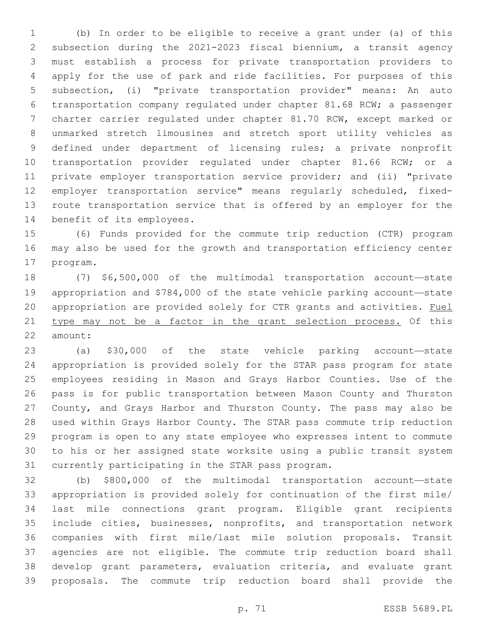(b) In order to be eligible to receive a grant under (a) of this subsection during the 2021-2023 fiscal biennium, a transit agency must establish a process for private transportation providers to apply for the use of park and ride facilities. For purposes of this subsection, (i) "private transportation provider" means: An auto transportation company regulated under chapter 81.68 RCW; a passenger charter carrier regulated under chapter 81.70 RCW, except marked or unmarked stretch limousines and stretch sport utility vehicles as defined under department of licensing rules; a private nonprofit transportation provider regulated under chapter 81.66 RCW; or a private employer transportation service provider; and (ii) "private employer transportation service" means regularly scheduled, fixed- route transportation service that is offered by an employer for the 14 benefit of its employees.

 (6) Funds provided for the commute trip reduction (CTR) program may also be used for the growth and transportation efficiency center 17 program.

 (7) \$6,500,000 of the multimodal transportation account—state appropriation and \$784,000 of the state vehicle parking account—state appropriation are provided solely for CTR grants and activities. Fuel type may not be a factor in the grant selection process. Of this 22 amount:

 (a) \$30,000 of the state vehicle parking account—state appropriation is provided solely for the STAR pass program for state employees residing in Mason and Grays Harbor Counties. Use of the pass is for public transportation between Mason County and Thurston County, and Grays Harbor and Thurston County. The pass may also be used within Grays Harbor County. The STAR pass commute trip reduction program is open to any state employee who expresses intent to commute to his or her assigned state worksite using a public transit system 31 currently participating in the STAR pass program.

 (b) \$800,000 of the multimodal transportation account—state appropriation is provided solely for continuation of the first mile/ last mile connections grant program. Eligible grant recipients include cities, businesses, nonprofits, and transportation network companies with first mile/last mile solution proposals. Transit agencies are not eligible. The commute trip reduction board shall develop grant parameters, evaluation criteria, and evaluate grant proposals. The commute trip reduction board shall provide the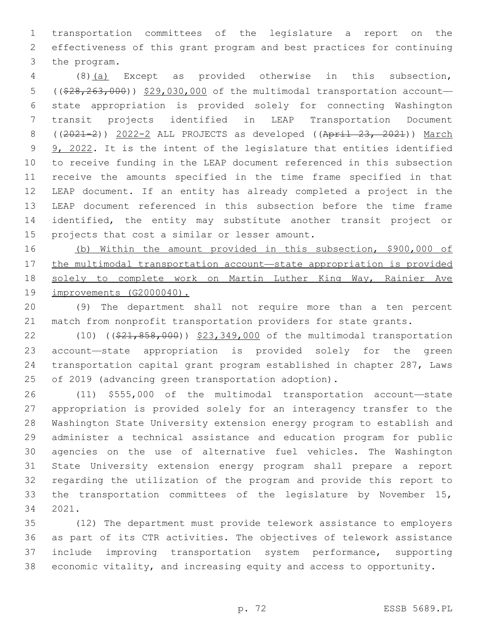transportation committees of the legislature a report on the effectiveness of this grant program and best practices for continuing 3 the program.

 (8)(a) Except as provided otherwise in this subsection, 5 ((\$28,263,000)) \$29,030,000 of the multimodal transportation account- state appropriation is provided solely for connecting Washington transit projects identified in LEAP Transportation Document ((2021-2)) 2022-2 ALL PROJECTS as developed ((April 23, 2021)) March 9 9, 2022. It is the intent of the legislature that entities identified to receive funding in the LEAP document referenced in this subsection receive the amounts specified in the time frame specified in that LEAP document. If an entity has already completed a project in the LEAP document referenced in this subsection before the time frame identified, the entity may substitute another transit project or 15 projects that cost a similar or lesser amount.

 (b) Within the amount provided in this subsection, \$900,000 of the multimodal transportation account—state appropriation is provided solely to complete work on Martin Luther King Way, Rainier Ave improvements (G2000040).

 (9) The department shall not require more than a ten percent match from nonprofit transportation providers for state grants.

22 (10) ((\$21,858,000)) \$23,349,000 of the multimodal transportation account—state appropriation is provided solely for the green transportation capital grant program established in chapter 287, Laws of 2019 (advancing green transportation adoption).

 (11) \$555,000 of the multimodal transportation account—state appropriation is provided solely for an interagency transfer to the Washington State University extension energy program to establish and administer a technical assistance and education program for public agencies on the use of alternative fuel vehicles. The Washington State University extension energy program shall prepare a report regarding the utilization of the program and provide this report to the transportation committees of the legislature by November 15, 2021.34

 (12) The department must provide telework assistance to employers as part of its CTR activities. The objectives of telework assistance include improving transportation system performance, supporting economic vitality, and increasing equity and access to opportunity.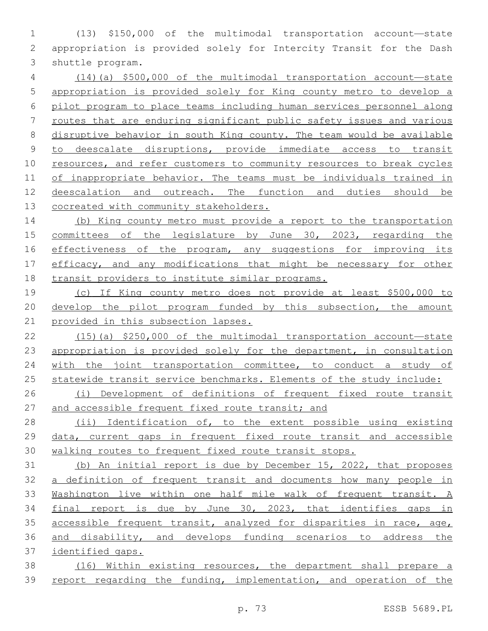(13) \$150,000 of the multimodal transportation account—state appropriation is provided solely for Intercity Transit for the Dash 3 shuttle program.

 (14)(a) \$500,000 of the multimodal transportation account—state appropriation is provided solely for King county metro to develop a pilot program to place teams including human services personnel along routes that are enduring significant public safety issues and various disruptive behavior in south King county. The team would be available to deescalate disruptions, provide immediate access to transit resources, and refer customers to community resources to break cycles of inappropriate behavior. The teams must be individuals trained in deescalation and outreach. The function and duties should be cocreated with community stakeholders.

14 (b) King county metro must provide a report to the transportation committees of the legislature by June 30, 2023, regarding the effectiveness of the program, any suggestions for improving its 17 efficacy, and any modifications that might be necessary for other 18 transit providers to institute similar programs.

 (c) If King county metro does not provide at least \$500,000 to develop the pilot program funded by this subsection, the amount provided in this subsection lapses.

 (15)(a) \$250,000 of the multimodal transportation account—state appropriation is provided solely for the department, in consultation 24 with the joint transportation committee, to conduct a study of statewide transit service benchmarks. Elements of the study include:

 (i) Development of definitions of frequent fixed route transit 27 and accessible frequent fixed route transit; and

 (ii) Identification of, to the extent possible using existing data, current gaps in frequent fixed route transit and accessible walking routes to frequent fixed route transit stops.

 (b) An initial report is due by December 15, 2022, that proposes 32 a definition of frequent transit and documents how many people in Washington live within one half mile walk of frequent transit. A 34 final report is due by June 30, 2023, that identifies gaps in accessible frequent transit, analyzed for disparities in race, age, and disability, and develops funding scenarios to address the identified gaps.

 (16) Within existing resources, the department shall prepare a report regarding the funding, implementation, and operation of the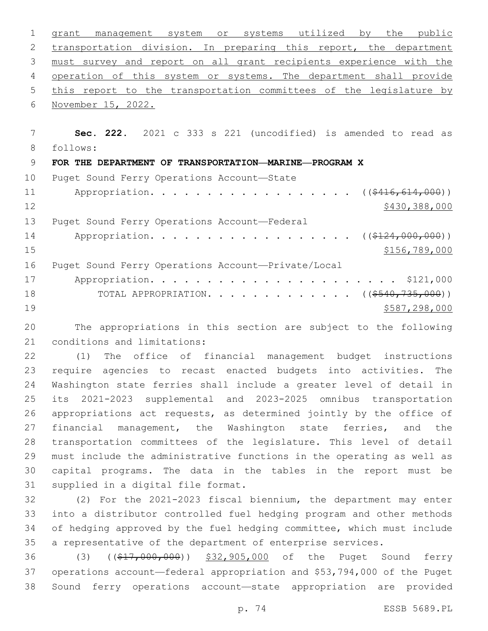grant management system or systems utilized by the public 2 transportation division. In preparing this report, the department must survey and report on all grant recipients experience with the 4 operation of this system or systems. The department shall provide 5 this report to the transportation committees of the legislature by 6 November 15, 2022. **Sec. 222.** 2021 c 333 s 221 (uncodified) is amended to read as 8 follows: **FOR THE DEPARTMENT OF TRANSPORTATION—MARINE—PROGRAM X** 10 Puget Sound Ferry Operations Account-State 11 Appropriation. . . . . . . . . . . . . . . . ( $(\frac{2416, 614, 000}{1})$ 12 \$430,388,000 13 Puget Sound Ferry Operations Account-Federal 14 Appropriation. . . . . . . . . . . . . . . . (  $(\frac{2124,000,000)}{}$ 

\$156,789,000

|    | 16 Puget Sound Ferry Operations Account-Private/Local     |
|----|-----------------------------------------------------------|
|    |                                                           |
| 18 | TOTAL APPROPRIATION. $($ $($ $\frac{540}{735}$ , 000) $)$ |
| 19 | \$587,298,000                                             |

 The appropriations in this section are subject to the following 21 conditions and limitations:

 (1) The office of financial management budget instructions require agencies to recast enacted budgets into activities. The Washington state ferries shall include a greater level of detail in its 2021-2023 supplemental and 2023-2025 omnibus transportation appropriations act requests, as determined jointly by the office of 27 financial management, the Washington state ferries, and the transportation committees of the legislature. This level of detail must include the administrative functions in the operating as well as capital programs. The data in the tables in the report must be 31 supplied in a digital file format.

 (2) For the 2021-2023 fiscal biennium, the department may enter into a distributor controlled fuel hedging program and other methods of hedging approved by the fuel hedging committee, which must include a representative of the department of enterprise services.

36 (3) ((\$17,000,000)) \$32,905,000 of the Puget Sound ferry operations account—federal appropriation and \$53,794,000 of the Puget Sound ferry operations account—state appropriation are provided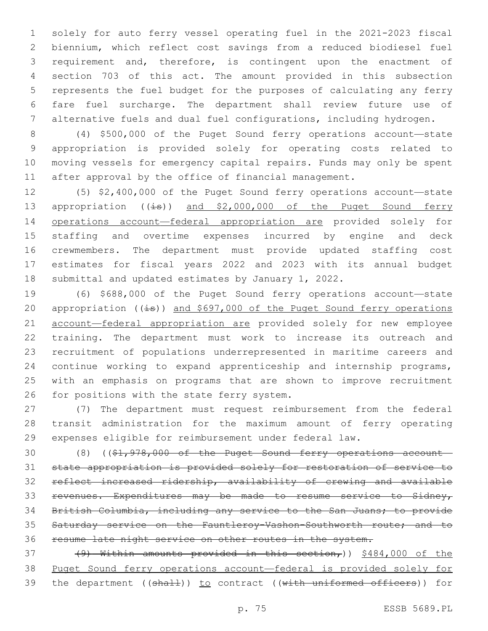solely for auto ferry vessel operating fuel in the 2021-2023 fiscal biennium, which reflect cost savings from a reduced biodiesel fuel requirement and, therefore, is contingent upon the enactment of section 703 of this act. The amount provided in this subsection represents the fuel budget for the purposes of calculating any ferry fare fuel surcharge. The department shall review future use of alternative fuels and dual fuel configurations, including hydrogen.

 (4) \$500,000 of the Puget Sound ferry operations account—state appropriation is provided solely for operating costs related to moving vessels for emergency capital repairs. Funds may only be spent after approval by the office of financial management.

 (5) \$2,400,000 of the Puget Sound ferry operations account—state 13 appropriation  $((\frac{1}{15}))$  and \$2,000,000 of the Puget Sound ferry operations account—federal appropriation are provided solely for staffing and overtime expenses incurred by engine and deck crewmembers. The department must provide updated staffing cost estimates for fiscal years 2022 and 2023 with its annual budget submittal and updated estimates by January 1, 2022.

 (6) \$688,000 of the Puget Sound ferry operations account—state 20 appropriation  $((\pm s))$  and \$697,000 of the Puget Sound ferry operations 21 account-federal appropriation are provided solely for new employee training. The department must work to increase its outreach and recruitment of populations underrepresented in maritime careers and continue working to expand apprenticeship and internship programs, with an emphasis on programs that are shown to improve recruitment 26 for positions with the state ferry system.

 (7) The department must request reimbursement from the federal transit administration for the maximum amount of ferry operating expenses eligible for reimbursement under federal law.

 (8) ((\$1,978,000 of the Puget Sound ferry operations account— state appropriation is provided solely for restoration of service to reflect increased ridership, availability of crewing and available revenues. Expenditures may be made to resume service to Sidney, British Columbia, including any service to the San Juans; to provide Saturday service on the Fauntleroy-Vashon-Southworth route; and to resume late night service on other routes in the system.

37  $(9)$  Within amounts provided in this section,))  $$484,000$  of the Puget Sound ferry operations account—federal is provided solely for 39 the department ((shall)) to contract ((with uniformed officers)) for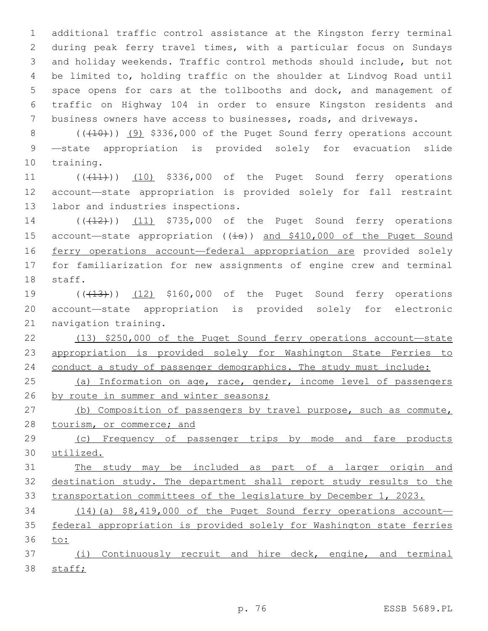additional traffic control assistance at the Kingston ferry terminal during peak ferry travel times, with a particular focus on Sundays and holiday weekends. Traffic control methods should include, but not be limited to, holding traffic on the shoulder at Lindvog Road until space opens for cars at the tollbooths and dock, and management of traffic on Highway 104 in order to ensure Kingston residents and business owners have access to businesses, roads, and driveways.

 $8$  ( $(\overline{+10})$ )  $(9)$  \$336,000 of the Puget Sound ferry operations account 9 —state appropriation is provided solely for evacuation slide 10 training.

11 (((11))) (10) \$336,000 of the Puget Sound ferry operations 12 account—state appropriation is provided solely for fall restraint 13 labor and industries inspections.

14 (( $(42)$ )) (11) \$735,000 of the Puget Sound ferry operations 15 account—state appropriation ((is)) and \$410,000 of the Puget Sound 16 ferry operations account—federal appropriation are provided solely 17 for familiarization for new assignments of engine crew and terminal 18 staff.

19  $((\text{+13})$  (12) \$160,000 of the Puget Sound ferry operations 20 account—state appropriation is provided solely for electronic 21 navigation training.

22 (13) \$250,000 of the Puget Sound ferry operations account—state 23 appropriation is provided solely for Washington State Ferries to 24 conduct a study of passenger demographics. The study must include:

25 (a) Information on age, race, gender, income level of passengers 26 by route in summer and winter seasons;

27 (b) Composition of passengers by travel purpose, such as commute, 28 tourism, or commerce; and

29 (c) Frequency of passenger trips by mode and fare products 30 utilized.

31 The study may be included as part of a larger origin and 32 destination study. The department shall report study results to the 33 transportation committees of the legislature by December 1, 2023.

34 (14)(a) \$8,419,000 of the Puget Sound ferry operations account— 35 federal appropriation is provided solely for Washington state ferries 36 to:

37 (i) Continuously recruit and hire deck, engine, and terminal 38 staff;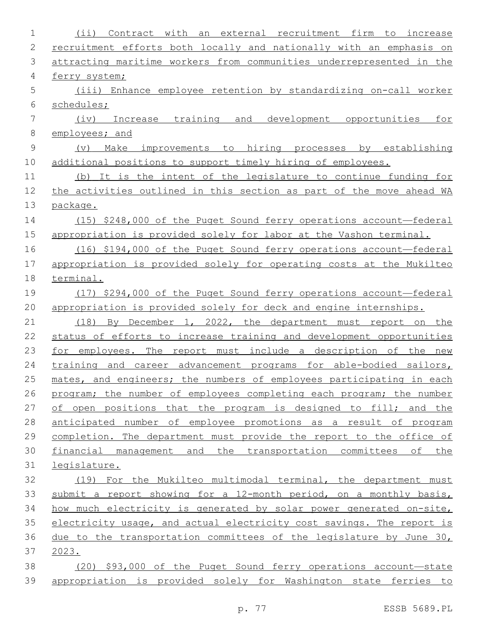| $\mathbf 1$   | recruitment firm to<br>$(i$ i)<br>Contract with<br>external<br>an<br>increase |
|---------------|-------------------------------------------------------------------------------|
| 2             | recruitment efforts both locally and nationally with an emphasis on           |
| 3             | attracting maritime workers from communities underrepresented in the          |
| 4             | ferry system;                                                                 |
| 5             | (iii) Enhance employee retention by standardizing on-call worker              |
| 6             | schedules;                                                                    |
| 7             | Increase training and<br>development opportunities<br>(iv)<br>for             |
| 8             | employees; and                                                                |
| $\mathcal{G}$ | Make improvements to hiring processes by establishing<br>(v)                  |
| 10            | additional positions to support timely hiring of employees.                   |
| 11            | (b) It is the intent of the legislature to continue funding for               |
| 12            | the activities outlined in this section as part of the move ahead WA          |
| 13            | package.                                                                      |
| 14            | $(15)$ \$248,000 of the Puget Sound ferry operations account-federal          |
| 15            | appropriation is provided solely for labor at the Vashon terminal.            |
| 16            | (16) \$194,000 of the Puget Sound ferry operations account-federal            |
| 17            | appropriation is provided solely for operating costs at the Mukilteo          |
| 18            | terminal.                                                                     |
| 19            | (17) \$294,000 of the Puget Sound ferry operations account-federal            |
| 20            | appropriation is provided solely for deck and engine internships.             |
| 21            | (18) By December 1, 2022, the department must report on the                   |
| 22            | status of efforts to increase training and development opportunities          |
| 23            | for employees. The report must include a description of the new               |
| 24            | training and career advancement programs for able-bodied sailors,             |
| 25            | mates, and engineers; the numbers of employees participating in each          |
| 26            | program; the number of employees completing each program; the number          |
| 27            | of open positions that the program is designed to fill; and the               |
| 28            | anticipated number of employee promotions as a result of program              |
| 29            | completion. The department must provide the report to the office of           |
| 30            | financial management and the transportation committees of the                 |
| 31            | legislature.                                                                  |
| 32            | (19) For the Mukilteo multimodal terminal, the department must                |
| 33            | submit a report showing for a 12-month period, on a monthly basis,            |
| 34            | how much electricity is generated by solar power generated on-site,           |
| 35            | electricity usage, and actual electricity cost savings. The report is         |
| 36            | due to the transportation committees of the legislature by June 30,           |
| 37            | 2023.                                                                         |
| 38            | (20) \$93,000 of the Puget Sound ferry operations account—state               |
| 39            | appropriation is provided solely for Washington state ferries to              |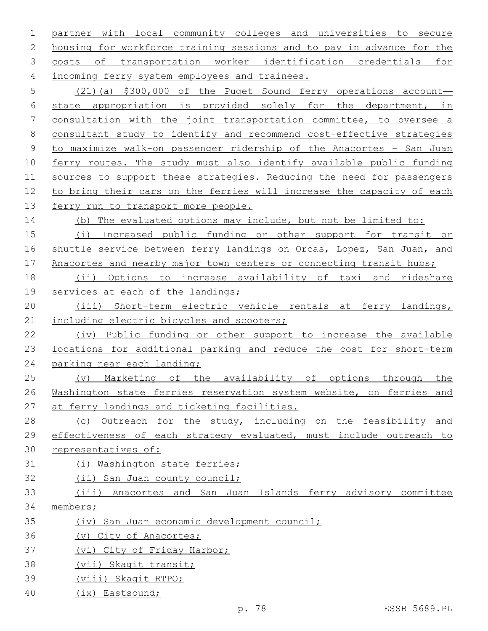partner with local community colleges and universities to secure housing for workforce training sessions and to pay in advance for the costs of transportation worker identification credentials for 4 incoming ferry system employees and trainees. (21)(a) \$300,000 of the Puget Sound ferry operations account— state appropriation is provided solely for the department, in consultation with the joint transportation committee, to oversee a consultant study to identify and recommend cost-effective strategies to maximize walk-on passenger ridership of the Anacortes – San Juan ferry routes. The study must also identify available public funding 11 sources to support these strategies. Reducing the need for passengers to bring their cars on the ferries will increase the capacity of each ferry run to transport more people. (b) The evaluated options may include, but not be limited to: (i) Increased public funding or other support for transit or shuttle service between ferry landings on Orcas, Lopez, San Juan, and 17 Anacortes and nearby major town centers or connecting transit hubs; (ii) Options to increase availability of taxi and rideshare 19 services at each of the landings; (iii) Short-term electric vehicle rentals at ferry landings, 21 including electric bicycles and scooters; (iv) Public funding or other support to increase the available locations for additional parking and reduce the cost for short-term parking near each landing; (v) Marketing of the availability of options through the Washington state ferries reservation system website, on ferries and 27 at ferry landings and ticketing facilities. 28 (c) Outreach for the study, including on the feasibility and effectiveness of each strategy evaluated, must include outreach to representatives of: (i) Washington state ferries; (ii) San Juan county council; (iii) Anacortes and San Juan Islands ferry advisory committee members; (iv) San Juan economic development council; (v) City of Anacortes; (vi) City of Friday Harbor; (vii) Skagit transit; (viii) Skagit RTPO; (ix) Eastsound;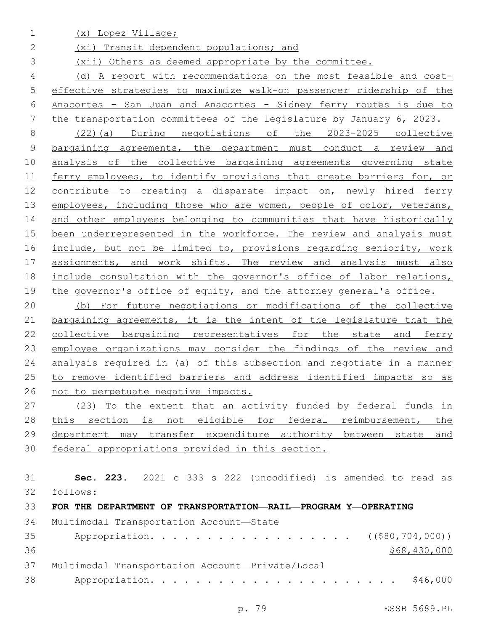(x) Lopez Village;

(xi) Transit dependent populations; and

(xii) Others as deemed appropriate by the committee.

 (d) A report with recommendations on the most feasible and cost- effective strategies to maximize walk-on passenger ridership of the Anacortes – San Juan and Anacortes - Sidney ferry routes is due to the transportation committees of the legislature by January 6, 2023.

 (22)(a) During negotiations of the 2023-2025 collective bargaining agreements, the department must conduct a review and analysis of the collective bargaining agreements governing state ferry employees, to identify provisions that create barriers for, or contribute to creating a disparate impact on, newly hired ferry 13 employees, including those who are women, people of color, veterans, 14 and other employees belonging to communities that have historically been underrepresented in the workforce. The review and analysis must 16 include, but not be limited to, provisions regarding seniority, work assignments, and work shifts. The review and analysis must also include consultation with the governor's office of labor relations, 19 the governor's office of equity, and the attorney general's office.

 (b) For future negotiations or modifications of the collective 21 bargaining agreements, it is the intent of the legislature that the collective bargaining representatives for the state and ferry employee organizations may consider the findings of the review and analysis required in (a) of this subsection and negotiate in a manner to remove identified barriers and address identified impacts so as not to perpetuate negative impacts.

 (23) To the extent that an activity funded by federal funds in 28 this section is not eligible for federal reimbursement, the department may transfer expenditure authority between state and federal appropriations provided in this section.

 **Sec. 223.** 2021 c 333 s 222 (uncodified) is amended to read as follows: 32 **FOR THE DEPARTMENT OF TRANSPORTATION—RAIL—PROGRAM Y—OPERATING** 34 Multimodal Transportation Account-State Appropriation. . . . . . . . . . . . . . . . ( $(\frac{280, 704, 000}{500})$  \$68,430,000 37 Multimodal Transportation Account—Private/Local Appropriation. . . . . . . . . . . . . . . . . . . . . . \$46,000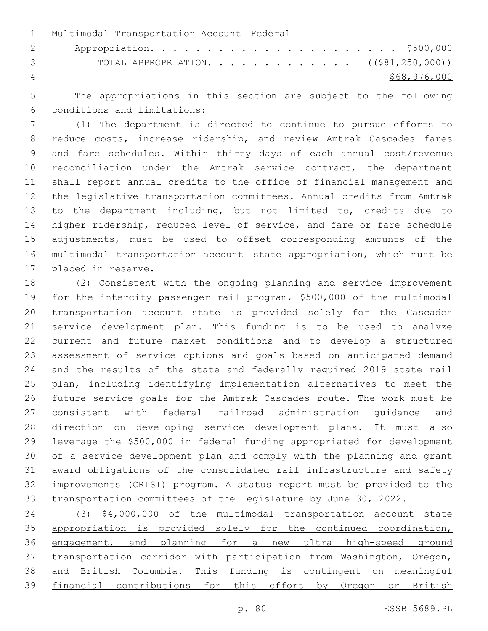1 Multimodal Transportation Account-Federal Appropriation. . . . . . . . . . . . . . . . . . . . . . \$500,000 3 TOTAL APPROPRIATION. . . . . . . . . . . . . ((\$81,250,000)) \$68,976,000

 The appropriations in this section are subject to the following conditions and limitations:6

 (1) The department is directed to continue to pursue efforts to reduce costs, increase ridership, and review Amtrak Cascades fares and fare schedules. Within thirty days of each annual cost/revenue 10 reconciliation under the Amtrak service contract, the department shall report annual credits to the office of financial management and the legislative transportation committees. Annual credits from Amtrak to the department including, but not limited to, credits due to higher ridership, reduced level of service, and fare or fare schedule adjustments, must be used to offset corresponding amounts of the multimodal transportation account—state appropriation, which must be 17 placed in reserve.

 (2) Consistent with the ongoing planning and service improvement for the intercity passenger rail program, \$500,000 of the multimodal transportation account—state is provided solely for the Cascades service development plan. This funding is to be used to analyze current and future market conditions and to develop a structured assessment of service options and goals based on anticipated demand and the results of the state and federally required 2019 state rail plan, including identifying implementation alternatives to meet the future service goals for the Amtrak Cascades route. The work must be consistent with federal railroad administration guidance and direction on developing service development plans. It must also leverage the \$500,000 in federal funding appropriated for development of a service development plan and comply with the planning and grant award obligations of the consolidated rail infrastructure and safety improvements (CRISI) program. A status report must be provided to the transportation committees of the legislature by June 30, 2022.

 (3) \$4,000,000 of the multimodal transportation account—state 35 appropriation is provided solely for the continued coordination, engagement, and planning for a new ultra high-speed ground transportation corridor with participation from Washington, Oregon, and British Columbia. This funding is contingent on meaningful 39 financial contributions for this effort by Oregon or British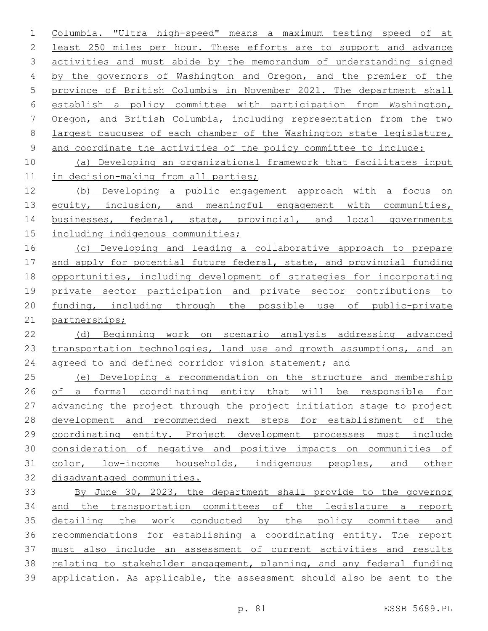Columbia. "Ultra high-speed" means a maximum testing speed of at least 250 miles per hour. These efforts are to support and advance activities and must abide by the memorandum of understanding signed by the governors of Washington and Oregon, and the premier of the province of British Columbia in November 2021. The department shall establish a policy committee with participation from Washington, Oregon, and British Columbia, including representation from the two largest caucuses of each chamber of the Washington state legislature, 9 and coordinate the activities of the policy committee to include: (a) Developing an organizational framework that facilitates input in decision-making from all parties; (b) Developing a public engagement approach with a focus on 13 equity, inclusion, and meaningful engagement with communities, 14 businesses, federal, state, provincial, and local governments including indigenous communities; 16 (c) Developing and leading a collaborative approach to prepare 17 and apply for potential future federal, state, and provincial funding opportunities, including development of strategies for incorporating private sector participation and private sector contributions to funding, including through the possible use of public-private partnerships; (d) Beginning work on scenario analysis addressing advanced transportation technologies, land use and growth assumptions, and an agreed to and defined corridor vision statement; and (e) Developing a recommendation on the structure and membership of a formal coordinating entity that will be responsible for advancing the project through the project initiation stage to project development and recommended next steps for establishment of the coordinating entity. Project development processes must include consideration of negative and positive impacts on communities of color, low-income households, indigenous peoples, and other disadvantaged communities. By June 30, 2023, the department shall provide to the governor and the transportation committees of the legislature a report detailing the work conducted by the policy committee and recommendations for establishing a coordinating entity. The report must also include an assessment of current activities and results relating to stakeholder engagement, planning, and any federal funding application. As applicable, the assessment should also be sent to the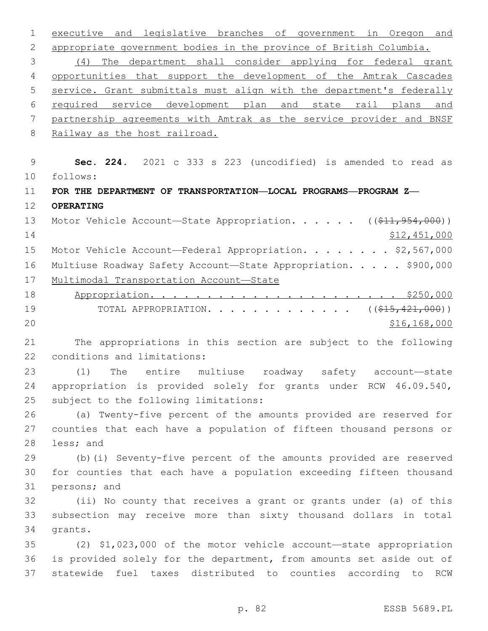executive and legislative branches of government in Oregon and appropriate government bodies in the province of British Columbia. (4) The department shall consider applying for federal grant 4 opportunities that support the development of the Amtrak Cascades service. Grant submittals must align with the department's federally required service development plan and state rail plans and partnership agreements with Amtrak as the service provider and BNSF 8 Railway as the host railroad. **Sec. 224.** 2021 c 333 s 223 (uncodified) is amended to read as follows: 10 **FOR THE DEPARTMENT OF TRANSPORTATION—LOCAL PROGRAMS—PROGRAM Z— OPERATING** 13 Motor Vehicle Account—State Appropriation. . . . . ((\$11,954,000)) 14 \$12,451,000 15 Motor Vehicle Account—Federal Appropriation. . . . . . . \$2,567,000 Multiuse Roadway Safety Account—State Appropriation. . . . . \$900,000 Multimodal Transportation Account—State Appropriation. . . . . . . . . . . . . . . . . . . . . . \$250,000 19 TOTAL APPROPRIATION. . . . . . . . . . . . ((<del>\$15,421,000</del>))  $20 \hspace{1.5cm}$  \$16,168,000 The appropriations in this section are subject to the following 22 conditions and limitations: (1) The entire multiuse roadway safety account—state appropriation is provided solely for grants under RCW 46.09.540, 25 subject to the following limitations: (a) Twenty-five percent of the amounts provided are reserved for counties that each have a population of fifteen thousand persons or 28 less; and (b)(i) Seventy-five percent of the amounts provided are reserved for counties that each have a population exceeding fifteen thousand 31 persons; and (ii) No county that receives a grant or grants under (a) of this subsection may receive more than sixty thousand dollars in total 34 grants. (2) \$1,023,000 of the motor vehicle account—state appropriation is provided solely for the department, from amounts set aside out of statewide fuel taxes distributed to counties according to RCW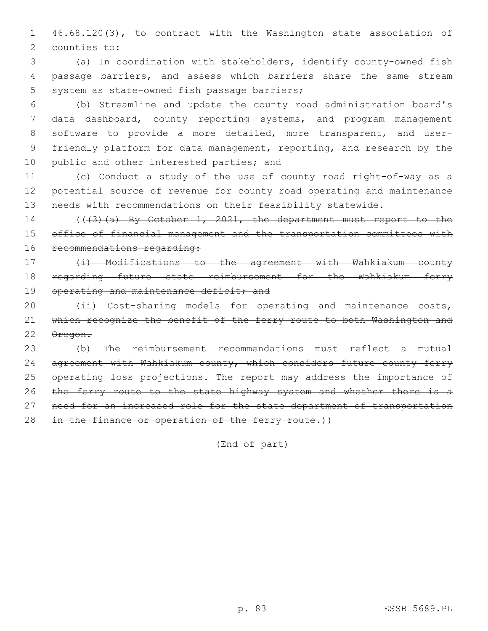1 46.68.120(3), to contract with the Washington state association of 2 counties to:

3 (a) In coordination with stakeholders, identify county-owned fish 4 passage barriers, and assess which barriers share the same stream 5 system as state-owned fish passage barriers;

 (b) Streamline and update the county road administration board's data dashboard, county reporting systems, and program management software to provide a more detailed, more transparent, and user- friendly platform for data management, reporting, and research by the 10 public and other interested parties; and

11 (c) Conduct a study of the use of county road right-of-way as a 12 potential source of revenue for county road operating and maintenance 13 needs with recommendations on their feasibility statewide.

14 (((3)(a) By October 1, 2021, the department must report to the 15 office of financial management and the transportation committees with 16 recommendations regarding:

17 (i) Modifications to the agreement with Wahkiakum county 18 regarding future state reimbursement for the Wahkiakum ferry 19 operating and maintenance deficit; and

20  $(iii)$  Cost-sharing models for operating and maintenance costs, 21 which recognize the benefit of the ferry route to both Washington and 22 Oregon.

23 (b) The reimbursement recommendations must reflect a mutual 24 agreement with Wahkiakum county, which considers future county ferry 25 operating loss projections. The report may address the importance of 26 the ferry route to the state highway system and whether there is a 27 need for an increased role for the state department of transportation 28 in the finance or operation of the ferry route.))

(End of part)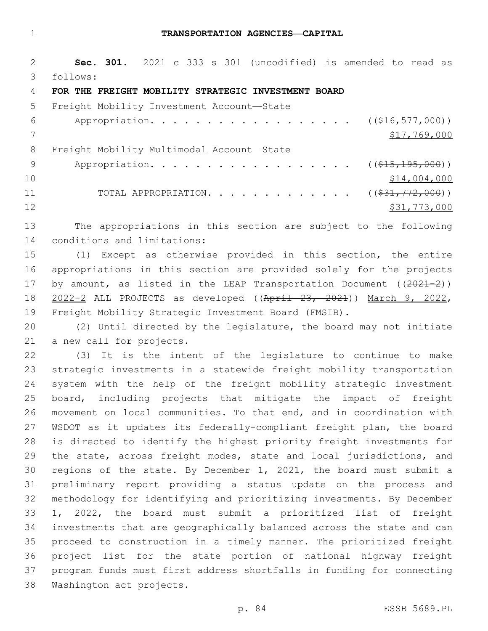## **TRANSPORTATION AGENCIES—CAPITAL**

 **Sec. 301.** 2021 c 333 s 301 (uncodified) is amended to read as follows: 3

## **FOR THE FREIGHT MOBILITY STRATEGIC INVESTMENT BOARD**

| 5.  | Freight Mobility Investment Account-State                             |              |
|-----|-----------------------------------------------------------------------|--------------|
| 6   | Appropriation. ((\$16,577,000))                                       |              |
|     |                                                                       | \$17,769,000 |
| 8   | Freight Mobility Multimodal Account-State                             |              |
| - 9 | Appropriation. ( $(\frac{15}{15}, \frac{195}{195}, \frac{000}{10})$ ) |              |
| 10  |                                                                       | \$14,004,000 |
| 11  | TOTAL APPROPRIATION. ( $(\frac{231}{772,000})$ )                      |              |
| 12  |                                                                       | \$31,773,000 |

 The appropriations in this section are subject to the following 14 conditions and limitations:

 (1) Except as otherwise provided in this section, the entire appropriations in this section are provided solely for the projects 17 by amount, as listed in the LEAP Transportation Document  $((2021-2))$  2022-2 ALL PROJECTS as developed ((April 23, 2021)) March 9, 2022, Freight Mobility Strategic Investment Board (FMSIB).

 (2) Until directed by the legislature, the board may not initiate 21 a new call for projects.

 (3) It is the intent of the legislature to continue to make strategic investments in a statewide freight mobility transportation system with the help of the freight mobility strategic investment board, including projects that mitigate the impact of freight movement on local communities. To that end, and in coordination with WSDOT as it updates its federally-compliant freight plan, the board is directed to identify the highest priority freight investments for 29 the state, across freight modes, state and local jurisdictions, and regions of the state. By December 1, 2021, the board must submit a preliminary report providing a status update on the process and methodology for identifying and prioritizing investments. By December 1, 2022, the board must submit a prioritized list of freight investments that are geographically balanced across the state and can proceed to construction in a timely manner. The prioritized freight project list for the state portion of national highway freight program funds must first address shortfalls in funding for connecting 38 Washington act projects.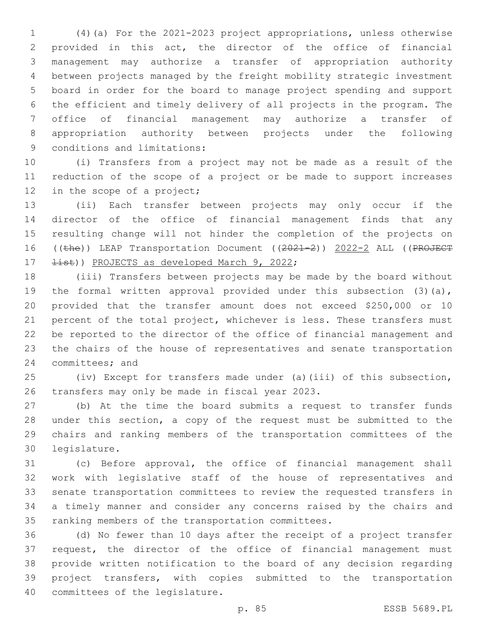(4)(a) For the 2021-2023 project appropriations, unless otherwise provided in this act, the director of the office of financial management may authorize a transfer of appropriation authority between projects managed by the freight mobility strategic investment board in order for the board to manage project spending and support the efficient and timely delivery of all projects in the program. The office of financial management may authorize a transfer of appropriation authority between projects under the following 9 conditions and limitations:

 (i) Transfers from a project may not be made as a result of the reduction of the scope of a project or be made to support increases 12 in the scope of a project;

 (ii) Each transfer between projects may only occur if the director of the office of financial management finds that any resulting change will not hinder the completion of the projects on 16 ((the)) LEAP Transportation Document ((2021-2)) 2022-2 ALL ((PROJECT  $\pm i$ st)) PROJECTS as developed March 9, 2022;

 (iii) Transfers between projects may be made by the board without 19 the formal written approval provided under this subsection (3)(a), provided that the transfer amount does not exceed \$250,000 or 10 percent of the total project, whichever is less. These transfers must be reported to the director of the office of financial management and the chairs of the house of representatives and senate transportation 24 committees; and

 (iv) Except for transfers made under (a)(iii) of this subsection, 26 transfers may only be made in fiscal year 2023.

 (b) At the time the board submits a request to transfer funds under this section, a copy of the request must be submitted to the chairs and ranking members of the transportation committees of the 30 legislature.

 (c) Before approval, the office of financial management shall work with legislative staff of the house of representatives and senate transportation committees to review the requested transfers in a timely manner and consider any concerns raised by the chairs and 35 ranking members of the transportation committees.

 (d) No fewer than 10 days after the receipt of a project transfer request, the director of the office of financial management must provide written notification to the board of any decision regarding project transfers, with copies submitted to the transportation 40 committees of the legislature.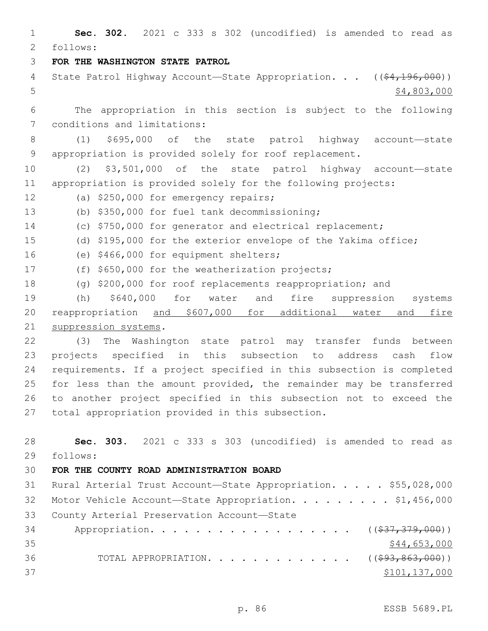1 **Sec. 302.** 2021 c 333 s 302 (uncodified) is amended to read as follows: 2 3 **FOR THE WASHINGTON STATE PATROL** 4 State Patrol Highway Account—State Appropriation. . . ((\$4,196,000))  $5 - 5$  \$4,803,000 6 The appropriation in this section is subject to the following 7 conditions and limitations: 8 (1) \$695,000 of the state patrol highway account—state 9 appropriation is provided solely for roof replacement. 10 (2) \$3,501,000 of the state patrol highway account—state 11 appropriation is provided solely for the following projects: 12 (a) \$250,000 for emergency repairs; (b) \$350,000 for fuel tank decommissioning;13 14 (c) \$750,000 for generator and electrical replacement; 15 (d) \$195,000 for the exterior envelope of the Yakima office; 16 (e) \$466,000 for equipment shelters; 17 (f) \$650,000 for the weatherization projects; 18 (g) \$200,000 for roof replacements reappropriation; and 19 (h) \$640,000 for water and fire suppression systems 20 reappropriation and \$607,000 for additional water and fire 21 suppression systems. 22 (3) The Washington state patrol may transfer funds between 23 projects specified in this subsection to address cash flow 24 requirements. If a project specified in this subsection is completed 25 for less than the amount provided, the remainder may be transferred 26 to another project specified in this subsection not to exceed the 27 total appropriation provided in this subsection. 28 **Sec. 303.** 2021 c 333 s 303 (uncodified) is amended to read as follows: 29 30 **FOR THE COUNTY ROAD ADMINISTRATION BOARD** 31 Rural Arterial Trust Account—State Appropriation. . . . . \$55,028,000 32 Motor Vehicle Account-State Appropriation. . . . . . . . \$1,456,000 33 County Arterial Preservation Account-State 34 Appropriation. . . . . . . . . . . . . . . . . (  $(\frac{237}{37}, \frac{379}{900})$  )  $35$  \$44,653,000 36 TOTAL APPROPRIATION. . . . . . . . . . . . . ((\$93,863,000))  $37$   $$101,137,000$ 

p. 86 ESSB 5689.PL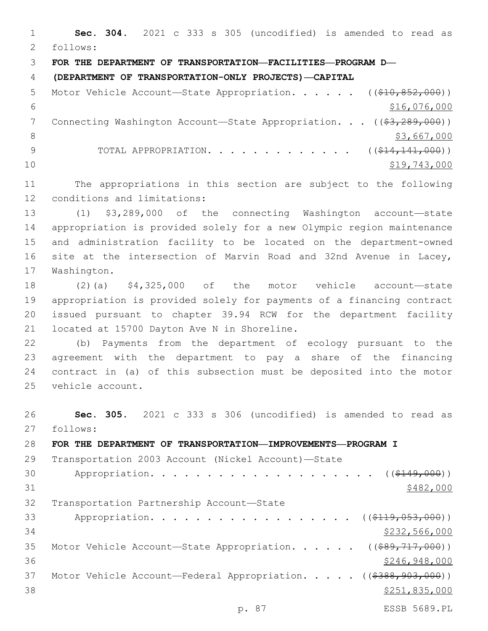**Sec. 304.** 2021 c 333 s 305 (uncodified) is amended to read as follows: 2 **FOR THE DEPARTMENT OF TRANSPORTATION—FACILITIES—PROGRAM D— (DEPARTMENT OF TRANSPORTATION-ONLY PROJECTS)—CAPITAL** 5 Motor Vehicle Account—State Appropriation. . . . . ((\$10,852,000))  $$16,076,000$ 7 Connecting Washington Account—State Appropriation. . . ((\$3,289,000))  $\frac{1}{3}$ ,667,000 9 TOTAL APPROPRIATION. . . . . . . . . . . . ((\$14,141,000)) \$19,743,000 The appropriations in this section are subject to the following 12 conditions and limitations: (1) \$3,289,000 of the connecting Washington account—state appropriation is provided solely for a new Olympic region maintenance and administration facility to be located on the department-owned site at the intersection of Marvin Road and 32nd Avenue in Lacey, 17 Washington. (2)(a) \$4,325,000 of the motor vehicle account—state appropriation is provided solely for payments of a financing contract issued pursuant to chapter 39.94 RCW for the department facility 21 located at 15700 Dayton Ave N in Shoreline. (b) Payments from the department of ecology pursuant to the agreement with the department to pay a share of the financing contract in (a) of this subsection must be deposited into the motor 25 vehicle account. **Sec. 305.** 2021 c 333 s 306 (uncodified) is amended to read as 27 follows: **FOR THE DEPARTMENT OF TRANSPORTATION—IMPROVEMENTS—PROGRAM I** Transportation 2003 Account (Nickel Account)—State

30 Appropriation. . . . . . . . . . . . . . . . . . (  $( $149,000)$  )  $$482,000$ 32 Transportation Partnership Account-State 33 Appropriation. . . . . . . . . . . . . . . . . ((\$119,053,000)) \$232,566,000 35 Motor Vehicle Account—State Appropriation. . . . . ((\$89,717,000))  $$246,948,000$ 37 Motor Vehicle Account—Federal Appropriation. . . . . ((\$388,903,000)) \$251,835,000 p. 87 ESSB 5689.PL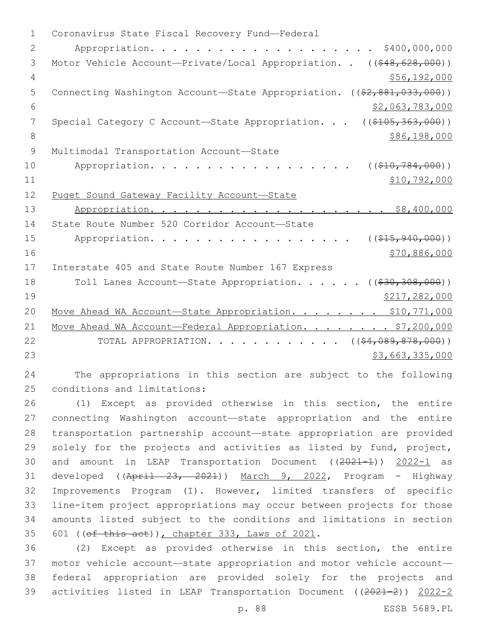1 Coronavirus State Fiscal Recovery Fund-Federal 2 Appropriation. . . . . . . . . . . . . . . . . . . . \$400,000,000 3 Motor Vehicle Account—Private/Local Appropriation. . ((\$48,628,000)) 4 \$56,192,000 5 Connecting Washington Account—State Appropriation. ((\$2,881,033,000))  $6$   $\frac{1}{2}$ ,063,783,000 7 Special Category C Account—State Appropriation. . . ((\$105,363,000)) 8 \$86,198,000 9 Multimodal Transportation Account-State 10 Appropriation. . . . . . . . . . . . . . . . ( $(\frac{210}{784}, \frac{784}{100})$ )  $11$  \$10,792,000 12 Puget Sound Gateway Facility Account—State 13 Appropriation. . . . . . . . . . . . . . . . . . \$8,400,000 14 State Route Number 520 Corridor Account-State 15 Appropriation. . . . . . . . . . . . . . . . . (  $(\frac{215,940,000}{s})$  $16$  \$70,886,000 17 Interstate 405 and State Route Number 167 Express 18 Toll Lanes Account—State Appropriation. . . . . ((\$30,308,000)) 19 \$217,282,000 20 Move Ahead WA Account-State Appropriation. . . . . . . \$10,771,000 21 Move Ahead WA Account-Federal Appropriation. . . . . . . \$7,200,000 22 TOTAL APPROPRIATION. . . . . . . . . . . ((\$4,089,878,000))  $23$   $53,663,335,000$ 

24 The appropriations in this section are subject to the following 25 conditions and limitations:

 (1) Except as provided otherwise in this section, the entire connecting Washington account—state appropriation and the entire transportation partnership account—state appropriation are provided solely for the projects and activities as listed by fund, project, 30 and amount in LEAP Transportation Document ((2021-1)) 2022-1 as developed ((April 23, 2021)) March 9, 2022, Program - Highway Improvements Program (I). However, limited transfers of specific line-item project appropriations may occur between projects for those amounts listed subject to the conditions and limitations in section 35 601 ((of this act)), chapter 333, Laws of 2021.

 (2) Except as provided otherwise in this section, the entire motor vehicle account—state appropriation and motor vehicle account— federal appropriation are provided solely for the projects and activities listed in LEAP Transportation Document ((2021-2)) 2022-2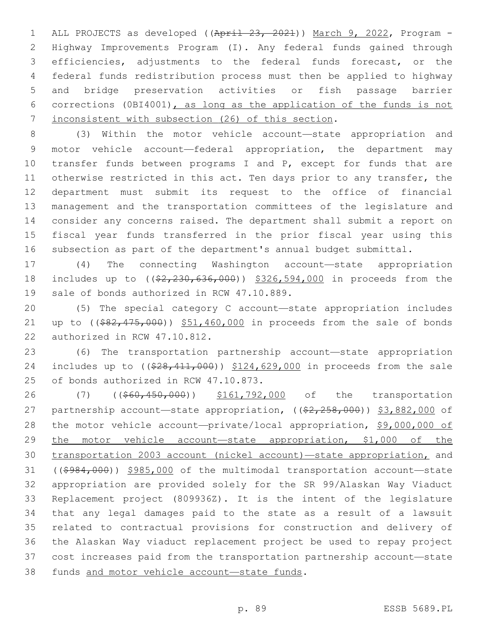ALL PROJECTS as developed ((April 23, 2021)) March 9, 2022, Program - Highway Improvements Program (I). Any federal funds gained through efficiencies, adjustments to the federal funds forecast, or the federal funds redistribution process must then be applied to highway and bridge preservation activities or fish passage barrier corrections (0BI4001), as long as the application of the funds is not 7 inconsistent with subsection (26) of this section.

 (3) Within the motor vehicle account—state appropriation and motor vehicle account—federal appropriation, the department may 10 transfer funds between programs I and P, except for funds that are 11 otherwise restricted in this act. Ten days prior to any transfer, the department must submit its request to the office of financial management and the transportation committees of the legislature and consider any concerns raised. The department shall submit a report on fiscal year funds transferred in the prior fiscal year using this subsection as part of the department's annual budget submittal.

 (4) The connecting Washington account—state appropriation 18 includes up to ( $(\frac{2}{2}, \frac{230}{636}, \frac{000}{636})$ ) \$326,594,000 in proceeds from the 19 sale of bonds authorized in RCW 47.10.889.

 (5) The special category C account—state appropriation includes 21 up to ((\$82,475,000)) \$51,460,000 in proceeds from the sale of bonds 22 authorized in RCW 47.10.812.

 (6) The transportation partnership account—state appropriation 24 includes up to ((\$28,411,000)) \$124,629,000 in proceeds from the sale 25 of bonds authorized in RCW 47.10.873.

26 (7) ((\$60,450,000)) \$161,792,000 of the transportation 27 partnership account—state appropriation,  $((\$2,258,000)$ ) \$3,882,000 of the motor vehicle account—private/local appropriation, \$9,000,000 of 29 the motor vehicle account-state appropriation, \$1,000 of the transportation 2003 account (nickel account)—state appropriation, and ((\$984,000)) \$985,000 of the multimodal transportation account—state appropriation are provided solely for the SR 99/Alaskan Way Viaduct Replacement project (809936Z). It is the intent of the legislature that any legal damages paid to the state as a result of a lawsuit related to contractual provisions for construction and delivery of the Alaskan Way viaduct replacement project be used to repay project cost increases paid from the transportation partnership account—state 38 funds and motor vehicle account-state funds.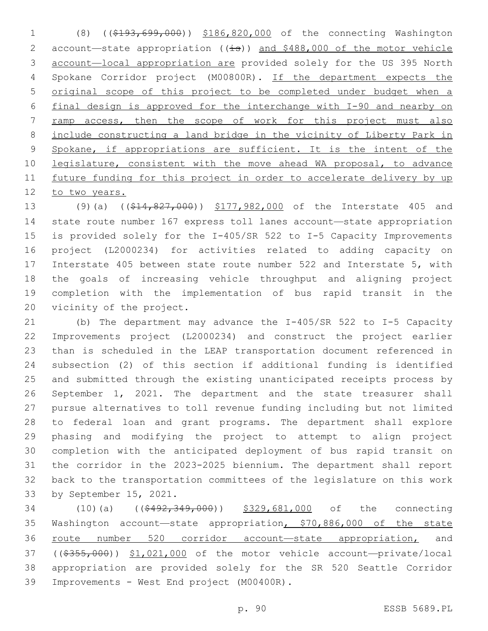(8) ((\$193,699,000)) \$186,820,000 of the connecting Washington 2 account-state appropriation ((is)) and \$488,000 of the motor vehicle account—local appropriation are provided solely for the US 395 North Spokane Corridor project (M00800R). If the department expects the original scope of this project to be completed under budget when a final design is approved for the interchange with I-90 and nearby on ramp access, then the scope of work for this project must also include constructing a land bridge in the vicinity of Liberty Park in 9 Spokane, if appropriations are sufficient. It is the intent of the 10 legislature, consistent with the move ahead WA proposal, to advance future funding for this project in order to accelerate delivery by up 12 to two years.

13 (9)(a) ((\$14,827,000)) \$177,982,000 of the Interstate 405 and state route number 167 express toll lanes account—state appropriation is provided solely for the I-405/SR 522 to I-5 Capacity Improvements project (L2000234) for activities related to adding capacity on Interstate 405 between state route number 522 and Interstate 5, with the goals of increasing vehicle throughput and aligning project completion with the implementation of bus rapid transit in the 20 vicinity of the project.

 (b) The department may advance the I-405/SR 522 to I-5 Capacity Improvements project (L2000234) and construct the project earlier than is scheduled in the LEAP transportation document referenced in subsection (2) of this section if additional funding is identified and submitted through the existing unanticipated receipts process by September 1, 2021. The department and the state treasurer shall pursue alternatives to toll revenue funding including but not limited to federal loan and grant programs. The department shall explore phasing and modifying the project to attempt to align project completion with the anticipated deployment of bus rapid transit on the corridor in the 2023-2025 biennium. The department shall report back to the transportation committees of the legislature on this work 33 by September 15, 2021.

34 (10)(a) ((\$492,349,000)) \$329,681,000 of the connecting Washington account—state appropriation, \$70,886,000 of the state 36 route number 520 corridor account—state appropriation, and ((\$355,000)) \$1,021,000 of the motor vehicle account—private/local appropriation are provided solely for the SR 520 Seattle Corridor 39 Improvements - West End project (M00400R).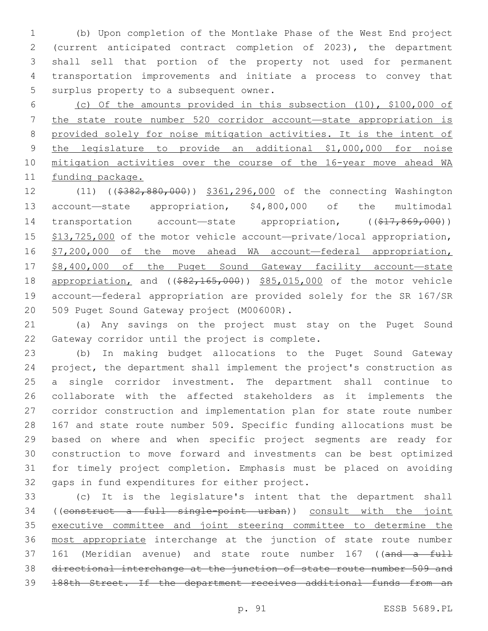(b) Upon completion of the Montlake Phase of the West End project (current anticipated contract completion of 2023), the department shall sell that portion of the property not used for permanent transportation improvements and initiate a process to convey that 5 surplus property to a subsequent owner.

 (c) Of the amounts provided in this subsection (10), \$100,000 of the state route number 520 corridor account—state appropriation is provided solely for noise mitigation activities. It is the intent of the legislature to provide an additional \$1,000,000 for noise mitigation activities over the course of the 16-year move ahead WA 11 funding package.

12 (11) ((\$382,880,000)) \$361,296,000 of the connecting Washington account—state appropriation, \$4,800,000 of the multimodal 14 transportation account-state appropriation, ((\$17,869,000)) 15 \$13,725,000 of the motor vehicle account-private/local appropriation, 16 \$7,200,000 of the move ahead WA account—federal appropriation, \$8,400,000 of the Puget Sound Gateway facility account—state 18 appropriation, and ((\$82,165,000)) \$85,015,000 of the motor vehicle account—federal appropriation are provided solely for the SR 167/SR 20 509 Puget Sound Gateway project (M00600R).

 (a) Any savings on the project must stay on the Puget Sound 22 Gateway corridor until the project is complete.

 (b) In making budget allocations to the Puget Sound Gateway project, the department shall implement the project's construction as a single corridor investment. The department shall continue to collaborate with the affected stakeholders as it implements the corridor construction and implementation plan for state route number 167 and state route number 509. Specific funding allocations must be based on where and when specific project segments are ready for construction to move forward and investments can be best optimized for timely project completion. Emphasis must be placed on avoiding 32 gaps in fund expenditures for either project.

 (c) It is the legislature's intent that the department shall ((construct a full single-point urban)) consult with the joint executive committee and joint steering committee to determine the most appropriate interchange at the junction of state route number 37 161 (Meridian avenue) and state route number 167 ((and a full directional interchange at the junction of state route number 509 and 188th Street. If the department receives additional funds from an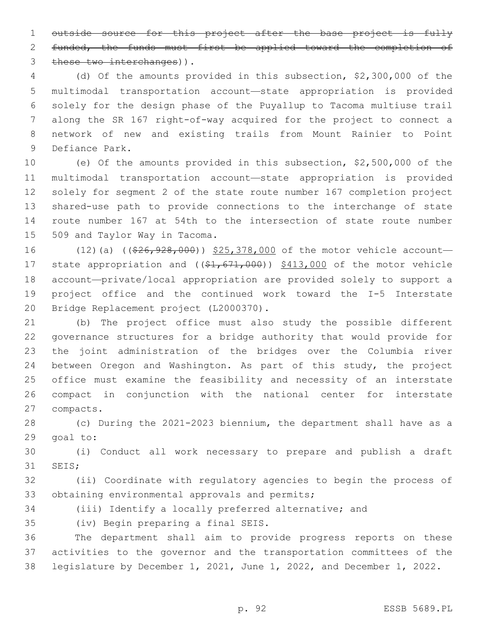outside source for this project after the base project is fully 2 funded, the funds must first be applied toward the completion of 3 these two interchanges)).

 (d) Of the amounts provided in this subsection, \$2,300,000 of the multimodal transportation account—state appropriation is provided solely for the design phase of the Puyallup to Tacoma multiuse trail along the SR 167 right-of-way acquired for the project to connect a network of new and existing trails from Mount Rainier to Point 9 Defiance Park.

 (e) Of the amounts provided in this subsection, \$2,500,000 of the multimodal transportation account—state appropriation is provided solely for segment 2 of the state route number 167 completion project shared-use path to provide connections to the interchange of state route number 167 at 54th to the intersection of state route number 15 509 and Taylor Way in Tacoma.

16 (12)(a) (( $\frac{26}{7}$ ,  $\frac{928}{100}$ ) \$25,378,000 of the motor vehicle account-17 state appropriation and ((\$1,671,000)) \$413,000 of the motor vehicle account—private/local appropriation are provided solely to support a project office and the continued work toward the I-5 Interstate 20 Bridge Replacement project (L2000370).

 (b) The project office must also study the possible different governance structures for a bridge authority that would provide for the joint administration of the bridges over the Columbia river between Oregon and Washington. As part of this study, the project office must examine the feasibility and necessity of an interstate compact in conjunction with the national center for interstate 27 compacts.

 (c) During the 2021-2023 biennium, the department shall have as a 29 goal to:

 (i) Conduct all work necessary to prepare and publish a draft 31 SEIS;

 (ii) Coordinate with regulatory agencies to begin the process of 33 obtaining environmental approvals and permits;

(iii) Identify a locally preferred alternative; and

35 (iv) Begin preparing a final SEIS.

 The department shall aim to provide progress reports on these activities to the governor and the transportation committees of the legislature by December 1, 2021, June 1, 2022, and December 1, 2022.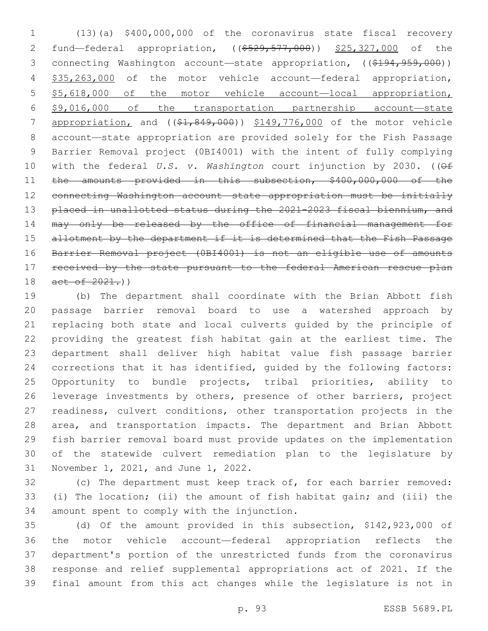(13)(a) \$400,000,000 of the coronavirus state fiscal recovery 2 fund—federal appropriation, ((\$529,577,000)) \$25,327,000 of the 3 connecting Washington account—state appropriation, ((\$194,959,000)) \$35,263,000 of the motor vehicle account—federal appropriation, 5 \$5,618,000 of the motor vehicle account-local appropriation, \$9,016,000 of the transportation partnership account—state 7 appropriation, and ((\$1,849,000)) \$149,776,000 of the motor vehicle account—state appropriation are provided solely for the Fish Passage Barrier Removal project (0BI4001) with the intent of fully complying with the federal *U.S. v. Washington* court injunction by 2030. ((Of 11 the amounts provided in this subsection, \$400,000,000 of the connecting Washington account—state appropriation must be initially 13 placed in unallotted status during the 2021-2023 fiscal biennium, and may only be released by the office of financial management for 15 allotment by the department if it is determined that the Fish Passage Barrier Removal project (0BI4001) is not an eligible use of amounts 17 received by the state pursuant to the federal American rescue plan 18 act of 2021.)

 (b) The department shall coordinate with the Brian Abbott fish passage barrier removal board to use a watershed approach by replacing both state and local culverts guided by the principle of providing the greatest fish habitat gain at the earliest time. The department shall deliver high habitat value fish passage barrier corrections that it has identified, guided by the following factors: Opportunity to bundle projects, tribal priorities, ability to leverage investments by others, presence of other barriers, project readiness, culvert conditions, other transportation projects in the area, and transportation impacts. The department and Brian Abbott fish barrier removal board must provide updates on the implementation of the statewide culvert remediation plan to the legislature by 31 November 1, 2021, and June 1, 2022.

 (c) The department must keep track of, for each barrier removed: (i) The location; (ii) the amount of fish habitat gain; and (iii) the 34 amount spent to comply with the injunction.

 (d) Of the amount provided in this subsection, \$142,923,000 of the motor vehicle account—federal appropriation reflects the department's portion of the unrestricted funds from the coronavirus response and relief supplemental appropriations act of 2021. If the final amount from this act changes while the legislature is not in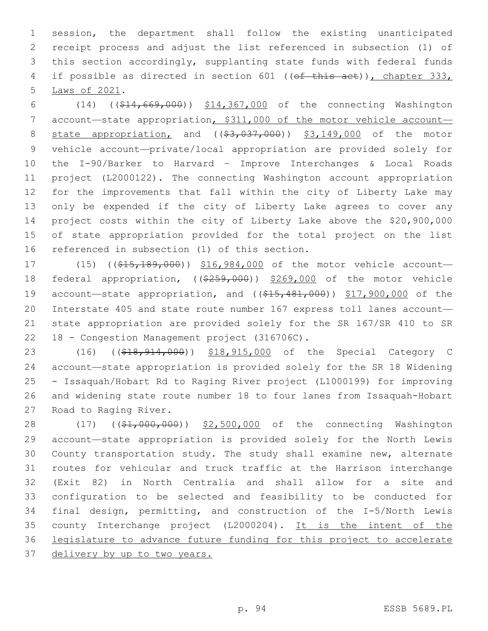session, the department shall follow the existing unanticipated receipt process and adjust the list referenced in subsection (1) of this section accordingly, supplanting state funds with federal funds 4 if possible as directed in section 601 ((of this act)), chapter 333, 5 Laws of 2021.

 (14) ((\$14,669,000)) \$14,367,000 of the connecting Washington 7 account—state appropriation, \$311,000 of the motor vehicle account— 8 state appropriation, and ((\$3,037,000)) \$3,149,000 of the motor vehicle account—private/local appropriation are provided solely for the I-90/Barker to Harvard – Improve Interchanges & Local Roads project (L2000122). The connecting Washington account appropriation for the improvements that fall within the city of Liberty Lake may only be expended if the city of Liberty Lake agrees to cover any project costs within the city of Liberty Lake above the \$20,900,000 of state appropriation provided for the total project on the list 16 referenced in subsection (1) of this section.

17 (15) ((\$15,189,000)) \$16,984,000 of the motor vehicle account- federal appropriation, ((\$259,000)) \$269,000 of the motor vehicle 19 account—state appropriation, and ((\$15,481,000)) \$17,900,000 of the Interstate 405 and state route number 167 express toll lanes account— state appropriation are provided solely for the SR 167/SR 410 to SR 22 18 - Congestion Management project (316706C).

23 (16) ((\$18,914,000)) \$18,915,000 of the Special Category C account—state appropriation is provided solely for the SR 18 Widening - Issaquah/Hobart Rd to Raging River project (L1000199) for improving and widening state route number 18 to four lanes from Issaquah-Hobart 27 Road to Raging River.

28 (17) ((\$1,000,000)) \$2,500,000 of the connecting Washington account—state appropriation is provided solely for the North Lewis County transportation study. The study shall examine new, alternate routes for vehicular and truck traffic at the Harrison interchange (Exit 82) in North Centralia and shall allow for a site and configuration to be selected and feasibility to be conducted for final design, permitting, and construction of the I-5/North Lewis county Interchange project (L2000204). It is the intent of the legislature to advance future funding for this project to accelerate delivery by up to two years.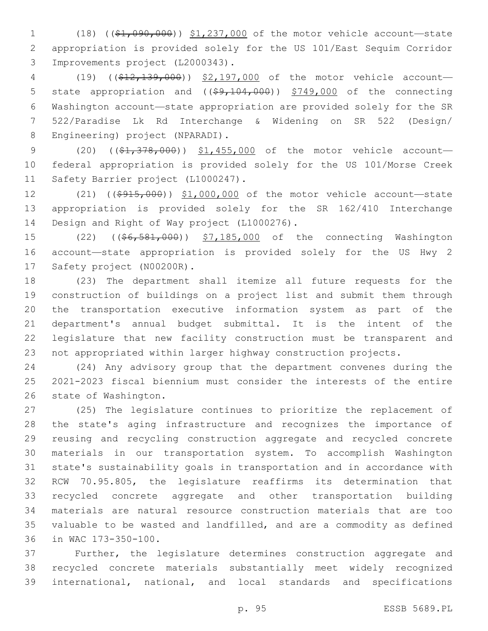(18) ((\$1,090,000)) \$1,237,000 of the motor vehicle account—state appropriation is provided solely for the US 101/East Sequim Corridor 3 Improvements project (L2000343).

 (19) ((\$12,139,000)) \$2,197,000 of the motor vehicle account— 5 state appropriation and ((\$9,104,000)) \$749,000 of the connecting Washington account—state appropriation are provided solely for the SR 522/Paradise Lk Rd Interchange & Widening on SR 522 (Design/ 8 Engineering) project (NPARADI).

9 (20) ((\$1,378,000)) \$1,455,000 of the motor vehicle account- federal appropriation is provided solely for the US 101/Morse Creek 11 Safety Barrier project (L1000247).

12 (21) ((\$915,000)) \$1,000,000 of the motor vehicle account—state appropriation is provided solely for the SR 162/410 Interchange 14 Design and Right of Way project (L1000276).

 (22) ((\$6,581,000)) \$7,185,000 of the connecting Washington account—state appropriation is provided solely for the US Hwy 2 17 Safety project (N00200R).

 (23) The department shall itemize all future requests for the construction of buildings on a project list and submit them through the transportation executive information system as part of the department's annual budget submittal. It is the intent of the legislature that new facility construction must be transparent and not appropriated within larger highway construction projects.

 (24) Any advisory group that the department convenes during the 2021-2023 fiscal biennium must consider the interests of the entire 26 state of Washington.

 (25) The legislature continues to prioritize the replacement of the state's aging infrastructure and recognizes the importance of reusing and recycling construction aggregate and recycled concrete materials in our transportation system. To accomplish Washington state's sustainability goals in transportation and in accordance with RCW 70.95.805, the legislature reaffirms its determination that recycled concrete aggregate and other transportation building materials are natural resource construction materials that are too valuable to be wasted and landfilled, and are a commodity as defined 36 in WAC 173-350-100.

 Further, the legislature determines construction aggregate and recycled concrete materials substantially meet widely recognized international, national, and local standards and specifications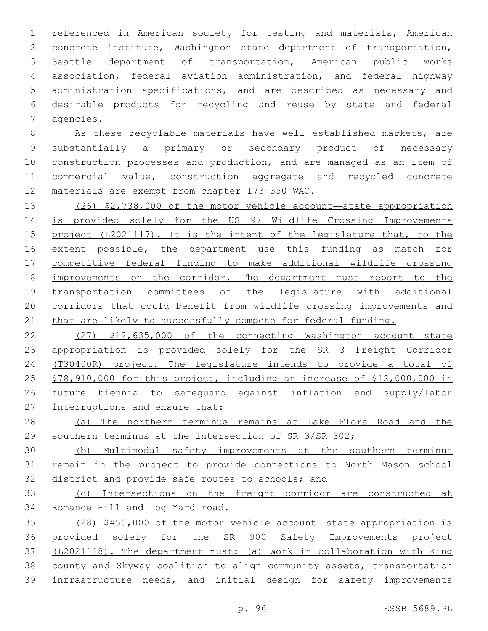referenced in American society for testing and materials, American concrete institute, Washington state department of transportation, Seattle department of transportation, American public works association, federal aviation administration, and federal highway administration specifications, and are described as necessary and desirable products for recycling and reuse by state and federal 7 agencies.

 As these recyclable materials have well established markets, are substantially a primary or secondary product of necessary construction processes and production, and are managed as an item of commercial value, construction aggregate and recycled concrete 12 materials are exempt from chapter 173-350 WAC.

 (26) \$2,738,000 of the motor vehicle account—state appropriation is provided solely for the US 97 Wildlife Crossing Improvements 15 project (L2021117). It is the intent of the legislature that, to the 16 extent possible, the department use this funding as match for competitive federal funding to make additional wildlife crossing improvements on the corridor. The department must report to the transportation committees of the legislature with additional corridors that could benefit from wildlife crossing improvements and that are likely to successfully compete for federal funding.

 (27) \$12,635,000 of the connecting Washington account—state appropriation is provided solely for the SR 3 Freight Corridor (T30400R) project. The legislature intends to provide a total of \$78,910,000 for this project, including an increase of \$12,000,000 in future biennia to safeguard against inflation and supply/labor 27 interruptions and ensure that:

 (a) The northern terminus remains at Lake Flora Road and the 29 southern terminus at the intersection of SR 3/SR 302;

 (b) Multimodal safety improvements at the southern terminus remain in the project to provide connections to North Mason school district and provide safe routes to schools; and

 (c) Intersections on the freight corridor are constructed at Romance Hill and Log Yard road.

 (28) \$450,000 of the motor vehicle account—state appropriation is provided solely for the SR 900 Safety Improvements project (L2021118). The department must: (a) Work in collaboration with King county and Skyway coalition to align community assets, transportation infrastructure needs, and initial design for safety improvements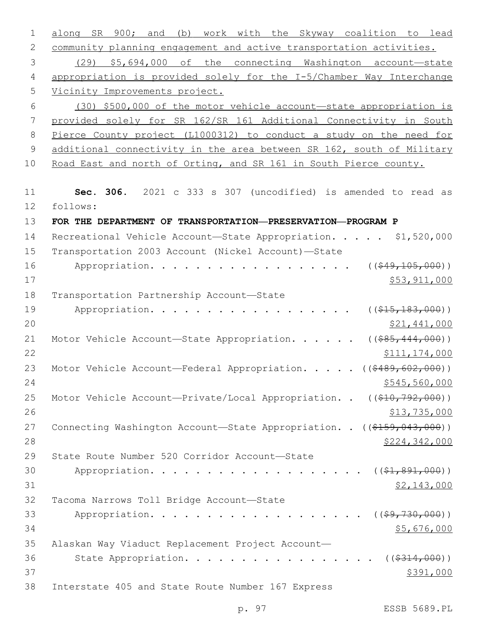| 1             | work with the Skyway coalition to lead<br>900 <b>;</b> and<br>SR<br>(b)<br>along |
|---------------|----------------------------------------------------------------------------------|
| 2             | community planning engagement and active transportation activities.              |
| 3             | (29) \$5,694,000 of the connecting Washington account-state                      |
| 4             | appropriation is provided solely for the I-5/Chamber Way Interchange             |
| 5             | Vicinity Improvements project.                                                   |
| 6             | (30) \$500,000 of the motor vehicle account-state appropriation is               |
| 7             | provided solely for SR 162/SR 161 Additional Connectivity in South               |
| 8             | Pierce County project (L1000312) to conduct a study on the need for              |
| $\mathcal{G}$ | additional connectivity in the area between SR 162, south of Military            |
| 10            | Road East and north of Orting, and SR 161 in South Pierce county.                |
| 11            | Sec. 306. 2021 c 333 s 307 (uncodified) is amended to read as                    |
| 12            | follows:                                                                         |
| 13            | FOR THE DEPARTMENT OF TRANSPORTATION-PRESERVATION-PROGRAM P                      |
| 14            | Recreational Vehicle Account-State Appropriation. \$1,520,000                    |
| 15            | Transportation 2003 Account (Nickel Account)-State                               |
| 16            | ( ( \$49, 105, 000) )<br>Appropriation.                                          |
| 17            | \$53,911,000                                                                     |
| 18            | Transportation Partnership Account-State                                         |
| 19            | Appropriation.<br>$((\$15,183,000))$                                             |
| 20            | \$21,441,000                                                                     |
| 21            | $($ (\$85,444,000))<br>Motor Vehicle Account-State Appropriation.                |
| 22            | \$111, 174, 000                                                                  |
| 23            | ( ( \$489, 602, 000) )<br>Motor Vehicle Account-Federal Appropriation.           |
| 24            | \$545,560,000                                                                    |
| 25            | Motor Vehicle Account-Private/Local Appropriation. . ((\$10,792,000))            |
| 26            | \$13,735,000                                                                     |
| 27            | Connecting Washington Account-State Appropriation. . ((\$159,043,000))           |
| 28            | \$224,342,000                                                                    |
| 29            | State Route Number 520 Corridor Account-State                                    |
| 30            | Appropriation.<br>$((\$1,891,000))$                                              |
| 31            | \$2,143,000                                                                      |
| 32            | Tacoma Narrows Toll Bridge Account-State                                         |
| 33            | Appropriation.<br>$($ (\$ <del>9,730,000</del> ))                                |
| 34            | \$5,676,000                                                                      |
| 35            | Alaskan Way Viaduct Replacement Project Account-                                 |
| 36            | State Appropriation.<br>( ( \$314, 000) )                                        |
| 37            | \$391,000                                                                        |
| 38            | Interstate 405 and State Route Number 167 Express                                |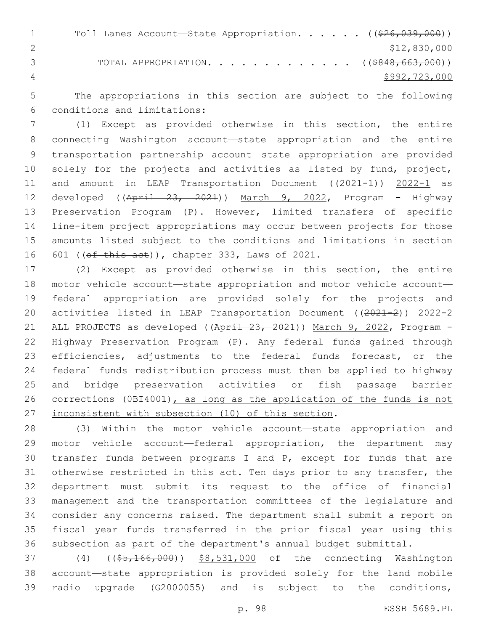1 Toll Lanes Account—State Appropriation. . . . . ((\$26,039,000)) \$12,830,000 3 TOTAL APPROPRIATION. . . . . . . . . . . . . ((\$848,663,000)) 4 \$992,723,000

 The appropriations in this section are subject to the following conditions and limitations:6

 (1) Except as provided otherwise in this section, the entire connecting Washington account—state appropriation and the entire transportation partnership account—state appropriation are provided 10 solely for the projects and activities as listed by fund, project, 11 and amount in LEAP Transportation Document ((2021-1)) 2022-1 as 12 developed ((April 23, 2021)) March 9, 2022, Program - Highway Preservation Program (P). However, limited transfers of specific line-item project appropriations may occur between projects for those amounts listed subject to the conditions and limitations in section 16 601 (( $ef$  this act)), chapter 333, Laws of 2021.

 (2) Except as provided otherwise in this section, the entire motor vehicle account—state appropriation and motor vehicle account— federal appropriation are provided solely for the projects and activities listed in LEAP Transportation Document ((2021-2)) 2022-2 21 ALL PROJECTS as developed ((April 23, 2021)) March 9, 2022, Program - Highway Preservation Program (P). Any federal funds gained through 23 efficiencies, adjustments to the federal funds forecast, or the federal funds redistribution process must then be applied to highway and bridge preservation activities or fish passage barrier 26 corrections (0BI4001), as long as the application of the funds is not inconsistent with subsection (10) of this section.

 (3) Within the motor vehicle account—state appropriation and motor vehicle account—federal appropriation, the department may transfer funds between programs I and P, except for funds that are otherwise restricted in this act. Ten days prior to any transfer, the department must submit its request to the office of financial management and the transportation committees of the legislature and consider any concerns raised. The department shall submit a report on fiscal year funds transferred in the prior fiscal year using this subsection as part of the department's annual budget submittal.

37 (4) ((\$5,166,000)) \$8,531,000 of the connecting Washington account—state appropriation is provided solely for the land mobile radio upgrade (G2000055) and is subject to the conditions,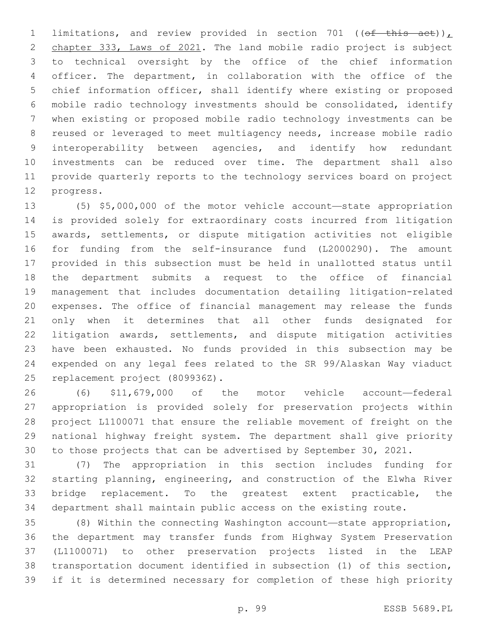1 limitations, and review provided in section 701 (( $\theta$ f this act)), chapter 333, Laws of 2021. The land mobile radio project is subject to technical oversight by the office of the chief information officer. The department, in collaboration with the office of the chief information officer, shall identify where existing or proposed mobile radio technology investments should be consolidated, identify when existing or proposed mobile radio technology investments can be reused or leveraged to meet multiagency needs, increase mobile radio interoperability between agencies, and identify how redundant investments can be reduced over time. The department shall also provide quarterly reports to the technology services board on project 12 progress.

 (5) \$5,000,000 of the motor vehicle account—state appropriation is provided solely for extraordinary costs incurred from litigation awards, settlements, or dispute mitigation activities not eligible for funding from the self-insurance fund (L2000290). The amount provided in this subsection must be held in unallotted status until the department submits a request to the office of financial management that includes documentation detailing litigation-related expenses. The office of financial management may release the funds only when it determines that all other funds designated for litigation awards, settlements, and dispute mitigation activities have been exhausted. No funds provided in this subsection may be expended on any legal fees related to the SR 99/Alaskan Way viaduct 25 replacement project (809936Z).

 (6) \$11,679,000 of the motor vehicle account—federal appropriation is provided solely for preservation projects within project L1100071 that ensure the reliable movement of freight on the national highway freight system. The department shall give priority to those projects that can be advertised by September 30, 2021.

 (7) The appropriation in this section includes funding for starting planning, engineering, and construction of the Elwha River bridge replacement. To the greatest extent practicable, the department shall maintain public access on the existing route.

 (8) Within the connecting Washington account—state appropriation, the department may transfer funds from Highway System Preservation (L1100071) to other preservation projects listed in the LEAP transportation document identified in subsection (1) of this section, if it is determined necessary for completion of these high priority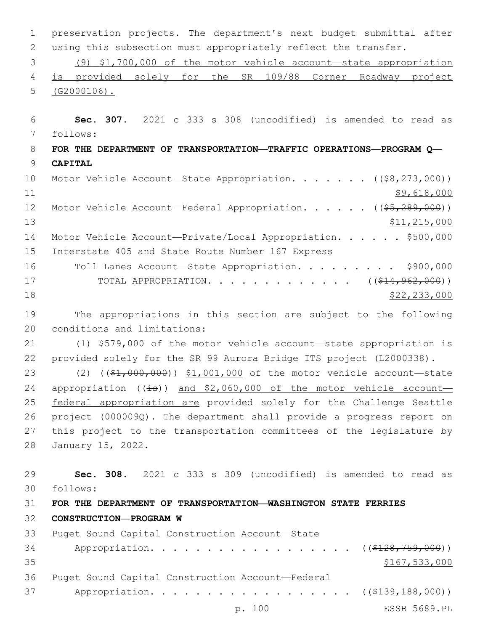1 preservation projects. The department's next budget submittal after 2 using this subsection must appropriately reflect the transfer.

3 (9) \$1,700,000 of the motor vehicle account—state appropriation 4 is provided solely for the SR 109/88 Corner Roadway project 5 (G2000106).

6 **Sec. 307.** 2021 c 333 s 308 (uncodified) is amended to read as follows: 7

8 **FOR THE DEPARTMENT OF TRANSPORTATION—TRAFFIC OPERATIONS—PROGRAM Q—** 9 **CAPITAL**

10 Motor Vehicle Account—State Appropriation. . . . . . ((\$8,273,000)) 11 \$9,618,000 12 Motor Vehicle Account—Federal Appropriation. . . . . ((\$5,289,000)) 13 \$11,215,000 \$11,215,000 14 Motor Vehicle Account—Private/Local Appropriation. . . . . \$500,000 15 Interstate 405 and State Route Number 167 Express 16 Toll Lanes Account—State Appropriation. . . . . . . . \$900,000 17 TOTAL APPROPRIATION. . . . . . . . . . . . . ((\$14,962,000))

```
18 $22,233,000
```
19 The appropriations in this section are subject to the following 20 conditions and limitations:

21 (1) \$579,000 of the motor vehicle account—state appropriation is 22 provided solely for the SR 99 Aurora Bridge ITS project (L2000338).

23 (2) ((\$1,000,000)) \$1,001,000 of the motor vehicle account—state 24 appropriation  $((\frac{1}{15}))$  and \$2,060,000 of the motor vehicle account-25 federal appropriation are provided solely for the Challenge Seattle 26 project (000009Q). The department shall provide a progress report on 27 this project to the transportation committees of the legislature by 28 January 15, 2022.

29 **Sec. 308.** 2021 c 333 s 309 (uncodified) is amended to read as follows: 30

## 31 **FOR THE DEPARTMENT OF TRANSPORTATION—WASHINGTON STATE FERRIES**

32 **CONSTRUCTION—PROGRAM W**

| 33 | Puget Sound Capital Construction Account-State                |               |
|----|---------------------------------------------------------------|---------------|
| 34 | Appropriation. ( $(\frac{128}{759}, \frac{759}{000})$ )       |               |
| 35 |                                                               | \$167,533,000 |
| 36 | Puget Sound Capital Construction Account-Federal              |               |
| 37 | Appropriation. ( $(\frac{2139}{139}, \frac{188}{188}, 000)$ ) |               |
|    | p. 100                                                        | ESSB 5689.PL  |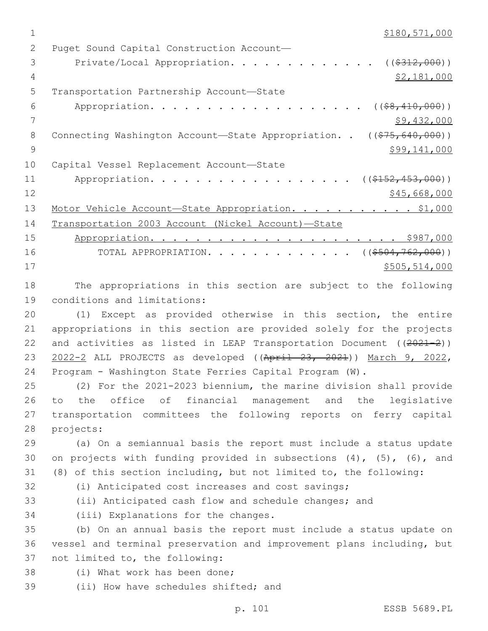| 2      | Puget Sound Capital Construction Account-                                                                                                                                                                                                                                                |
|--------|------------------------------------------------------------------------------------------------------------------------------------------------------------------------------------------------------------------------------------------------------------------------------------------|
| 3      | Private/Local Appropriation.<br>( ( \$312,000) )                                                                                                                                                                                                                                         |
| 4      | \$2,181,000                                                                                                                                                                                                                                                                              |
| 5      | Transportation Partnership Account-State                                                                                                                                                                                                                                                 |
| 6      | Appropriation.<br>$($ $($ $$8, 410, 000)$ $)$                                                                                                                                                                                                                                            |
| 7      | \$9,432,000                                                                                                                                                                                                                                                                              |
| 8      | Connecting Washington Account-State Appropriation. . ((\$75,640,000))                                                                                                                                                                                                                    |
| 9      | \$99,141,000                                                                                                                                                                                                                                                                             |
| 10     | Capital Vessel Replacement Account-State                                                                                                                                                                                                                                                 |
| 11     | Appropriation.<br>$((\$152,453,000))$                                                                                                                                                                                                                                                    |
| 12     | \$45,668,000                                                                                                                                                                                                                                                                             |
| 13     | Motor Vehicle Account-State Appropriation. \$1,000                                                                                                                                                                                                                                       |
| 14     | Transportation 2003 Account (Nickel Account)-State                                                                                                                                                                                                                                       |
| 15     |                                                                                                                                                                                                                                                                                          |
| 16     | TOTAL APPROPRIATION. ( $(\frac{\$504, 762, 000}{\$})$ )                                                                                                                                                                                                                                  |
| 17     | \$505,514,000                                                                                                                                                                                                                                                                            |
| 18     | The appropriations in this section are subject to the following                                                                                                                                                                                                                          |
| 19     | conditions and limitations:                                                                                                                                                                                                                                                              |
| 20     | (1) Except as provided otherwise in this section, the entire                                                                                                                                                                                                                             |
| 21     | appropriations in this section are provided solely for the projects                                                                                                                                                                                                                      |
| $\cap$ | $\mathbf{r}$ , and $\mathbf{r}$ , and $\mathbf{r}$ , and $\mathbf{r}$ , and $\mathbf{r}$ , and $\mathbf{r}$ , and $\mathbf{r}$ , and $\mathbf{r}$ , and $\mathbf{r}$ , and $\mathbf{r}$ , and $\mathbf{r}$ , and $\mathbf{r}$ , and $\mathbf{r}$ , and $\mathbf{r}$ , and $\mathbf{r}$ , |

22 and activities as listed in LEAP Transportation Document ((2021-2)) 23 2022-2 ALL PROJECTS as developed ((April 23, 2021)) March 9, 2022, 24 Program - Washington State Ferries Capital Program (W).

 (2) For the 2021-2023 biennium, the marine division shall provide to the office of financial management and the legislative transportation committees the following reports on ferry capital 28 projects:

29 (a) On a semiannual basis the report must include a status update 30 on projects with funding provided in subsections (4), (5), (6), and 31 (8) of this section including, but not limited to, the following:

- -
- 

32 (i) Anticipated cost increases and cost savings;

33 (ii) Anticipated cash flow and schedule changes; and

34 (iii) Explanations for the changes.

35 (b) On an annual basis the report must include a status update on 36 vessel and terminal preservation and improvement plans including, but 37 not limited to, the following:

- 38 (i) What work has been done;
- 39 (ii) How have schedules shifted; and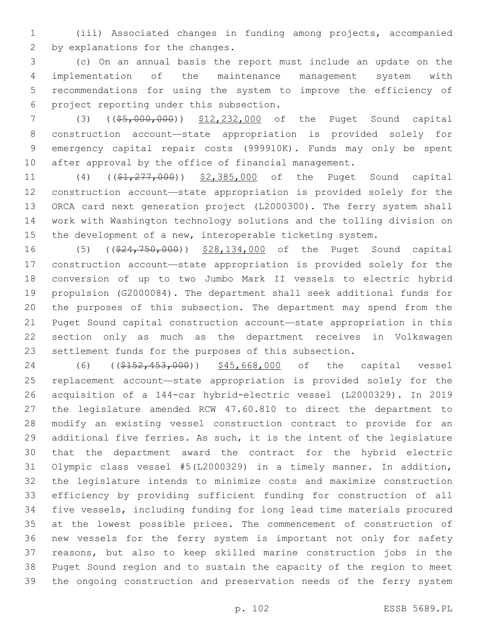(iii) Associated changes in funding among projects, accompanied 2 by explanations for the changes.

 (c) On an annual basis the report must include an update on the implementation of the maintenance management system with recommendations for using the system to improve the efficiency of project reporting under this subsection.6

 (3) ((\$5,000,000)) \$12,232,000 of the Puget Sound capital construction account—state appropriation is provided solely for emergency capital repair costs (999910K). Funds may only be spent after approval by the office of financial management.

11 (4) ((\$1,277,000)) \$2,385,000 of the Puget Sound capital construction account—state appropriation is provided solely for the ORCA card next generation project (L2000300). The ferry system shall work with Washington technology solutions and the tolling division on the development of a new, interoperable ticketing system.

 (5) ((\$24,750,000)) \$28,134,000 of the Puget Sound capital construction account—state appropriation is provided solely for the conversion of up to two Jumbo Mark II vessels to electric hybrid propulsion (G2000084). The department shall seek additional funds for the purposes of this subsection. The department may spend from the Puget Sound capital construction account—state appropriation in this section only as much as the department receives in Volkswagen settlement funds for the purposes of this subsection.

24 (6) ((\$152,453,000)) \$45,668,000 of the capital vessel replacement account—state appropriation is provided solely for the acquisition of a 144-car hybrid-electric vessel (L2000329). In 2019 the legislature amended RCW 47.60.810 to direct the department to modify an existing vessel construction contract to provide for an 29 additional five ferries. As such, it is the intent of the legislature that the department award the contract for the hybrid electric Olympic class vessel #5(L2000329) in a timely manner. In addition, the legislature intends to minimize costs and maximize construction efficiency by providing sufficient funding for construction of all five vessels, including funding for long lead time materials procured at the lowest possible prices. The commencement of construction of new vessels for the ferry system is important not only for safety reasons, but also to keep skilled marine construction jobs in the Puget Sound region and to sustain the capacity of the region to meet the ongoing construction and preservation needs of the ferry system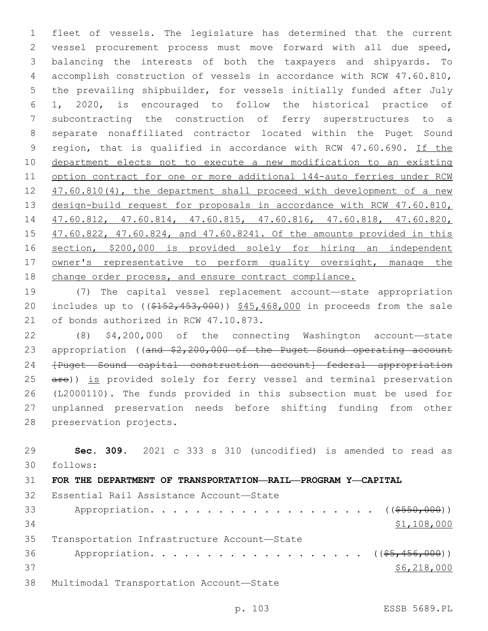fleet of vessels. The legislature has determined that the current vessel procurement process must move forward with all due speed, balancing the interests of both the taxpayers and shipyards. To accomplish construction of vessels in accordance with RCW 47.60.810, the prevailing shipbuilder, for vessels initially funded after July 1, 2020, is encouraged to follow the historical practice of subcontracting the construction of ferry superstructures to a separate nonaffiliated contractor located within the Puget Sound 9 region, that is qualified in accordance with RCW 47.60.690. If the department elects not to execute a new modification to an existing option contract for one or more additional 144-auto ferries under RCW 12 47.60.810(4), the department shall proceed with development of a new 13 design-build request for proposals in accordance with RCW 47.60.810, 47.60.812, 47.60.814, 47.60.815, 47.60.816, 47.60.818, 47.60.820, 47.60.822, 47.60.824, and 47.60.8241. Of the amounts provided in this section, \$200,000 is provided solely for hiring an independent owner's representative to perform quality oversight, manage the change order process, and ensure contract compliance.

 (7) The capital vessel replacement account—state appropriation 20 includes up to  $($   $($   $$152, 453, 000$  )  $)$   $$45, 468, 000$  in proceeds from the sale 21 of bonds authorized in RCW 47.10.873.

 (8) \$4,200,000 of the connecting Washington account—state 23 appropriation ((and \$2,200,000 of the Puget Sound operating account 24 <del>[Puget Sound capital construction account]—federal appropriation</del> 25 are)) is provided solely for ferry vessel and terminal preservation (L2000110). The funds provided in this subsection must be used for unplanned preservation needs before shifting funding from other 28 preservation projects.

 **Sec. 309.** 2021 c 333 s 310 (uncodified) is amended to read as follows: 30 **FOR THE DEPARTMENT OF TRANSPORTATION—RAIL—PROGRAM Y—CAPITAL** 32 Essential Rail Assistance Account-State Appropriation. . . . . . . . . . . . . . . . . . . . ((\$550,000)) \$1,108,000 35 Transportation Infrastructure Account-State 36 Appropriation. . . . . . . . . . . . . . . . . (  $(\frac{25}{1000})$  ) \$6,218,000 38 Multimodal Transportation Account-State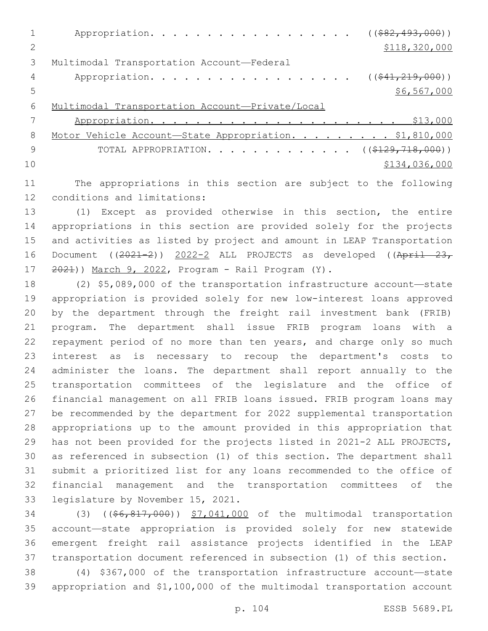|    | ( ( \$82, 493, 000) )<br>Appropriation.                |
|----|--------------------------------------------------------|
|    | \$118,320,000                                          |
| 3  | Multimodal Transportation Account-Federal              |
| 4  | $((\$41, 219, 000))$<br>Appropriation.                 |
| .5 | \$6,567,000                                            |
| 6  | Multimodal Transportation Account-Private/Local        |
|    |                                                        |
| 8  | Motor Vehicle Account-State Appropriation. \$1,810,000 |
| 9  | TOTAL APPROPRIATION. ( $(\frac{\$129,718,000}{$ )      |
| 10 | \$134,036,000                                          |
|    |                                                        |

 The appropriations in this section are subject to the following 12 conditions and limitations:

 (1) Except as provided otherwise in this section, the entire appropriations in this section are provided solely for the projects and activities as listed by project and amount in LEAP Transportation 16 Document ((2021-2)) 2022-2 ALL PROJECTS as developed ((April 23, )) March 9, 2022, Program - Rail Program (Y).

 (2) \$5,089,000 of the transportation infrastructure account—state appropriation is provided solely for new low-interest loans approved by the department through the freight rail investment bank (FRIB) program. The department shall issue FRIB program loans with a 22 repayment period of no more than ten years, and charge only so much interest as is necessary to recoup the department's costs to administer the loans. The department shall report annually to the transportation committees of the legislature and the office of financial management on all FRIB loans issued. FRIB program loans may be recommended by the department for 2022 supplemental transportation appropriations up to the amount provided in this appropriation that has not been provided for the projects listed in 2021-2 ALL PROJECTS, as referenced in subsection (1) of this section. The department shall submit a prioritized list for any loans recommended to the office of financial management and the transportation committees of the 33 legislature by November 15, 2021.

34 (3) ((\$6,817,000)) \$7,041,000 of the multimodal transportation account—state appropriation is provided solely for new statewide emergent freight rail assistance projects identified in the LEAP transportation document referenced in subsection (1) of this section.

 (4) \$367,000 of the transportation infrastructure account—state appropriation and \$1,100,000 of the multimodal transportation account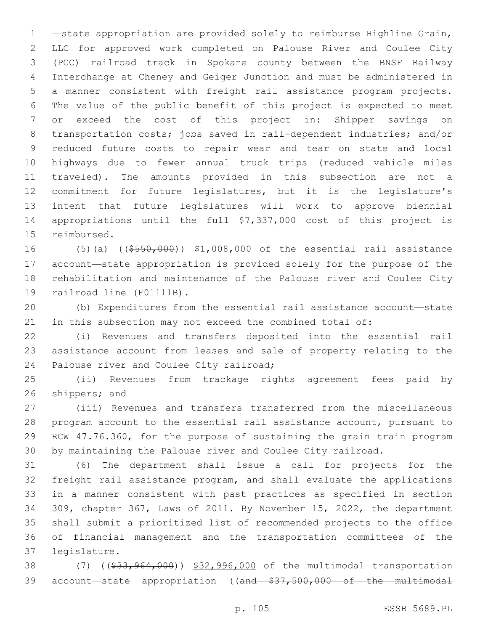—state appropriation are provided solely to reimburse Highline Grain, LLC for approved work completed on Palouse River and Coulee City (PCC) railroad track in Spokane county between the BNSF Railway Interchange at Cheney and Geiger Junction and must be administered in a manner consistent with freight rail assistance program projects. The value of the public benefit of this project is expected to meet or exceed the cost of this project in: Shipper savings on transportation costs; jobs saved in rail-dependent industries; and/or reduced future costs to repair wear and tear on state and local highways due to fewer annual truck trips (reduced vehicle miles traveled). The amounts provided in this subsection are not a commitment for future legislatures, but it is the legislature's intent that future legislatures will work to approve biennial appropriations until the full \$7,337,000 cost of this project is 15 reimbursed.

16 (5)(a) ((\$550,000)) \$1,008,000 of the essential rail assistance account—state appropriation is provided solely for the purpose of the rehabilitation and maintenance of the Palouse river and Coulee City 19 railroad line (F01111B).

 (b) Expenditures from the essential rail assistance account—state in this subsection may not exceed the combined total of:

 (i) Revenues and transfers deposited into the essential rail assistance account from leases and sale of property relating to the 24 Palouse river and Coulee City railroad;

 (ii) Revenues from trackage rights agreement fees paid by 26 shippers; and

 (iii) Revenues and transfers transferred from the miscellaneous program account to the essential rail assistance account, pursuant to RCW 47.76.360, for the purpose of sustaining the grain train program by maintaining the Palouse river and Coulee City railroad.

 (6) The department shall issue a call for projects for the freight rail assistance program, and shall evaluate the applications in a manner consistent with past practices as specified in section 309, chapter 367, Laws of 2011. By November 15, 2022, the department shall submit a prioritized list of recommended projects to the office of financial management and the transportation committees of the legislature.37

38 (7) ((\$33,964,000)) \$32,996,000 of the multimodal transportation 39 account-state appropriation ((and \$37,500,000 of the multimodal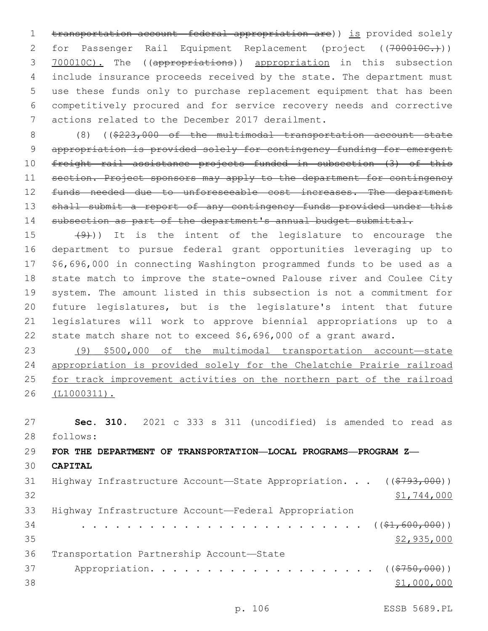1 transportation account—federal appropriation are)) is provided solely 2 for Passenger Rail Equipment Replacement (project ((700010C.))) 3 700010C). The ((appropriations)) appropriation in this subsection 4 include insurance proceeds received by the state. The department must 5 use these funds only to purchase replacement equipment that has been 6 competitively procured and for service recovery needs and corrective 7 actions related to the December 2017 derailment.

8 (8) ((\$223,000 of the multimodal transportation account—state 9 appropriation is provided solely for contingency funding for emergent 10 freight rail assistance projects funded in subsection (3) of this 11 section. Project sponsors may apply to the department for contingency 12 funds needed due to unforeseeable cost increases. The department 13 shall submit a report of any contingency funds provided under this 14 subsection as part of the department's annual budget submittal.

 $(9)$ )) It is the intent of the legislature to encourage the department to pursue federal grant opportunities leveraging up to \$6,696,000 in connecting Washington programmed funds to be used as a state match to improve the state-owned Palouse river and Coulee City system. The amount listed in this subsection is not a commitment for future legislatures, but is the legislature's intent that future legislatures will work to approve biennial appropriations up to a state match share not to exceed \$6,696,000 of a grant award.

 (9) \$500,000 of the multimodal transportation account—state appropriation is provided solely for the Chelatchie Prairie railroad for track improvement activities on the northern part of the railroad (L1000311).

27 **Sec. 310.** 2021 c 333 s 311 (uncodified) is amended to read as follows: 28 29 **FOR THE DEPARTMENT OF TRANSPORTATION—LOCAL PROGRAMS—PROGRAM Z—** 30 **CAPITAL** 31 Highway Infrastructure Account—State Appropriation. . . ((\$793,000)) 32 \$1,744,000

33 Highway Infrastructure Account—Federal Appropriation 34 . . . . . . . . . . . . . . . . . . . . . . . . . ((\$1,600,000))  $\frac{25}{2}$ , 935, 000 36 Transportation Partnership Account-State 37 Appropriation. . . . . . . . . . . . . . . . . . ((<del>\$750,000</del>)) 38 \$1,000,000

p. 106 ESSB 5689.PL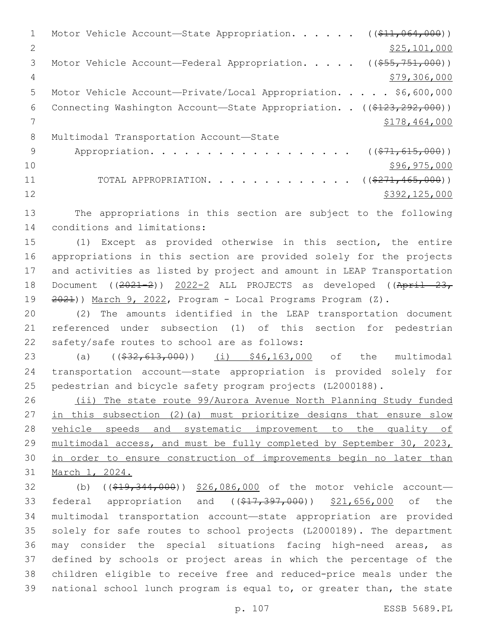1 Motor Vehicle Account—State Appropriation. . . . . ((\$11,064,000)) 2 \$25,101,000 3 Motor Vehicle Account—Federal Appropriation. . . . . ((\$55,751,000)) 4 \$79,306,000 5 Motor Vehicle Account—Private/Local Appropriation. . . . . \$6,600,000 6 Connecting Washington Account—State Appropriation. . ((\$123,292,000)) 7 \$178,464,000 8 Multimodal Transportation Account-State 9 Appropriation. . . . . . . . . . . . . . . . . (  $(\frac{271,615,000}{1})$  $10 \hspace{2.5cm}$  \$96,975,000 11 TOTAL APPROPRIATION. . . . . . . . . . . . ((\$271,465,000))  $12$  \$392,125,000

13 The appropriations in this section are subject to the following 14 conditions and limitations:

 (1) Except as provided otherwise in this section, the entire appropriations in this section are provided solely for the projects and activities as listed by project and amount in LEAP Transportation 18 Document ((2021-2)) 2022-2 ALL PROJECTS as developed ((April 23, 2021)) March 9, 2022, Program - Local Programs Program (Z).

20 (2) The amounts identified in the LEAP transportation document 21 referenced under subsection (1) of this section for pedestrian 22 safety/safe routes to school are as follows:

23 (a) ((<del>\$32,613,000</del>)) (i) \$46,163,000 of the multimodal 24 transportation account—state appropriation is provided solely for 25 pedestrian and bicycle safety program projects (L2000188).

26 (ii) The state route 99/Aurora Avenue North Planning Study funded 27 in this subsection (2)(a) must prioritize designs that ensure slow 28 vehicle speeds and systematic improvement to the quality of 29 multimodal access, and must be fully completed by September 30, 2023, 30 in order to ensure construction of improvements begin no later than 31 March 1, 2024.

32 (b) ((\$19,344,000)) \$26,086,000 of the motor vehicle account-33 federal appropriation and ((\$17,397,000)) \$21,656,000 of the multimodal transportation account—state appropriation are provided solely for safe routes to school projects (L2000189). The department may consider the special situations facing high-need areas, as defined by schools or project areas in which the percentage of the children eligible to receive free and reduced-price meals under the national school lunch program is equal to, or greater than, the state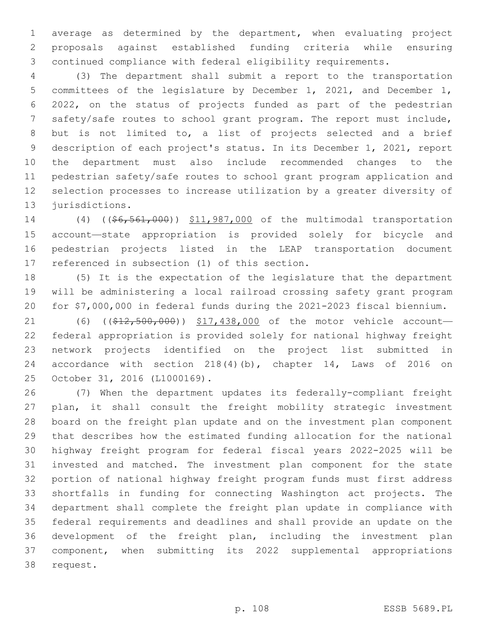average as determined by the department, when evaluating project proposals against established funding criteria while ensuring continued compliance with federal eligibility requirements.

 (3) The department shall submit a report to the transportation committees of the legislature by December 1, 2021, and December 1, 2022, on the status of projects funded as part of the pedestrian safety/safe routes to school grant program. The report must include, but is not limited to, a list of projects selected and a brief description of each project's status. In its December 1, 2021, report the department must also include recommended changes to the pedestrian safety/safe routes to school grant program application and selection processes to increase utilization by a greater diversity of 13 jurisdictions.

14 (4) ((\$6,561,000)) \$11,987,000 of the multimodal transportation account—state appropriation is provided solely for bicycle and pedestrian projects listed in the LEAP transportation document 17 referenced in subsection (1) of this section.

 (5) It is the expectation of the legislature that the department will be administering a local railroad crossing safety grant program for \$7,000,000 in federal funds during the 2021-2023 fiscal biennium.

21 (6) ((\$12,500,000)) \$17,438,000 of the motor vehicle account- federal appropriation is provided solely for national highway freight network projects identified on the project list submitted in accordance with section 218(4)(b), chapter 14, Laws of 2016 on October 31, 2016 (L1000169).25

 (7) When the department updates its federally-compliant freight plan, it shall consult the freight mobility strategic investment board on the freight plan update and on the investment plan component that describes how the estimated funding allocation for the national highway freight program for federal fiscal years 2022-2025 will be invested and matched. The investment plan component for the state portion of national highway freight program funds must first address shortfalls in funding for connecting Washington act projects. The department shall complete the freight plan update in compliance with federal requirements and deadlines and shall provide an update on the development of the freight plan, including the investment plan component, when submitting its 2022 supplemental appropriations 38 request.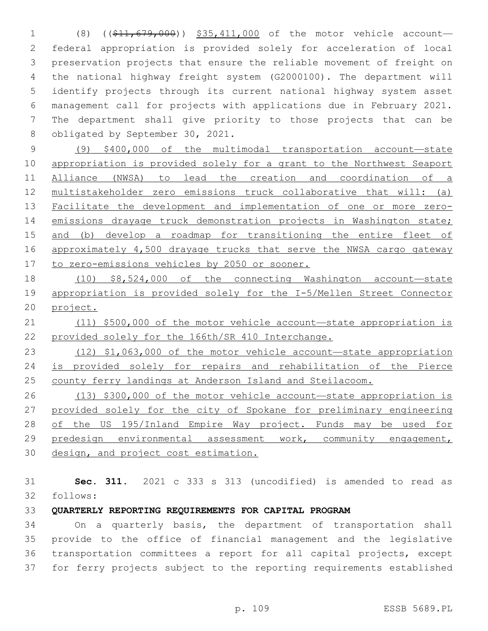1 (8) ((\$11,679,000)) \$35,411,000 of the motor vehicle account- federal appropriation is provided solely for acceleration of local preservation projects that ensure the reliable movement of freight on the national highway freight system (G2000100). The department will identify projects through its current national highway system asset management call for projects with applications due in February 2021. The department shall give priority to those projects that can be 8 obligated by September 30, 2021.

 (9) \$400,000 of the multimodal transportation account—state appropriation is provided solely for a grant to the Northwest Seaport Alliance (NWSA) to lead the creation and coordination of a multistakeholder zero emissions truck collaborative that will: (a) Facilitate the development and implementation of one or more zero- emissions drayage truck demonstration projects in Washington state; and (b) develop a roadmap for transitioning the entire fleet of approximately 4,500 drayage trucks that serve the NWSA cargo gateway to zero-emissions vehicles by 2050 or sooner.

 (10) \$8,524,000 of the connecting Washington account—state appropriation is provided solely for the I-5/Mellen Street Connector project.

 (11) \$500,000 of the motor vehicle account—state appropriation is provided solely for the 166th/SR 410 Interchange.

 (12) \$1,063,000 of the motor vehicle account—state appropriation 24 is provided solely for repairs and rehabilitation of the Pierce county ferry landings at Anderson Island and Steilacoom.

 (13) \$300,000 of the motor vehicle account—state appropriation is provided solely for the city of Spokane for preliminary engineering 28 of the US 195/Inland Empire Way project. Funds may be used for predesign environmental assessment work, community engagement, design, and project cost estimation.

 **Sec. 311.** 2021 c 333 s 313 (uncodified) is amended to read as follows: 32

#### **QUARTERLY REPORTING REQUIREMENTS FOR CAPITAL PROGRAM**

 On a quarterly basis, the department of transportation shall provide to the office of financial management and the legislative transportation committees a report for all capital projects, except for ferry projects subject to the reporting requirements established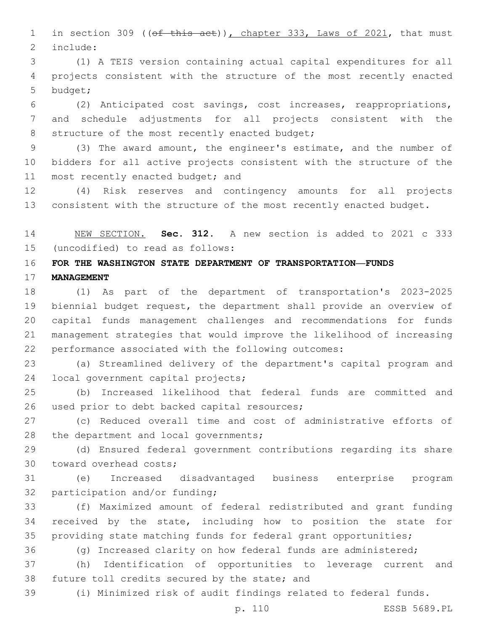1 in section 309 ((of this act)), chapter 333, Laws of 2021, that must 2 include:

 (1) A TEIS version containing actual capital expenditures for all projects consistent with the structure of the most recently enacted 5 budget;

 (2) Anticipated cost savings, cost increases, reappropriations, and schedule adjustments for all projects consistent with the 8 structure of the most recently enacted budget;

 (3) The award amount, the engineer's estimate, and the number of bidders for all active projects consistent with the structure of the 11 most recently enacted budget; and

 (4) Risk reserves and contingency amounts for all projects 13 consistent with the structure of the most recently enacted budget.

 NEW SECTION. **Sec. 312.** A new section is added to 2021 c 333 (uncodified) to read as follows: 15

## **FOR THE WASHINGTON STATE DEPARTMENT OF TRANSPORTATION—FUNDS**

**MANAGEMENT**

 (1) As part of the department of transportation's 2023-2025 biennial budget request, the department shall provide an overview of capital funds management challenges and recommendations for funds management strategies that would improve the likelihood of increasing performance associated with the following outcomes:

 (a) Streamlined delivery of the department's capital program and 24 local government capital projects;

 (b) Increased likelihood that federal funds are committed and 26 used prior to debt backed capital resources;

 (c) Reduced overall time and cost of administrative efforts of 28 the department and local governments;

 (d) Ensured federal government contributions regarding its share 30 toward overhead costs;

 (e) Increased disadvantaged business enterprise program 32 participation and/or funding;

 (f) Maximized amount of federal redistributed and grant funding received by the state, including how to position the state for providing state matching funds for federal grant opportunities;

(g) Increased clarity on how federal funds are administered;

 (h) Identification of opportunities to leverage current and 38 future toll credits secured by the state; and

(i) Minimized risk of audit findings related to federal funds.

p. 110 ESSB 5689.PL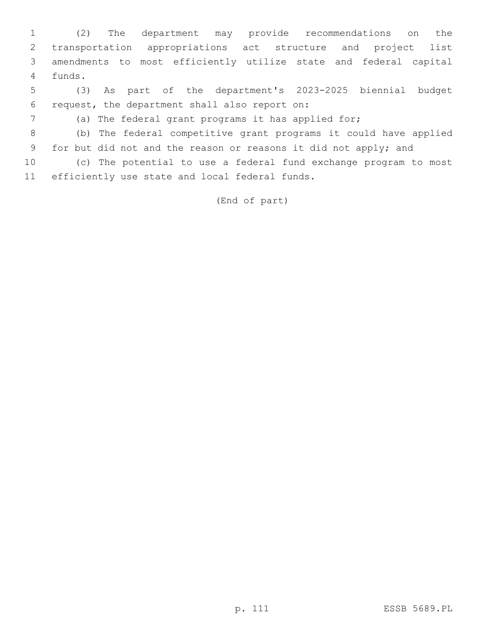(2) The department may provide recommendations on the transportation appropriations act structure and project list amendments to most efficiently utilize state and federal capital 4 funds.

 (3) As part of the department's 2023-2025 biennial budget request, the department shall also report on:6

(a) The federal grant programs it has applied for;

 (b) The federal competitive grant programs it could have applied for but did not and the reason or reasons it did not apply; and

 (c) The potential to use a federal fund exchange program to most 11 efficiently use state and local federal funds.

(End of part)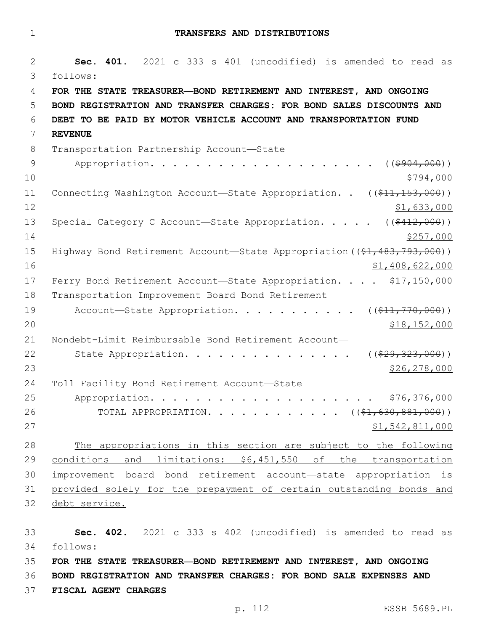1 **TRANSFERS AND DISTRIBUTIONS**

2 **Sec. 401.** 2021 c 333 s 401 (uncodified) is amended to read as follows: 3 4 **FOR THE STATE TREASURER—BOND RETIREMENT AND INTEREST, AND ONGOING**  5 **BOND REGISTRATION AND TRANSFER CHARGES: FOR BOND SALES DISCOUNTS AND**  6 **DEBT TO BE PAID BY MOTOR VEHICLE ACCOUNT AND TRANSPORTATION FUND**  7 **REVENUE** 8 Transportation Partnership Account-State 9 Appropriation. . . . . . . . . . . . . . . . . . ((\$904,000))  $10 \frac{\$794,000}{}$ 11 Connecting Washington Account—State Appropriation. . ((\$11,153,000))  $12$  \$1,633,000 13 Special Category C Account—State Appropriation. . . . ((\$412,000))  $14$   $\frac{$257,000}{}$ 15 Highway Bond Retirement Account—State Appropriation ((\$1,483,793,000))  $16$   $$1,408,622,000$ 17 Ferry Bond Retirement Account-State Appropriation. . . . \$17,150,000 18 Transportation Improvement Board Bond Retirement 19 Account—State Appropriation. . . . . . . . . . ((\$11,770,000))  $20$  \$18,152,000 21 Nondebt-Limit Reimbursable Bond Retirement Account— 22 State Appropriation. . . . . . . . . . . . . . ((\$29,323,000)) 23 \$26,278,000 24 Toll Facility Bond Retirement Account-State 25 Appropriation. . . . . . . . . . . . . . . . . . . . \$76,376,000 26 TOTAL APPROPRIATION. . . . . . . . . . . ((\$1,630,881,000))  $27$   $51,542,811,000$ 28 The appropriations in this section are subject to the following 29 conditions and limitations: \$6,451,550 of the transportation 30 improvement board bond retirement account—state appropriation is 31 provided solely for the prepayment of certain outstanding bonds and 32 debt service.

33 **Sec. 402.** 2021 c 333 s 402 (uncodified) is amended to read as follows: 34 35 **FOR THE STATE TREASURER—BOND RETIREMENT AND INTEREST, AND ONGOING** 

36 **BOND REGISTRATION AND TRANSFER CHARGES: FOR BOND SALE EXPENSES AND** 

37 **FISCAL AGENT CHARGES**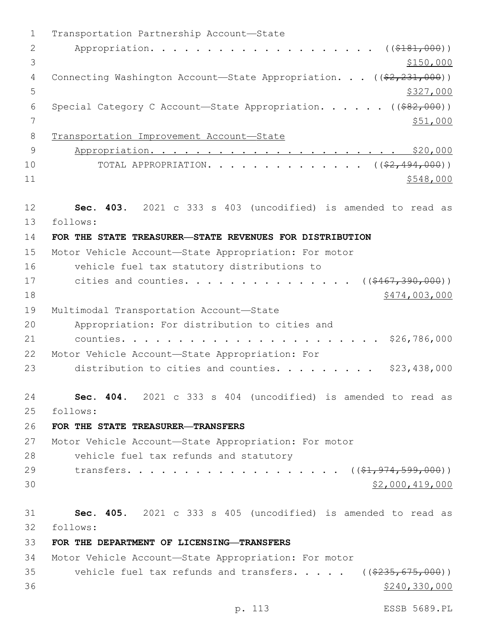1 Transportation Partnership Account-State 2 Appropriation. . . . . . . . . . . . . . . . . . (  $(\frac{2181,000}{1})$  $3 \frac{$150,000}{ }$ 4 Connecting Washington Account—State Appropriation. . . ((\$2,231,000))  $5 - 5$ 6 Special Category C Account-State Appropriation. . . . . ((\$82,000)) 7 \$51,000 8 Transportation Improvement Account—State 9 Appropriation. . . . . . . . . . . . . . . . . . . . . . \$20,000 10 TOTAL APPROPRIATION. . . . . . . . . . . . . ((<del>\$2,494,000</del>))  $11$   $$548,000$ 12 **Sec. 403.** 2021 c 333 s 403 (uncodified) is amended to read as follows: 13 14 **FOR THE STATE TREASURER—STATE REVENUES FOR DISTRIBUTION** 15 Motor Vehicle Account—State Appropriation: For motor 16 vehicle fuel tax statutory distributions to 17 cities and counties. . . . . . . . . . . . . . ((\$467,390,000)) 18 \$474,003,000 19 Multimodal Transportation Account-State Appropriation: For distribution to cities and20 21 counties. . . . . . . . . . . . . . . . . . . . . . . \$26,786,000 22 Motor Vehicle Account—State Appropriation: For 23 distribution to cities and counties. . . . . . . . \$23,438,000 24 **Sec. 404.** 2021 c 333 s 404 (uncodified) is amended to read as follows: 25 26 **FOR THE STATE TREASURER—TRANSFERS** 27 Motor Vehicle Account—State Appropriation: For motor 28 vehicle fuel tax refunds and statutory 29 transfers. . . . . . . . . . . . . . . . . ((\$1,974,599,000))  $30$  \$2,000,419,000 31 **Sec. 405.** 2021 c 333 s 405 (uncodified) is amended to read as follows: 32 33 **FOR THE DEPARTMENT OF LICENSING—TRANSFERS** 34 Motor Vehicle Account—State Appropriation: For motor 35 vehicle fuel tax refunds and transfers. . . . . ((\$235,675,000))  $36$  \$240,330,000

p. 113 ESSB 5689.PL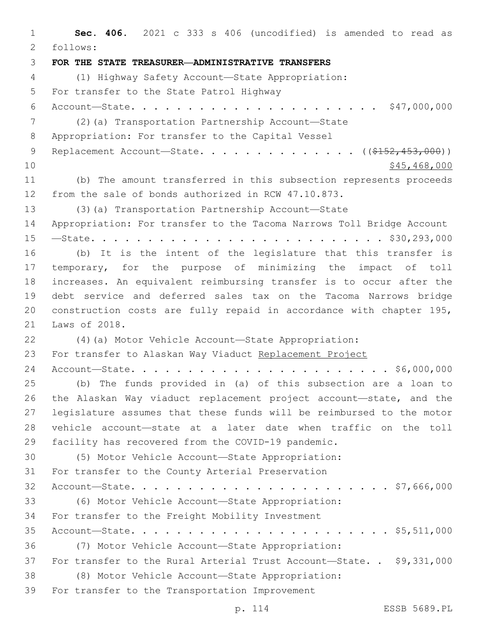**Sec. 406.** 2021 c 333 s 406 (uncodified) is amended to read as follows: 2 **FOR THE STATE TREASURER—ADMINISTRATIVE TRANSFERS** (1) Highway Safety Account—State Appropriation: 5 For transfer to the State Patrol Highway Account—State. . . . . . . . . . . . . . . . . . . . . . \$47,000,000 (2)(a) Transportation Partnership Account—State 8 Appropriation: For transfer to the Capital Vessel 9 Replacement Account—State. . . . . . . . . . . . . ((\$152,453,000))  $10 \hspace{1.5cm}$  \$45,468,000 (b) The amount transferred in this subsection represents proceeds from the sale of bonds authorized in RCW 47.10.873. (3)(a) Transportation Partnership Account—State Appropriation: For transfer to the Tacoma Narrows Toll Bridge Account —State. . . . . . . . . . . . . . . . . . . . . . . . . . \$30,293,000 (b) It is the intent of the legislature that this transfer is temporary, for the purpose of minimizing the impact of toll increases. An equivalent reimbursing transfer is to occur after the debt service and deferred sales tax on the Tacoma Narrows bridge construction costs are fully repaid in accordance with chapter 195, 21 Laws of 2018. (4)(a) Motor Vehicle Account—State Appropriation: For transfer to Alaskan Way Viaduct Replacement Project Account—State. . . . . . . . . . . . . . . . . . . . . . . \$6,000,000 (b) The funds provided in (a) of this subsection are a loan to the Alaskan Way viaduct replacement project account—state, and the legislature assumes that these funds will be reimbursed to the motor vehicle account—state at a later date when traffic on the toll facility has recovered from the COVID-19 pandemic. (5) Motor Vehicle Account—State Appropriation: 31 For transfer to the County Arterial Preservation Account—State. . . . . . . . . . . . . . . . . . . . . . . \$7,666,000 (6) Motor Vehicle Account—State Appropriation: 34 For transfer to the Freight Mobility Investment Account—State. . . . . . . . . . . . . . . . . . . . . . . \$5,511,000 (7) Motor Vehicle Account—State Appropriation: For transfer to the Rural Arterial Trust Account—State. . \$9,331,000 (8) Motor Vehicle Account—State Appropriation: 39 For transfer to the Transportation Improvement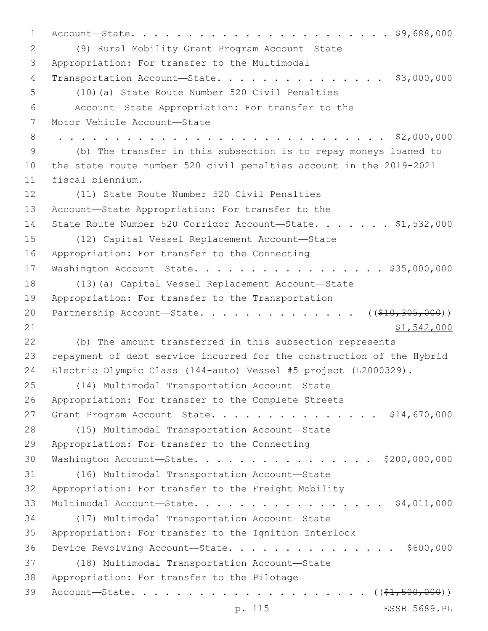1 Account—State. . . . . . . . . . . . . . . . . . . . . . . \$9,688,000 (9) Rural Mobility Grant Program Account—State2 3 Appropriation: For transfer to the Multimodal 4 Transportation Account-State. . . . . . . . . . . . . . \$3,000,000 (10)(a) State Route Number 520 Civil Penalties5 6 Account—State Appropriation: For transfer to the 7 Motor Vehicle Account-State 8 . . . . . . . . . . . . . . . . . . . . . . . . . . . . . \$2,000,000 9 (b) The transfer in this subsection is to repay moneys loaned to 10 the state route number 520 civil penalties account in the 2019-2021 11 fiscal biennium. 12 (11) State Route Number 520 Civil Penalties 13 Account—State Appropriation: For transfer to the 14 State Route Number 520 Corridor Account-State. . . . . . \$1,532,000 (12) Capital Vessel Replacement Account—State15 16 Appropriation: For transfer to the Connecting 17 Washington Account—State. . . . . . . . . . . . . . . . . \$35,000,000 18 (13)(a) Capital Vessel Replacement Account—State 19 Appropriation: For transfer to the Transportation 20 Partnership Account—State. . . . . . . . . . . . . ((\$10,305,000))  $21$  \$1,542,000 22 (b) The amount transferred in this subsection represents 23 repayment of debt service incurred for the construction of the Hybrid 24 Electric Olympic Class (144-auto) Vessel #5 project (L2000329). (14) Multimodal Transportation Account—State25 26 Appropriation: For transfer to the Complete Streets 27 Grant Program Account—State. . . . . . . . . . . . . . \$14,670,000 28 (15) Multimodal Transportation Account-State 29 Appropriation: For transfer to the Connecting 30 Washington Account—State. . . . . . . . . . . . . . . . \$200,000,000 (16) Multimodal Transportation Account—State31 32 Appropriation: For transfer to the Freight Mobility 33 Multimodal Account—State. . . . . . . . . . . . . . . . . \$4,011,000 (17) Multimodal Transportation Account—State34 35 Appropriation: For transfer to the Ignition Interlock 36 Device Revolving Account—State. . . . . . . . . . . . . . . \$600,000 (18) Multimodal Transportation Account—State37 38 Appropriation: For transfer to the Pilotage 39 Account—State. . . . . . . . . . . . . . . . . . . . . ((\$1,500,000))

p. 115 ESSB 5689.PL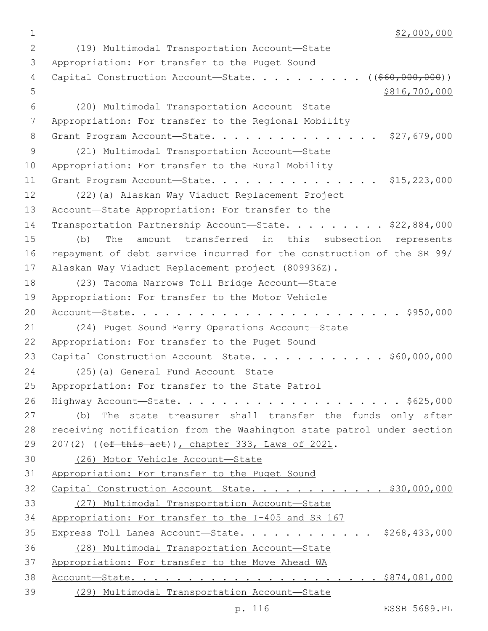$1$  \$2,000,000

(19) Multimodal Transportation Account—State2 3 Appropriation: For transfer to the Puget Sound 4 Capital Construction Account—State. . . . . . . . . ((<del>\$60,000,000</del>))  $5 \times 816,700,000$ (20) Multimodal Transportation Account—State6 7 Appropriation: For transfer to the Regional Mobility 8 Grant Program Account-State. . . . . . . . . . . . . . \$27,679,000 (21) Multimodal Transportation Account—State9 10 Appropriation: For transfer to the Rural Mobility 11 Grant Program Account—State. . . . . . . . . . . . . . . \$15,223,000 12 (22)(a) Alaskan Way Viaduct Replacement Project 13 Account-State Appropriation: For transfer to the 14 Transportation Partnership Account—State. . . . . . . . \$22,884,000 15 (b) The amount transferred in this subsection represents 16 repayment of debt service incurred for the construction of the SR 99/ 17 Alaskan Way Viaduct Replacement project (809936Z). 18 (23) Tacoma Narrows Toll Bridge Account-State 19 Appropriation: For transfer to the Motor Vehicle 20 Account—State. . . . . . . . . . . . . . . . . . . . . . . . \$950,000 21 (24) Puget Sound Ferry Operations Account—State 22 Appropriation: For transfer to the Puget Sound 23 Capital Construction Account—State. . . . . . . . . . . \$60,000,000 24 (25)(a) General Fund Account—State 25 Appropriation: For transfer to the State Patrol 26 Highway Account—State. . . . . . . . . . . . . . . . . . . . \$625,000 27 (b) The state treasurer shall transfer the funds only after 28 receiving notification from the Washington state patrol under section 29 207(2) ((of this act)), chapter 333, Laws of 2021. 30 (26) Motor Vehicle Account—State 31 Appropriation: For transfer to the Puget Sound 32 Capital Construction Account—State. . . . . . . . . . . . \$30,000,000 33 (27) Multimodal Transportation Account—State 34 Appropriation: For transfer to the I-405 and SR 167 35 Express Toll Lanes Account—State. . . . . . . . . . . \$268,433,000 36 (28) Multimodal Transportation Account—State 37 Appropriation: For transfer to the Move Ahead WA 38 Account—State. . . . . . . . . . . . . . . . . . . . . . \$874,081,000 39 (29) Multimodal Transportation Account—State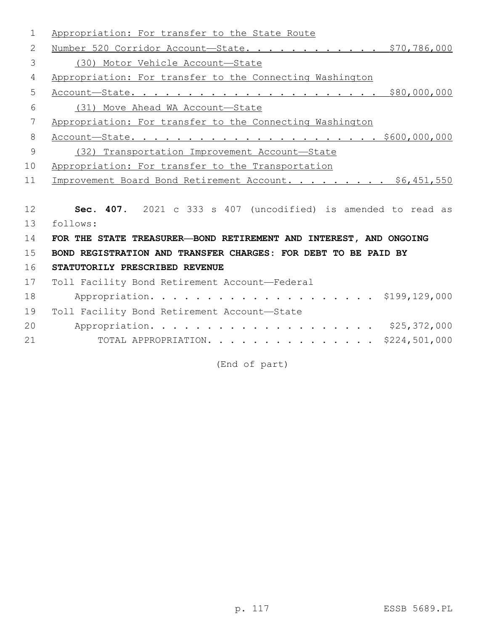| 1  | Appropriation: For transfer to the State Route                    |
|----|-------------------------------------------------------------------|
| 2  | Number 520 Corridor Account-State. \$70,786,000                   |
| 3  | (30) Motor Vehicle Account-State                                  |
| 4  | Appropriation: For transfer to the Connecting Washington          |
| 5  |                                                                   |
| 6  | (31) Move Ahead WA Account-State                                  |
| 7  | Appropriation: For transfer to the Connecting Washington          |
| 8  |                                                                   |
| 9  | (32) Transportation Improvement Account-State                     |
| 10 | Appropriation: For transfer to the Transportation                 |
| 11 | Improvement Board Bond Retirement Account. \$6,451,550            |
|    |                                                                   |
| 12 | Sec. 407. 2021 c 333 s 407 (uncodified) is amended to read as     |
| 13 | follows:                                                          |
| 14 | FOR THE STATE TREASURER-BOND RETIREMENT AND INTEREST, AND ONGOING |
| 15 | BOND REGISTRATION AND TRANSFER CHARGES: FOR DEBT TO BE PAID BY    |
| 16 | STATUTORILY PRESCRIBED REVENUE                                    |
| 17 | Toll Facility Bond Retirement Account-Federal                     |
| 18 |                                                                   |
| 19 | Toll Facility Bond Retirement Account-State                       |
| 20 |                                                                   |
| 21 | TOTAL APPROPRIATION. \$224,501,000                                |

(End of part)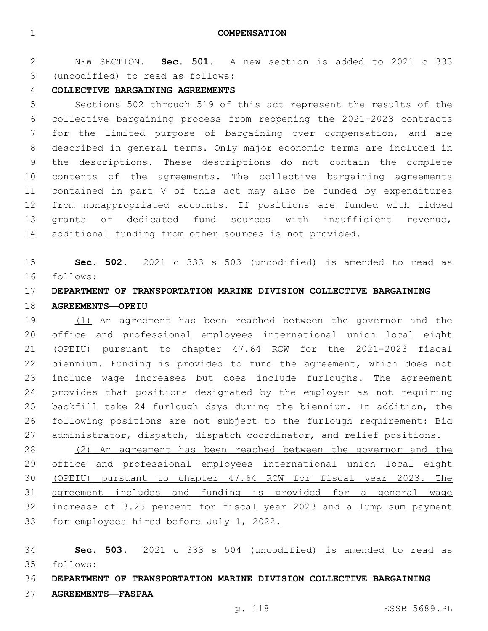**COMPENSATION**

 NEW SECTION. **Sec. 501.** A new section is added to 2021 c 333 (uncodified) to read as follows: 3

#### **COLLECTIVE BARGAINING AGREEMENTS**

 Sections 502 through 519 of this act represent the results of the collective bargaining process from reopening the 2021-2023 contracts for the limited purpose of bargaining over compensation, and are described in general terms. Only major economic terms are included in the descriptions. These descriptions do not contain the complete contents of the agreements. The collective bargaining agreements contained in part V of this act may also be funded by expenditures from nonappropriated accounts. If positions are funded with lidded grants or dedicated fund sources with insufficient revenue, additional funding from other sources is not provided.

 **Sec. 502.** 2021 c 333 s 503 (uncodified) is amended to read as follows: 16

## **DEPARTMENT OF TRANSPORTATION MARINE DIVISION COLLECTIVE BARGAINING AGREEMENTS—OPEIU**

 (1) An agreement has been reached between the governor and the office and professional employees international union local eight (OPEIU) pursuant to chapter 47.64 RCW for the 2021-2023 fiscal biennium. Funding is provided to fund the agreement, which does not include wage increases but does include furloughs. The agreement provides that positions designated by the employer as not requiring backfill take 24 furlough days during the biennium. In addition, the following positions are not subject to the furlough requirement: Bid 27 administrator, dispatch, dispatch coordinator, and relief positions.

 (2) An agreement has been reached between the governor and the office and professional employees international union local eight (OPEIU) pursuant to chapter 47.64 RCW for fiscal year 2023. The agreement includes and funding is provided for a general wage increase of 3.25 percent for fiscal year 2023 and a lump sum payment 33 for employees hired before July 1, 2022.

 **Sec. 503.** 2021 c 333 s 504 (uncodified) is amended to read as follows: 35

**DEPARTMENT OF TRANSPORTATION MARINE DIVISION COLLECTIVE BARGAINING** 

**AGREEMENTS—FASPAA**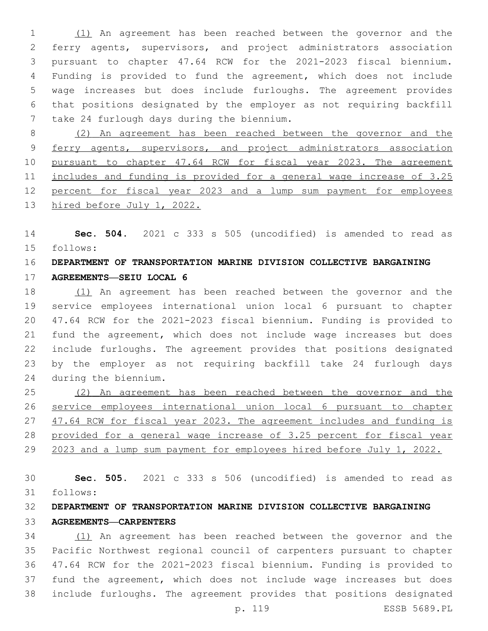(1) An agreement has been reached between the governor and the ferry agents, supervisors, and project administrators association pursuant to chapter 47.64 RCW for the 2021-2023 fiscal biennium. Funding is provided to fund the agreement, which does not include wage increases but does include furloughs. The agreement provides that positions designated by the employer as not requiring backfill 7 take 24 furlough days during the biennium.

 (2) An agreement has been reached between the governor and the 9 ferry agents, supervisors, and project administrators association pursuant to chapter 47.64 RCW for fiscal year 2023. The agreement 11 includes and funding is provided for a general wage increase of 3.25 percent for fiscal year 2023 and a lump sum payment for employees hired before July 1, 2022.

 **Sec. 504.** 2021 c 333 s 505 (uncodified) is amended to read as follows: 15

## **DEPARTMENT OF TRANSPORTATION MARINE DIVISION COLLECTIVE BARGAINING**

**AGREEMENTS—SEIU LOCAL 6**

 (1) An agreement has been reached between the governor and the service employees international union local 6 pursuant to chapter 47.64 RCW for the 2021-2023 fiscal biennium. Funding is provided to fund the agreement, which does not include wage increases but does include furloughs. The agreement provides that positions designated by the employer as not requiring backfill take 24 furlough days during the biennium.24

 (2) An agreement has been reached between the governor and the service employees international union local 6 pursuant to chapter 47.64 RCW for fiscal year 2023. The agreement includes and funding is provided for a general wage increase of 3.25 percent for fiscal year 2023 and a lump sum payment for employees hired before July 1, 2022.

 **Sec. 505.** 2021 c 333 s 506 (uncodified) is amended to read as follows: 31

## **DEPARTMENT OF TRANSPORTATION MARINE DIVISION COLLECTIVE BARGAINING AGREEMENTS—CARPENTERS**

 (1) An agreement has been reached between the governor and the Pacific Northwest regional council of carpenters pursuant to chapter 47.64 RCW for the 2021-2023 fiscal biennium. Funding is provided to fund the agreement, which does not include wage increases but does include furloughs. The agreement provides that positions designated

p. 119 ESSB 5689.PL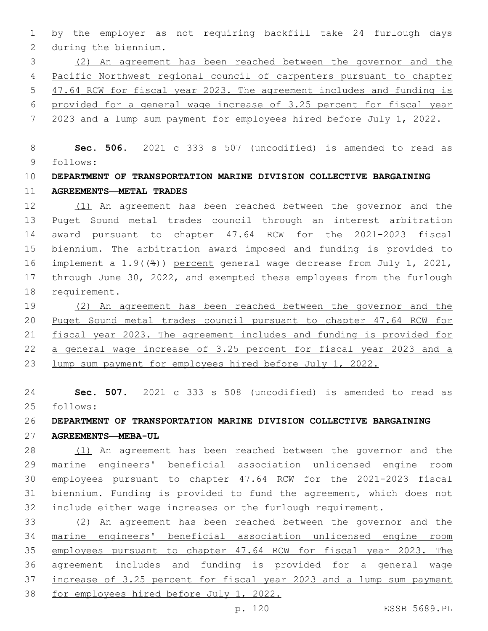by the employer as not requiring backfill take 24 furlough days 2 during the biennium.

 (2) An agreement has been reached between the governor and the Pacific Northwest regional council of carpenters pursuant to chapter 47.64 RCW for fiscal year 2023. The agreement includes and funding is provided for a general wage increase of 3.25 percent for fiscal year

2023 and a lump sum payment for employees hired before July 1, 2022.

 **Sec. 506.** 2021 c 333 s 507 (uncodified) is amended to read as follows: 9

## **DEPARTMENT OF TRANSPORTATION MARINE DIVISION COLLECTIVE BARGAINING AGREEMENTS—METAL TRADES**

 (1) An agreement has been reached between the governor and the Puget Sound metal trades council through an interest arbitration award pursuant to chapter 47.64 RCW for the 2021-2023 fiscal biennium. The arbitration award imposed and funding is provided to implement a 1.9((%)) percent general wage decrease from July 1, 2021, through June 30, 2022, and exempted these employees from the furlough 18 requirement.

 (2) An agreement has been reached between the governor and the Puget Sound metal trades council pursuant to chapter 47.64 RCW for fiscal year 2023. The agreement includes and funding is provided for a general wage increase of 3.25 percent for fiscal year 2023 and a lump sum payment for employees hired before July 1, 2022.

 **Sec. 507.** 2021 c 333 s 508 (uncodified) is amended to read as follows: 25

#### **DEPARTMENT OF TRANSPORTATION MARINE DIVISION COLLECTIVE BARGAINING**

**AGREEMENTS—MEBA-UL**

28 (1) An agreement has been reached between the governor and the marine engineers' beneficial association unlicensed engine room employees pursuant to chapter 47.64 RCW for the 2021-2023 fiscal biennium. Funding is provided to fund the agreement, which does not include either wage increases or the furlough requirement.

 (2) An agreement has been reached between the governor and the marine engineers' beneficial association unlicensed engine room employees pursuant to chapter 47.64 RCW for fiscal year 2023. The agreement includes and funding is provided for a general wage increase of 3.25 percent for fiscal year 2023 and a lump sum payment for employees hired before July 1, 2022.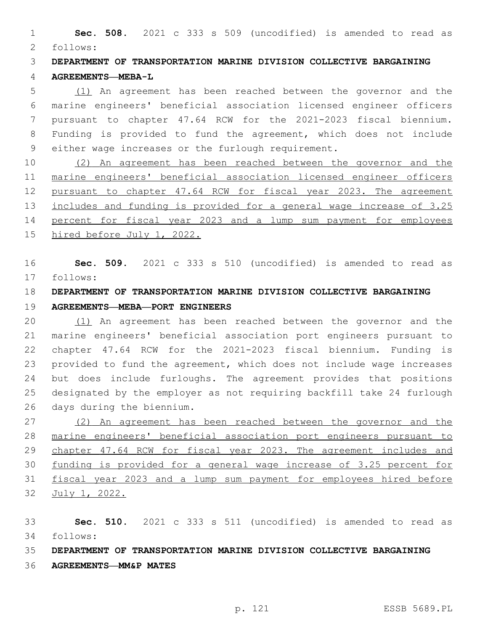**Sec. 508.** 2021 c 333 s 509 (uncodified) is amended to read as follows: 2

 **DEPARTMENT OF TRANSPORTATION MARINE DIVISION COLLECTIVE BARGAINING AGREEMENTS—MEBA-L**

 (1) An agreement has been reached between the governor and the marine engineers' beneficial association licensed engineer officers pursuant to chapter 47.64 RCW for the 2021-2023 fiscal biennium. Funding is provided to fund the agreement, which does not include 9 either wage increases or the furlough requirement.

 (2) An agreement has been reached between the governor and the marine engineers' beneficial association licensed engineer officers pursuant to chapter 47.64 RCW for fiscal year 2023. The agreement includes and funding is provided for a general wage increase of 3.25 percent for fiscal year 2023 and a lump sum payment for employees hired before July 1, 2022.

 **Sec. 509.** 2021 c 333 s 510 (uncodified) is amended to read as follows: 17

## **DEPARTMENT OF TRANSPORTATION MARINE DIVISION COLLECTIVE BARGAINING**

## **AGREEMENTS—MEBA—PORT ENGINEERS**

 (1) An agreement has been reached between the governor and the marine engineers' beneficial association port engineers pursuant to chapter 47.64 RCW for the 2021-2023 fiscal biennium. Funding is provided to fund the agreement, which does not include wage increases but does include furloughs. The agreement provides that positions designated by the employer as not requiring backfill take 24 furlough 26 days during the biennium.

 (2) An agreement has been reached between the governor and the marine engineers' beneficial association port engineers pursuant to chapter 47.64 RCW for fiscal year 2023. The agreement includes and funding is provided for a general wage increase of 3.25 percent for fiscal year 2023 and a lump sum payment for employees hired before July 1, 2022.

 **Sec. 510.** 2021 c 333 s 511 (uncodified) is amended to read as follows: 34

## **DEPARTMENT OF TRANSPORTATION MARINE DIVISION COLLECTIVE BARGAINING**

**AGREEMENTS—MM&P MATES**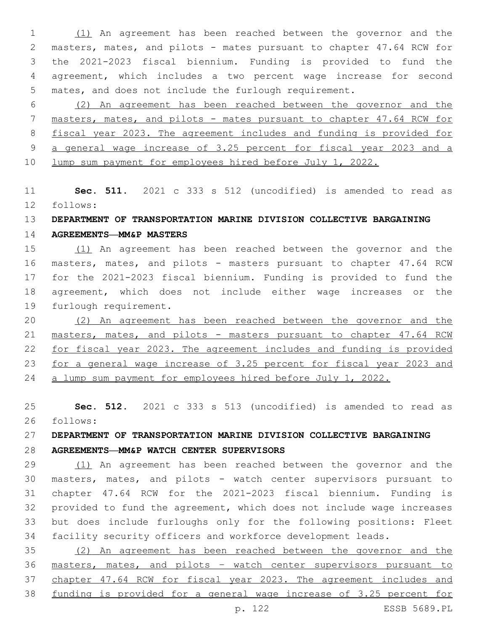(1) An agreement has been reached between the governor and the masters, mates, and pilots - mates pursuant to chapter 47.64 RCW for the 2021-2023 fiscal biennium. Funding is provided to fund the agreement, which includes a two percent wage increase for second mates, and does not include the furlough requirement.

 (2) An agreement has been reached between the governor and the masters, mates, and pilots - mates pursuant to chapter 47.64 RCW for fiscal year 2023. The agreement includes and funding is provided for a general wage increase of 3.25 percent for fiscal year 2023 and a lump sum payment for employees hired before July 1, 2022.

 **Sec. 511.** 2021 c 333 s 512 (uncodified) is amended to read as follows: 12

## **DEPARTMENT OF TRANSPORTATION MARINE DIVISION COLLECTIVE BARGAINING**

**AGREEMENTS—MM&P MASTERS**

 (1) An agreement has been reached between the governor and the masters, mates, and pilots - masters pursuant to chapter 47.64 RCW for the 2021-2023 fiscal biennium. Funding is provided to fund the agreement, which does not include either wage increases or the 19 furlough requirement.

 (2) An agreement has been reached between the governor and the masters, mates, and pilots - masters pursuant to chapter 47.64 RCW for fiscal year 2023. The agreement includes and funding is provided for a general wage increase of 3.25 percent for fiscal year 2023 and a lump sum payment for employees hired before July 1, 2022.

 **Sec. 512.** 2021 c 333 s 513 (uncodified) is amended to read as follows: 26

# **DEPARTMENT OF TRANSPORTATION MARINE DIVISION COLLECTIVE BARGAINING**

**AGREEMENTS—MM&P WATCH CENTER SUPERVISORS**

 (1) An agreement has been reached between the governor and the masters, mates, and pilots - watch center supervisors pursuant to chapter 47.64 RCW for the 2021-2023 fiscal biennium. Funding is provided to fund the agreement, which does not include wage increases but does include furloughs only for the following positions: Fleet facility security officers and workforce development leads.

 (2) An agreement has been reached between the governor and the masters, mates, and pilots – watch center supervisors pursuant to chapter 47.64 RCW for fiscal year 2023. The agreement includes and funding is provided for a general wage increase of 3.25 percent for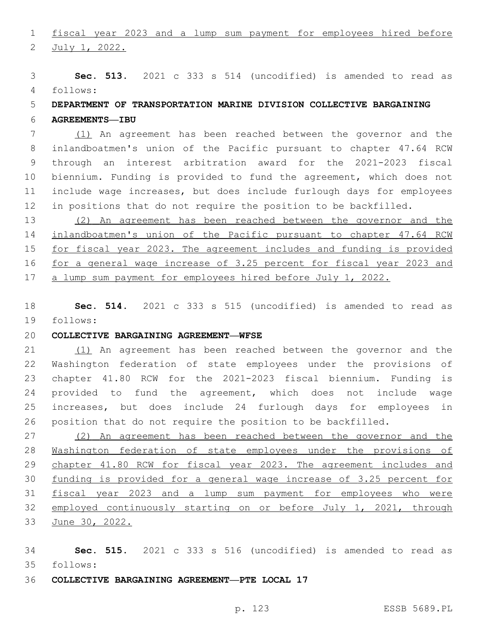fiscal year 2023 and a lump sum payment for employees hired before

2 July 1, 2022.

 **Sec. 513.** 2021 c 333 s 514 (uncodified) is amended to read as follows: 4

## **DEPARTMENT OF TRANSPORTATION MARINE DIVISION COLLECTIVE BARGAINING**

**AGREEMENTS—IBU**

 (1) An agreement has been reached between the governor and the inlandboatmen's union of the Pacific pursuant to chapter 47.64 RCW through an interest arbitration award for the 2021-2023 fiscal biennium. Funding is provided to fund the agreement, which does not include wage increases, but does include furlough days for employees in positions that do not require the position to be backfilled.

 (2) An agreement has been reached between the governor and the inlandboatmen's union of the Pacific pursuant to chapter 47.64 RCW for fiscal year 2023. The agreement includes and funding is provided for a general wage increase of 3.25 percent for fiscal year 2023 and a lump sum payment for employees hired before July 1, 2022.

 **Sec. 514.** 2021 c 333 s 515 (uncodified) is amended to read as follows: 19

#### **COLLECTIVE BARGAINING AGREEMENT—WFSE**

 (1) An agreement has been reached between the governor and the Washington federation of state employees under the provisions of chapter 41.80 RCW for the 2021-2023 fiscal biennium. Funding is provided to fund the agreement, which does not include wage increases, but does include 24 furlough days for employees in position that do not require the position to be backfilled.

 (2) An agreement has been reached between the governor and the Washington federation of state employees under the provisions of 29 chapter 41.80 RCW for fiscal year 2023. The agreement includes and funding is provided for a general wage increase of 3.25 percent for fiscal year 2023 and a lump sum payment for employees who were 32 employed continuously starting on or before July 1, 2021, through June 30, 2022.

 **Sec. 515.** 2021 c 333 s 516 (uncodified) is amended to read as follows: 35

**COLLECTIVE BARGAINING AGREEMENT—PTE LOCAL 17**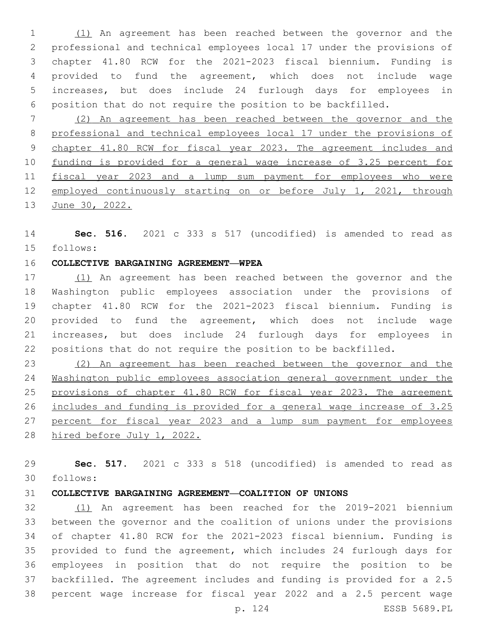(1) An agreement has been reached between the governor and the professional and technical employees local 17 under the provisions of chapter 41.80 RCW for the 2021-2023 fiscal biennium. Funding is provided to fund the agreement, which does not include wage increases, but does include 24 furlough days for employees in position that do not require the position to be backfilled.

 (2) An agreement has been reached between the governor and the professional and technical employees local 17 under the provisions of chapter 41.80 RCW for fiscal year 2023. The agreement includes and funding is provided for a general wage increase of 3.25 percent for fiscal year 2023 and a lump sum payment for employees who were employed continuously starting on or before July 1, 2021, through 13 June 30, 2022.

 **Sec. 516.** 2021 c 333 s 517 (uncodified) is amended to read as follows: 15

#### **COLLECTIVE BARGAINING AGREEMENT—WPEA**

17 (1) An agreement has been reached between the governor and the Washington public employees association under the provisions of chapter 41.80 RCW for the 2021-2023 fiscal biennium. Funding is provided to fund the agreement, which does not include wage increases, but does include 24 furlough days for employees in positions that do not require the position to be backfilled.

 (2) An agreement has been reached between the governor and the Washington public employees association general government under the provisions of chapter 41.80 RCW for fiscal year 2023. The agreement includes and funding is provided for a general wage increase of 3.25 27 percent for fiscal year 2023 and a lump sum payment for employees hired before July 1, 2022.

 **Sec. 517.** 2021 c 333 s 518 (uncodified) is amended to read as follows: 30

#### **COLLECTIVE BARGAINING AGREEMENT—COALITION OF UNIONS**

 (1) An agreement has been reached for the 2019-2021 biennium between the governor and the coalition of unions under the provisions of chapter 41.80 RCW for the 2021-2023 fiscal biennium. Funding is provided to fund the agreement, which includes 24 furlough days for employees in position that do not require the position to be backfilled. The agreement includes and funding is provided for a 2.5 percent wage increase for fiscal year 2022 and a 2.5 percent wage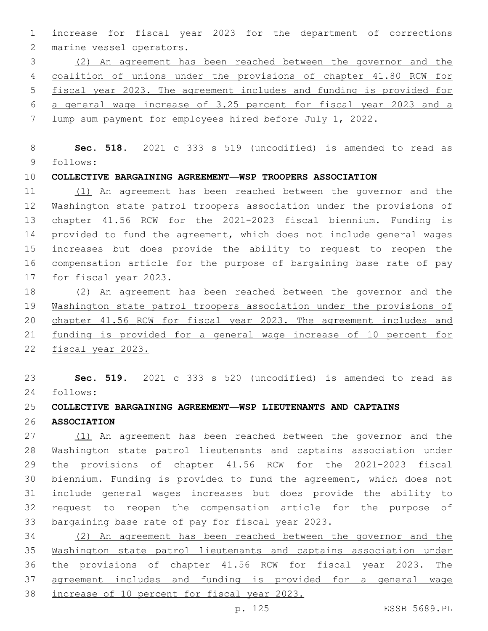increase for fiscal year 2023 for the department of corrections 2 marine vessel operators.

 (2) An agreement has been reached between the governor and the coalition of unions under the provisions of chapter 41.80 RCW for fiscal year 2023. The agreement includes and funding is provided for a general wage increase of 3.25 percent for fiscal year 2023 and a lump sum payment for employees hired before July 1, 2022.

 **Sec. 518.** 2021 c 333 s 519 (uncodified) is amended to read as follows: 9

**COLLECTIVE BARGAINING AGREEMENT—WSP TROOPERS ASSOCIATION**

 (1) An agreement has been reached between the governor and the Washington state patrol troopers association under the provisions of chapter 41.56 RCW for the 2021-2023 fiscal biennium. Funding is provided to fund the agreement, which does not include general wages increases but does provide the ability to request to reopen the compensation article for the purpose of bargaining base rate of pay 17 for fiscal year 2023.

 (2) An agreement has been reached between the governor and the Washington state patrol troopers association under the provisions of chapter 41.56 RCW for fiscal year 2023. The agreement includes and funding is provided for a general wage increase of 10 percent for fiscal year 2023.

 **Sec. 519.** 2021 c 333 s 520 (uncodified) is amended to read as follows: 24

#### **COLLECTIVE BARGAINING AGREEMENT—WSP LIEUTENANTS AND CAPTAINS**

**ASSOCIATION**

 (1) An agreement has been reached between the governor and the Washington state patrol lieutenants and captains association under the provisions of chapter 41.56 RCW for the 2021-2023 fiscal biennium. Funding is provided to fund the agreement, which does not include general wages increases but does provide the ability to request to reopen the compensation article for the purpose of 33 bargaining base rate of pay for fiscal year 2023.

 (2) An agreement has been reached between the governor and the Washington state patrol lieutenants and captains association under the provisions of chapter 41.56 RCW for fiscal year 2023. The agreement includes and funding is provided for a general wage increase of 10 percent for fiscal year 2023.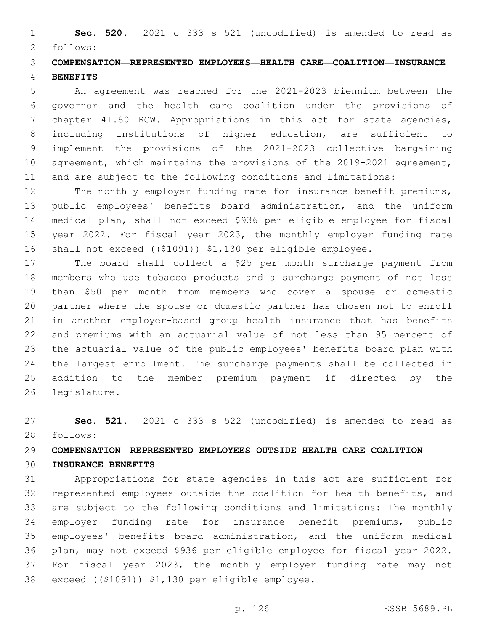**Sec. 520.** 2021 c 333 s 521 (uncodified) is amended to read as follows: 2

## **COMPENSATION—REPRESENTED EMPLOYEES—HEALTH CARE—COALITION—INSURANCE BENEFITS**

 An agreement was reached for the 2021-2023 biennium between the governor and the health care coalition under the provisions of chapter 41.80 RCW. Appropriations in this act for state agencies, including institutions of higher education, are sufficient to implement the provisions of the 2021-2023 collective bargaining agreement, which maintains the provisions of the 2019-2021 agreement, and are subject to the following conditions and limitations:

12 The monthly employer funding rate for insurance benefit premiums, public employees' benefits board administration, and the uniform medical plan, shall not exceed \$936 per eligible employee for fiscal year 2022. For fiscal year 2023, the monthly employer funding rate shall not exceed ((\$1091)) \$1,130 per eligible employee.

 The board shall collect a \$25 per month surcharge payment from members who use tobacco products and a surcharge payment of not less than \$50 per month from members who cover a spouse or domestic partner where the spouse or domestic partner has chosen not to enroll in another employer-based group health insurance that has benefits and premiums with an actuarial value of not less than 95 percent of the actuarial value of the public employees' benefits board plan with the largest enrollment. The surcharge payments shall be collected in addition to the member premium payment if directed by the 26 legislature.

 **Sec. 521.** 2021 c 333 s 522 (uncodified) is amended to read as follows: 28

## **COMPENSATION—REPRESENTED EMPLOYEES OUTSIDE HEALTH CARE COALITION—**

## **INSURANCE BENEFITS**

 Appropriations for state agencies in this act are sufficient for represented employees outside the coalition for health benefits, and are subject to the following conditions and limitations: The monthly employer funding rate for insurance benefit premiums, public employees' benefits board administration, and the uniform medical plan, may not exceed \$936 per eligible employee for fiscal year 2022. For fiscal year 2023, the monthly employer funding rate may not 38 exceed ((\$1091)) \$1,130 per eligible employee.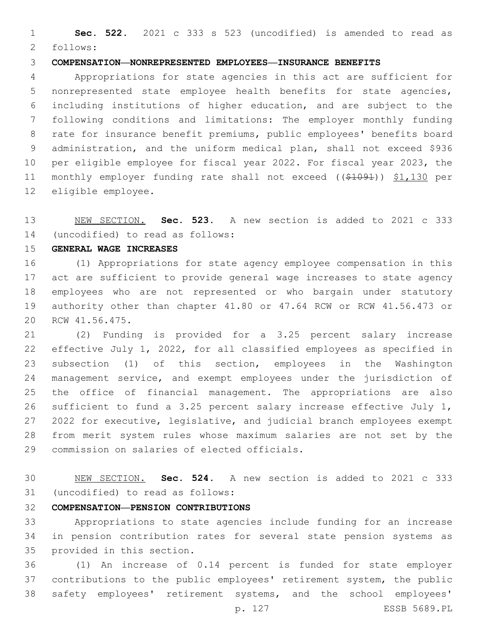**Sec. 522.** 2021 c 333 s 523 (uncodified) is amended to read as 2 follows:

#### **COMPENSATION—NONREPRESENTED EMPLOYEES—INSURANCE BENEFITS**

 Appropriations for state agencies in this act are sufficient for nonrepresented state employee health benefits for state agencies, including institutions of higher education, and are subject to the following conditions and limitations: The employer monthly funding rate for insurance benefit premiums, public employees' benefits board administration, and the uniform medical plan, shall not exceed \$936 per eligible employee for fiscal year 2022. For fiscal year 2023, the monthly employer funding rate shall not exceed ((\$1091)) \$1,130 per 12 eligible employee.

 NEW SECTION. **Sec. 523.** A new section is added to 2021 c 333 (uncodified) to read as follows: 14

**GENERAL WAGE INCREASES**

 (1) Appropriations for state agency employee compensation in this act are sufficient to provide general wage increases to state agency employees who are not represented or who bargain under statutory authority other than chapter 41.80 or 47.64 RCW or RCW 41.56.473 or 20 RCW 41.56.475.

 (2) Funding is provided for a 3.25 percent salary increase effective July 1, 2022, for all classified employees as specified in subsection (1) of this section, employees in the Washington management service, and exempt employees under the jurisdiction of the office of financial management. The appropriations are also sufficient to fund a 3.25 percent salary increase effective July 1, 2022 for executive, legislative, and judicial branch employees exempt from merit system rules whose maximum salaries are not set by the 29 commission on salaries of elected officials.

 NEW SECTION. **Sec. 524.** A new section is added to 2021 c 333 31 (uncodified) to read as follows:

#### **COMPENSATION—PENSION CONTRIBUTIONS**

 Appropriations to state agencies include funding for an increase in pension contribution rates for several state pension systems as 35 provided in this section.

 (1) An increase of 0.14 percent is funded for state employer contributions to the public employees' retirement system, the public safety employees' retirement systems, and the school employees'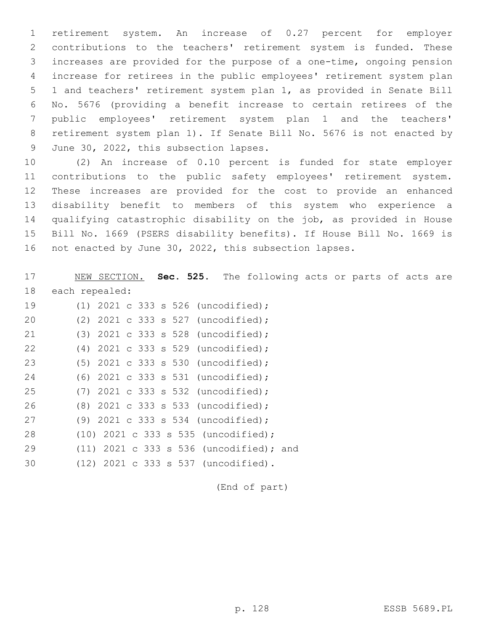retirement system. An increase of 0.27 percent for employer contributions to the teachers' retirement system is funded. These increases are provided for the purpose of a one-time, ongoing pension increase for retirees in the public employees' retirement system plan 1 and teachers' retirement system plan 1, as provided in Senate Bill No. 5676 (providing a benefit increase to certain retirees of the public employees' retirement system plan 1 and the teachers' retirement system plan 1). If Senate Bill No. 5676 is not enacted by 9 June 30, 2022, this subsection lapses.

 (2) An increase of 0.10 percent is funded for state employer contributions to the public safety employees' retirement system. These increases are provided for the cost to provide an enhanced disability benefit to members of this system who experience a qualifying catastrophic disability on the job, as provided in House Bill No. 1669 (PSERS disability benefits). If House Bill No. 1669 is not enacted by June 30, 2022, this subsection lapses.

17 NEW SECTION. **Sec. 525.** The following acts or parts of acts are 18 each repealed: (1) 2021 c 333 s 526 (uncodified);19 (2) 2021 c 333 s 527 (uncodified);20 (3) 2021 c 333 s 528 (uncodified);21 (4) 2021 c 333 s 529 (uncodified);22 23 (5) 2021 c 333 s 530 (uncodified); (6) 2021 c 333 s 531 (uncodified);24 (7) 2021 c 333 s 532 (uncodified);25 (8) 2021 c 333 s 533 (uncodified);26 (9) 2021 c 333 s 534 (uncodified);27 (10) 2021 c 333 s 535 (uncodified);28 (11) 2021 c 333 s 536 (uncodified); and29 (12) 2021 c 333 s 537 (uncodified).30

(End of part)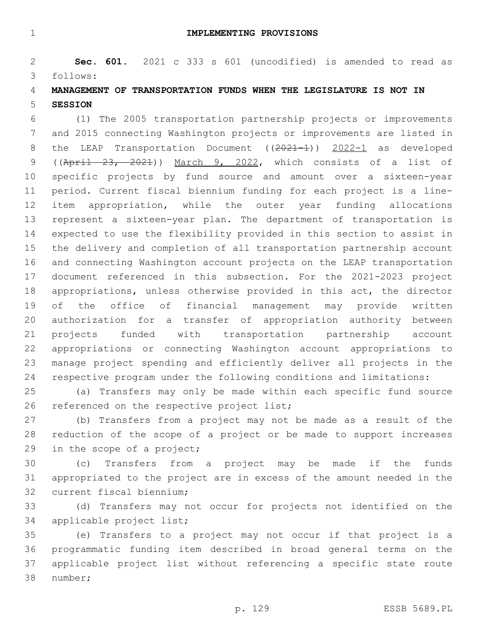**IMPLEMENTING PROVISIONS**

 **Sec. 601.** 2021 c 333 s 601 (uncodified) is amended to read as follows: 3

## **MANAGEMENT OF TRANSPORTATION FUNDS WHEN THE LEGISLATURE IS NOT IN SESSION**

 (1) The 2005 transportation partnership projects or improvements and 2015 connecting Washington projects or improvements are listed in 8 the LEAP Transportation Document ((2021-1)) 2022-1 as developed ((April 23, 2021)) March 9, 2022, which consists of a list of specific projects by fund source and amount over a sixteen-year period. Current fiscal biennium funding for each project is a line- item appropriation, while the outer year funding allocations represent a sixteen-year plan. The department of transportation is expected to use the flexibility provided in this section to assist in the delivery and completion of all transportation partnership account and connecting Washington account projects on the LEAP transportation document referenced in this subsection. For the 2021-2023 project appropriations, unless otherwise provided in this act, the director of the office of financial management may provide written authorization for a transfer of appropriation authority between projects funded with transportation partnership account appropriations or connecting Washington account appropriations to manage project spending and efficiently deliver all projects in the respective program under the following conditions and limitations:

 (a) Transfers may only be made within each specific fund source 26 referenced on the respective project list;

 (b) Transfers from a project may not be made as a result of the reduction of the scope of a project or be made to support increases 29 in the scope of a project;

 (c) Transfers from a project may be made if the funds appropriated to the project are in excess of the amount needed in the 32 current fiscal biennium;

 (d) Transfers may not occur for projects not identified on the 34 applicable project list;

 (e) Transfers to a project may not occur if that project is a programmatic funding item described in broad general terms on the applicable project list without referencing a specific state route 38 number;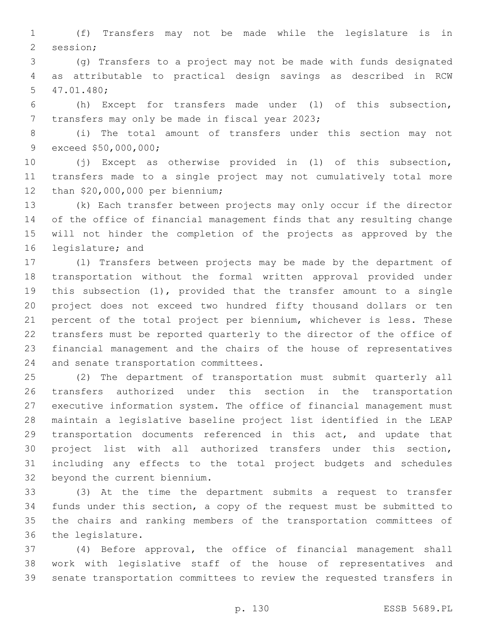(f) Transfers may not be made while the legislature is in 2 session;

 (g) Transfers to a project may not be made with funds designated as attributable to practical design savings as described in RCW 47.01.480;5

 (h) Except for transfers made under (l) of this subsection, 7 transfers may only be made in fiscal year 2023;

 (i) The total amount of transfers under this section may not 9 exceed \$50,000,000;

 (j) Except as otherwise provided in (l) of this subsection, transfers made to a single project may not cumulatively total more 12 than \$20,000,000 per biennium;

 (k) Each transfer between projects may only occur if the director of the office of financial management finds that any resulting change will not hinder the completion of the projects as approved by the 16 legislature; and

 (l) Transfers between projects may be made by the department of transportation without the formal written approval provided under this subsection (1), provided that the transfer amount to a single project does not exceed two hundred fifty thousand dollars or ten percent of the total project per biennium, whichever is less. These transfers must be reported quarterly to the director of the office of financial management and the chairs of the house of representatives 24 and senate transportation committees.

 (2) The department of transportation must submit quarterly all transfers authorized under this section in the transportation executive information system. The office of financial management must maintain a legislative baseline project list identified in the LEAP transportation documents referenced in this act, and update that project list with all authorized transfers under this section, including any effects to the total project budgets and schedules 32 beyond the current biennium.

 (3) At the time the department submits a request to transfer funds under this section, a copy of the request must be submitted to the chairs and ranking members of the transportation committees of 36 the legislature.

 (4) Before approval, the office of financial management shall work with legislative staff of the house of representatives and senate transportation committees to review the requested transfers in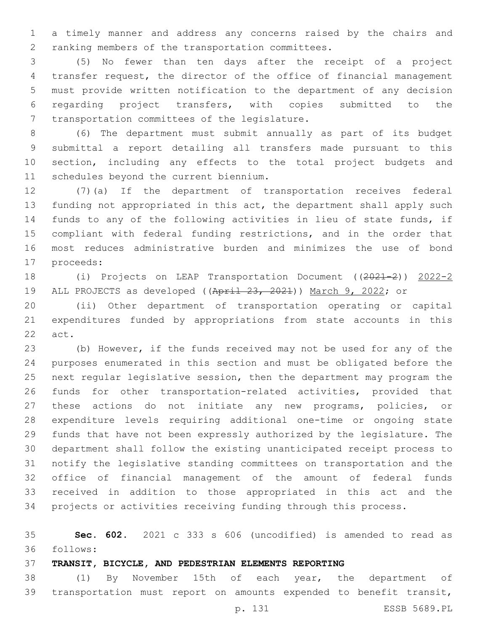a timely manner and address any concerns raised by the chairs and 2 ranking members of the transportation committees.

 (5) No fewer than ten days after the receipt of a project transfer request, the director of the office of financial management must provide written notification to the department of any decision regarding project transfers, with copies submitted to the 7 transportation committees of the legislature.

 (6) The department must submit annually as part of its budget submittal a report detailing all transfers made pursuant to this section, including any effects to the total project budgets and 11 schedules beyond the current biennium.

 (7)(a) If the department of transportation receives federal funding not appropriated in this act, the department shall apply such funds to any of the following activities in lieu of state funds, if compliant with federal funding restrictions, and in the order that most reduces administrative burden and minimizes the use of bond 17 proceeds:

 (i) Projects on LEAP Transportation Document ((2021-2)) 2022-2 ALL PROJECTS as developed ((April 23, 2021)) March 9, 2022; or

 (ii) Other department of transportation operating or capital expenditures funded by appropriations from state accounts in this 22 act.

 (b) However, if the funds received may not be used for any of the purposes enumerated in this section and must be obligated before the next regular legislative session, then the department may program the funds for other transportation-related activities, provided that these actions do not initiate any new programs, policies, or expenditure levels requiring additional one-time or ongoing state funds that have not been expressly authorized by the legislature. The department shall follow the existing unanticipated receipt process to notify the legislative standing committees on transportation and the office of financial management of the amount of federal funds received in addition to those appropriated in this act and the projects or activities receiving funding through this process.

 **Sec. 602.** 2021 c 333 s 606 (uncodified) is amended to read as follows: 36

**TRANSIT, BICYCLE, AND PEDESTRIAN ELEMENTS REPORTING**

 (1) By November 15th of each year, the department of transportation must report on amounts expended to benefit transit,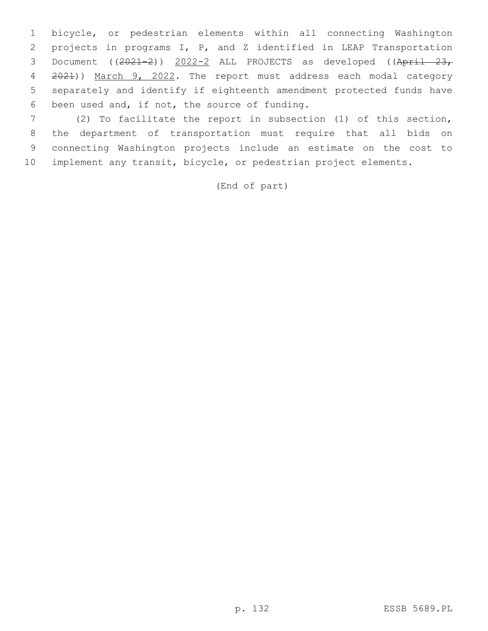bicycle, or pedestrian elements within all connecting Washington projects in programs I, P, and Z identified in LEAP Transportation 3 Document ((2021-2)) 2022-2 ALL PROJECTS as developed ((April 23, 2021)) March 9, 2022. The report must address each modal category separately and identify if eighteenth amendment protected funds have 6 been used and, if not, the source of funding.

 (2) To facilitate the report in subsection (1) of this section, the department of transportation must require that all bids on connecting Washington projects include an estimate on the cost to implement any transit, bicycle, or pedestrian project elements.

(End of part)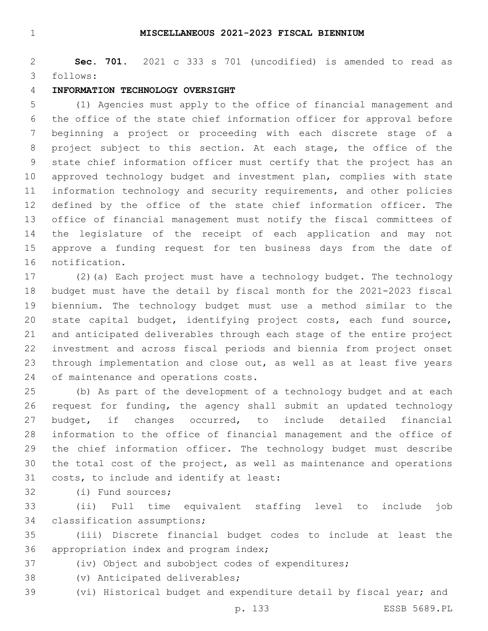#### **MISCELLANEOUS 2021-2023 FISCAL BIENNIUM**

 **Sec. 701.** 2021 c 333 s 701 (uncodified) is amended to read as follows: 3

#### **INFORMATION TECHNOLOGY OVERSIGHT**

 (1) Agencies must apply to the office of financial management and the office of the state chief information officer for approval before beginning a project or proceeding with each discrete stage of a project subject to this section. At each stage, the office of the state chief information officer must certify that the project has an approved technology budget and investment plan, complies with state information technology and security requirements, and other policies defined by the office of the state chief information officer. The office of financial management must notify the fiscal committees of the legislature of the receipt of each application and may not approve a funding request for ten business days from the date of 16 notification.

 (2)(a) Each project must have a technology budget. The technology budget must have the detail by fiscal month for the 2021-2023 fiscal biennium. The technology budget must use a method similar to the state capital budget, identifying project costs, each fund source, and anticipated deliverables through each stage of the entire project investment and across fiscal periods and biennia from project onset 23 through implementation and close out, as well as at least five years 24 of maintenance and operations costs.

 (b) As part of the development of a technology budget and at each request for funding, the agency shall submit an updated technology budget, if changes occurred, to include detailed financial information to the office of financial management and the office of the chief information officer. The technology budget must describe the total cost of the project, as well as maintenance and operations 31 costs, to include and identify at least:

32 (i) Fund sources;

 (ii) Full time equivalent staffing level to include job 34 classification assumptions;

 (iii) Discrete financial budget codes to include at least the 36 appropriation index and program index;

(iv) Object and subobject codes of expenditures;

38 (v) Anticipated deliverables;

(vi) Historical budget and expenditure detail by fiscal year; and

p. 133 ESSB 5689.PL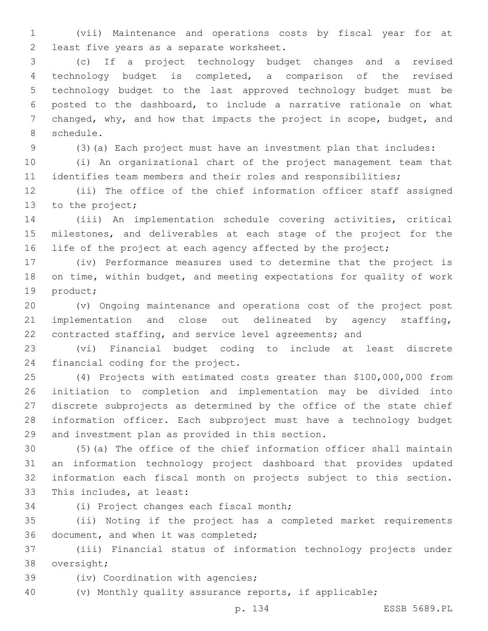(vii) Maintenance and operations costs by fiscal year for at 2 least five years as a separate worksheet.

 (c) If a project technology budget changes and a revised technology budget is completed, a comparison of the revised technology budget to the last approved technology budget must be posted to the dashboard, to include a narrative rationale on what changed, why, and how that impacts the project in scope, budget, and 8 schedule.

(3)(a) Each project must have an investment plan that includes:

 (i) An organizational chart of the project management team that identifies team members and their roles and responsibilities;

 (ii) The office of the chief information officer staff assigned 13 to the project;

 (iii) An implementation schedule covering activities, critical milestones, and deliverables at each stage of the project for the 16 life of the project at each agency affected by the project;

 (iv) Performance measures used to determine that the project is on time, within budget, and meeting expectations for quality of work 19 product;

 (v) Ongoing maintenance and operations cost of the project post implementation and close out delineated by agency staffing, contracted staffing, and service level agreements; and

 (vi) Financial budget coding to include at least discrete 24 financial coding for the project.

 (4) Projects with estimated costs greater than \$100,000,000 from initiation to completion and implementation may be divided into discrete subprojects as determined by the office of the state chief information officer. Each subproject must have a technology budget 29 and investment plan as provided in this section.

 (5)(a) The office of the chief information officer shall maintain an information technology project dashboard that provides updated information each fiscal month on projects subject to this section. 33 This includes, at least:

34 (i) Project changes each fiscal month;

 (ii) Noting if the project has a completed market requirements 36 document, and when it was completed;

 (iii) Financial status of information technology projects under 38 oversight;

39 (iv) Coordination with agencies;

(v) Monthly quality assurance reports, if applicable;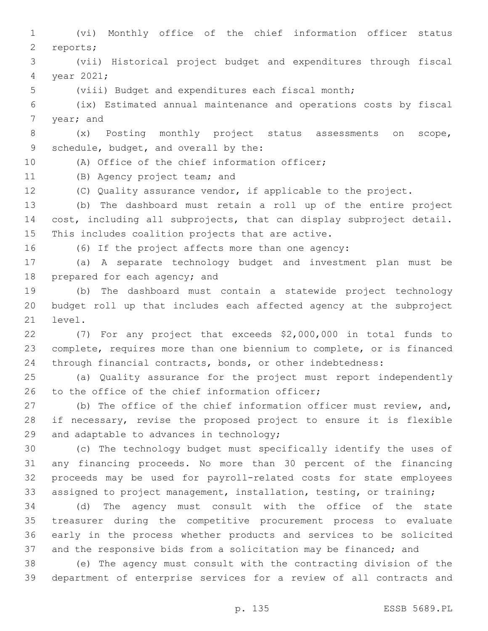(vi) Monthly office of the chief information officer status 2 reports; (vii) Historical project budget and expenditures through fiscal 4 year 2021; (viii) Budget and expenditures each fiscal month; (ix) Estimated annual maintenance and operations costs by fiscal 7 year; and (x) Posting monthly project status assessments on scope, 9 schedule, budget, and overall by the: 10 (A) Office of the chief information officer; 11 (B) Agency project team; and (C) Quality assurance vendor, if applicable to the project. (b) The dashboard must retain a roll up of the entire project cost, including all subprojects, that can display subproject detail. 15 This includes coalition projects that are active. (6) If the project affects more than one agency: (a) A separate technology budget and investment plan must be 18 prepared for each agency; and (b) The dashboard must contain a statewide project technology budget roll up that includes each affected agency at the subproject 21 level. (7) For any project that exceeds \$2,000,000 in total funds to complete, requires more than one biennium to complete, or is financed through financial contracts, bonds, or other indebtedness: (a) Quality assurance for the project must report independently 26 to the office of the chief information officer; 27 (b) The office of the chief information officer must review, and, if necessary, revise the proposed project to ensure it is flexible 29 and adaptable to advances in technology; (c) The technology budget must specifically identify the uses of any financing proceeds. No more than 30 percent of the financing proceeds may be used for payroll-related costs for state employees assigned to project management, installation, testing, or training; (d) The agency must consult with the office of the state treasurer during the competitive procurement process to evaluate early in the process whether products and services to be solicited and the responsive bids from a solicitation may be financed; and (e) The agency must consult with the contracting division of the department of enterprise services for a review of all contracts and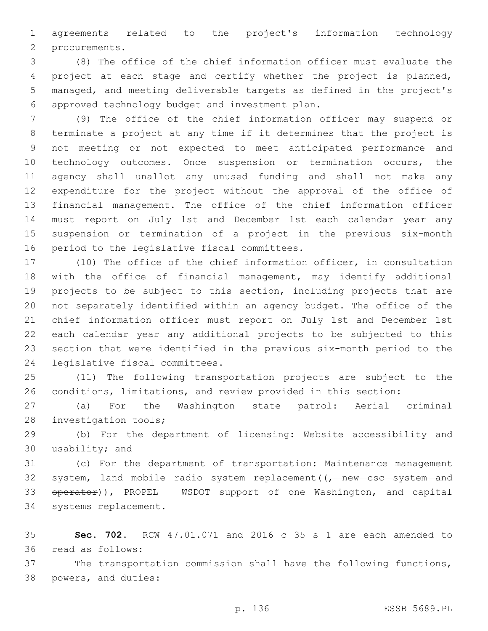agreements related to the project's information technology 2 procurements.

 (8) The office of the chief information officer must evaluate the project at each stage and certify whether the project is planned, managed, and meeting deliverable targets as defined in the project's approved technology budget and investment plan.6

 (9) The office of the chief information officer may suspend or terminate a project at any time if it determines that the project is not meeting or not expected to meet anticipated performance and technology outcomes. Once suspension or termination occurs, the agency shall unallot any unused funding and shall not make any expenditure for the project without the approval of the office of financial management. The office of the chief information officer must report on July 1st and December 1st each calendar year any suspension or termination of a project in the previous six-month 16 period to the legislative fiscal committees.

 (10) The office of the chief information officer, in consultation with the office of financial management, may identify additional projects to be subject to this section, including projects that are not separately identified within an agency budget. The office of the chief information officer must report on July 1st and December 1st each calendar year any additional projects to be subjected to this section that were identified in the previous six-month period to the 24 legislative fiscal committees.

 (11) The following transportation projects are subject to the conditions, limitations, and review provided in this section:

 (a) For the Washington state patrol: Aerial criminal 28 investigation tools;

 (b) For the department of licensing: Website accessibility and 30 usability; and

 (c) For the department of transportation: Maintenance management 32 system, land mobile radio system replacement  $(\tau$  new csc system and 33 operator)), PROPEL - WSDOT support of one Washington, and capital 34 systems replacement.

 **Sec. 702.** RCW 47.01.071 and 2016 c 35 s 1 are each amended to 36 read as follows:

 The transportation commission shall have the following functions, 38 powers, and duties: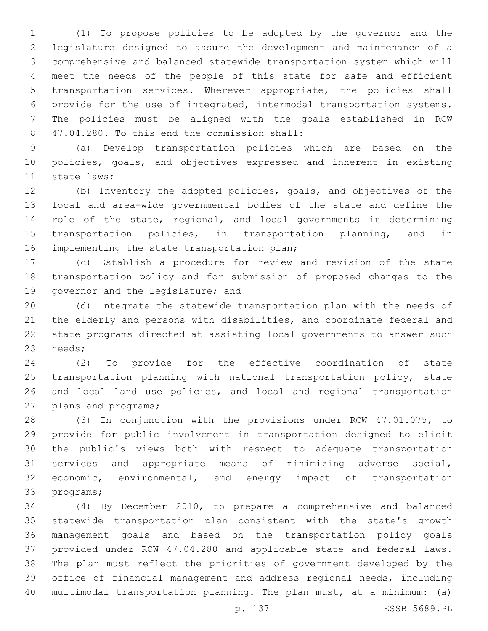(1) To propose policies to be adopted by the governor and the legislature designed to assure the development and maintenance of a comprehensive and balanced statewide transportation system which will meet the needs of the people of this state for safe and efficient transportation services. Wherever appropriate, the policies shall provide for the use of integrated, intermodal transportation systems. The policies must be aligned with the goals established in RCW 47.04.280. To this end the commission shall:8

 (a) Develop transportation policies which are based on the policies, goals, and objectives expressed and inherent in existing 11 state laws:

 (b) Inventory the adopted policies, goals, and objectives of the local and area-wide governmental bodies of the state and define the 14 role of the state, regional, and local governments in determining 15 transportation policies, in transportation planning, and in 16 implementing the state transportation plan;

 (c) Establish a procedure for review and revision of the state transportation policy and for submission of proposed changes to the 19 governor and the legislature; and

 (d) Integrate the statewide transportation plan with the needs of the elderly and persons with disabilities, and coordinate federal and state programs directed at assisting local governments to answer such 23 needs;

 (2) To provide for the effective coordination of state transportation planning with national transportation policy, state and local land use policies, and local and regional transportation 27 plans and programs;

 (3) In conjunction with the provisions under RCW 47.01.075, to provide for public involvement in transportation designed to elicit the public's views both with respect to adequate transportation services and appropriate means of minimizing adverse social, 32 economic, environmental, and energy impact of transportation 33 programs;

 (4) By December 2010, to prepare a comprehensive and balanced statewide transportation plan consistent with the state's growth management goals and based on the transportation policy goals provided under RCW 47.04.280 and applicable state and federal laws. The plan must reflect the priorities of government developed by the office of financial management and address regional needs, including multimodal transportation planning. The plan must, at a minimum: (a)

p. 137 ESSB 5689.PL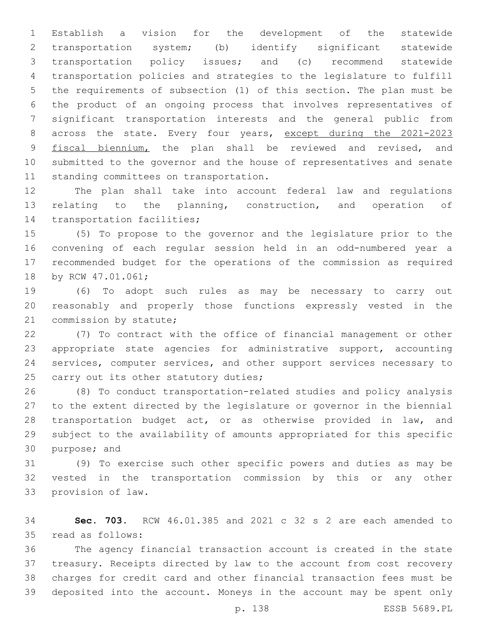Establish a vision for the development of the statewide transportation system; (b) identify significant statewide transportation policy issues; and (c) recommend statewide transportation policies and strategies to the legislature to fulfill the requirements of subsection (1) of this section. The plan must be the product of an ongoing process that involves representatives of significant transportation interests and the general public from 8 across the state. Every four years, except during the 2021-2023 9 fiscal biennium, the plan shall be reviewed and revised, and submitted to the governor and the house of representatives and senate 11 standing committees on transportation.

 The plan shall take into account federal law and regulations relating to the planning, construction, and operation of 14 transportation facilities;

 (5) To propose to the governor and the legislature prior to the convening of each regular session held in an odd-numbered year a recommended budget for the operations of the commission as required 18 by RCW 47.01.061;

 (6) To adopt such rules as may be necessary to carry out reasonably and properly those functions expressly vested in the 21 commission by statute;

 (7) To contract with the office of financial management or other appropriate state agencies for administrative support, accounting services, computer services, and other support services necessary to 25 carry out its other statutory duties;

 (8) To conduct transportation-related studies and policy analysis to the extent directed by the legislature or governor in the biennial 28 transportation budget act, or as otherwise provided in law, and subject to the availability of amounts appropriated for this specific 30 purpose; and

 (9) To exercise such other specific powers and duties as may be vested in the transportation commission by this or any other 33 provision of law.

 **Sec. 703.** RCW 46.01.385 and 2021 c 32 s 2 are each amended to 35 read as follows:

 The agency financial transaction account is created in the state treasury. Receipts directed by law to the account from cost recovery charges for credit card and other financial transaction fees must be deposited into the account. Moneys in the account may be spent only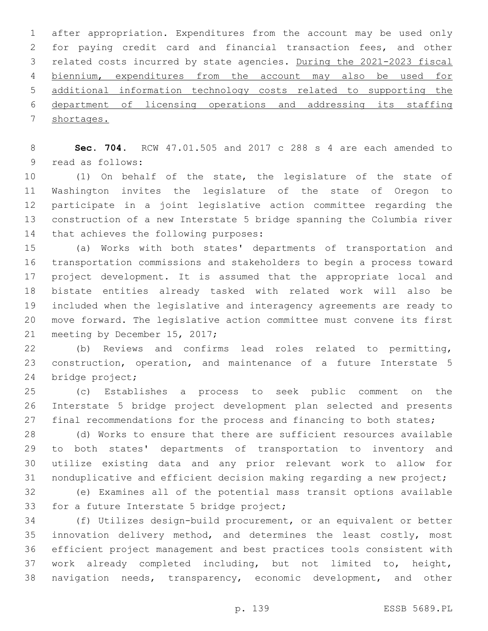after appropriation. Expenditures from the account may be used only for paying credit card and financial transaction fees, and other related costs incurred by state agencies. During the 2021-2023 fiscal biennium, expenditures from the account may also be used for additional information technology costs related to supporting the department of licensing operations and addressing its staffing shortages.

 **Sec. 704.** RCW 47.01.505 and 2017 c 288 s 4 are each amended to 9 read as follows:

 (1) On behalf of the state, the legislature of the state of Washington invites the legislature of the state of Oregon to participate in a joint legislative action committee regarding the construction of a new Interstate 5 bridge spanning the Columbia river 14 that achieves the following purposes:

 (a) Works with both states' departments of transportation and transportation commissions and stakeholders to begin a process toward project development. It is assumed that the appropriate local and bistate entities already tasked with related work will also be included when the legislative and interagency agreements are ready to move forward. The legislative action committee must convene its first 21 meeting by December 15, 2017;

 (b) Reviews and confirms lead roles related to permitting, construction, operation, and maintenance of a future Interstate 5 24 bridge project;

 (c) Establishes a process to seek public comment on the Interstate 5 bridge project development plan selected and presents 27 final recommendations for the process and financing to both states;

 (d) Works to ensure that there are sufficient resources available to both states' departments of transportation to inventory and utilize existing data and any prior relevant work to allow for nonduplicative and efficient decision making regarding a new project;

 (e) Examines all of the potential mass transit options available 33 for a future Interstate 5 bridge project;

 (f) Utilizes design-build procurement, or an equivalent or better innovation delivery method, and determines the least costly, most efficient project management and best practices tools consistent with work already completed including, but not limited to, height, navigation needs, transparency, economic development, and other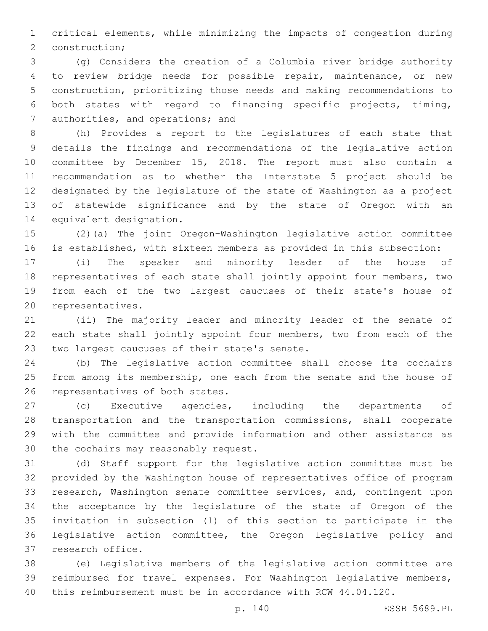critical elements, while minimizing the impacts of congestion during 2 construction;

 (g) Considers the creation of a Columbia river bridge authority to review bridge needs for possible repair, maintenance, or new construction, prioritizing those needs and making recommendations to both states with regard to financing specific projects, timing, 7 authorities, and operations; and

 (h) Provides a report to the legislatures of each state that details the findings and recommendations of the legislative action committee by December 15, 2018. The report must also contain a recommendation as to whether the Interstate 5 project should be designated by the legislature of the state of Washington as a project of statewide significance and by the state of Oregon with an 14 equivalent designation.

 (2)(a) The joint Oregon-Washington legislative action committee is established, with sixteen members as provided in this subsection:

 (i) The speaker and minority leader of the house of representatives of each state shall jointly appoint four members, two from each of the two largest caucuses of their state's house of 20 representatives.

 (ii) The majority leader and minority leader of the senate of each state shall jointly appoint four members, two from each of the 23 two largest caucuses of their state's senate.

 (b) The legislative action committee shall choose its cochairs 25 from among its membership, one each from the senate and the house of 26 representatives of both states.

 (c) Executive agencies, including the departments of transportation and the transportation commissions, shall cooperate with the committee and provide information and other assistance as 30 the cochairs may reasonably request.

 (d) Staff support for the legislative action committee must be provided by the Washington house of representatives office of program research, Washington senate committee services, and, contingent upon the acceptance by the legislature of the state of Oregon of the invitation in subsection (1) of this section to participate in the legislative action committee, the Oregon legislative policy and 37 research office.

 (e) Legislative members of the legislative action committee are reimbursed for travel expenses. For Washington legislative members, this reimbursement must be in accordance with RCW 44.04.120.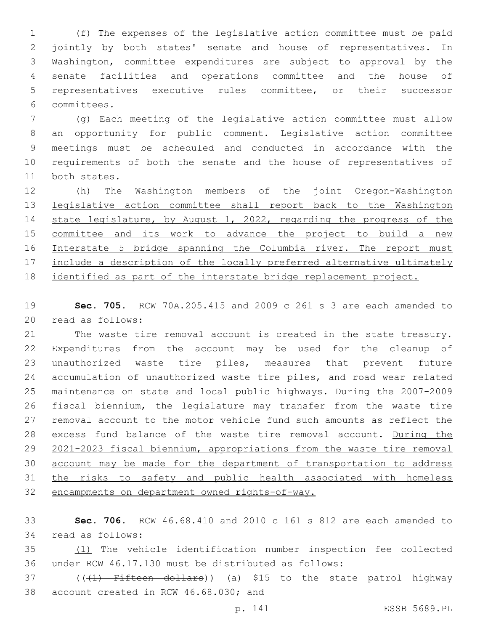(f) The expenses of the legislative action committee must be paid jointly by both states' senate and house of representatives. In Washington, committee expenditures are subject to approval by the senate facilities and operations committee and the house of representatives executive rules committee, or their successor committees.6

 (g) Each meeting of the legislative action committee must allow an opportunity for public comment. Legislative action committee meetings must be scheduled and conducted in accordance with the requirements of both the senate and the house of representatives of 11 both states.

 (h) The Washington members of the joint Oregon-Washington legislative action committee shall report back to the Washington state legislature, by August 1, 2022, regarding the progress of the 15 committee and its work to advance the project to build a new Interstate 5 bridge spanning the Columbia river. The report must 17 include a description of the locally preferred alternative ultimately identified as part of the interstate bridge replacement project.

 **Sec. 705.** RCW 70A.205.415 and 2009 c 261 s 3 are each amended to 20 read as follows:

 The waste tire removal account is created in the state treasury. Expenditures from the account may be used for the cleanup of unauthorized waste tire piles, measures that prevent future accumulation of unauthorized waste tire piles, and road wear related maintenance on state and local public highways. During the 2007-2009 fiscal biennium, the legislature may transfer from the waste tire removal account to the motor vehicle fund such amounts as reflect the excess fund balance of the waste tire removal account. During the 2021-2023 fiscal biennium, appropriations from the waste tire removal account may be made for the department of transportation to address the risks to safety and public health associated with homeless encampments on department owned rights-of-way.

 **Sec. 706.** RCW 46.68.410 and 2010 c 161 s 812 are each amended to read as follows:34

 (1) The vehicle identification number inspection fee collected under RCW 46.17.130 must be distributed as follows:

37 (((1) Fifteen dollars)) (a) \$15 to the state patrol highway 38 account created in RCW 46.68.030; and

p. 141 ESSB 5689.PL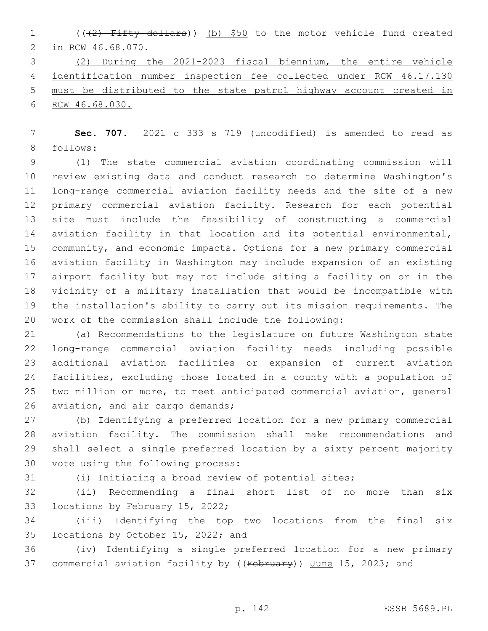1 (((2) Fifty dollars)) (b) \$50 to the motor vehicle fund created 2 in RCW 46.68.070.

 (2) During the 2021-2023 fiscal biennium, the entire vehicle identification number inspection fee collected under RCW 46.17.130 must be distributed to the state patrol highway account created in RCW 46.68.030.

 **Sec. 707.** 2021 c 333 s 719 (uncodified) is amended to read as 8 follows:

 (1) The state commercial aviation coordinating commission will review existing data and conduct research to determine Washington's long-range commercial aviation facility needs and the site of a new primary commercial aviation facility. Research for each potential site must include the feasibility of constructing a commercial aviation facility in that location and its potential environmental, community, and economic impacts. Options for a new primary commercial aviation facility in Washington may include expansion of an existing airport facility but may not include siting a facility on or in the vicinity of a military installation that would be incompatible with the installation's ability to carry out its mission requirements. The work of the commission shall include the following:

 (a) Recommendations to the legislature on future Washington state long-range commercial aviation facility needs including possible additional aviation facilities or expansion of current aviation facilities, excluding those located in a county with a population of two million or more, to meet anticipated commercial aviation, general 26 aviation, and air cargo demands;

 (b) Identifying a preferred location for a new primary commercial aviation facility. The commission shall make recommendations and shall select a single preferred location by a sixty percent majority 30 vote using the following process:

(i) Initiating a broad review of potential sites;

 (ii) Recommending a final short list of no more than six 33 locations by February 15, 2022;

 (iii) Identifying the top two locations from the final six 35 locations by October 15, 2022; and

 (iv) Identifying a single preferred location for a new primary 37 commercial aviation facility by ((February)) June 15, 2023; and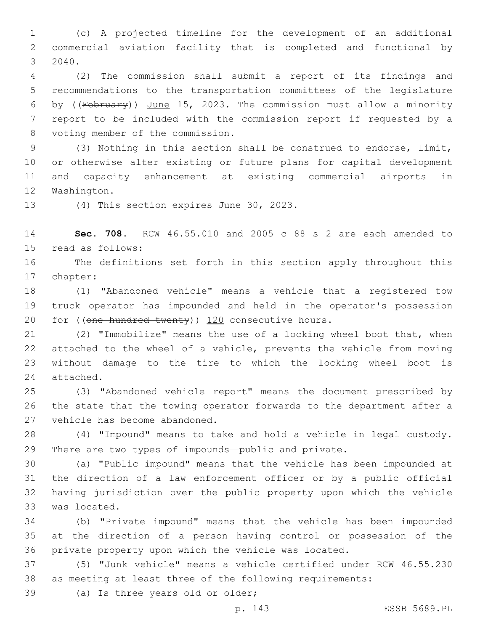(c) A projected timeline for the development of an additional commercial aviation facility that is completed and functional by 2040.3

 (2) The commission shall submit a report of its findings and recommendations to the transportation committees of the legislature by ((February)) June 15, 2023. The commission must allow a minority report to be included with the commission report if requested by a 8 voting member of the commission.

 (3) Nothing in this section shall be construed to endorse, limit, or otherwise alter existing or future plans for capital development and capacity enhancement at existing commercial airports in 12 Washington.

13 (4) This section expires June 30, 2023.

 **Sec. 708.** RCW 46.55.010 and 2005 c 88 s 2 are each amended to 15 read as follows:

 The definitions set forth in this section apply throughout this 17 chapter:

 (1) "Abandoned vehicle" means a vehicle that a registered tow truck operator has impounded and held in the operator's possession for (( $one$ -hundred twenty))  $120$  consecutive hours.

 (2) "Immobilize" means the use of a locking wheel boot that, when attached to the wheel of a vehicle, prevents the vehicle from moving without damage to the tire to which the locking wheel boot is 24 attached.

 (3) "Abandoned vehicle report" means the document prescribed by the state that the towing operator forwards to the department after a 27 vehicle has become abandoned.

 (4) "Impound" means to take and hold a vehicle in legal custody. There are two types of impounds—public and private.

 (a) "Public impound" means that the vehicle has been impounded at the direction of a law enforcement officer or by a public official having jurisdiction over the public property upon which the vehicle 33 was located.

 (b) "Private impound" means that the vehicle has been impounded at the direction of a person having control or possession of the private property upon which the vehicle was located.

 (5) "Junk vehicle" means a vehicle certified under RCW 46.55.230 as meeting at least three of the following requirements:

39 (a) Is three years old or older;

p. 143 ESSB 5689.PL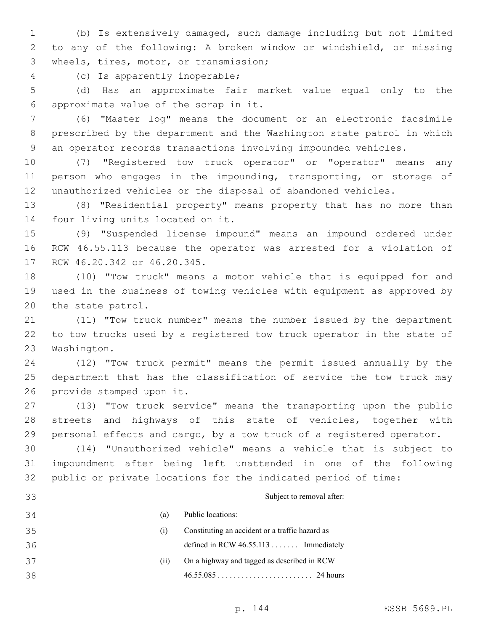(b) Is extensively damaged, such damage including but not limited to any of the following: A broken window or windshield, or missing 3 wheels, tires, motor, or transmission;

(c) Is apparently inoperable;4

 (d) Has an approximate fair market value equal only to the approximate value of the scrap in it.6

 (6) "Master log" means the document or an electronic facsimile prescribed by the department and the Washington state patrol in which an operator records transactions involving impounded vehicles.

 (7) "Registered tow truck operator" or "operator" means any person who engages in the impounding, transporting, or storage of unauthorized vehicles or the disposal of abandoned vehicles.

 (8) "Residential property" means property that has no more than 14 four living units located on it.

 (9) "Suspended license impound" means an impound ordered under RCW 46.55.113 because the operator was arrested for a violation of 17 RCW 46.20.342 or 46.20.345.

 (10) "Tow truck" means a motor vehicle that is equipped for and used in the business of towing vehicles with equipment as approved by 20 the state patrol.

 (11) "Tow truck number" means the number issued by the department to tow trucks used by a registered tow truck operator in the state of 23 Washington.

 (12) "Tow truck permit" means the permit issued annually by the department that has the classification of service the tow truck may 26 provide stamped upon it.

 (13) "Tow truck service" means the transporting upon the public streets and highways of this state of vehicles, together with personal effects and cargo, by a tow truck of a registered operator.

 (14) "Unauthorized vehicle" means a vehicle that is subject to impoundment after being left unattended in one of the following public or private locations for the indicated period of time:

 Subject to removal after: (a) Public locations: (i) Constituting an accident or a traffic hazard as defined in RCW 46.55.113 . . . . . . . Immediately (ii) On a highway and tagged as described in RCW 46.55.085 . . . . . . . . . . . . . . . . . . . . . . . . 24 hours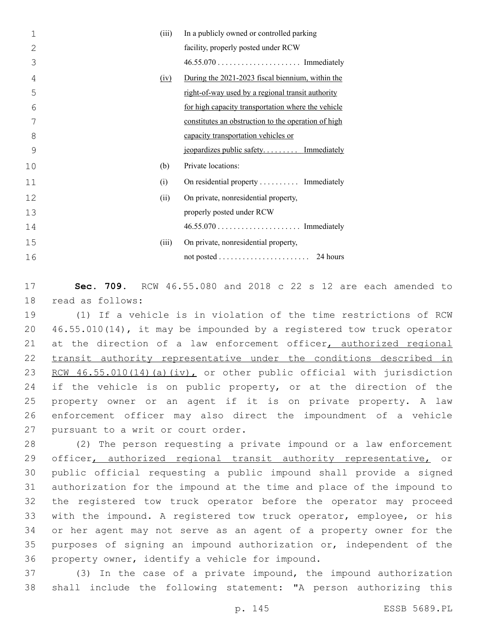| 1  | (iii) | In a publicly owned or controlled parking           |
|----|-------|-----------------------------------------------------|
| 2  |       | facility, properly posted under RCW                 |
| 3  |       |                                                     |
| 4  | (iv)  | During the 2021-2023 fiscal biennium, within the    |
| 5  |       | right-of-way used by a regional transit authority   |
| 6  |       | for high capacity transportation where the vehicle  |
|    |       | constitutes an obstruction to the operation of high |
| 8  |       | capacity transportation vehicles or                 |
| 9  |       | jeopardizes public safety Immediately               |
| 10 | (b)   | Private locations:                                  |
| 11 | (i)   | On residential property  Immediately                |
| 12 | (ii)  | On private, nonresidential property,                |
| 13 |       | properly posted under RCW                           |
| 14 |       |                                                     |
| 15 | (iii) | On private, nonresidential property,                |
| 16 |       | 24 hours                                            |

17 **Sec. 709.** RCW 46.55.080 and 2018 c 22 s 12 are each amended to 18 read as follows:

19 (1) If a vehicle is in violation of the time restrictions of RCW 20 46.55.010(14), it may be impounded by a registered tow truck operator 21 at the direction of a law enforcement officer, authorized regional 22 transit authority representative under the conditions described in 23 RCW  $46.55.010(14)$  (a) (iv), or other public official with jurisdiction 24 if the vehicle is on public property, or at the direction of the 25 property owner or an agent if it is on private property. A law 26 enforcement officer may also direct the impoundment of a vehicle 27 pursuant to a writ or court order.

 (2) The person requesting a private impound or a law enforcement 29 officer, authorized regional transit authority representative, or public official requesting a public impound shall provide a signed authorization for the impound at the time and place of the impound to the registered tow truck operator before the operator may proceed with the impound. A registered tow truck operator, employee, or his or her agent may not serve as an agent of a property owner for the purposes of signing an impound authorization or, independent of the 36 property owner, identify a vehicle for impound.

37 (3) In the case of a private impound, the impound authorization 38 shall include the following statement: "A person authorizing this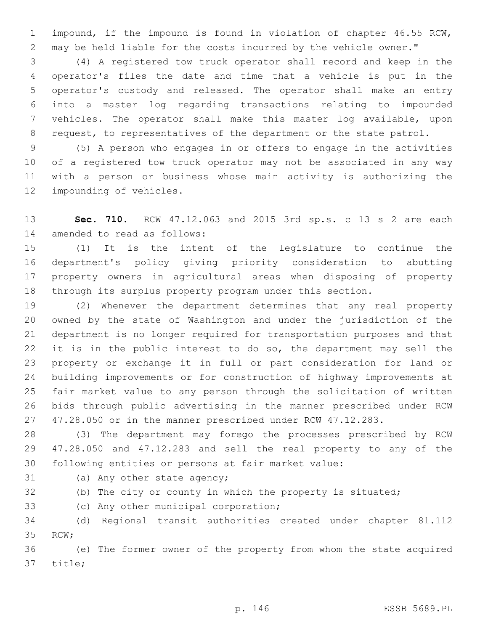impound, if the impound is found in violation of chapter 46.55 RCW, may be held liable for the costs incurred by the vehicle owner."

 (4) A registered tow truck operator shall record and keep in the operator's files the date and time that a vehicle is put in the operator's custody and released. The operator shall make an entry into a master log regarding transactions relating to impounded vehicles. The operator shall make this master log available, upon 8 request, to representatives of the department or the state patrol.

 (5) A person who engages in or offers to engage in the activities of a registered tow truck operator may not be associated in any way with a person or business whose main activity is authorizing the 12 impounding of vehicles.

 **Sec. 710.** RCW 47.12.063 and 2015 3rd sp.s. c 13 s 2 are each 14 amended to read as follows:

 (1) It is the intent of the legislature to continue the department's policy giving priority consideration to abutting property owners in agricultural areas when disposing of property through its surplus property program under this section.

 (2) Whenever the department determines that any real property owned by the state of Washington and under the jurisdiction of the department is no longer required for transportation purposes and that 22 it is in the public interest to do so, the department may sell the property or exchange it in full or part consideration for land or building improvements or for construction of highway improvements at fair market value to any person through the solicitation of written bids through public advertising in the manner prescribed under RCW 47.28.050 or in the manner prescribed under RCW 47.12.283.

 (3) The department may forego the processes prescribed by RCW 47.28.050 and 47.12.283 and sell the real property to any of the following entities or persons at fair market value:

31 (a) Any other state agency;

(b) The city or county in which the property is situated;

33 (c) Any other municipal corporation;

 (d) Regional transit authorities created under chapter 81.112 35 RCW;

 (e) The former owner of the property from whom the state acquired 37 title;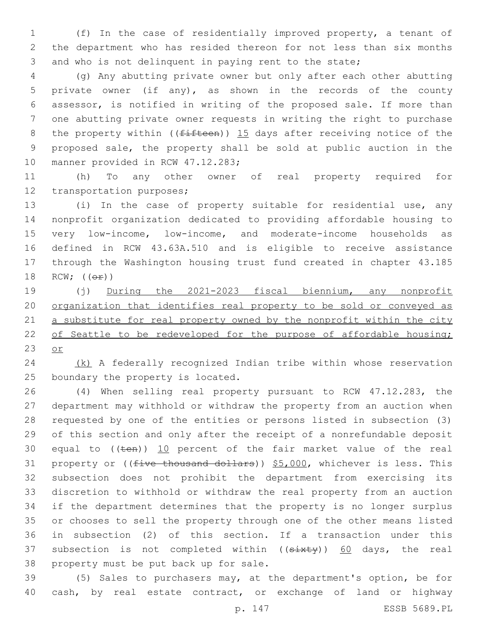(f) In the case of residentially improved property, a tenant of the department who has resided thereon for not less than six months and who is not delinquent in paying rent to the state;

 (g) Any abutting private owner but only after each other abutting private owner (if any), as shown in the records of the county assessor, is notified in writing of the proposed sale. If more than one abutting private owner requests in writing the right to purchase 8 the property within (( $f$ ifteen)) 15 days after receiving notice of the proposed sale, the property shall be sold at public auction in the 10 manner provided in RCW 47.12.283;

 (h) To any other owner of real property required for 12 transportation purposes;

 (i) In the case of property suitable for residential use, any nonprofit organization dedicated to providing affordable housing to very low-income, low-income, and moderate-income households as defined in RCW 43.63A.510 and is eligible to receive assistance through the Washington housing trust fund created in chapter 43.185 18 RCW;  $((\theta \pm))$ 

 (j) During the 2021-2023 fiscal biennium, any nonprofit organization that identifies real property to be sold or conveyed as 21 a substitute for real property owned by the nonprofit within the city 22 of Seattle to be redeveloped for the purpose of affordable housing; or

 (k) A federally recognized Indian tribe within whose reservation 25 boundary the property is located.

 (4) When selling real property pursuant to RCW 47.12.283, the department may withhold or withdraw the property from an auction when requested by one of the entities or persons listed in subsection (3) of this section and only after the receipt of a nonrefundable deposit 30 equal to  $((\text{ten}))$  10 percent of the fair market value of the real 31 property or ((five thousand dollars)) \$5,000, whichever is less. This subsection does not prohibit the department from exercising its discretion to withhold or withdraw the real property from an auction if the department determines that the property is no longer surplus or chooses to sell the property through one of the other means listed in subsection (2) of this section. If a transaction under this 37 subsection is not completed within  $((sixty))$  60 days, the real 38 property must be put back up for sale.

 (5) Sales to purchasers may, at the department's option, be for cash, by real estate contract, or exchange of land or highway

p. 147 ESSB 5689.PL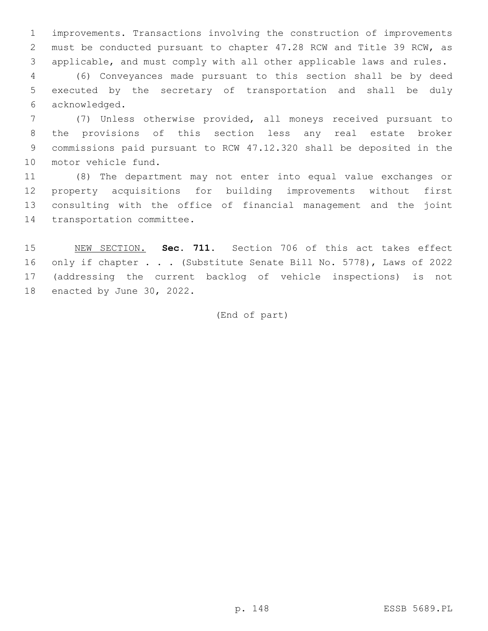improvements. Transactions involving the construction of improvements must be conducted pursuant to chapter 47.28 RCW and Title 39 RCW, as applicable, and must comply with all other applicable laws and rules.

 (6) Conveyances made pursuant to this section shall be by deed executed by the secretary of transportation and shall be duly acknowledged.6

 (7) Unless otherwise provided, all moneys received pursuant to the provisions of this section less any real estate broker commissions paid pursuant to RCW 47.12.320 shall be deposited in the 10 motor vehicle fund.

 (8) The department may not enter into equal value exchanges or property acquisitions for building improvements without first consulting with the office of financial management and the joint 14 transportation committee.

 NEW SECTION. **Sec. 711.** Section 706 of this act takes effect 16 only if chapter . . . (Substitute Senate Bill No. 5778), Laws of 2022 (addressing the current backlog of vehicle inspections) is not enacted by June 30, 2022.

(End of part)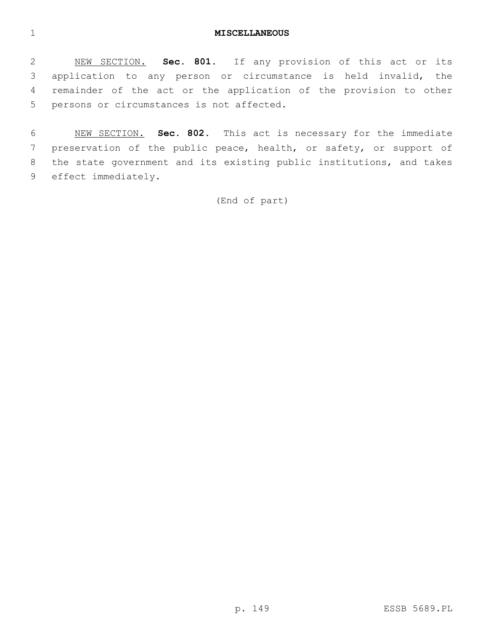## **MISCELLANEOUS**

 NEW SECTION. **Sec. 801.** If any provision of this act or its application to any person or circumstance is held invalid, the remainder of the act or the application of the provision to other persons or circumstances is not affected.

 NEW SECTION. **Sec. 802.** This act is necessary for the immediate preservation of the public peace, health, or safety, or support of the state government and its existing public institutions, and takes effect immediately.

(End of part)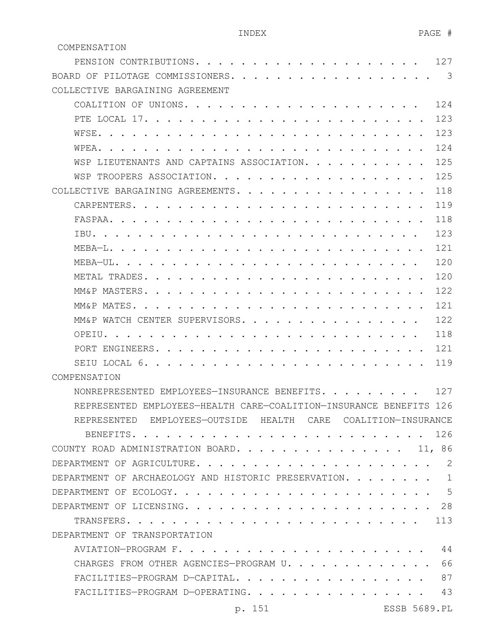COMPENSATION

| PENSION CONTRIBUTIONS.                                                             | 127  |
|------------------------------------------------------------------------------------|------|
| BOARD OF PILOTAGE COMMISSIONERS.                                                   | 3    |
| COLLECTIVE BARGAINING AGREEMENT                                                    |      |
| COALITION OF UNIONS.                                                               | 12.4 |
| PTE LOCAL 17.                                                                      | 123  |
| WFSE.                                                                              | 123  |
| WPEA.                                                                              | 124  |
| WSP LIEUTENANTS AND CAPTAINS ASSOCIATION.                                          | 125  |
| WSP TROOPERS ASSOCIATION.                                                          | 125  |
| COLLECTIVE BARGAINING AGREEMENTS.                                                  | 118  |
| CARPENTERS.                                                                        | 119  |
| FASPAA                                                                             | 118  |
| TRU.                                                                               | 123  |
| MEBA-L.                                                                            | 121  |
| MEBA-UL.                                                                           | 120  |
| METAL TRADES.                                                                      | 120  |
| MM&P MASTERS. .                                                                    | 122  |
| MM&P MATES.                                                                        | 121  |
| MM&P WATCH CENTER SUPERVISORS.                                                     | 122  |
| OPEIU.                                                                             | 118  |
| PORT ENGINEERS                                                                     | 121  |
| SEIU LOCAL 6.                                                                      | 119  |
| COMPENSATION                                                                       |      |
| NONREPRESENTED EMPLOYEES-INSURANCE BENEFITS.                                       | 127  |
| REPRESENTED EMPLOYEES-HEALTH CARE-COALITION-INSURANCE BENEFITS 126                 |      |
| REPRESENTED EMPLOYEES-OUTSIDE HEALTH CARE COALITION-INSURANCE                      |      |
|                                                                                    |      |
| COUNTY ROAD ADMINISTRATION BOARD. 11, 86                                           |      |
| DEPARTMENT OF AGRICULTURE.                                                         | 2    |
| DEPARTMENT OF ARCHAEOLOGY AND HISTORIC PRESERVATION.                               | 1    |
|                                                                                    | - 5  |
| DEPARTMENT OF LICENSING.<br>. . 28                                                 |      |
| TRANSFERS.<br>. . 113<br>$\mathbf{r}$ , $\mathbf{r}$ , $\mathbf{r}$ , $\mathbf{r}$ |      |
| DEPARTMENT OF TRANSPORTATION                                                       |      |
|                                                                                    | 44   |
| CHARGES FROM OTHER AGENCIES-PROGRAM U.                                             | 66   |
| FACILITIES-PROGRAM D-CAPITAL.                                                      | 87   |
| FACILITIES-PROGRAM D-OPERATING.                                                    | 43   |